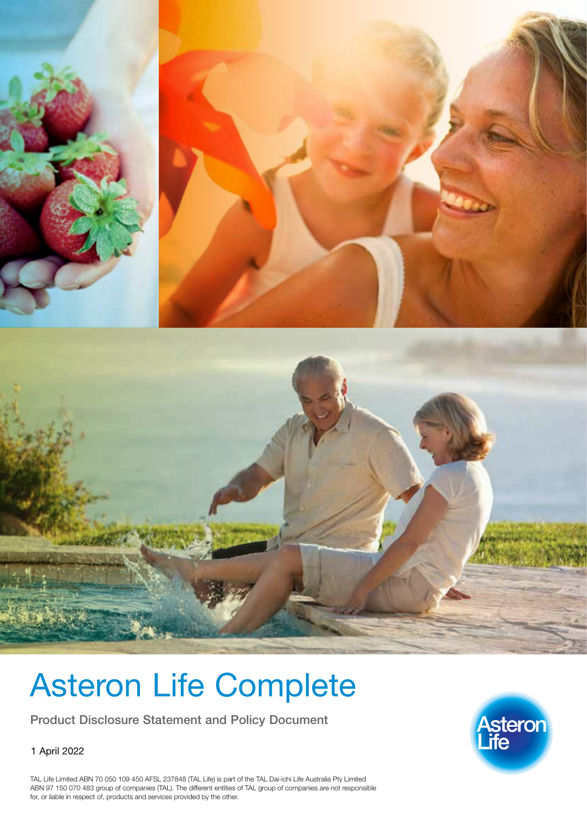

# Asteron Life Complete

Product Disclosure Statement and Policy Document

1 April 2022



TAL Life Limited ABN 70 050 109 450 AFSL 237848 (TAL Life) is part of the TAL Dai-ichi Life Australia Pty Limited ABN 97 150 070 483 group of companies (TAL). The different entities of TAL group of companies are not responsible for, or liable in respect of, products and services provided by the other.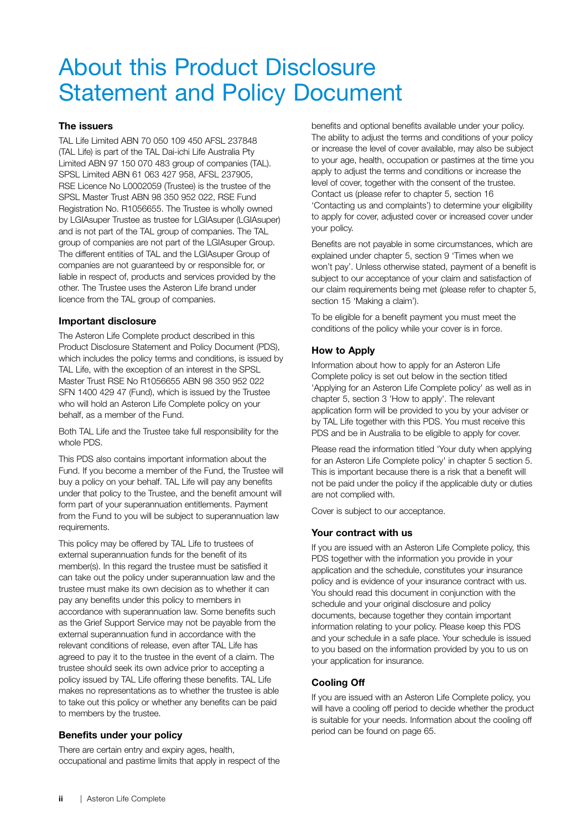## About this Product Disclosure Statement and Policy Document

#### The issuers

TAL Life Limited ABN 70 050 109 450 AFSL 237848 (TAL Life) is part of the TAL Dai-ichi Life Australia Pty Limited ABN 97 150 070 483 group of companies (TAL). SPSL Limited ABN 61 063 427 958, AFSL 237905, RSE Licence No L0002059 (Trustee) is the trustee of the SPSL Master Trust ABN 98 350 952 022, RSE Fund Registration No. R1056655. The Trustee is wholly owned by LGIAsuper Trustee as trustee for LGIAsuper (LGIAsuper) and is not part of the TAL group of companies. The TAL group of companies are not part of the LGIAsuper Group. The different entities of TAL and the LGIAsuper Group of companies are not guaranteed by or responsible for, or liable in respect of, products and services provided by the other. The Trustee uses the Asteron Life brand under licence from the TAL group of companies.

#### Important disclosure

The Asteron Life Complete product described in this Product Disclosure Statement and Policy Document (PDS), which includes the policy terms and conditions, is issued by TAL Life, with the exception of an interest in the SPSL Master Trust RSE No R1056655 ABN 98 350 952 022 SFN 1400 429 47 (Fund), which is issued by the Trustee who will hold an Asteron Life Complete policy on your behalf, as a member of the Fund.

Both TAL Life and the Trustee take full responsibility for the whole PDS.

This PDS also contains important information about the Fund. If you become a member of the Fund, the Trustee will buy a policy on your behalf. TAL Life will pay any benefits under that policy to the Trustee, and the benefit amount will form part of your superannuation entitlements. Payment from the Fund to you will be subject to superannuation law requirements.

This policy may be offered by TAL Life to trustees of external superannuation funds for the benefit of its member(s). In this regard the trustee must be satisfied it can take out the policy under superannuation law and the trustee must make its own decision as to whether it can pay any benefits under this policy to members in accordance with superannuation law. Some benefits such as the Grief Support Service may not be payable from the external superannuation fund in accordance with the relevant conditions of release, even after TAL Life has agreed to pay it to the trustee in the event of a claim. The trustee should seek its own advice prior to accepting a policy issued by TAL Life offering these benefits. TAL Life makes no representations as to whether the trustee is able to take out this policy or whether any benefits can be paid to members by the trustee.

#### Benefits under your policy

There are certain entry and expiry ages, health, occupational and pastime limits that apply in respect of the benefits and optional benefits available under your policy. The ability to adjust the terms and conditions of your policy or increase the level of cover available, may also be subject to your age, health, occupation or pastimes at the time you apply to adjust the terms and conditions or increase the level of cover, together with the consent of the trustee. Contact us (please refer to chapter 5, section 16 'Contacting us and complaints') to determine your eligibility to apply for cover, adjusted cover or increased cover under your policy.

Benefits are not payable in some circumstances, which are explained under chapter 5, section 9 'Times when we won't pay'. Unless otherwise stated, payment of a benefit is subject to our acceptance of your claim and satisfaction of our claim requirements being met (please refer to chapter 5, section 15 'Making a claim').

To be eligible for a benefit payment you must meet the conditions of the policy while your cover is in force.

#### How to Apply

Information about how to apply for an Asteron Life Complete policy is set out below in the section titled 'Applying for an Asteron Life Complete policy' as well as in chapter 5, section 3 'How to apply'. The relevant application form will be provided to you by your adviser or by TAL Life together with this PDS. You must receive this PDS and be in Australia to be eligible to apply for cover.

Please read the information titled 'Your duty when applying for an Asteron Life Complete policy' in chapter 5 section 5. This is important because there is a risk that a benefit will not be paid under the policy if the applicable duty or duties are not complied with.

Cover is subject to our acceptance.

#### Your contract with us

If you are issued with an Asteron Life Complete policy, this PDS together with the information you provide in your application and the schedule, constitutes your insurance policy and is evidence of your insurance contract with us. You should read this document in conjunction with the schedule and your original disclosure and policy documents, because together they contain important information relating to your policy. Please keep this PDS and your schedule in a safe place. Your schedule is issued to you based on the information provided by you to us on your application for insurance.

#### Cooling Off

If you are issued with an Asteron Life Complete policy, you will have a cooling off period to decide whether the product is suitable for your needs. Information about the cooling off period can be found on page [65.](#page-70-0)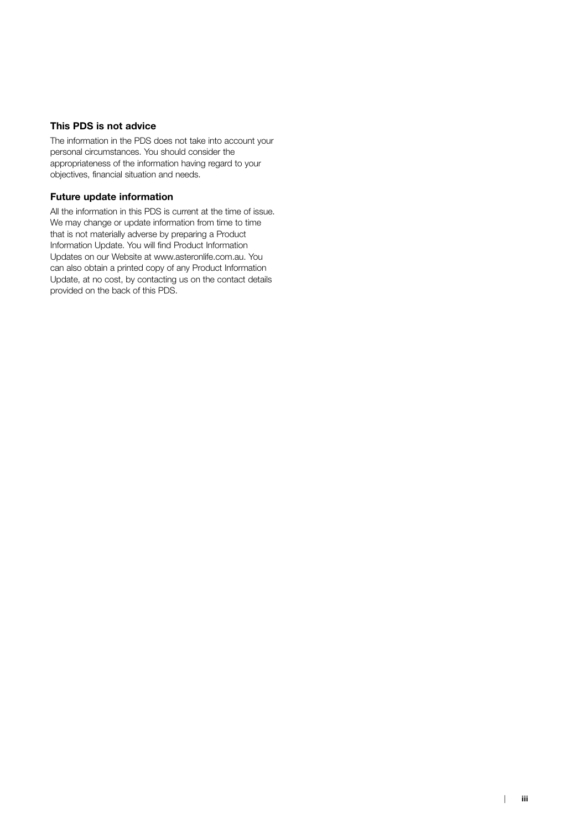#### This PDS is not advice

The information in the PDS does not take into account your personal circumstances. You should consider the appropriateness of the information having regard to your objectives, financial situation and needs.

#### Future update information

All the information in this PDS is current at the time of issue. We may change or update information from time to time that is not materially adverse by preparing a Product Information Update. You will find Product Information Updates on our Website at www.asteronlife.com.au. You can also obtain a printed copy of any Product Information Update, at no cost, by contacting us on the contact details provided on the back of this PDS.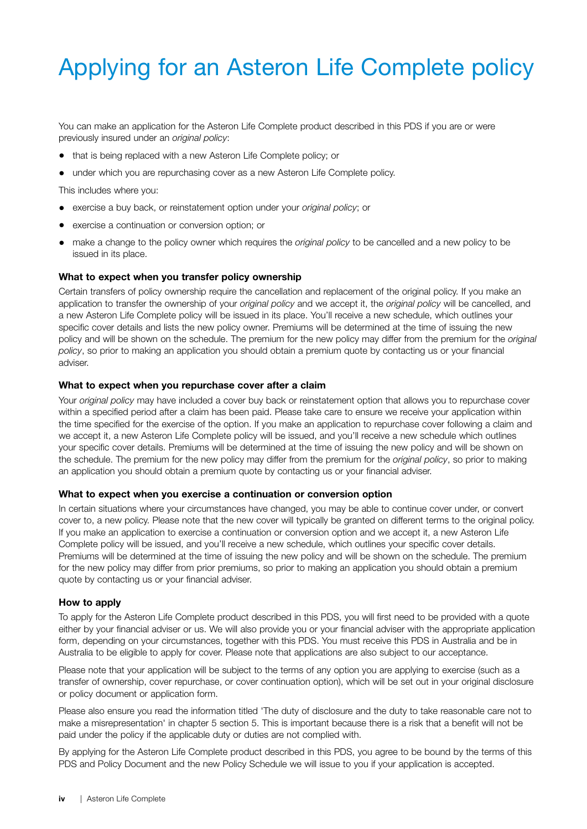# Applying for an Asteron Life Complete policy

You can make an application for the Asteron Life Complete product described in this PDS if you are or were previously insured under an *original policy*:

- that is being replaced with a new Asteron Life Complete policy; or
- under which you are repurchasing cover as a new Asteron Life Complete policy.

This includes where you:

- exercise a buy back, or reinstatement option under your *original policy*; or
- exercise a continuation or conversion option; or
- make a change to the policy owner which requires the *original policy* to be cancelled and a new policy to be issued in its place.

#### What to expect when you transfer policy ownership

Certain transfers of policy ownership require the cancellation and replacement of the original policy. If you make an application to transfer the ownership of your *original policy* and we accept it, the *original policy* will be cancelled, and a new Asteron Life Complete policy will be issued in its place. You'll receive a new schedule, which outlines your specific cover details and lists the new policy owner. Premiums will be determined at the time of issuing the new policy and will be shown on the schedule. The premium for the new policy may differ from the premium for the *original policy*, so prior to making an application you should obtain a premium quote by contacting us or your financial adviser.

#### What to expect when you repurchase cover after a claim

Your *original policy* may have included a cover buy back or reinstatement option that allows you to repurchase cover within a specified period after a claim has been paid. Please take care to ensure we receive your application within the time specified for the exercise of the option. If you make an application to repurchase cover following a claim and we accept it, a new Asteron Life Complete policy will be issued, and you'll receive a new schedule which outlines your specific cover details. Premiums will be determined at the time of issuing the new policy and will be shown on the schedule. The premium for the new policy may differ from the premium for the *original policy*, so prior to making an application you should obtain a premium quote by contacting us or your financial adviser.

#### What to expect when you exercise a continuation or conversion option

In certain situations where your circumstances have changed, you may be able to continue cover under, or convert cover to, a new policy. Please note that the new cover will typically be granted on different terms to the original policy. If you make an application to exercise a continuation or conversion option and we accept it, a new Asteron Life Complete policy will be issued, and you'll receive a new schedule, which outlines your specific cover details. Premiums will be determined at the time of issuing the new policy and will be shown on the schedule. The premium for the new policy may differ from prior premiums, so prior to making an application you should obtain a premium quote by contacting us or your financial adviser.

#### How to apply

To apply for the Asteron Life Complete product described in this PDS, you will first need to be provided with a quote either by your financial adviser or us. We will also provide you or your financial adviser with the appropriate application form, depending on your circumstances, together with this PDS. You must receive this PDS in Australia and be in Australia to be eligible to apply for cover. Please note that applications are also subject to our acceptance.

Please note that your application will be subject to the terms of any option you are applying to exercise (such as a transfer of ownership, cover repurchase, or cover continuation option), which will be set out in your original disclosure or policy document or application form.

Please also ensure you read the information titled 'The duty of disclosure and the duty to take reasonable care not to make a misrepresentation' in chapter 5 section 5. This is important because there is a risk that a benefit will not be paid under the policy if the applicable duty or duties are not complied with.

By applying for the Asteron Life Complete product described in this PDS, you agree to be bound by the terms of this PDS and Policy Document and the new Policy Schedule we will issue to you if your application is accepted.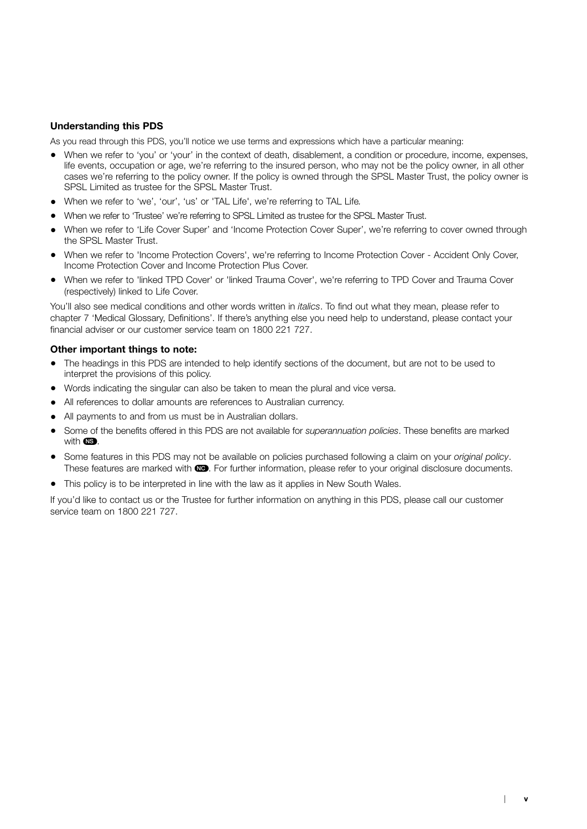#### Understanding this PDS

As you read through this PDS, you'll notice we use terms and expressions which have a particular meaning:

- When we refer to 'you' or 'your' in the context of death, disablement, a condition or procedure, income, expenses, life events, occupation or age, we're referring to the insured person, who may not be the policy owner*,* in all other cases we're referring to the policy owner. If the policy is owned through the SPSL Master Trust, the policy owner is SPSL Limited as trustee for the SPSL Master Trust.
- When we refer to 'we', 'our', 'us' or 'TAL Life', we're referring to TAL Life*.*
- When we refer to 'Trustee' we're referring to SPSL Limited as trustee for the SPSL Master Trust.
- When we refer to 'Life Cover Super' and 'Income Protection Cover Super', we're referring to cover owned through the SPSL Master Trust.
- When we refer to 'Income Protection Covers', we're referring to Income Protection Cover Accident Only Cover, Income Protection Cover and Income Protection Plus Cover.
- When we refer to 'linked TPD Cover' or 'linked Trauma Cover', we're referring to TPD Cover and Trauma Cover (respectively) linked to Life Cover.

You'll also see medical conditions and other words written in *italics*. To find out what they mean, please refer to chapter 7 'Medical Glossary, Definitions'. If there's anything else you need help to understand, please contact your financial adviser or our customer service team on 1800 221 727.

#### Other important things to note:

- The headings in this PDS are intended to help identify sections of the document, but are not to be used to interpret the provisions of this policy.
- Words indicating the singular can also be taken to mean the plural and vice versa.
- All references to dollar amounts are references to Australian currency.
- All payments to and from us must be in Australian dollars.
- Some of the benefits offered in this PDS are not available for *superannuation policies*. These benefits are marked with  $\mathbb{R}$ .
- Some features in this PDS may not be available on policies purchased following a claim on your *original policy*. These features are marked with  $\Box$ . For further information, please refer to your original disclosure documents.
- This policy is to be interpreted in line with the law as it applies in New South Wales.

If you'd like to contact us or the Trustee for further information on anything in this PDS, please call our customer service team on 1800 221 727.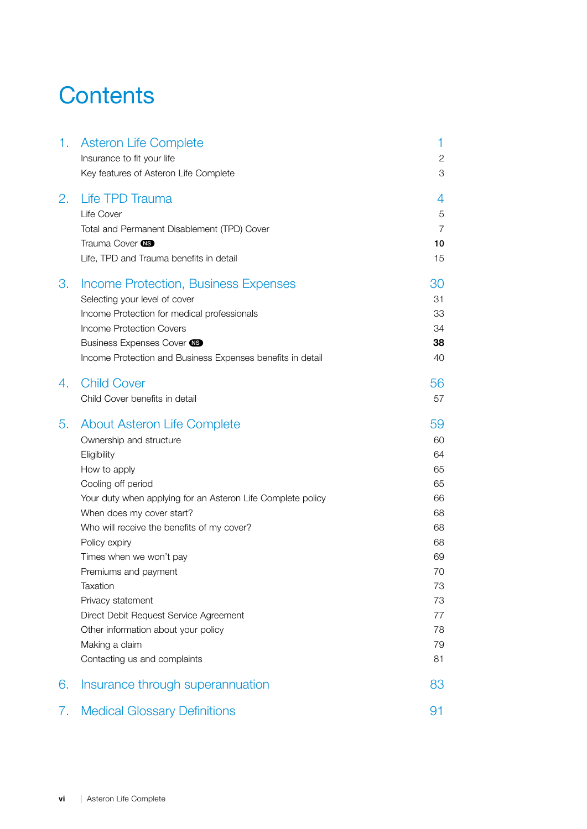### **Contents**

| 1. | <b>Asteron Life Complete</b>                                | 1              |
|----|-------------------------------------------------------------|----------------|
|    | Insurance to fit your life                                  | $\mathbf{2}$   |
|    | Key features of Asteron Life Complete                       | 3              |
| 2. | Life TPD Trauma                                             | 4              |
|    | Life Cover                                                  | 5              |
|    | Total and Permanent Disablement (TPD) Cover                 | $\overline{7}$ |
|    | Trauma Cover <b>NS</b>                                      | 10             |
|    | Life, TPD and Trauma benefits in detail                     | 15             |
| 3. | <b>Income Protection, Business Expenses</b>                 | 30             |
|    | Selecting your level of cover                               | 31             |
|    | Income Protection for medical professionals                 | 33             |
|    | Income Protection Covers                                    | 34             |
|    | Business Expenses Cover CS                                  | 38             |
|    | Income Protection and Business Expenses benefits in detail  | 40             |
| 4. | <b>Child Cover</b>                                          | 56             |
|    | Child Cover benefits in detail                              | 57             |
| 5. | About Asteron Life Complete                                 | 59             |
|    | Ownership and structure                                     | 60             |
|    | Eligibility                                                 | 64             |
|    | How to apply                                                | 65             |
|    | Cooling off period                                          | 65             |
|    | Your duty when applying for an Asteron Life Complete policy | 66             |
|    | When does my cover start?                                   | 68             |
|    | Who will receive the benefits of my cover?                  | 68             |
|    | Policy expiry                                               | 68             |
|    | Times when we won't pay                                     | 69             |
|    | Premiums and payment                                        | 70             |
|    | Taxation                                                    | 73             |
|    | Privacy statement                                           | 73             |
|    | Direct Debit Request Service Agreement                      | 77             |
|    | Other information about your policy                         | 78             |
|    | Making a claim                                              | 79             |
|    | Contacting us and complaints                                | 81             |
| 6. | Insurance through superannuation                            | 83             |
| 7. | <b>Medical Glossary Definitions</b>                         | 91             |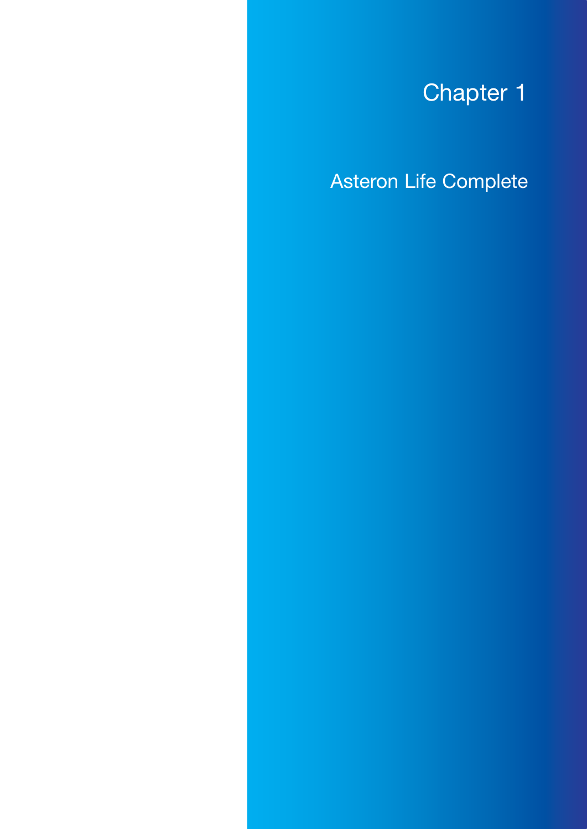# Chapter 1

<span id="page-6-0"></span>Asteron Life Complete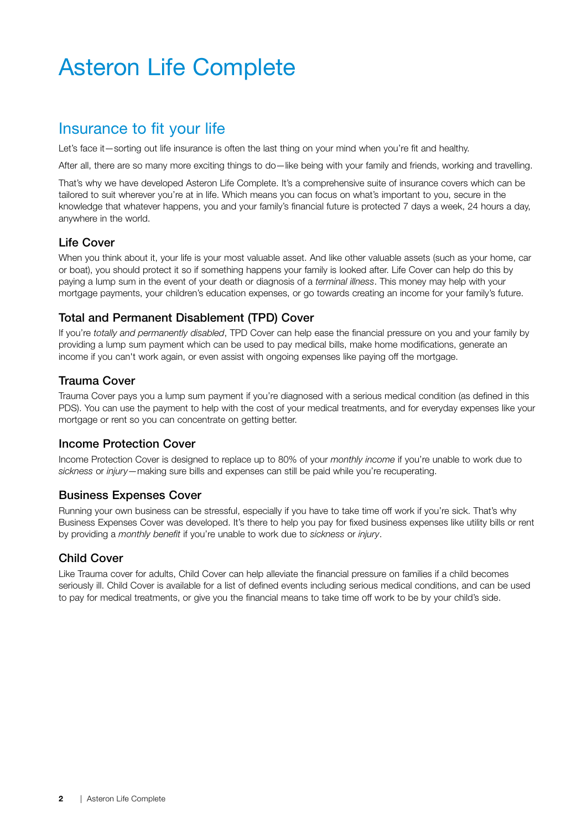## <span id="page-7-0"></span>Asteron Life Complete

### Insurance to fit your life

Let's face it—sorting out life insurance is often the last thing on your mind when you're fit and healthy.

After all, there are so many more exciting things to do—like being with your family and friends, working and travelling.

That's why we have developed Asteron Life Complete. It's a comprehensive suite of insurance covers which can be tailored to suit wherever you're at in life. Which means you can focus on what's important to you, secure in the knowledge that whatever happens, you and your family's financial future is protected 7 days a week, 24 hours a day, anywhere in the world.

#### Life Cover

When you think about it, your life is your most valuable asset. And like other valuable assets (such as your home, car or boat), you should protect it so if something happens your family is looked after. Life Cover can help do this by paying a lump sum in the event of your death or diagnosis of a *terminal illness*. This money may help with your mortgage payments, your children's education expenses, or go towards creating an income for your family's future.

#### Total and Permanent Disablement (TPD) Cover

If you're *totally and permanently disabled*, TPD Cover can help ease the financial pressure on you and your family by providing a lump sum payment which can be used to pay medical bills, make home modifications, generate an income if you can't work again, or even assist with ongoing expenses like paying off the mortgage.

#### Trauma Cover

Trauma Cover pays you a lump sum payment if you're diagnosed with a serious medical condition (as defined in this PDS). You can use the payment to help with the cost of your medical treatments, and for everyday expenses like your mortgage or rent so you can concentrate on getting better.

#### Income Protection Cover

Income Protection Cover is designed to replace up to 80% of your *monthly income* if you're unable to work due to *sickness* or *injury*—making sure bills and expenses can still be paid while you're recuperating.

#### Business Expenses Cover

Running your own business can be stressful, especially if you have to take time off work if you're sick. That's why Business Expenses Cover was developed. It's there to help you pay for fixed business expenses like utility bills or rent by providing a *monthly benefit* if you're unable to work due to *sickness* or *injury*.

#### Child Cover

Like Trauma cover for adults, Child Cover can help alleviate the financial pressure on families if a child becomes seriously ill. Child Cover is available for a list of defined events including serious medical conditions, and can be used to pay for medical treatments, or give you the financial means to take time off work to be by your child's side.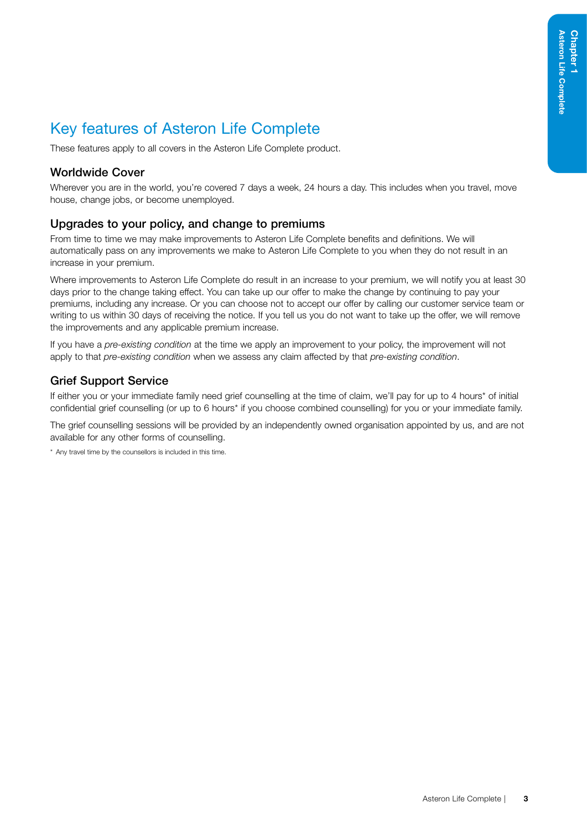### <span id="page-8-0"></span>Key features of Asteron Life Complete

These features apply to all covers in the Asteron Life Complete product.

#### Worldwide Cover

Wherever you are in the world, you're covered 7 days a week, 24 hours a day. This includes when you travel, move house, change jobs, or become unemployed.

#### Upgrades to your policy, and change to premiums

From time to time we may make improvements to Asteron Life Complete benefits and definitions. We will automatically pass on any improvements we make to Asteron Life Complete to you when they do not result in an increase in your premium.

Where improvements to Asteron Life Complete do result in an increase to your premium, we will notify you at least 30 days prior to the change taking effect. You can take up our offer to make the change by continuing to pay your premiums, including any increase. Or you can choose not to accept our offer by calling our customer service team or writing to us within 30 days of receiving the notice. If you tell us you do not want to take up the offer, we will remove the improvements and any applicable premium increase.

If you have a *pre-existing condition* at the time we apply an improvement to your policy, the improvement will not apply to that *pre-existing condition* when we assess any claim affected by that *pre-existing condition*.

#### Grief Support Service

If either you or your immediate family need grief counselling at the time of claim, we'll pay for up to 4 hours\* of initial confidential grief counselling (or up to 6 hours\* if you choose combined counselling) for you or your immediate family.

The grief counselling sessions will be provided by an independently owned organisation appointed by us, and are not available for any other forms of counselling.

\* Any travel time by the counsellors is included in this time.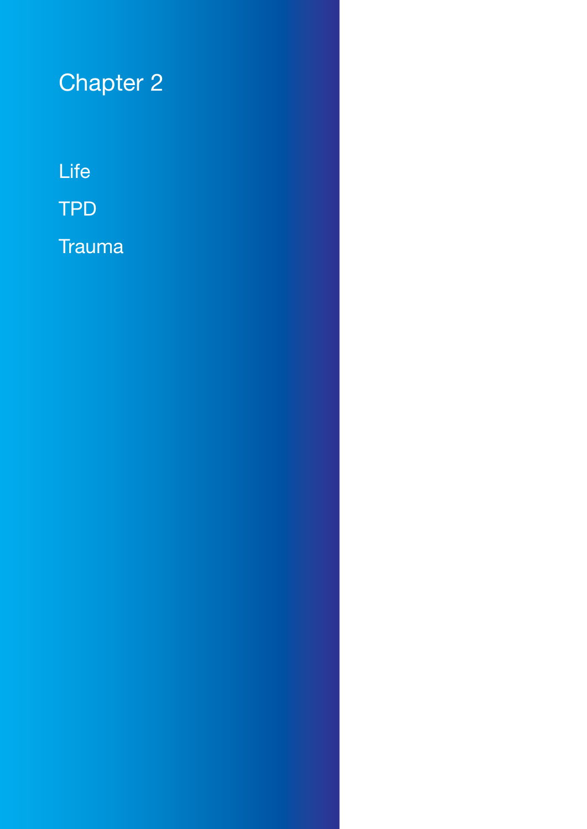# <span id="page-9-0"></span>Chapter 2

Life

TPD

**Trauma**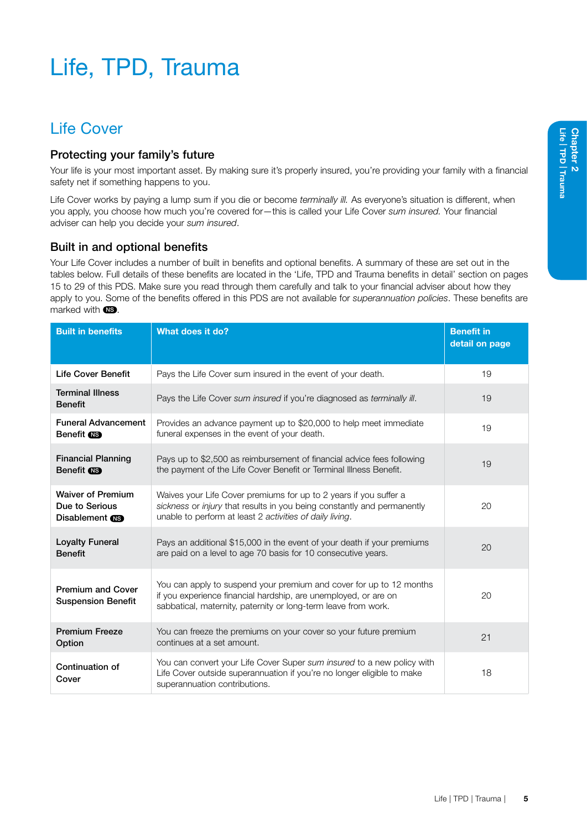# <span id="page-10-0"></span>Life, TPD, Trauma

### Life Cover

#### Protecting your family's future

Your life is your most important asset. By making sure it's properly insured, you're providing your family with a financial safety net if something happens to you.

Life Cover works by paying a lump sum if you die or become *terminally ill.* As everyone's situation is different, when you apply, you choose how much you're covered for—this is called your Life Cover *sum insured.* Your financial adviser can help you decide your *sum insured*.

#### Built in and optional benefits

Your Life Cover includes a number of built in benefits and optional benefits. A summary of these are set out in the tables below. Full details of these benefits are located in the 'Life, TPD and Trauma benefits in detail' section on pages 15 to [29](#page-34-0) of this PDS. Make sure you read through them carefully and talk to your financial adviser about how they apply to you. Some of the benefits offered in this PDS are not available for *superannuation policies*. These benefits are marked with  $\blacksquare$ 

| <b>Built in benefits</b>                                            | What does it do?                                                                                                                                                                                         | <b>Benefit in</b><br>detail on page |
|---------------------------------------------------------------------|----------------------------------------------------------------------------------------------------------------------------------------------------------------------------------------------------------|-------------------------------------|
| <b>Life Cover Benefit</b>                                           | Pays the Life Cover sum insured in the event of your death.                                                                                                                                              | 19                                  |
| <b>Terminal Illness</b><br><b>Benefit</b>                           | Pays the Life Cover sum insured if you're diagnosed as terminally ill.                                                                                                                                   | 19                                  |
| <b>Funeral Advancement</b><br>Benefit <b>NS</b>                     | Provides an advance payment up to \$20,000 to help meet immediate<br>funeral expenses in the event of your death.                                                                                        | 19                                  |
| <b>Financial Planning</b><br>Benefit <b>NB</b>                      | Pays up to \$2,500 as reimbursement of financial advice fees following<br>the payment of the Life Cover Benefit or Terminal Illness Benefit.                                                             | 19                                  |
| <b>Waiver of Premium</b><br>Due to Serious<br>Disablement <b>CB</b> | Waives your Life Cover premiums for up to 2 years if you suffer a<br>sickness or injury that results in you being constantly and permanently<br>unable to perform at least 2 activities of daily living. | 20                                  |
| <b>Loyalty Funeral</b><br><b>Benefit</b>                            | Pays an additional \$15,000 in the event of your death if your premiums<br>are paid on a level to age 70 basis for 10 consecutive years.                                                                 | 20                                  |
| <b>Premium and Cover</b><br><b>Suspension Benefit</b>               | You can apply to suspend your premium and cover for up to 12 months<br>if you experience financial hardship, are unemployed, or are on<br>sabbatical, maternity, paternity or long-term leave from work. | 20                                  |
| <b>Premium Freeze</b><br>Option                                     | You can freeze the premiums on your cover so your future premium<br>continues at a set amount.                                                                                                           | 21                                  |
| Continuation of<br>Cover                                            | You can convert your Life Cover Super sum insured to a new policy with<br>Life Cover outside superannuation if you're no longer eligible to make<br>superannuation contributions.                        | 18                                  |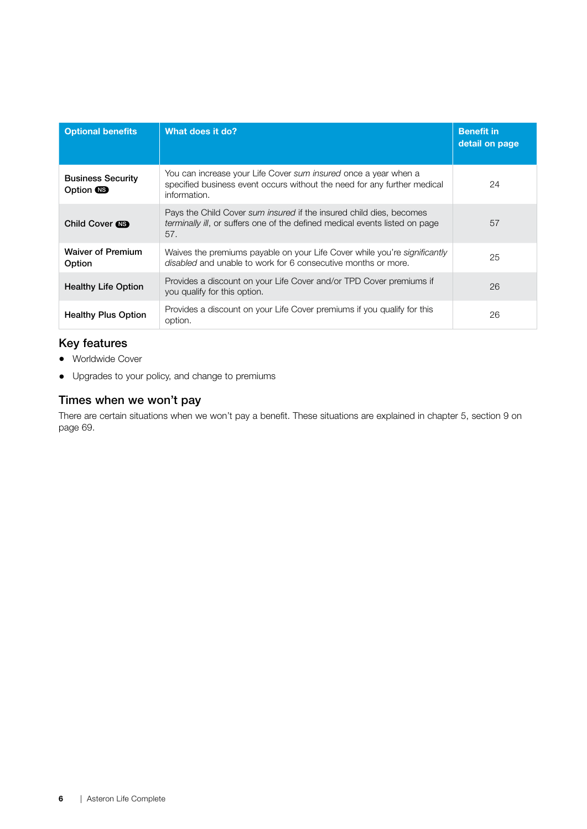| <b>Optional benefits</b>                     | What does it do?                                                                                                                                                  | <b>Benefit in</b><br>detail on page |
|----------------------------------------------|-------------------------------------------------------------------------------------------------------------------------------------------------------------------|-------------------------------------|
| <b>Business Security</b><br>Option <b>NS</b> | You can increase your Life Cover sum insured once a year when a<br>specified business event occurs without the need for any further medical<br>information.       | 24                                  |
| Child Cover <b>NB</b>                        | Pays the Child Cover sum insured if the insured child dies, becomes<br><i>terminally ill</i> , or suffers one of the defined medical events listed on page<br>57. | 57                                  |
| <b>Waiver of Premium</b><br>Option           | Waives the premiums payable on your Life Cover while you're significantly<br>disabled and unable to work for 6 consecutive months or more.                        | 25                                  |
| <b>Healthy Life Option</b>                   | Provides a discount on your Life Cover and/or TPD Cover premiums if<br>you qualify for this option.                                                               | 26                                  |
| <b>Healthy Plus Option</b>                   | Provides a discount on your Life Cover premiums if you qualify for this<br>option.                                                                                | 26                                  |

#### Key features

- Worldwide Cover
- Upgrades to your policy, and change to premiums

### Times when we won't pay

There are certain situations when we won't pay a benefit. These situations are explained in chapter 5, section 9 on page 69.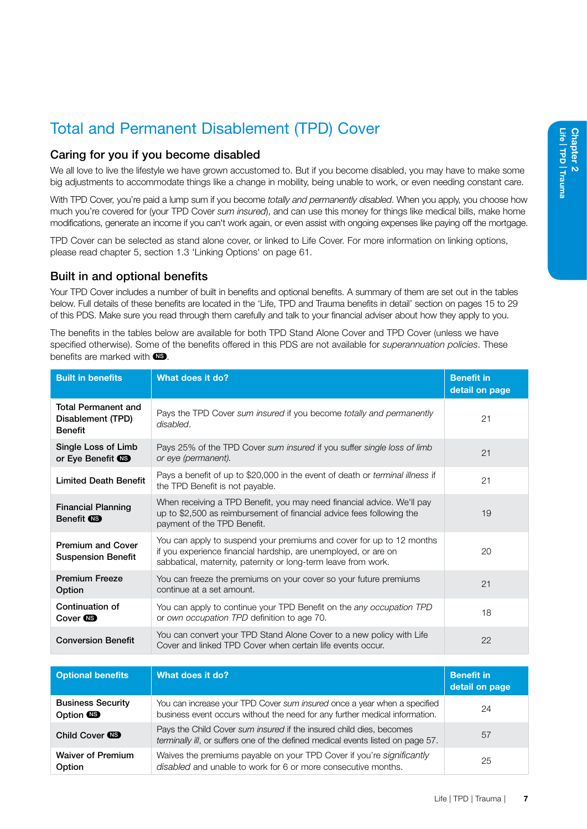### <span id="page-12-0"></span>Total and Permanent Disablement (TPD) Cover

#### Caring for you if you become disabled

We all love to live the lifestyle we have grown accustomed to. But if you become disabled, you may have to make some big adjustments to accommodate things like a change in mobility, being unable to work, or even needing constant care.

With TPD Cover, you're paid a lump sum if you become *totally and permanently disabled*. When you apply, you choose how much you're covered for (your TPD Cover *sum insured*), and can use this money for things like medical bills, make home modifications, generate an income if you can't work again, or even assist with ongoing expenses like paying off the mortgage.

TPD Cover can be selected as stand alone cover, or linked to Life Cover. For more information on linking options, please read chapter 5, section 1.3 'Linking Options' on page [61](#page-66-0).

#### Built in and optional benefits

Your TPD Cover includes a number of built in benefits and optional benefits. A summary of them are set out in the tables below. Full details of these benefits are located in the 'Life, TPD and Trauma benefits in detail' section on pages 15 to [29](#page-34-0) of this PDS. Make sure you read through them carefully and talk to your financial adviser about how they apply to you.

The benefits in the tables below are available for both TPD Stand Alone Cover and TPD Cover (unless we have specified otherwise). Some of the benefits offered in this PDS are not available for *superannuation policies*. These benefits are marked with  $\circledR$ .

| <b>Built in benefits</b>                                          | What does it do?                                                                                                                                                                                          | <b>Benefit in</b><br>detail on page |
|-------------------------------------------------------------------|-----------------------------------------------------------------------------------------------------------------------------------------------------------------------------------------------------------|-------------------------------------|
| <b>Total Permanent and</b><br>Disablement (TPD)<br><b>Benefit</b> | Pays the TPD Cover sum insured if you become totally and permanently<br>disabled.                                                                                                                         | 21                                  |
| Single Loss of Limb<br>or Eye Benefit <b>CB</b>                   | Pays 25% of the TPD Cover sum insured if you suffer single loss of limb<br>or eye (permanent).                                                                                                            | 21                                  |
| <b>Limited Death Benefit</b>                                      | Pays a benefit of up to \$20,000 in the event of death or <i>terminal illness</i> if<br>the TPD Benefit is not payable.                                                                                   | 21                                  |
| <b>Financial Planning</b><br>Benefit (NS)                         | When receiving a TPD Benefit, you may need financial advice. We'll pay<br>up to \$2,500 as reimbursement of financial advice fees following the<br>payment of the TPD Benefit.                            | 19                                  |
| <b>Premium and Cover</b><br><b>Suspension Benefit</b>             | You can apply to suspend your premiums and cover for up to 12 months<br>if you experience financial hardship, are unemployed, or are on<br>sabbatical, maternity, paternity or long-term leave from work. | 20                                  |
| <b>Premium Freeze</b><br>Option                                   | You can freeze the premiums on your cover so your future premiums<br>continue at a set amount.                                                                                                            | 21                                  |
| Continuation of<br>Cover <b>NB</b>                                | You can apply to continue your TPD Benefit on the <i>any occupation TPD</i><br>or own occupation TPD definition to age 70.                                                                                | 18                                  |
| <b>Conversion Benefit</b>                                         | You can convert your TPD Stand Alone Cover to a new policy with Life<br>Cover and linked TPD Cover when certain life events occur.                                                                        | 22                                  |

| <b>Optional benefits</b>                     | What does it do?                                                                                                                                        | <b>Benefit in</b><br>detail on page |
|----------------------------------------------|---------------------------------------------------------------------------------------------------------------------------------------------------------|-------------------------------------|
| <b>Business Security</b><br>Option <b>CB</b> | You can increase your TPD Cover sum insured once a year when a specified<br>business event occurs without the need for any further medical information. | 24                                  |
| Child Cover CO                               | Pays the Child Cover sum insured if the insured child dies, becomes<br>terminally ill, or suffers one of the defined medical events listed on page 57.  | 57                                  |
| <b>Waiver of Premium</b><br>Option           | Waives the premiums payable on your TPD Cover if you're significantly<br>disabled and unable to work for 6 or more consecutive months.                  | 25                                  |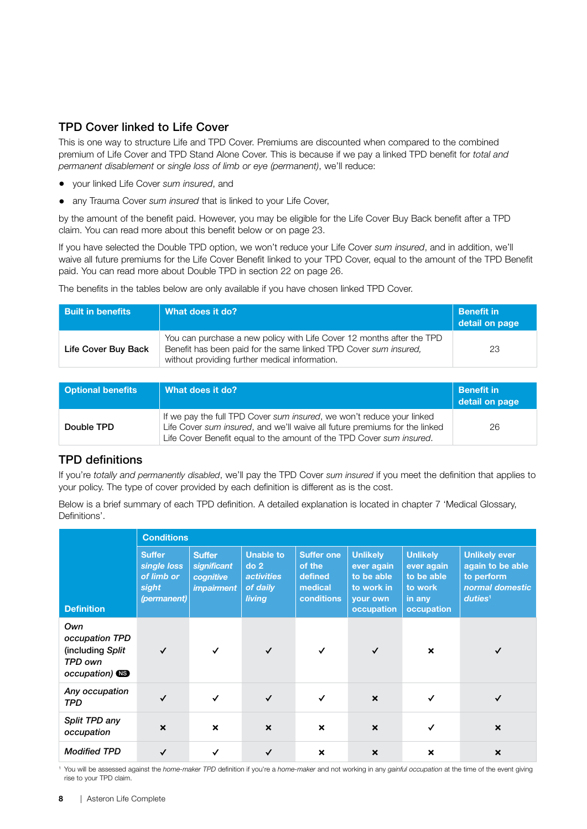#### TPD Cover linked to Life Cover

This is one way to structure Life and TPD Cover. Premiums are discounted when compared to the combined premium of Life Cover and TPD Stand Alone Cover. This is because if we pay a linked TPD benefit for *total and permanent disablement* or *single loss of limb or eye (permanent)*, we'll reduce:

- your linked Life Cover *sum insured*, and
- any Trauma Cover *sum insured* that is linked to your Life Cover,

by the amount of the benefit paid. However, you may be eligible for the Life Cover Buy Back benefit after a TPD claim. You can read more about this benefit below or on page 23.

If you have selected the Double TPD option, we won't reduce your Life Cover *sum insured*, and in addition, we'll waive all future premiums for the Life Cover Benefit linked to your TPD Cover, equal to the amount of the TPD Benefit paid. You can read more about Double TPD in section 22 on page 26.

The benefits in the tables below are only available if you have chosen linked TPD Cover.

| <b>Built in benefits</b> | What does it do?                                                                                                                                                                            | <b>Benefit in</b><br>detail on page |
|--------------------------|---------------------------------------------------------------------------------------------------------------------------------------------------------------------------------------------|-------------------------------------|
| Life Cover Buy Back      | You can purchase a new policy with Life Cover 12 months after the TPD<br>Benefit has been paid for the same linked TPD Cover sum insured.<br>without providing further medical information. | 23                                  |

| <b>Optional benefits</b> | What does it do?                                                                                                                                                                                                            | <b>Benefit in</b><br>detail on page |
|--------------------------|-----------------------------------------------------------------------------------------------------------------------------------------------------------------------------------------------------------------------------|-------------------------------------|
| Double TPD               | If we pay the full TPD Cover sum insured, we won't reduce your linked<br>Life Cover sum insured, and we'll waive all future premiums for the linked<br>Life Cover Benefit equal to the amount of the TPD Cover sum insured. | 26                                  |

#### TPD definitions

If you're *totally and permanently disabled*, we'll pay the TPD Cover *sum insured* if you meet the definition that applies to your policy. The type of cover provided by each definition is different as is the cost.

Below is a brief summary of each TPD definition. A detailed explanation is located in chapter 7 'Medical Glossary, Definitions'.

|                                                                                | <b>Conditions</b>                                                  |                                                                |                                                                                |                                                                        |                                                                                     |                                                                                |                                                                                                  |
|--------------------------------------------------------------------------------|--------------------------------------------------------------------|----------------------------------------------------------------|--------------------------------------------------------------------------------|------------------------------------------------------------------------|-------------------------------------------------------------------------------------|--------------------------------------------------------------------------------|--------------------------------------------------------------------------------------------------|
| <b>Definition</b>                                                              | <b>Suffer</b><br>single loss<br>of limb or<br>sight<br>(permanent) | <b>Suffer</b><br>significant<br>cognitive<br><i>impairment</i> | <b>Unable to</b><br>do <sub>2</sub><br><b>activities</b><br>of daily<br>living | <b>Suffer one</b><br>of the<br>defined<br>medical<br><b>conditions</b> | <b>Unlikely</b><br>ever again<br>to be able<br>to work in<br>your own<br>occupation | <b>Unlikely</b><br>ever again<br>to be able<br>to work<br>in any<br>occupation | <b>Unlikely ever</b><br>again to be able<br>to perform<br>normal domestic<br>duties <sup>1</sup> |
| Own<br>occupation TPD<br>(including Split)<br>TPD own<br>occupation) <b>CB</b> |                                                                    |                                                                | $\checkmark$                                                                   |                                                                        | ✓                                                                                   | $\boldsymbol{\mathsf{x}}$                                                      |                                                                                                  |
| Any occupation<br>TPD                                                          | ✓                                                                  | $\checkmark$                                                   | $\checkmark$                                                                   | ✓                                                                      | $\boldsymbol{\mathsf{x}}$                                                           | $\checkmark$                                                                   |                                                                                                  |
| Split TPD any<br>occupation                                                    | $\boldsymbol{\mathsf{x}}$                                          | $\boldsymbol{\mathsf{x}}$                                      | $\boldsymbol{\mathsf{x}}$                                                      | $\boldsymbol{\mathsf{x}}$                                              | $\boldsymbol{\mathsf{x}}$                                                           |                                                                                | $\boldsymbol{\mathsf{x}}$                                                                        |
| <b>Modified TPD</b>                                                            |                                                                    | ✓                                                              | ✓                                                                              | $\boldsymbol{\mathsf{x}}$                                              | $\boldsymbol{\mathsf{x}}$                                                           | $\boldsymbol{\mathsf{x}}$                                                      | $\boldsymbol{\mathsf{x}}$                                                                        |

1 You will be assessed against the *home-maker TPD* definition if you're a *home-maker* and not working in any *gainful occupation* at the time of the event giving rise to your TPD claim.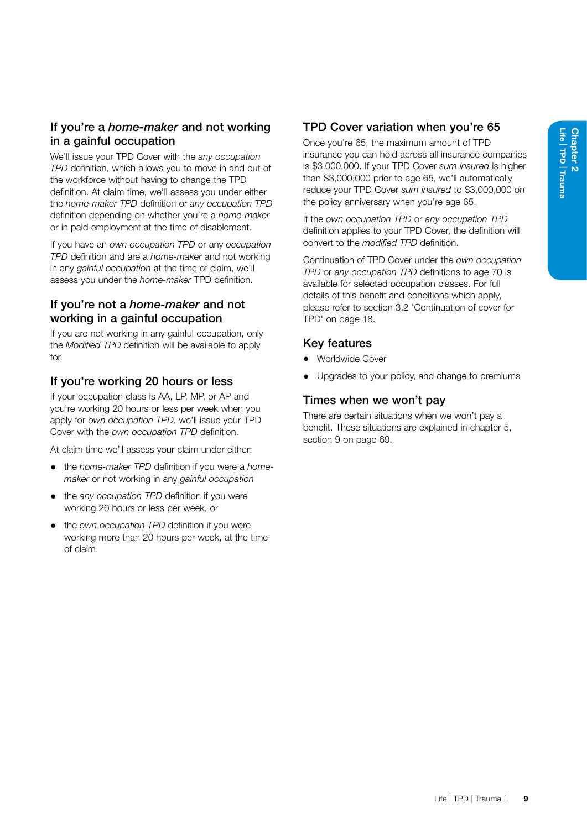### If you're a *home-maker* and not working in a gainful occupation

We'll issue your TPD Cover with the *any occupation TPD* definition, which allows you to move in and out of the workforce without having to change the TPD definition. At claim time, we'll assess you under either the *home-maker TPD* definition or *any occupation TPD*  definition depending on whether you're a *home-maker* or in paid employment at the time of disablement.

If you have an *own occupation TPD* or any *occupation TPD* definition and are a *home-maker* and not working in any *gainful occupation* at the time of claim, we'll assess you under the *home-maker* TPD definition.

#### If you're not a *home-maker* and not working in a gainful occupation

If you are not working in any gainful occupation, only the *Modified TPD* definition will be available to apply for.

#### If you're working 20 hours or less

If your occupation class is AA, LP, MP, or AP and you're working 20 hours or less per week when you apply for *own occupation TPD*, we'll issue your TPD Cover with the *own occupation TPD* definition.

At claim time we'll assess your claim under either:

- the *home-maker TPD* definition if you were a *homemaker* or not working in any *gainful occupation*
- the *any occupation TPD* definition if you were working 20 hours or less per week*,* or
- the *own occupation TPD* definition if you were working more than 20 hours per week, at the time of claim.

### TPD Cover variation when you're 65

Once you're 65, the maximum amount of TPD insurance you can hold across all insurance companies is \$3,000,000. If your TPD Cover *sum insured* is higher than \$3,000,000 prior to age 65, we'll automatically reduce your TPD Cover *sum insured* to \$3,000,000 on the policy anniversary when you're age 65.

If the *own occupation TPD* or *any occupation TPD*  definition applies to your TPD Cover, the definition will convert to the *modified TPD* definition.

Continuation of TPD Cover under the *own occupation TPD* or *any occupation TPD* definitions to age 70 is available for selected occupation classes. For full details of this benefit and conditions which apply, please refer to section 3.2 'Continuation of cover for TPD' on page 18.

#### Key features

- Worldwide Cover
- Upgrades to your policy, and change to premiums

#### Times when we won't pay

There are certain situations when we won't pay a benefit. These situations are explained in chapter 5, section 9 on page 69.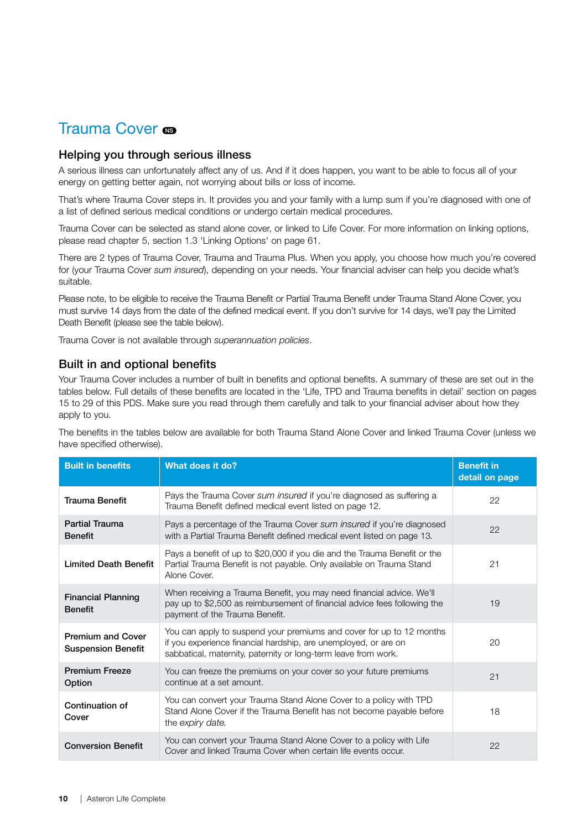### <span id="page-15-0"></span>Trauma Cover <sub>®</sub>

#### Helping you through serious illness

A serious illness can unfortunately affect any of us. And if it does happen, you want to be able to focus all of your energy on getting better again, not worrying about bills or loss of income.

That's where Trauma Cover steps in. It provides you and your family with a lump sum if you're diagnosed with one of a list of defined serious medical conditions or undergo certain medical procedures.

Trauma Cover can be selected as stand alone cover, or linked to Life Cover. For more information on linking options, please read chapter 5, section 1.3 'Linking Options' on page [61.](#page-66-0)

There are 2 types of Trauma Cover, Trauma and Trauma Plus. When you apply, you choose how much you're covered for (your Trauma Cover *sum insured*), depending on your needs. Your financial adviser can help you decide what's suitable.

Please note, to be eligible to receive the Trauma Benefit or Partial Trauma Benefit under Trauma Stand Alone Cover, you must survive 14 days from the date of the defined medical event. If you don't survive for 14 days, we'll pay the Limited Death Benefit (please see the table below).

Trauma Cover is not available through *superannuation policies*.

#### Built in and optional benefits

Your Trauma Cover includes a number of built in benefits and optional benefits. A summary of these are set out in the tables below. Full details of these benefits are located in the 'Life, TPD and Trauma benefits in detail' section on pages 15 to [29](#page-34-0) of this PDS. Make sure you read through them carefully and talk to your financial adviser about how they apply to you.

The benefits in the tables below are available for both Trauma Stand Alone Cover and linked Trauma Cover (unless we have specified otherwise).

| <b>Built in benefits</b>                              | What does it do?                                                                                                                                                                                          | <b>Benefit in</b><br>detail on page |
|-------------------------------------------------------|-----------------------------------------------------------------------------------------------------------------------------------------------------------------------------------------------------------|-------------------------------------|
| Trauma Benefit                                        | Pays the Trauma Cover sum insured if you're diagnosed as suffering a<br>Trauma Benefit defined medical event listed on page 12.                                                                           | 22                                  |
| <b>Partial Trauma</b><br><b>Benefit</b>               | Pays a percentage of the Trauma Cover sum insured if you're diagnosed<br>with a Partial Trauma Benefit defined medical event listed on page 13.                                                           | 22                                  |
| <b>Limited Death Benefit</b>                          | Pays a benefit of up to \$20,000 if you die and the Trauma Benefit or the<br>Partial Trauma Benefit is not payable. Only available on Trauma Stand<br>Alone Cover.                                        | 21                                  |
| <b>Financial Planning</b><br><b>Benefit</b>           | When receiving a Trauma Benefit, you may need financial advice. We'll<br>pay up to \$2,500 as reimbursement of financial advice fees following the<br>payment of the Trauma Benefit.                      | 19                                  |
| <b>Premium and Cover</b><br><b>Suspension Benefit</b> | You can apply to suspend your premiums and cover for up to 12 months<br>if you experience financial hardship, are unemployed, or are on<br>sabbatical, maternity, paternity or long-term leave from work. | 20                                  |
| <b>Premium Freeze</b><br>Option                       | You can freeze the premiums on your cover so your future premiums<br>continue at a set amount.                                                                                                            | 21                                  |
| Continuation of<br>Cover                              | You can convert your Trauma Stand Alone Cover to a policy with TPD<br>Stand Alone Cover if the Trauma Benefit has not become payable before<br>the expiry date.                                           | 18                                  |
| <b>Conversion Benefit</b>                             | You can convert your Trauma Stand Alone Cover to a policy with Life<br>Cover and linked Trauma Cover when certain life events occur.                                                                      | 22                                  |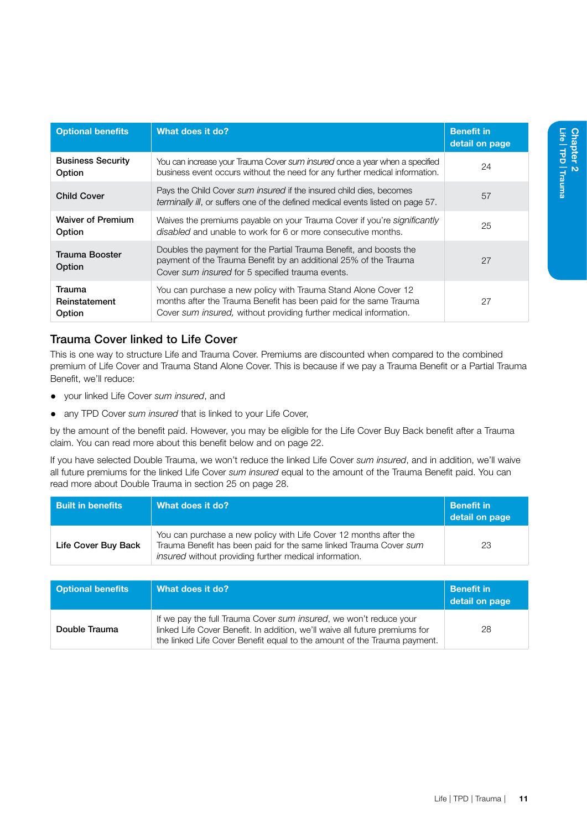| <b>Optional benefits</b>           | What does it do?                                                                                                                                                                                         | <b>Benefit in</b><br>detail on page |
|------------------------------------|----------------------------------------------------------------------------------------------------------------------------------------------------------------------------------------------------------|-------------------------------------|
| <b>Business Security</b><br>Option | You can increase your Trauma Cover sum insured once a year when a specified<br>business event occurs without the need for any further medical information.                                               | 24                                  |
| <b>Child Cover</b>                 | Pays the Child Cover sum insured if the insured child dies, becomes<br>terminally ill, or suffers one of the defined medical events listed on page 57.                                                   | 57                                  |
| <b>Waiver of Premium</b><br>Option | Waives the premiums payable on your Trauma Cover if you're significantly<br>disabled and unable to work for 6 or more consecutive months.                                                                | 25                                  |
| <b>Trauma Booster</b><br>Option    | Doubles the payment for the Partial Trauma Benefit, and boosts the<br>payment of the Trauma Benefit by an additional 25% of the Trauma<br>Cover sum insured for 5 specified trauma events.               | 27                                  |
| Trauma<br>Reinstatement<br>Option  | You can purchase a new policy with Trauma Stand Alone Cover 12<br>months after the Trauma Benefit has been paid for the same Trauma<br>Cover sum insured, without providing further medical information. | 27                                  |

#### Trauma Cover linked to Life Cover

This is one way to structure Life and Trauma Cover. Premiums are discounted when compared to the combined premium of Life Cover and Trauma Stand Alone Cover. This is because if we pay a Trauma Benefit or a Partial Trauma Benefit, we'll reduce:

- your linked Life Cover *sum insured*, and
- any TPD Cover *sum insured* that is linked to your Life Cover,

by the amount of the benefit paid. However, you may be eligible for the Life Cover Buy Back benefit after a Trauma claim. You can read more about this benefit below and on page 22.

If you have selected Double Trauma, we won't reduce the linked Life Cover *sum insured*, and in addition, we'll waive all future premiums for the linked Life Cover *sum insured* equal to the amount of the Trauma Benefit paid. You can read more about Double Trauma in section 25 on page 28.

| <b>Built in benefits</b> | What does it do?                                                                                                                                                                                 | Benefit in<br>detail on page |
|--------------------------|--------------------------------------------------------------------------------------------------------------------------------------------------------------------------------------------------|------------------------------|
| Life Cover Buy Back      | You can purchase a new policy with Life Cover 12 months after the<br>Trauma Benefit has been paid for the same linked Trauma Cover sum<br>insured without providing further medical information. | 23                           |

| <b>Optional benefits</b> | $\mid$ What does it do?                                                                                                                                                                                                      | <b>Benefit in</b><br>detail on page |
|--------------------------|------------------------------------------------------------------------------------------------------------------------------------------------------------------------------------------------------------------------------|-------------------------------------|
| Double Trauma            | If we pay the full Trauma Cover sum insured, we won't reduce your<br>linked Life Cover Benefit. In addition, we'll waive all future premiums for<br>the linked Life Cover Benefit equal to the amount of the Trauma payment. | 28                                  |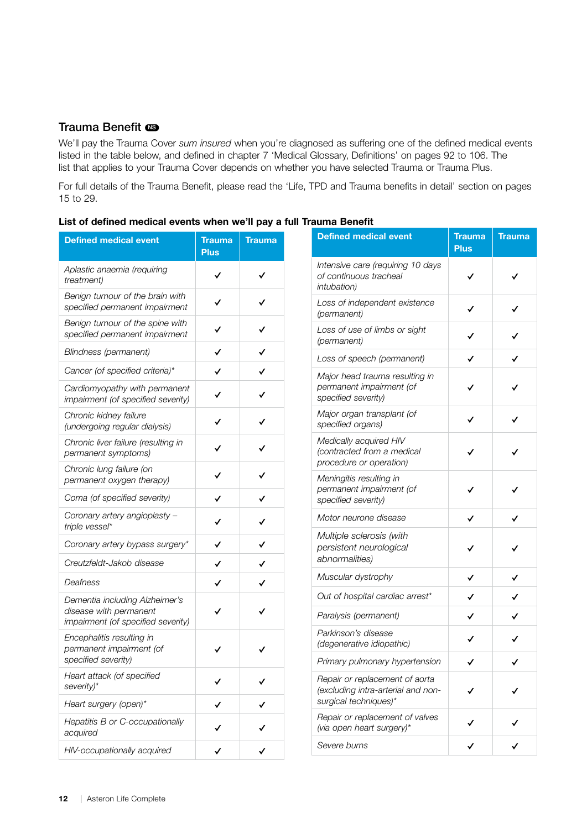#### Trauma Benefit  $\blacksquare$

We'll pay the Trauma Cover *sum insured* when you're diagnosed as suffering one of the defined medical events listed in the table below, and defined in chapter 7 'Medical Glossary, Definitions' on pages [92](#page-97-0) to [106.](#page-111-0) The list that applies to your Trauma Cover depends on whether you have selected Trauma or Trauma Plus.

For full details of the Trauma Benefit, please read the 'Life, TPD and Trauma benefits in detail' section on pages [15](#page-20-1) to [29](#page-34-0).

| <b>Defined medical event</b>                                                                   | Trauma<br><b>Plus</b> | Trauma |
|------------------------------------------------------------------------------------------------|-----------------------|--------|
| Aplastic anaemia (requiring<br>treatment)                                                      |                       |        |
| Benign tumour of the brain with<br>specified permanent impairment                              |                       |        |
| Benign tumour of the spine with<br>specified permanent impairment                              |                       |        |
| Blindness (permanent)                                                                          |                       |        |
| Cancer (of specified criteria)*                                                                |                       |        |
| Cardiomyopathy with permanent<br>impairment (of specified severity)                            | ✓                     | ∕      |
| Chronic kidney failure<br>(undergoing regular dialysis)                                        |                       |        |
| Chronic liver failure (resulting in<br>permanent symptoms)                                     |                       |        |
| Chronic lung failure (on<br>permanent oxygen therapy)                                          |                       |        |
| Coma (of specified severity)                                                                   |                       |        |
| Coronary artery angioplasty -<br>triple vessel*                                                |                       |        |
| Coronary artery bypass surgery*                                                                |                       |        |
| Creutzfeldt-Jakob disease                                                                      |                       |        |
| Deafness                                                                                       | ✓                     |        |
| Dementia including Alzheimer's<br>disease with permanent<br>impairment (of specified severity) |                       |        |
| Encephalitis resulting in<br>permanent impairment (of<br>specified severity)                   |                       |        |
| Heart attack (of specified<br>severity)*                                                       |                       |        |
| Heart surgery (open)*                                                                          |                       |        |
| Hepatitis B or C-occupationally<br>acquired                                                    |                       |        |
| HIV-occupationally acquired                                                                    |                       |        |

|  | List of defined medical events when we'll pay a full Trauma Benefit |  |  |  |  |
|--|---------------------------------------------------------------------|--|--|--|--|
|  |                                                                     |  |  |  |  |

| auma Beneπτ                                                                                   |                       |        |
|-----------------------------------------------------------------------------------------------|-----------------------|--------|
| <b>Defined medical event</b>                                                                  | Trauma<br><b>Plus</b> | Trauma |
| Intensive care (requiring 10 days<br>of continuous tracheal<br>intubation)                    |                       |        |
| Loss of independent existence<br>(permanent)                                                  |                       |        |
| Loss of use of limbs or sight<br>(permanent)                                                  |                       |        |
| Loss of speech (permanent)                                                                    |                       |        |
| Major head trauma resulting in<br>permanent impairment (of<br>specified severity)             |                       |        |
| Major organ transplant (of<br>specified organs)                                               |                       |        |
| Medically acquired HIV<br>(contracted from a medical<br>procedure or operation)               |                       |        |
| Meningitis resulting in<br>permanent impairment (of<br>specified severity)                    |                       |        |
| Motor neurone disease                                                                         | ✓                     | ✓      |
| Multiple sclerosis (with<br>persistent neurological<br>abnormalities)                         |                       |        |
| Muscular dystrophy                                                                            | ✓                     | ✓      |
| Out of hospital cardiac arrest*                                                               |                       | ✓      |
| Paralysis (permanent)                                                                         |                       |        |
| Parkinson's disease<br>(degenerative idiopathic)                                              |                       |        |
| Primary pulmonary hypertension                                                                | ∕                     |        |
| Repair or replacement of aorta<br>(excluding intra-arterial and non-<br>surgical techniques)* |                       |        |
| Repair or replacement of valves<br>(via open heart surgery)*                                  |                       |        |
| Severe burns                                                                                  |                       |        |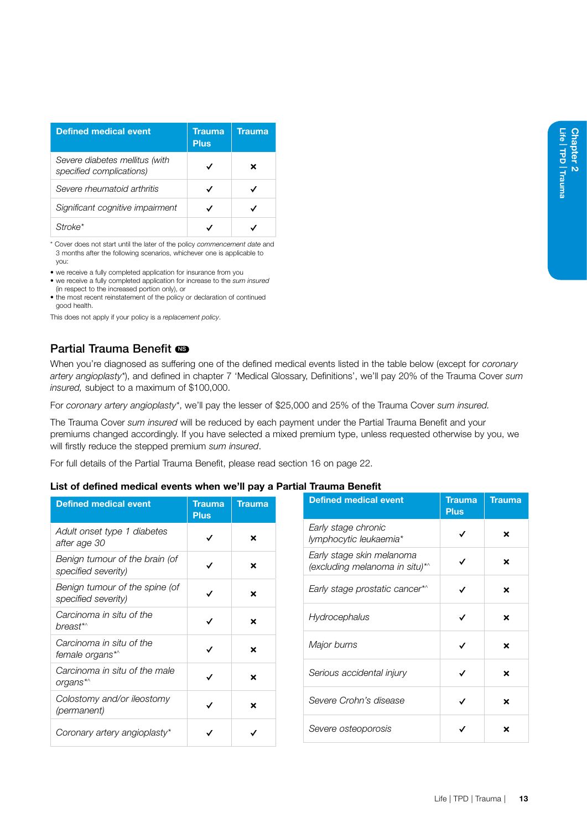| <b>Defined medical event</b>                               | Trauma<br><b>Plus</b> | Trauma |
|------------------------------------------------------------|-----------------------|--------|
| Severe diabetes mellitus (with<br>specified complications) | ✓                     | ×      |
| Severe rheumatoid arthritis                                | ✓                     |        |
| Significant cognitive impairment                           |                       |        |
| ke*                                                        |                       |        |

\* Cover does not start until the later of the policy *commencement date* and 3 months after the following scenarios, whichever one is applicable to you:

- we receive a fully completed application for insurance from you
- we receive a fully completed application for increase to the *sum insured* (in respect to the increased portion only), or
- the most recent reinstatement of the policy or declaration of continued good health.

This does not apply if your policy is a *replacement policy*.

#### Partial Trauma Benefit  $\blacksquare$

When you're diagnosed as suffering one of the defined medical events listed in the table below (except for *coronary artery angioplasty\**), and defined in chapter 7 'Medical Glossary, Definitions', we'll pay 20% of the Trauma Cover *sum insured,* subject to a maximum of \$100,000.

For *coronary artery angioplasty\**, we'll pay the lesser of \$25,000 and 25% of the Trauma Cover *sum insured.* 

The Trauma Cover *sum insured* will be reduced by each payment under the Partial Trauma Benefit and your premiums changed accordingly. If you have selected a mixed premium type, unless requested otherwise by you, we will firstly reduce the stepped premium *sum insured*.

For full details of the Partial Trauma Benefit, please read section 16 on page 22.

#### List of defined medical events when we'll pay a Partial Trauma Benefit

| <b>Defined medical event</b>                          | Trauma<br><b>Plus</b> | <b>Trauma</b> | <b>Def</b>   |
|-------------------------------------------------------|-----------------------|---------------|--------------|
| Adult onset type 1 diabetes<br>after age 30           | ✓                     | ×             | Earl<br>lym  |
| Benign tumour of the brain (of<br>specified severity) | ✓                     | ×             | Earl<br>(exc |
| Benign tumour of the spine (of<br>specified severity) | ✓                     | ×             | Earl         |
| Carcinoma in situ of the<br>breast*^                  | ✓                     | ×             | Hyc          |
| Carcinoma in situ of the<br>female organs*^           | ✓                     | ×             | Maj          |
| Carcinoma in situ of the male<br>organs*^             | ✓                     | ×             | Seri         |
| Colostomy and/or ileostomy<br>(permanent)             | ✓                     | ×             | Sev          |
| Coronary artery angioplasty*                          |                       |               | Sev          |

| iraunia benent                                              |                       |               |  |  |
|-------------------------------------------------------------|-----------------------|---------------|--|--|
| <b>Defined medical event</b>                                | Trauma<br><b>Plus</b> | <b>Trauma</b> |  |  |
| Early stage chronic<br>lymphocytic leukaemia*               |                       | ×             |  |  |
| Early stage skin melanoma<br>(excluding melanoma in situ)*^ |                       | ×             |  |  |
| Early stage prostatic cancer*^                              |                       | ×             |  |  |
| Hydrocephalus                                               |                       | ×             |  |  |
| Major burns                                                 |                       | ×             |  |  |
| Serious accidental injury                                   |                       | ×             |  |  |
| Severe Crohn's disease                                      | ✓                     | ×             |  |  |
| Severe osteoporosis                                         |                       | ×             |  |  |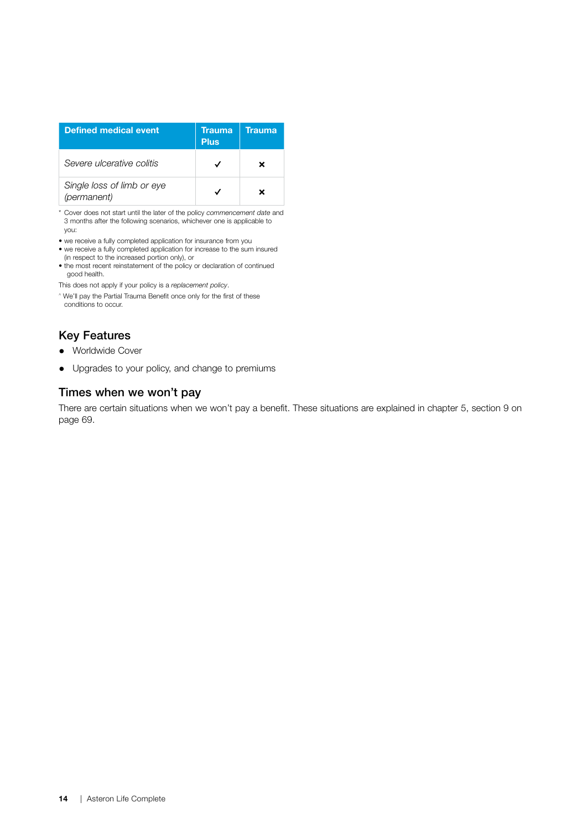| <b>Defined medical event</b>              | Trauma<br><b>Plus</b> | Trauma |
|-------------------------------------------|-----------------------|--------|
| Severe ulcerative colitis                 |                       |        |
| Single loss of limb or eye<br>(permanent) |                       |        |

\* Cover does not start until the later of the policy *commencement date* and 3 months after the following scenarios, whichever one is applicable to you:

• we receive a fully completed application for insurance from you • we receive a fully completed application for increase to the sum insured

- (in respect to the increased portion only), or
- the most recent reinstatement of the policy or declaration of continued good health.

This does not apply if your policy is a *replacement policy*.

^ We'll pay the Partial Trauma Benefit once only for the first of these conditions to occur.

#### Key Features

- Worldwide Cover
- Upgrades to your policy, and change to premiums

#### Times when we won't pay

There are certain situations when we won't pay a benefit. These situations are explained in chapter 5, section 9 on page 69.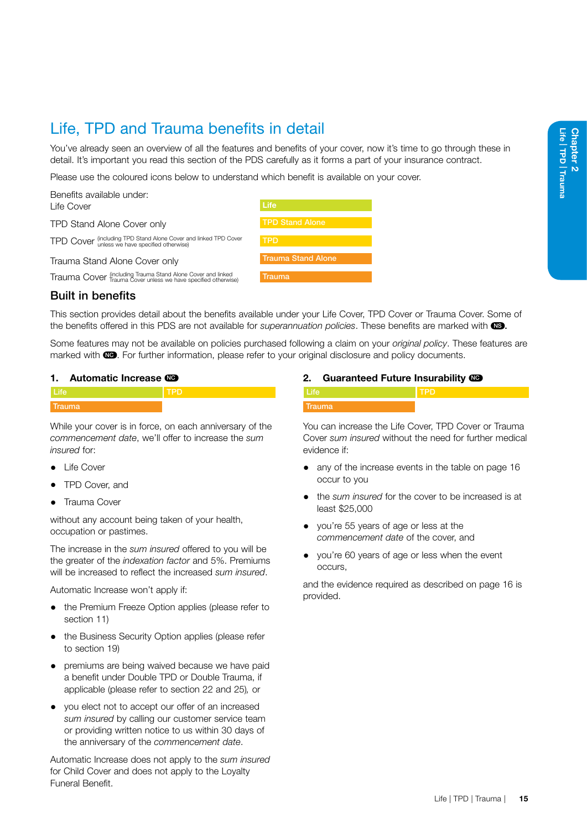### <span id="page-20-1"></span><span id="page-20-0"></span>Life, TPD and Trauma benefits in detail

You've already seen an overview of all the features and benefits of your cover, now it's time to go through these in detail. It's important you read this section of the PDS carefully as it forms a part of your insurance contract.

Please use the coloured icons below to understand which benefit is available on your cover.

| Benefits available under:                                                                              |                           |
|--------------------------------------------------------------------------------------------------------|---------------------------|
| Life Cover                                                                                             | Life                      |
| TPD Stand Alone Cover only                                                                             | <b>TPD Stand Alone</b>    |
| TPD COVer (including TPD Stand Alone Cover and linked TPD Cover<br>unless we have specified otherwise) | <b>TPD</b>                |
| Trauma Stand Alone Cover only                                                                          | <b>Trauma Stand Alone</b> |

Trauma Cover (including Trauma Stand Alone Cover and linked Trauma Cover unless we have specified otherwise) Trauma



#### Built in benefits

This section provides detail about the benefits available under your Life Cover, TPD Cover or Trauma Cover. Some of the benefits offered in this PDS are not available for *superannuation policies*. These benefits are marked with  $\mathbb{S}$ .

Some features may not be available on policies purchased following a claim on your *original policy*. These features are marked with  $\circled{m}$ . For further information, please refer to your original disclosure and policy documents.

#### 1. Automatic Increase CO

| <b>Trauma</b> |  |
|---------------|--|
|               |  |

While your cover is in force, on each anniversary of the *commencement date*, we'll offer to increase the *sum insured* for:

- **Life Cover**
- TPD Cover, and
- Trauma Cover

without any account being taken of your health, occupation or pastimes.

The increase in the *sum insured* offered to you will be the greater of the *indexation factor* and 5%. Premiums will be increased to reflect the increased *sum insured*.

Automatic Increase won't apply if:

- the Premium Freeze Option applies (please refer to section 11)
- the Business Security Option applies (please refer to section 19)
- premiums are being waived because we have paid a benefit under Double TPD or Double Trauma, if applicable (please refer to section 22 and 25)*,* or
- you elect not to accept our offer of an increased *sum insured* by calling our customer service team or providing written notice to us within 30 days of the anniversary of the *commencement date*.

Automatic Increase does not apply to the *sum insured*  for Child Cover and does not apply to the Loyalty Funeral Benefit.

#### 2. Guaranteed Future Insurability CO

You can increase the Life Cover, TPD Cover or Trauma Cover *sum insured* without the need for further medical evidence if:

- any of the increase events in the table on page 16 occur to you
- the *sum insured* for the cover to be increased is at least \$25,000
- you're 55 years of age or less at the *commencement date* of the cover, and
- you're 60 years of age or less when the event occurs,

and the evidence required as described on page 16 is provided.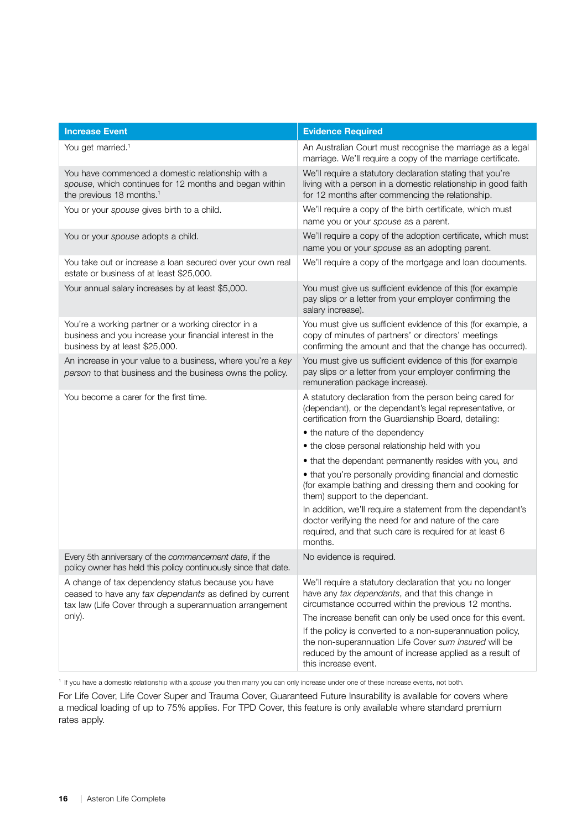| <b>Increase Event</b>                                                                                                                                                     | <b>Evidence Required</b>                                                                                                                                                                                |
|---------------------------------------------------------------------------------------------------------------------------------------------------------------------------|---------------------------------------------------------------------------------------------------------------------------------------------------------------------------------------------------------|
| You get married. <sup>1</sup>                                                                                                                                             | An Australian Court must recognise the marriage as a legal<br>marriage. We'll require a copy of the marriage certificate.                                                                               |
| You have commenced a domestic relationship with a<br>spouse, which continues for 12 months and began within<br>the previous 18 months. <sup>1</sup>                       | We'll require a statutory declaration stating that you're<br>living with a person in a domestic relationship in good faith<br>for 12 months after commencing the relationship.                          |
| You or your spouse gives birth to a child.                                                                                                                                | We'll require a copy of the birth certificate, which must<br>name you or your spouse as a parent.                                                                                                       |
| You or your spouse adopts a child.                                                                                                                                        | We'll require a copy of the adoption certificate, which must<br>name you or your spouse as an adopting parent.                                                                                          |
| You take out or increase a loan secured over your own real<br>estate or business of at least \$25,000.                                                                    | We'll require a copy of the mortgage and loan documents.                                                                                                                                                |
| Your annual salary increases by at least \$5,000.                                                                                                                         | You must give us sufficient evidence of this (for example<br>pay slips or a letter from your employer confirming the<br>salary increase).                                                               |
| You're a working partner or a working director in a<br>business and you increase your financial interest in the<br>business by at least \$25,000.                         | You must give us sufficient evidence of this (for example, a<br>copy of minutes of partners' or directors' meetings<br>confirming the amount and that the change has occurred).                         |
| An increase in your value to a business, where you're a key<br>person to that business and the business owns the policy.                                                  | You must give us sufficient evidence of this (for example<br>pay slips or a letter from your employer confirming the<br>remuneration package increase).                                                 |
| You become a carer for the first time.                                                                                                                                    | A statutory declaration from the person being cared for<br>(dependant), or the dependant's legal representative, or<br>certification from the Guardianship Board, detailing:                            |
|                                                                                                                                                                           | • the nature of the dependency                                                                                                                                                                          |
|                                                                                                                                                                           | • the close personal relationship held with you                                                                                                                                                         |
|                                                                                                                                                                           | • that the dependant permanently resides with you, and                                                                                                                                                  |
|                                                                                                                                                                           | • that you're personally providing financial and domestic<br>(for example bathing and dressing them and cooking for<br>them) support to the dependant.                                                  |
|                                                                                                                                                                           | In addition, we'll require a statement from the dependant's<br>doctor verifying the need for and nature of the care<br>required, and that such care is required for at least 6<br>months.               |
| Every 5th anniversary of the commencement date, if the<br>policy owner has held this policy continuously since that date.                                                 | No evidence is required.                                                                                                                                                                                |
| A change of tax dependency status because you have<br>ceased to have any tax dependants as defined by current<br>tax law (Life Cover through a superannuation arrangement | We'll require a statutory declaration that you no longer<br>have any tax dependants, and that this change in<br>circumstance occurred within the previous 12 months.                                    |
| only).                                                                                                                                                                    | The increase benefit can only be used once for this event.                                                                                                                                              |
|                                                                                                                                                                           | If the policy is converted to a non-superannuation policy,<br>the non-superannuation Life Cover sum insured will be<br>reduced by the amount of increase applied as a result of<br>this increase event. |

<sup>1</sup> If you have a domestic relationship with a *spouse* you then marry you can only increase under one of these increase events, not both.

For Life Cover, Life Cover Super and Trauma Cover, Guaranteed Future Insurability is available for covers where a medical loading of up to 75% applies. For TPD Cover, this feature is only available where standard premium rates apply.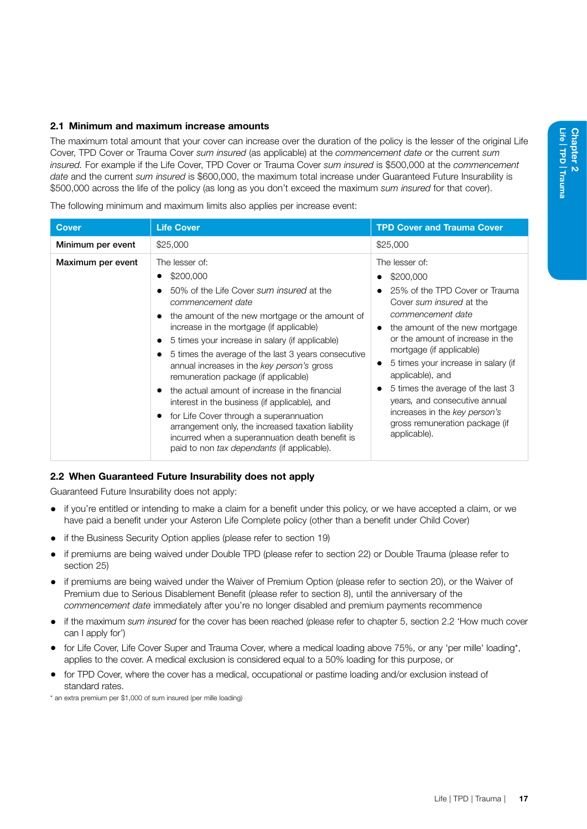#### 2.1 Minimum and maximum increase amounts

The maximum total amount that your cover can increase over the duration of the policy is the lesser of the original Life Cover, TPD Cover or Trauma Cover *sum insured* (as applicable) at the *commencement date* or the current *sum insured.* For example if the Life Cover, TPD Cover or Trauma Cover *sum insured* is \$500,000 at the *commencement date* and the current *sum insured* is \$600,000, the maximum total increase under Guaranteed Future Insurability is \$500,000 across the life of the policy (as long as you don't exceed the maximum *sum insured* for that cover).

The following minimum and maximum limits also applies per increase event:

| <b>Cover</b>      | <b>Life Cover</b>                                                                                                                                                                                                                                                                                                                                                                                                                                                                                                                                                                                                                                                                                 | <b>TPD Cover and Trauma Cover</b>                                                                                                                                                                                                                                                                                                                                                                                                                 |
|-------------------|---------------------------------------------------------------------------------------------------------------------------------------------------------------------------------------------------------------------------------------------------------------------------------------------------------------------------------------------------------------------------------------------------------------------------------------------------------------------------------------------------------------------------------------------------------------------------------------------------------------------------------------------------------------------------------------------------|---------------------------------------------------------------------------------------------------------------------------------------------------------------------------------------------------------------------------------------------------------------------------------------------------------------------------------------------------------------------------------------------------------------------------------------------------|
| Minimum per event | \$25,000                                                                                                                                                                                                                                                                                                                                                                                                                                                                                                                                                                                                                                                                                          | \$25,000                                                                                                                                                                                                                                                                                                                                                                                                                                          |
| Maximum per event | The lesser of:<br>\$200,000<br>50% of the Life Cover sum insured at the<br>commencement date<br>the amount of the new mortgage or the amount of<br>increase in the mortgage (if applicable)<br>5 times your increase in salary (if applicable)<br>5 times the average of the last 3 years consecutive<br>annual increases in the key person's gross<br>remuneration package (if applicable)<br>the actual amount of increase in the financial<br>interest in the business (if applicable), and<br>for Life Cover through a superannuation<br>arrangement only, the increased taxation liability<br>incurred when a superannuation death benefit is<br>paid to non tax dependants (if applicable). | The lesser of:<br>\$200,000<br>25% of the TPD Cover or Trauma<br>Cover sum insured at the<br>commencement date<br>the amount of the new mortgage<br>$\bullet$<br>or the amount of increase in the<br>mortgage (if applicable)<br>5 times your increase in salary (if<br>applicable), and<br>5 times the average of the last 3<br>years, and consecutive annual<br>increases in the key person's<br>gross remuneration package (if<br>applicable). |

#### 2.2 When Guaranteed Future Insurability does not apply

Guaranteed Future Insurability does not apply:

- if you're entitled or intending to make a claim for a benefit under this policy, or we have accepted a claim, or we have paid a benefit under your Asteron Life Complete policy (other than a benefit under Child Cover)
- if the Business Security Option applies (please refer to section 19)
- if premiums are being waived under Double TPD (please refer to section 22) or Double Trauma (please refer to section 25)
- if premiums are being waived under the Waiver of Premium Option (please refer to section 20), or the Waiver of Premium due to Serious Disablement Benefit (please refer to section 8), until the anniversary of the *commencement date* immediately after you're no longer disabled and premium payments recommence
- if the maximum *sum insured* for the cover has been reached (please refer to chapter 5, section 2.2 'How much cover can I apply for')
- for Life Cover, Life Cover Super and Trauma Cover, where a medical loading above 75%, or any 'per mille' loading\*, applies to the cover. A medical exclusion is considered equal to a 50% loading for this purpose, or
- for TPD Cover, where the cover has a medical, occupational or pastime loading and/or exclusion instead of standard rates.

\* an extra premium per \$1,000 of sum insured (per mille loading)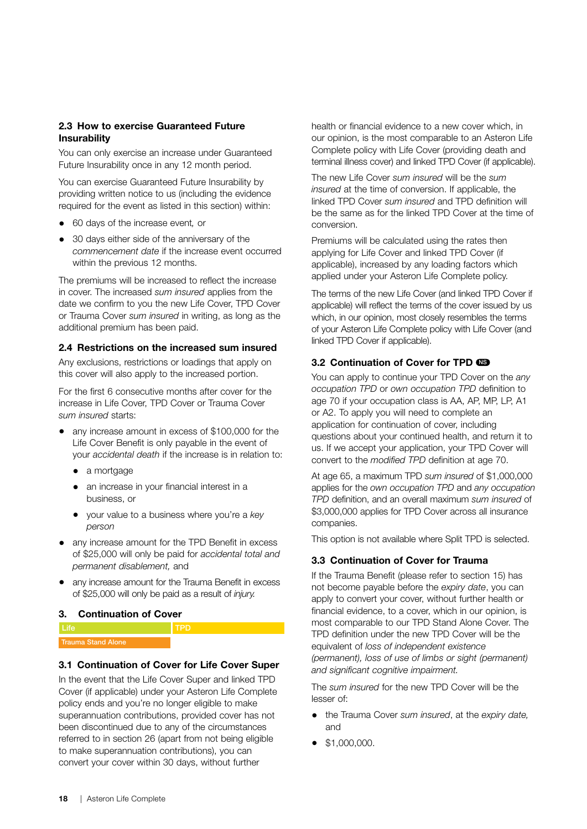#### 2.3 How to exercise Guaranteed Future **Insurability**

You can only exercise an increase under Guaranteed Future Insurability once in any 12 month period.

You can exercise Guaranteed Future Insurability by providing written notice to us (including the evidence required for the event as listed in this section) within:

- 60 days of the increase event*,* or
- 30 days either side of the anniversary of the *commencement date* if the increase event occurred within the previous 12 months.

The premiums will be increased to reflect the increase in cover. The increased *sum insured* applies from the date we confirm to you the new Life Cover, TPD Cover or Trauma Cover *sum insured* in writing, as long as the additional premium has been paid.

#### 2.4 Restrictions on the increased sum insured

Any exclusions, restrictions or loadings that apply on this cover will also apply to the increased portion.

For the first 6 consecutive months after cover for the increase in Life Cover, TPD Cover or Trauma Cover *sum insured* starts:

- any increase amount in excess of \$100,000 for the Life Cover Benefit is only payable in the event of your *accidental death* if the increase is in relation to:
	- a mortgage
	- an increase in your financial interest in a business, or
	- your value to a business where you're a *key person*
- any increase amount for the TPD Benefit in excess of \$25,000 will only be paid for *accidental total and permanent disablement,* and
- any increase amount for the Trauma Benefit in excess of \$25,000 will only be paid as a result of *injury.*

#### 3. Continuation of Cover

| Trauma Stand Alone |  |
|--------------------|--|

#### 3.1 Continuation of Cover for Life Cover Super

In the event that the Life Cover Super and linked TPD Cover (if applicable) under your Asteron Life Complete policy ends and you're no longer eligible to make superannuation contributions, provided cover has not been discontinued due to any of the circumstances referred to in section 26 (apart from not being eligible to make superannuation contributions), you can convert your cover within 30 days, without further

health or financial evidence to a new cover which, in our opinion, is the most comparable to an Asteron Life Complete policy with Life Cover (providing death and terminal illness cover) and linked TPD Cover (if applicable).

The new Life Cover *sum insured* will be the *sum insured* at the time of conversion. If applicable, the linked TPD Cover *sum insured* and TPD definition will be the same as for the linked TPD Cover at the time of conversion.

Premiums will be calculated using the rates then applying for Life Cover and linked TPD Cover (if applicable), increased by any loading factors which applied under your Asteron Life Complete policy.

The terms of the new Life Cover (and linked TPD Cover if applicable) will reflect the terms of the cover issued by us which, in our opinion, most closely resembles the terms of your Asteron Life Complete policy with Life Cover (and linked TPD Cover if applicable).

#### 3.2 Continuation of Cover for TPD

You can apply to continue your TPD Cover on the *any occupation TPD* or *own occupation TPD* definition to age 70 if your occupation class is AA, AP, MP, LP, A1 or A2. To apply you will need to complete an application for continuation of cover, including questions about your continued health, and return it to us. If we accept your application, your TPD Cover will convert to the *modified TPD* definition at age 70.

At age 65, a maximum TPD *sum insured* of \$1,000,000 applies for the *own occupation TPD* and *any occupation TPD* definition, and an overall maximum *sum insured* of \$3,000,000 applies for TPD Cover across all insurance companies.

This option is not available where Split TPD is selected.

#### 3.3 Continuation of Cover for Trauma

If the Trauma Benefit (please refer to section 15) has not become payable before the *expiry date*, you can apply to convert your cover, without further health or financial evidence, to a cover, which in our opinion, is most comparable to our TPD Stand Alone Cover. The TPD definition under the new TPD Cover will be the equivalent of *loss of independent existence (permanent), loss of use of limbs or sight (permanent) and significant cognitive impairment.*

The *sum insured* for the new TPD Cover will be the lesser of:

- the Trauma Cover *sum insured*, at the *expiry date,* and
- \$1,000,000.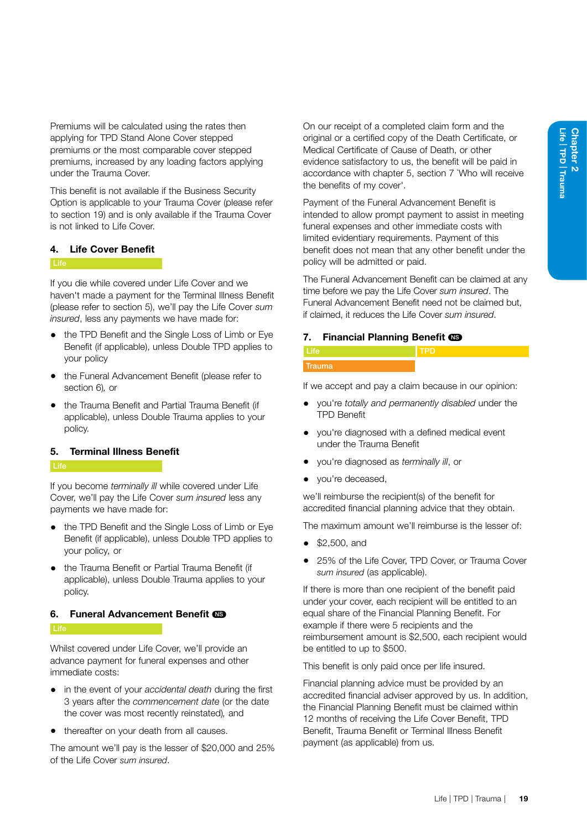Premiums will be calculated using the rates then applying for TPD Stand Alone Cover stepped premiums or the most comparable cover stepped premiums, increased by any loading factors applying under the Trauma Cover.

This benefit is not available if the Business Security Option is applicable to your Trauma Cover (please refer to section 19) and is only available if the Trauma Cover is not linked to Life Cover.

#### <span id="page-24-0"></span>4. Life Cover Benefit

#### **Life**

If you die while covered under Life Cover and we haven't made a payment for the Terminal Illness Benefit (please refer to section 5), we'll pay the Life Cover *sum insured*, less any payments we have made for:

- the TPD Benefit and the Single Loss of Limb or Eye Benefit (if applicable), unless Double TPD applies to your policy
- the Funeral Advancement Benefit (please refer to section 6)*,* or
- the Trauma Benefit and Partial Trauma Benefit (if applicable), unless Double Trauma applies to your policy.

#### 5. Terminal Illness Benefit

If you become *terminally ill* while covered under Life Cover, we'll pay the Life Cover *sum insured* less any payments we have made for:

- the TPD Benefit and the Single Loss of Limb or Eye Benefit (if applicable), unless Double TPD applies to your policy*,* or
- the Trauma Benefit or Partial Trauma Benefit (if applicable), unless Double Trauma applies to your policy.

#### 6. Funeral Advancement Benefit CO

#### **Life**

Whilst covered under Life Cover, we'll provide an advance payment for funeral expenses and other immediate costs:

- in the event of your *accidental death* during the first 3 years after the *commencement date* (or the date the cover was most recently reinstated)*,* and
- thereafter on your death from all causes.

The amount we'll pay is the lesser of \$20,000 and 25% of the Life Cover *sum insured*.

On our receipt of a completed claim form and the original or a certified copy of the Death Certificate, or Medical Certificate of Cause of Death, or other evidence satisfactory to us, the benefit will be paid in accordance with chapter 5, section 7 `Who will receive the benefits of my cover'.

Payment of the Funeral Advancement Benefit is intended to allow prompt payment to assist in meeting funeral expenses and other immediate costs with limited evidentiary requirements. Payment of this benefit does not mean that any other benefit under the policy will be admitted or paid.

The Funeral Advancement Benefit can be claimed at any time before we pay the Life Cover *sum insured*. The Funeral Advancement Benefit need not be claimed but, if claimed, it reduces the Life Cover *sum insured*.

#### 7. Financial Planning Benefit CO

| <b>PERSONAL PROPERTY</b><br>traumat |  |
|-------------------------------------|--|

If we accept and pay a claim because in our opinion:

- you're *totally and permanently disabled* under the TPD Benefit
- you're diagnosed with a defined medical event under the Trauma Benefit
- you're diagnosed as *terminally ill*, or
- vou're deceased.

we'll reimburse the recipient(s) of the benefit for accredited financial planning advice that they obtain.

The maximum amount we'll reimburse is the lesser of:

- \$2,500, and
- 25% of the Life Cover, TPD Cover, or Trauma Cover *sum insured* (as applicable).

If there is more than one recipient of the benefit paid under your cover, each recipient will be entitled to an equal share of the Financial Planning Benefit. For example if there were 5 recipients and the reimbursement amount is \$2,500, each recipient would be entitled to up to \$500.

This benefit is only paid once per life insured.

Financial planning advice must be provided by an accredited financial adviser approved by us. In addition, the Financial Planning Benefit must be claimed within 12 months of receiving the Life Cover Benefit, TPD Benefit, Trauma Benefit or Terminal Illness Benefit payment (as applicable) from us.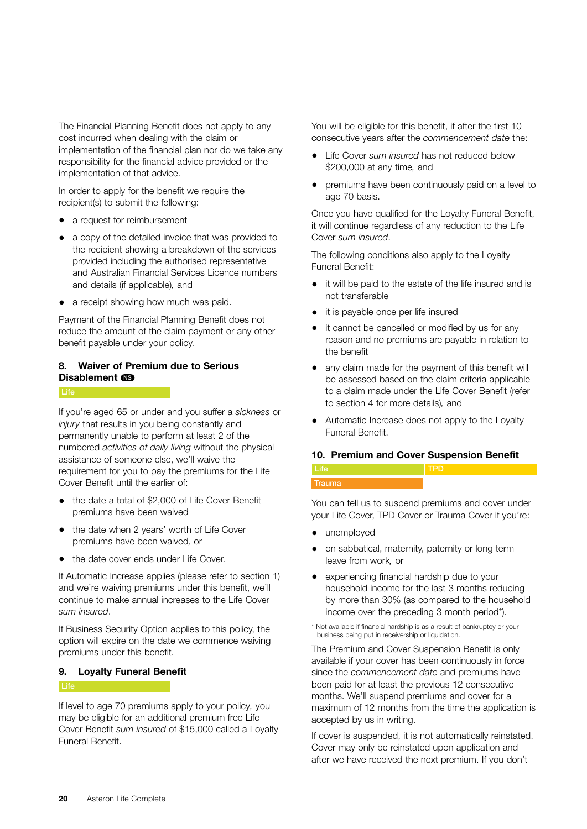The Financial Planning Benefit does not apply to any cost incurred when dealing with the claim or implementation of the financial plan nor do we take any responsibility for the financial advice provided or the implementation of that advice.

In order to apply for the benefit we require the recipient(s) to submit the following:

- a request for reimbursement
- a copy of the detailed invoice that was provided to the recipient showing a breakdown of the services provided including the authorised representative and Australian Financial Services Licence numbers and details (if applicable)*,* and
- a receipt showing how much was paid.

Payment of the Financial Planning Benefit does not reduce the amount of the claim payment or any other benefit payable under your policy.

#### 8. Waiver of Premium due to Serious Disablement **NS**

If you're aged 65 or under and you suffer a *sickness* or *injury* that results in you being constantly and permanently unable to perform at least 2 of the numbered *activities of daily living* without the physical assistance of someone else, we'll waive the requirement for you to pay the premiums for the Life Cover Benefit until the earlier of:

- the date a total of \$2,000 of Life Cover Benefit premiums have been waived
- the date when 2 years' worth of Life Cover premiums have been waived*,* or
- the date cover ends under Life Cover.

If Automatic Increase applies (please refer to section 1) and we're waiving premiums under this benefit, we'll continue to make annual increases to the Life Cover *sum insured*.

If Business Security Option applies to this policy, the option will expire on the date we commence waiving premiums under this benefit.

#### 9. Loyalty Funeral Benefit

#### **Life Life Street (1996)**

If level to age 70 premiums apply to your policy*,* you may be eligible for an additional premium free Life Cover Benefit *sum insured* of \$15,000 called a Loyalty Funeral Benefit.

You will be eligible for this benefit, if after the first 10 consecutive years after the *commencement date* the:

- Life Cover *sum insured* has not reduced below \$200,000 at any time*,* and
- premiums have been continuously paid on a level to age 70 basis.

Once you have qualified for the Loyalty Funeral Benefit, it will continue regardless of any reduction to the Life Cover *sum insured*.

The following conditions also apply to the Loyalty Funeral Benefit:

- it will be paid to the estate of the life insured and is not transferable
- it is payable once per life insured
- it cannot be cancelled or modified by us for any reason and no premiums are payable in relation to the benefit
- any claim made for the payment of this benefit will be assessed based on the claim criteria applicable to a claim made under the Life Cover Benefit (refer to section 4 for more details)*,* and
- Automatic Increase does not apply to the Loyalty Funeral Benefit.

#### 10. Premium and Cover Suspension Benefit

#### **Life Trauma** TPD

You can tell us to suspend premiums and cover under your Life Cover, TPD Cover or Trauma Cover if you're:

- unemployed
- on sabbatical, maternity, paternity or long term leave from work*,* or
- experiencing financial hardship due to your household income for the last 3 months reducing by more than 30% (as compared to the household income over the preceding 3 month period\*).
- \* Not available if financial hardship is as a result of bankruptcy or your business being put in receivership or liquidation.

The Premium and Cover Suspension Benefit is only available if your cover has been continuously in force since the *commencement date* and premiums have been paid for at least the previous 12 consecutive months. We'll suspend premiums and cover for a maximum of 12 months from the time the application is accepted by us in writing.

If cover is suspended, it is not automatically reinstated. Cover may only be reinstated upon application and after we have received the next premium. If you don't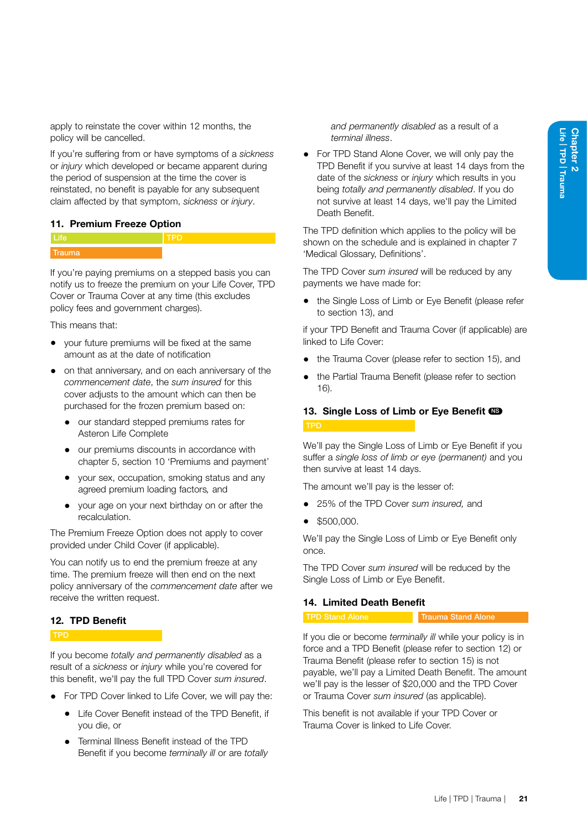apply to reinstate the cover within 12 months, the policy will be cancelled.

If you're suffering from or have symptoms of a *sickness*  or *injury* which developed or became apparent during the period of suspension at the time the cover is reinstated, no benefit is payable for any subsequent claim affected by that symptom, *sickness* or *injury*.

#### <span id="page-26-0"></span>11. Premium Freeze Option



If you're paying premiums on a stepped basis you can notify us to freeze the premium on your Life Cover, TPD Cover or Trauma Cover at any time (this excludes policy fees and government charges).

This means that:

- your future premiums will be fixed at the same amount as at the date of notification
- on that anniversary, and on each anniversary of the *commencement date*, the *sum insured* for this cover adjusts to the amount which can then be purchased for the frozen premium based on:
	- our standard stepped premiums rates for Asteron Life Complete
	- our premiums discounts in accordance with chapter 5, section 10 'Premiums and payment'
	- your sex, occupation, smoking status and any agreed premium loading factors*,* and
	- your age on your next birthday on or after the recalculation.

The Premium Freeze Option does not apply to cover provided under Child Cover (if applicable).

You can notify us to end the premium freeze at any time. The premium freeze will then end on the next policy anniversary of the *commencement date* after we receive the written request.

#### 12. TPD Benefit

If you become *totally and permanently disabled* as a result of a *sickness* or *injury* while you're covered for this benefit, we'll pay the full TPD Cover *sum insured*.

- For TPD Cover linked to Life Cover, we will pay the:
	- Life Cover Benefit instead of the TPD Benefit, if you die, or
	- Terminal Illness Benefit instead of the TPD Benefit if you become *terminally ill* or are *totally*

*and permanently disabled* as a result of a *terminal illness*.

• For TPD Stand Alone Cover, we will only pay the TPD Benefit if you survive at least 14 days from the date of the *sickness* or *injury* which results in you being *totally and permanently disabled*. If you do not survive at least 14 days, we'll pay the Limited Death Benefit.

The TPD definition which applies to the policy will be shown on the schedule and is explained in chapter 7 'Medical Glossary, Definitions'.

The TPD Cover *sum insured* will be reduced by any payments we have made for:

• the Single Loss of Limb or Eye Benefit (please refer to section 13), and

if your TPD Benefit and Trauma Cover (if applicable) are linked to Life Cover:

- the Trauma Cover (please refer to section 15), and
- the Partial Trauma Benefit (please refer to section 16).

### 13. Single Loss of Limb or Eye Benefit CO

We'll pay the Single Loss of Limb or Eye Benefit if you suffer a *single loss of limb or eye (permanent)* and you then survive at least 14 days.

The amount we'll pay is the lesser of:

- 25% of the TPD Cover *sum insured,* and
- \$500,000.

We'll pay the Single Loss of Limb or Eye Benefit only once.

The TPD Cover *sum insured* will be reduced by the Single Loss of Limb or Eye Benefit.

#### 14. Limited Death Benefit

TPD Stand Alone Trauma Stand Alone

If you die or become *terminally ill* while your policy is in force and a TPD Benefit (please refer to section 12) or Trauma Benefit (please refer to section 15) is not payable, we'll pay a Limited Death Benefit. The amount we'll pay is the lesser of \$20,000 and the TPD Cover or Trauma Cover *sum insured* (as applicable).

This benefit is not available if your TPD Cover or Trauma Cover is linked to Life Cover.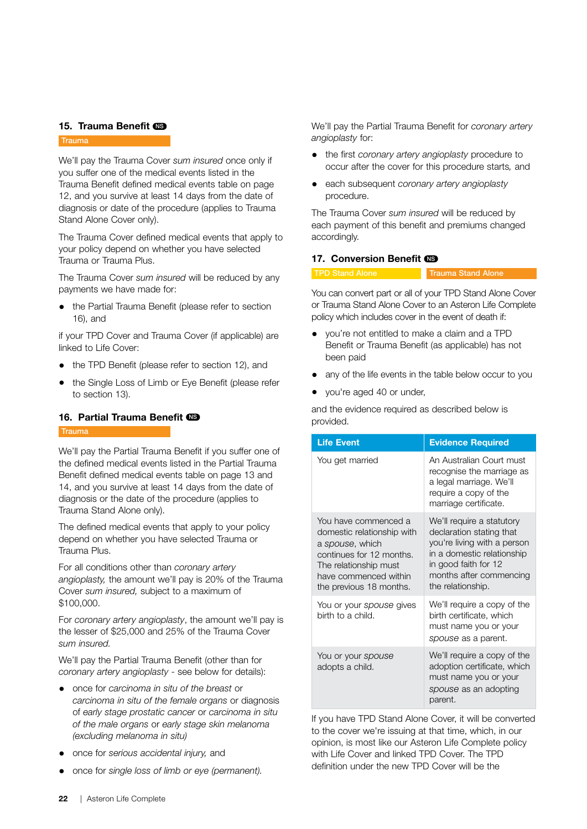#### 15. Trauma Benefit CD

#### **Trauma**

We'll pay the Trauma Cover *sum insured* once only if you suffer one of the medical events listed in the Trauma Benefit defined medical events table on page 12, and you survive at least 14 days from the date of diagnosis or date of the procedure (applies to Trauma Stand Alone Cover only).

The Trauma Cover defined medical events that apply to your policy depend on whether you have selected Trauma or Trauma Plus.

The Trauma Cover *sum insured* will be reduced by any payments we have made for:

• the Partial Trauma Benefit (please refer to section 16), and

if your TPD Cover and Trauma Cover (if applicable) are linked to Life Cover:

- the TPD Benefit (please refer to section 12), and
- the Single Loss of Limb or Eye Benefit (please refer to section 13).

#### 16. Partial Trauma Benefit CO

#### **Trauma**

We'll pay the Partial Trauma Benefit if you suffer one of the defined medical events listed in the Partial Trauma Benefit defined medical events table on page 13 and 14, and you survive at least 14 days from the date of diagnosis or the date of the procedure (applies to Trauma Stand Alone only).

The defined medical events that apply to your policy depend on whether you have selected Trauma or Trauma Plus.

For all conditions other than *coronary artery angioplasty,* the amount we'll pay is 20% of the Trauma Cover *sum insured,* subject to a maximum of \$100,000.

For *coronary artery angioplasty*, the amount we'll pay is the lesser of \$25,000 and 25% of the Trauma Cover *sum insured.* 

We'll pay the Partial Trauma Benefit (other than for *coronary artery angioplasty* - see below for details):

- once for *carcinoma in situ of the breast* or *carcinoma in situ of the female organs* or diagnosis of *early stage prostatic cancer* or *carcinoma in situ of the male organs* or *early stage skin melanoma (excluding melanoma in situ)*
- once for *serious accidental injury,* and
- once for *single loss of limb or eye (permanent).*

We'll pay the Partial Trauma Benefit for *coronary artery angioplasty* for:

- the first *coronary artery angioplasty* procedure to occur after the cover for this procedure starts*,* and
- each subsequent *coronary artery angioplasty*  procedure.

The Trauma Cover *sum insured* will be reduced by each payment of this benefit and premiums changed accordingly.

#### 17. Conversion Benefit CO

TPD Stand Alone Trauma Stand Alone

You can convert part or all of your TPD Stand Alone Cover or Trauma Stand Alone Cover to an Asteron Life Complete policy which includes cover in the event of death if:

- you're not entitled to make a claim and a TPD Benefit or Trauma Benefit (as applicable) has not been paid
- any of the life events in the table below occur to you
- you're aged 40 or under,

and the evidence required as described below is provided.

| <b>Life Event</b>                                                                                                                                                              | <b>Evidence Required</b>                                                                                                                                                                   |
|--------------------------------------------------------------------------------------------------------------------------------------------------------------------------------|--------------------------------------------------------------------------------------------------------------------------------------------------------------------------------------------|
| You get married                                                                                                                                                                | An Australian Court must<br>recognise the marriage as<br>a legal marriage. We'll<br>require a copy of the<br>marriage certificate.                                                         |
| You have commenced a<br>domestic relationship with<br>a spouse, which<br>continues for 12 months.<br>The relationship must<br>have commenced within<br>the previous 18 months. | We'll require a statutory<br>declaration stating that<br>you're living with a person<br>in a domestic relationship<br>in good faith for 12<br>months after commencing<br>the relationship. |
| You or your spouse gives<br>birth to a child.                                                                                                                                  | We'll require a copy of the<br>birth certificate, which<br>must name you or your<br>spouse as a parent.                                                                                    |
| You or your spouse<br>adopts a child.                                                                                                                                          | We'll require a copy of the<br>adoption certificate, which<br>must name you or your<br>spouse as an adopting<br>parent.                                                                    |

If you have TPD Stand Alone Cover, it will be converted to the cover we're issuing at that time, which, in our opinion, is most like our Asteron Life Complete policy with Life Cover and linked TPD Cover. The TPD definition under the new TPD Cover will be the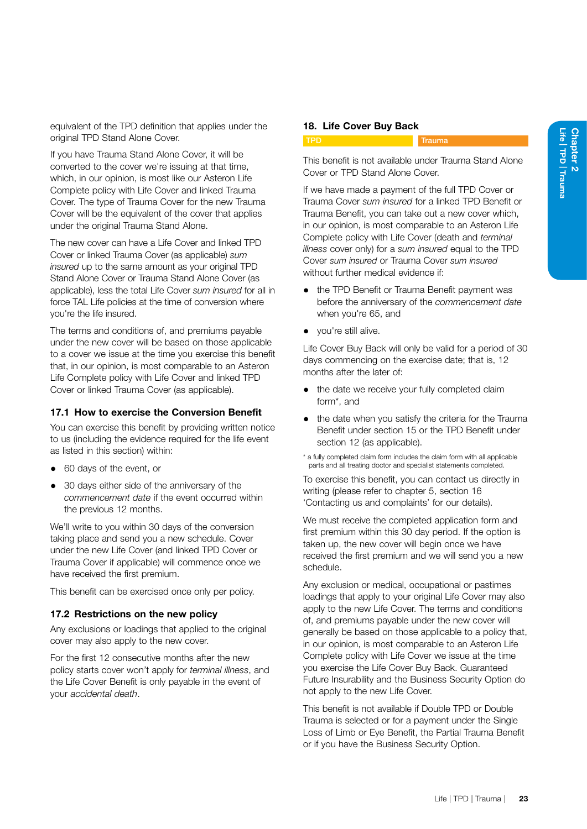equivalent of the TPD definition that applies under the original TPD Stand Alone Cover.

If you have Trauma Stand Alone Cover, it will be converted to the cover we're issuing at that time, which, in our opinion, is most like our Asteron Life Complete policy with Life Cover and linked Trauma Cover. The type of Trauma Cover for the new Trauma Cover will be the equivalent of the cover that applies under the original Trauma Stand Alone.

The new cover can have a Life Cover and linked TPD Cover or linked Trauma Cover (as applicable) *sum insured* up to the same amount as your original TPD Stand Alone Cover or Trauma Stand Alone Cover (as applicable), less the total Life Cover *sum insured* for all in force TAL Life policies at the time of conversion where you're the life insured.

The terms and conditions of, and premiums payable under the new cover will be based on those applicable to a cover we issue at the time you exercise this benefit that, in our opinion, is most comparable to an Asteron Life Complete policy with Life Cover and linked TPD Cover or linked Trauma Cover (as applicable).

#### 17.1 How to exercise the Conversion Benefit

You can exercise this benefit by providing written notice to us (including the evidence required for the life event as listed in this section) within:

- 60 days of the event, or
- 30 days either side of the anniversary of the *commencement date* if the event occurred within the previous 12 months.

We'll write to you within 30 days of the conversion taking place and send you a new schedule. Cover under the new Life Cover (and linked TPD Cover or Trauma Cover if applicable) will commence once we have received the first premium.

This benefit can be exercised once only per policy.

#### 17.2 Restrictions on the new policy

Any exclusions or loadings that applied to the original cover may also apply to the new cover.

For the first 12 consecutive months after the new policy starts cover won't apply for *terminal illness*, and the Life Cover Benefit is only payable in the event of your *accidental death*.

#### 18. Life Cover Buy Back

Trauma

This benefit is not available under Trauma Stand Alone Cover or TPD Stand Alone Cover.

If we have made a payment of the full TPD Cover or Trauma Cover *sum insured* for a linked TPD Benefit or Trauma Benefit, you can take out a new cover which, in our opinion, is most comparable to an Asteron Life Complete policy with Life Cover (death and *terminal illness* cover only) for a *sum insured* equal to the TPD Cover *sum insured* or Trauma Cover *sum insured*  without further medical evidence if:

- the TPD Benefit or Trauma Benefit payment was before the anniversary of the *commencement date*  when you're 65, and
- you're still alive.

Life Cover Buy Back will only be valid for a period of 30 days commencing on the exercise date; that is, 12 months after the later of:

- the date we receive your fully completed claim form\*, and
- the date when you satisfy the criteria for the Trauma Benefit under section 15 or the TPD Benefit under section 12 (as applicable).
- \* a fully completed claim form includes the claim form with all applicable parts and all treating doctor and specialist statements completed.

To exercise this benefit, you can contact us directly in writing (please refer to chapter 5, section 16 'Contacting us and complaints' for our details).

We must receive the completed application form and first premium within this 30 day period. If the option is taken up, the new cover will begin once we have received the first premium and we will send you a new schedule.

Any exclusion or medical, occupational or pastimes loadings that apply to your original Life Cover may also apply to the new Life Cover. The terms and conditions of, and premiums payable under the new cover will generally be based on those applicable to a policy that, in our opinion, is most comparable to an Asteron Life Complete policy with Life Cover we issue at the time you exercise the Life Cover Buy Back. Guaranteed Future Insurability and the Business Security Option do not apply to the new Life Cover.

This benefit is not available if Double TPD or Double Trauma is selected or for a payment under the Single Loss of Limb or Eye Benefit, the Partial Trauma Benefit or if you have the Business Security Option.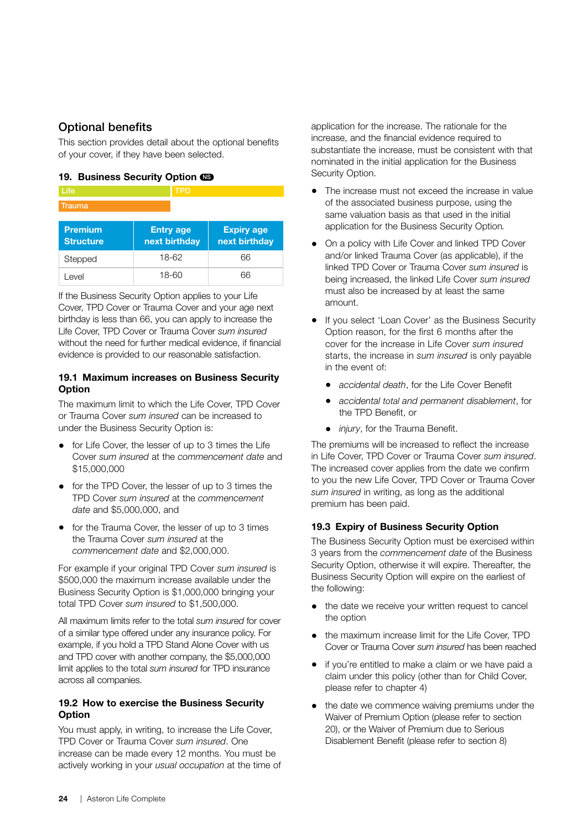#### Optional benefits

This section provides detail about the optional benefits of your cover, if they have been selected.

#### <span id="page-29-0"></span>19. Business Security Option CO

| <b>Premium</b><br><b>Collection Advised</b> | <b>Entry age</b><br>the property that the first part of | <b>Expiry age</b><br>the property that the first party |
|---------------------------------------------|---------------------------------------------------------|--------------------------------------------------------|
| Trauma                                      |                                                         |                                                        |
| Life                                        | <b>TPD</b>                                              |                                                        |
|                                             |                                                         |                                                        |

| <b>Structure</b> | next birthday | next birthday |
|------------------|---------------|---------------|
| Stepped          | 18-62         | 66            |
| Level            | 18-60         | 66            |

If the Business Security Option applies to your Life Cover, TPD Cover or Trauma Cover and your age next birthday is less than 66, you can apply to increase the Life Cover, TPD Cover or Trauma Cover *sum insured*  without the need for further medical evidence, if financial evidence is provided to our reasonable satisfaction.

#### 19.1 Maximum increases on Business Security **Option**

The maximum limit to which the Life Cover, TPD Cover or Trauma Cover *sum insured* can be increased to under the Business Security Option is:

- for Life Cover, the lesser of up to 3 times the Life Cover *sum insured* at the *commencement date* and \$15,000,000
- for the TPD Cover, the lesser of up to 3 times the TPD Cover *sum insured* at the *commencement date* and \$5,000,000, and
- for the Trauma Cover, the lesser of up to 3 times the Trauma Cover *sum insured* at the *commencement date* and \$2,000,000.

For example if your original TPD Cover *sum insured* is \$500,000 the maximum increase available under the Business Security Option is \$1,000,000 bringing your total TPD Cover *sum insured* to \$1,500,000.

All maximum limits refer to the total *sum insured* for cover of a similar type offered under any insurance policy. For example, if you hold a TPD Stand Alone Cover with us and TPD cover with another company, the \$5,000,000 limit applies to the total *sum insured* for TPD insurance across all companies.

#### 19.2 How to exercise the Business Security **Option**

You must apply, in writing, to increase the Life Cover, TPD Cover or Trauma Cover *sum insured*. One increase can be made every 12 months. You must be actively working in your *usual occupation* at the time of application for the increase. The rationale for the increase, and the financial evidence required to substantiate the increase, must be consistent with that nominated in the initial application for the Business Security Option.

- The increase must not exceed the increase in value of the associated business purpose, using the same valuation basis as that used in the initial application for the Business Security Option*.*
- On a policy with Life Cover and linked TPD Cover and/or linked Trauma Cover (as applicable), if the linked TPD Cover or Trauma Cover *sum insured* is being increased, the linked Life Cover *sum insured* must also be increased by at least the same amount.
- If you select 'Loan Cover' as the Business Security Option reason, for the first 6 months after the cover for the increase in Life Cover *sum insured*  starts, the increase in *sum insured* is only payable in the event of:
	- *accidental death*, for the Life Cover Benefit
	- *accidental total and permanent disablement*, for the TPD Benefit, or
	- *injury*, for the Trauma Benefit.

The premiums will be increased to reflect the increase in Life Cover, TPD Cover or Trauma Cover *sum insured*. The increased cover applies from the date we confirm to you the new Life Cover, TPD Cover or Trauma Cover *sum insured* in writing, as long as the additional premium has been paid.

#### 19.3 Expiry of Business Security Option

The Business Security Option must be exercised within 3 years from the *commencement date* of the Business Security Option, otherwise it will expire. Thereafter, the Business Security Option will expire on the earliest of the following:

- the date we receive your written request to cancel the option
- the maximum increase limit for the Life Cover, TPD Cover or Trauma Cover *sum insured* has been reached
- if you're entitled to make a claim or we have paid a claim under this policy (other than for Child Cover, please refer to chapter 4)
- the date we commence waiving premiums under the Waiver of Premium Option (please refer to section 20), or the Waiver of Premium due to Serious Disablement Benefit (please refer to section 8)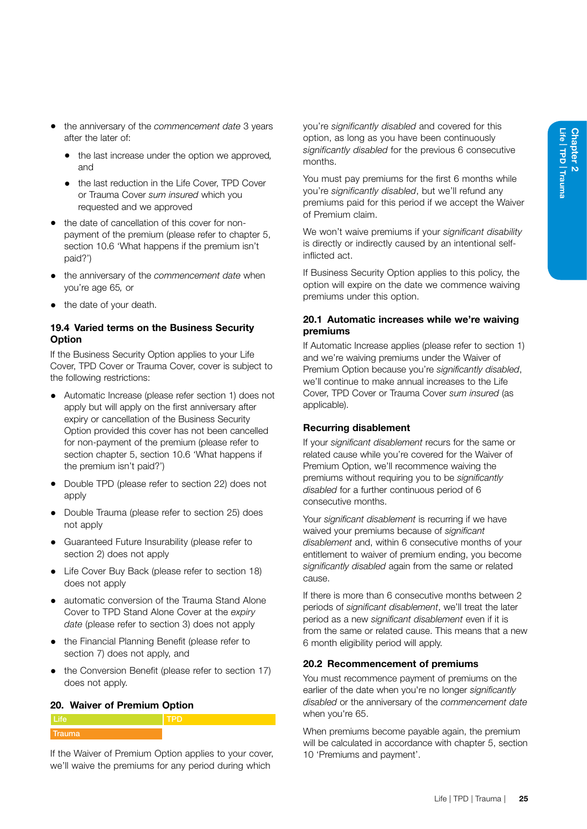- the anniversary of the *commencement date* 3 years after the later of:
	- the last increase under the option we approved*,* and
	- the last reduction in the Life Cover, TPD Cover or Trauma Cover *sum insured* which you requested and we approved
- the date of cancellation of this cover for nonpayment of the premium (please refer to chapter 5, section 10.6 'What happens if the premium isn't paid?')
- the anniversary of the *commencement date* when you're age 65*,* or
- the date of your death.

#### 19.4 Varied terms on the Business Security **Option**

If the Business Security Option applies to your Life Cover, TPD Cover or Trauma Cover, cover is subject to the following restrictions:

- Automatic Increase (please refer section 1) does not apply but will apply on the first anniversary after expiry or cancellation of the Business Security Option provided this cover has not been cancelled for non-payment of the premium (please refer to section chapter 5, section 10.6 'What happens if the premium isn't paid?')
- Double TPD (please refer to section 22) does not apply
- Double Trauma (please refer to section 25) does not apply
- Guaranteed Future Insurability (please refer to section 2) does not apply
- Life Cover Buy Back (please refer to section 18) does not apply
- automatic conversion of the Trauma Stand Alone Cover to TPD Stand Alone Cover at the *expiry date* (please refer to section 3) does not apply
- the Financial Planning Benefit (please refer to section 7) does not apply, and
- the Conversion Benefit (please refer to section 17) does not apply.

#### 20. Waiver of Premium Option



If the Waiver of Premium Option applies to your cover, we'll waive the premiums for any period during which

you're *significantly disabled* and covered for this option, as long as you have been continuously *significantly disabled* for the previous 6 consecutive months.

You must pay premiums for the first 6 months while you're *significantly disabled*, but we'll refund any premiums paid for this period if we accept the Waiver of Premium claim.

We won't waive premiums if your *significant disability* is directly or indirectly caused by an intentional selfinflicted act.

If Business Security Option applies to this policy, the option will expire on the date we commence waiving premiums under this option.

#### 20.1 Automatic increases while we're waiving premiums

If Automatic Increase applies (please refer to section 1) and we're waiving premiums under the Waiver of Premium Option because you're *significantly disabled*, we'll continue to make annual increases to the Life Cover, TPD Cover or Trauma Cover *sum insured* (as applicable).

#### Recurring disablement

If your *significant disablement* recurs for the same or related cause while you're covered for the Waiver of Premium Option, we'll recommence waiving the premiums without requiring you to be *significantly disabled* for a further continuous period of 6 consecutive months.

Your *significant disablement* is recurring if we have waived your premiums because of *significant disablement* and, within 6 consecutive months of your entitlement to waiver of premium ending, you become *significantly disabled* again from the same or related cause.

If there is more than 6 consecutive months between 2 periods of *significant disablement*, we'll treat the later period as a new *significant disablement* even if it is from the same or related cause. This means that a new 6 month eligibility period will apply.

#### 20.2 Recommencement of premiums

You must recommence payment of premiums on the earlier of the date when you're no longer *significantly disabled* or the anniversary of the *commencement date* when you're 65.

When premiums become payable again, the premium will be calculated in accordance with chapter 5, section 10 'Premiums and payment'.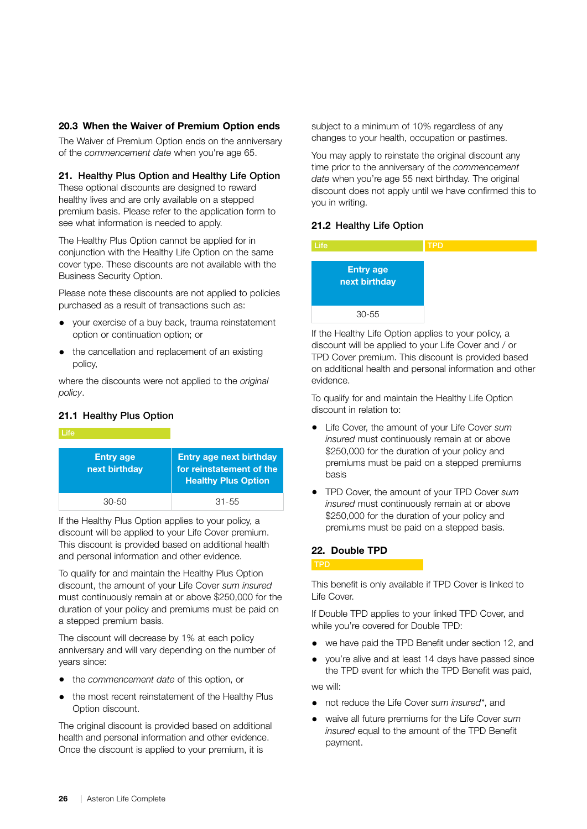#### 20.3 When the Waiver of Premium Option ends

The Waiver of Premium Option ends on the anniversary of the *commencement date* when you're age 65.

#### 21. Healthy Plus Option and Healthy Life Option

These optional discounts are designed to reward healthy lives and are only available on a stepped premium basis. Please refer to the application form to see what information is needed to apply.

The Healthy Plus Option cannot be applied for in conjunction with the Healthy Life Option on the same cover type. These discounts are not available with the Business Security Option.

Please note these discounts are not applied to policies purchased as a result of transactions such as:

- your exercise of a buy back, trauma reinstatement option or continuation option; or
- the cancellation and replacement of an existing policy,

where the discounts were not applied to the *original policy*.

#### <span id="page-31-1"></span>21.1 Healthy Plus Option



If the Healthy Plus Option applies to your policy, a discount will be applied to your Life Cover premium. This discount is provided based on additional health and personal information and other evidence.

To qualify for and maintain the Healthy Plus Option discount, the amount of your Life Cover *sum insured* must continuously remain at or above \$250,000 for the duration of your policy and premiums must be paid on a stepped premium basis.

The discount will decrease by 1% at each policy anniversary and will vary depending on the number of years since:

- the *commencement date* of this option, or
- the most recent reinstatement of the Healthy Plus Option discount.

The original discount is provided based on additional health and personal information and other evidence. Once the discount is applied to your premium, it is

subject to a minimum of 10% regardless of any changes to your health, occupation or pastimes.

You may apply to reinstate the original discount any time prior to the anniversary of the *commencement date* when you're age 55 next birthday. The original discount does not apply until we have confirmed this to you in writing.

#### <span id="page-31-0"></span>21.2 Healthy Life Option



If the Healthy Life Option applies to your policy, a discount will be applied to your Life Cover and / or TPD Cover premium. This discount is provided based on additional health and personal information and other evidence.

To qualify for and maintain the Healthy Life Option discount in relation to:

- Life Cover, the amount of your Life Cover *sum insured* must continuously remain at or above \$250,000 for the duration of your policy and premiums must be paid on a stepped premiums basis
- TPD Cover, the amount of your TPD Cover *sum insured* must continuously remain at or above \$250,000 for the duration of your policy and premiums must be paid on a stepped basis.

#### 22. Double TPD

#### TPD

This benefit is only available if TPD Cover is linked to Life Cover.

If Double TPD applies to your linked TPD Cover, and while you're covered for Double TPD:

- we have paid the TPD Benefit under section 12, and
- you're alive and at least 14 days have passed since the TPD event for which the TPD Benefit was paid,

we will:

- not reduce the Life Cover *sum insured\**, and
- waive all future premiums for the Life Cover *sum insured* equal to the amount of the TPD Benefit payment.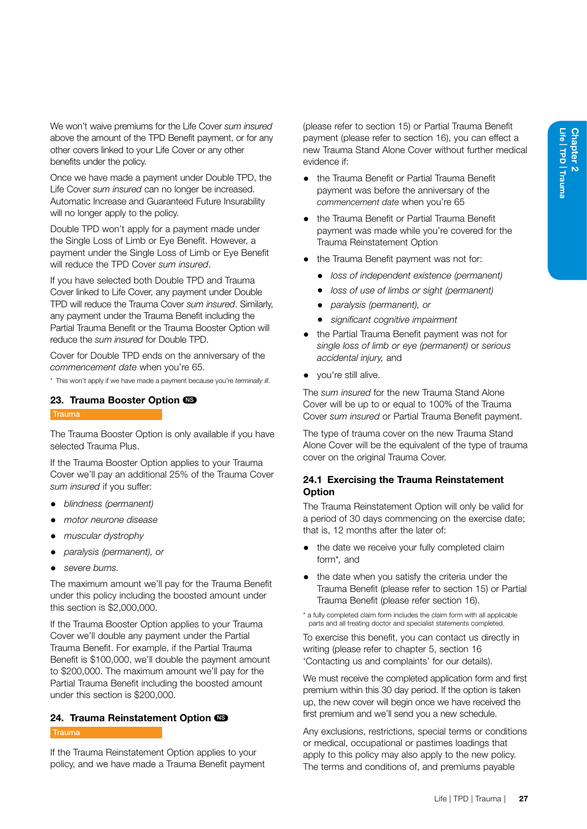We won't waive premiums for the Life Cover *sum insured* above the amount of the TPD Benefit payment, or for any other covers linked to your Life Cover or any other benefits under the policy.

Once we have made a payment under Double TPD, the Life Cover *sum insured* can no longer be increased. Automatic Increase and Guaranteed Future Insurability will no longer apply to the policy.

Double TPD won't apply for a payment made under the Single Loss of Limb or Eye Benefit. However, a payment under the Single Loss of Limb or Eye Benefit will reduce the TPD Cover *sum insured*.

If you have selected both Double TPD and Trauma Cover linked to Life Cover, any payment under Double TPD will reduce the Trauma Cover *sum insured*. Similarly, any payment under the Trauma Benefit including the Partial Trauma Benefit or the Trauma Booster Option will reduce the *sum insured* for Double TPD.

Cover for Double TPD ends on the anniversary of the *commencement date* when you're 65.

\* This won't apply if we have made a payment because you're *terminally ill*.

#### 23. Trauma Booster Option CS **Trauma**

The Trauma Booster Option is only available if you have selected Trauma Plus.

If the Trauma Booster Option applies to your Trauma Cover we'll pay an additional 25% of the Trauma Cover *sum insured* if you suffer:

- *blindness (permanent)*
- *motor neurone disease*
- *muscular dystrophy*
- *paralysis (permanent), or*
- *severe burns.*

The maximum amount we'll pay for the Trauma Benefit under this policy including the boosted amount under this section is \$2,000,000.

If the Trauma Booster Option applies to your Trauma Cover we'll double any payment under the Partial Trauma Benefit. For example, if the Partial Trauma Benefit is \$100,000, we'll double the payment amount to \$200,000. The maximum amount we'll pay for the Partial Trauma Benefit including the boosted amount under this section is \$200,000.

#### 24. Trauma Reinstatement Option CO

#### Trauma

If the Trauma Reinstatement Option applies to your policy, and we have made a Trauma Benefit payment (please refer to section 15) or Partial Trauma Benefit payment (please refer to section 16), you can effect a new Trauma Stand Alone Cover without further medical evidence if:

- the Trauma Benefit or Partial Trauma Benefit payment was before the anniversary of the *commencement date* when you're 65
- the Trauma Benefit or Partial Trauma Benefit payment was made while you're covered for the Trauma Reinstatement Option
- the Trauma Benefit payment was not for:
	- *loss of independent existence (permanent)*
	- *loss of use of limbs or sight (permanent)*
	- *paralysis (permanent), or*
	- *significant cognitive impairment*
- the Partial Trauma Benefit payment was not for *single loss of limb or eye (permanent)* or *serious accidental injury,* and
- you're still alive.

The *sum insured* for the new Trauma Stand Alone Cover will be up to or equal to 100% of the Trauma Cover *sum insured* or Partial Trauma Benefit payment.

The type of trauma cover on the new Trauma Stand Alone Cover will be the equivalent of the type of trauma cover on the original Trauma Cover.

#### 24.1 Exercising the Trauma Reinstatement **Option**

The Trauma Reinstatement Option will only be valid for a period of 30 days commencing on the exercise date; that is, 12 months after the later of:

- the date we receive your fully completed claim form\**,* and
- the date when you satisfy the criteria under the Trauma Benefit (please refer to section 15) or Partial Trauma Benefit (please refer section 16).

\* a fully completed claim form includes the claim form with all applicable parts and all treating doctor and specialist statements completed.

To exercise this benefit, you can contact us directly in writing (please refer to chapter 5, section 16 'Contacting us and complaints' for our details).

We must receive the completed application form and first premium within this 30 day period. If the option is taken up, the new cover will begin once we have received the first premium and we'll send you a new schedule.

Any exclusions, restrictions, special terms or conditions or medical, occupational or pastimes loadings that apply to this policy may also apply to the new policy. The terms and conditions of, and premiums payable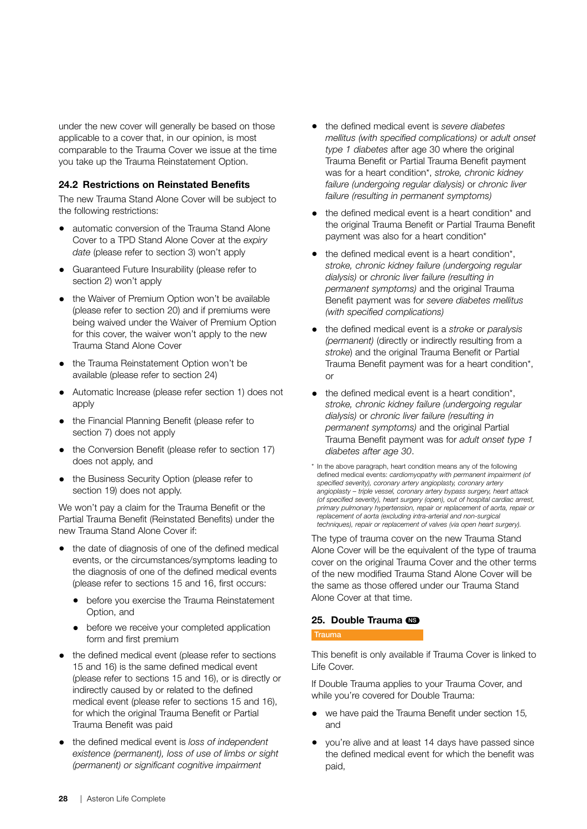under the new cover will generally be based on those applicable to a cover that, in our opinion, is most comparable to the Trauma Cover we issue at the time you take up the Trauma Reinstatement Option.

#### 24.2 Restrictions on Reinstated Benefits

The new Trauma Stand Alone Cover will be subject to the following restrictions:

- automatic conversion of the Trauma Stand Alone Cover to a TPD Stand Alone Cover at the *expiry date* (please refer to section 3) won't apply
- Guaranteed Future Insurability (please refer to section 2) won't apply
- the Waiver of Premium Option won't be available (please refer to section 20) and if premiums were being waived under the Waiver of Premium Option for this cover, the waiver won't apply to the new Trauma Stand Alone Cover
- the Trauma Reinstatement Option won't be available (please refer to section 24)
- Automatic Increase (please refer section 1) does not apply
- the Financial Planning Benefit (please refer to section 7) does not apply
- the Conversion Benefit (please refer to section 17) does not apply, and
- the Business Security Option (please refer to section 19) does not apply.

We won't pay a claim for the Trauma Benefit or the Partial Trauma Benefit (Reinstated Benefits) under the new Trauma Stand Alone Cover if:

- the date of diagnosis of one of the defined medical events, or the circumstances/symptoms leading to the diagnosis of one of the defined medical events (please refer to sections 15 and 16, first occurs:
	- before you exercise the Trauma Reinstatement Option, and
	- before we receive your completed application form and first premium
- the defined medical event (please refer to sections 15 and 16) is the same defined medical event (please refer to sections 15 and 16), or is directly or indirectly caused by or related to the defined medical event (please refer to sections 15 and 16), for which the original Trauma Benefit or Partial Trauma Benefit was paid
- the defined medical event is *loss of independent existence (permanent), loss of use of limbs or sight (permanent) or significant cognitive impairment*
- the defined medical event is *severe diabetes mellitus (with specified complications)* or *adult onset type 1 diabetes* after age 30 where the original Trauma Benefit or Partial Trauma Benefit payment was for a heart condition\*, *stroke, chronic kidney failure (undergoing regular dialysis)* or *chronic liver failure (resulting in permanent symptoms)*
- the defined medical event is a heart condition\* and the original Trauma Benefit or Partial Trauma Benefit payment was also for a heart condition\*
- the defined medical event is a heart condition\*, *stroke, chronic kidney failure (undergoing regular dialysis)* or *chronic liver failure (resulting in permanent symptoms)* and the original Trauma Benefit payment was for *severe diabetes mellitus (with specified complications)*
- the defined medical event is a *stroke* or *paralysis (permanent)* (directly or indirectly resulting from a *stroke*) and the original Trauma Benefit or Partial Trauma Benefit payment was for a heart condition\*, or
- the defined medical event is a heart condition\*. *stroke, chronic kidney failure (undergoing regular dialysis)* or *chronic liver failure (resulting in permanent symptoms)* and the original Partial Trauma Benefit payment was for *adult onset type 1 diabetes after age 30*.
- \* In the above paragraph, heart condition means any of the following defined medical events: *cardiomyopathy with permanent impairment (of specified severity), coronary artery angioplasty, coronary artery angioplasty – triple vessel, coronary artery bypass surgery, heart attack (of specified severity), heart surgery (open), out of hospital cardiac arrest, primary pulmonary hypertension, repair or replacement of aorta, repair or replacement of aorta (excluding intra-arterial and non-surgical techniques), repair or replacement of valves (via open heart surgery).*

The type of trauma cover on the new Trauma Stand Alone Cover will be the equivalent of the type of trauma cover on the original Trauma Cover and the other terms of the new modified Trauma Stand Alone Cover will be the same as those offered under our Trauma Stand Alone Cover at that time.

#### 25. Double Trauma CB

#### **Trauma**

This benefit is only available if Trauma Cover is linked to Life Cover.

If Double Trauma applies to your Trauma Cover, and while you're covered for Double Trauma:

- we have paid the Trauma Benefit under section 15*,* and
- you're alive and at least 14 days have passed since the defined medical event for which the benefit was paid,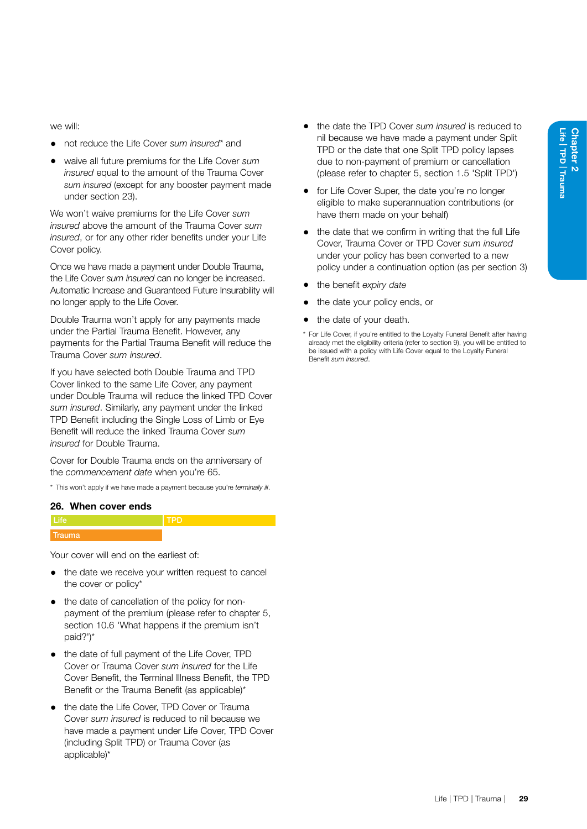we will:

- not reduce the Life Cover *sum insured\** and
- waive all future premiums for the Life Cover *sum insured* equal to the amount of the Trauma Cover *sum insured* (except for any booster payment made under section 23).

We won't waive premiums for the Life Cover *sum insured* above the amount of the Trauma Cover *sum insured*, or for any other rider benefits under your Life Cover policy.

Once we have made a payment under Double Trauma, the Life Cover *sum insured* can no longer be increased. Automatic Increase and Guaranteed Future Insurability will no longer apply to the Life Cover.

Double Trauma won't apply for any payments made under the Partial Trauma Benefit. However, any payments for the Partial Trauma Benefit will reduce the Trauma Cover *sum insured*.

If you have selected both Double Trauma and TPD Cover linked to the same Life Cover, any payment under Double Trauma will reduce the linked TPD Cover *sum insured*. Similarly, any payment under the linked TPD Benefit including the Single Loss of Limb or Eye Benefit will reduce the linked Trauma Cover *sum insured* for Double Trauma.

Cover for Double Trauma ends on the anniversary of the *commencement date* when you're 65.

\* This won't apply if we have made a payment because you're *terminally ill*.

#### 26. When cover ends

| яш<br>н |  |
|---------|--|

Your cover will end on the earliest of:

- the date we receive your written request to cancel the cover or policy\*
- the date of cancellation of the policy for nonpayment of the premium (please refer to chapter 5, section 10.6 'What happens if the premium isn't paid?')\*
- the date of full payment of the Life Cover, TPD Cover or Trauma Cover *sum insured* for the Life Cover Benefit, the Terminal Illness Benefit, the TPD Benefit or the Trauma Benefit (as applicable)\*
- the date the Life Cover, TPD Cover or Trauma Cover *sum insured* is reduced to nil because we have made a payment under Life Cover, TPD Cover (including Split TPD) or Trauma Cover (as applicable)\*
- the date the TPD Cover *sum insured* is reduced to nil because we have made a payment under Split TPD or the date that one Split TPD policy lapses due to non-payment of premium or cancellation (please refer to chapter 5, section 1.5 'Split TPD')
- for Life Cover Super, the date you're no longer eligible to make superannuation contributions (or have them made on your behalf)
- the date that we confirm in writing that the full Life Cover, Trauma Cover or TPD Cover *sum insured*  under your policy has been converted to a new policy under a continuation option (as per section 3)
- the benefit *expiry date*
- the date your policy ends, or
- <span id="page-34-0"></span>the date of your death.
- \* For Life Cover, if you're entitled to the Loyalty Funeral Benefit after having already met the eligibility criteria (refer to section 9), you will be entitled to be issued with a policy with Life Cover equal to the Loyalty Funeral Benefit *sum insured*.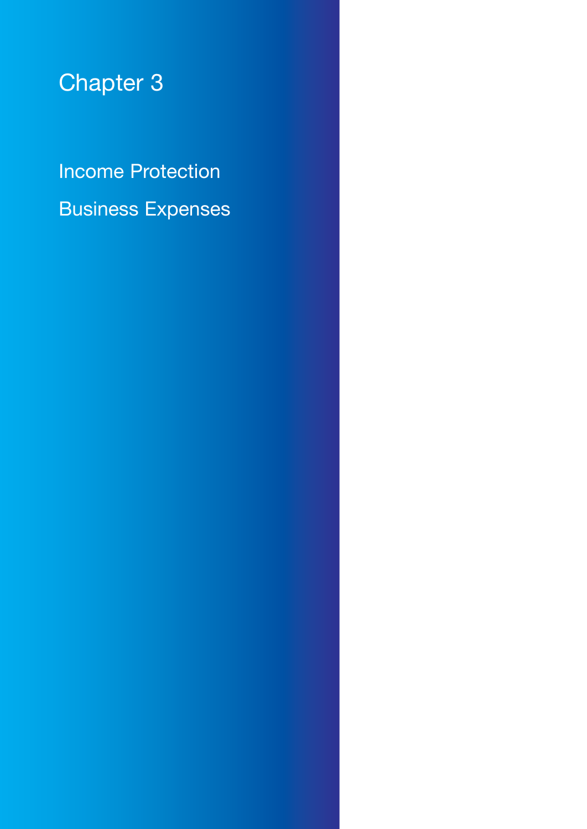# <span id="page-35-0"></span>Chapter 3

Income Protection Business Expenses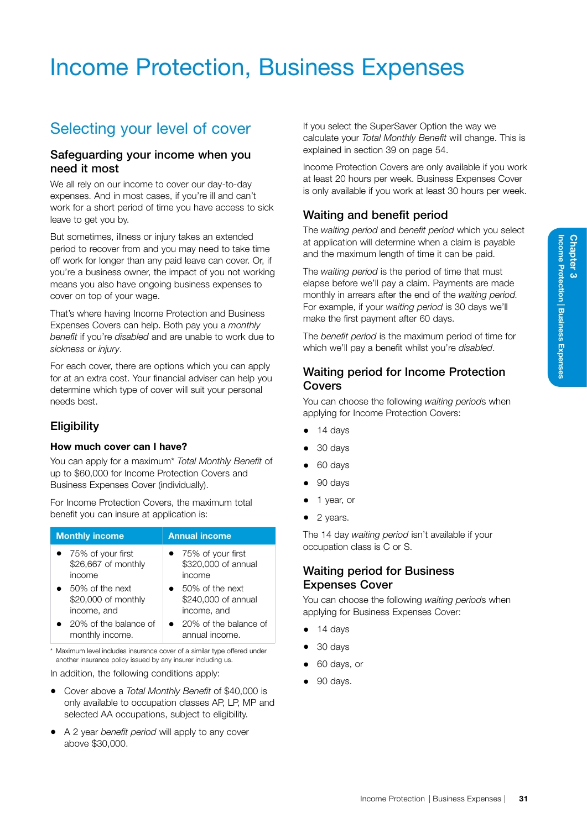# Income Protection, Business Expenses

## Selecting your level of cover

## Safeguarding your income when you need it most

We all rely on our income to cover our day-to-day expenses. And in most cases, if you're ill and can't work for a short period of time you have access to sick leave to get you by.

But sometimes, illness or injury takes an extended period to recover from and you may need to take time off work for longer than any paid leave can cover. Or, if you're a business owner, the impact of you not working means you also have ongoing business expenses to cover on top of your wage.

That's where having Income Protection and Business Expenses Covers can help. Both pay you a *monthly benefit* if you're *disabled* and are unable to work due to *sickness* or *injury*.

For each cover, there are options which you can apply for at an extra cost. Your financial adviser can help you determine which type of cover will suit your personal needs best.

## **Eligibility**

#### How much cover can I have?

You can apply for a maximum\* *Total Monthly Benefit* of up to \$60,000 for Income Protection Covers and Business Expenses Cover (individually).

For Income Protection Covers, the maximum total benefit you can insure at application is:

| <b>Monthly income</b> | <b>Annual income</b>  |
|-----------------------|-----------------------|
| • 75% of your first   | • 75% of your first   |
| \$26,667 of monthly   | \$320,000 of annual   |
| income                | income                |
| 50% of the next       | 50% of the next       |
| \$20,000 of monthly   | \$240,000 of annual   |
| income, and           | income, and           |
| 20% of the balance of | 20% of the balance of |
| monthly income.       | annual income.        |

\* Maximum level includes insurance cover of a similar type offered under another insurance policy issued by any insurer including us.

In addition, the following conditions apply:

- Cover above a *Total Monthly Benefit* of \$40,000 is only available to occupation classes AP, LP, MP and selected AA occupations, subject to eligibility.
- A 2 year *benefit period* will apply to any cover above \$30,000.

If you select the SuperSaver Option the way we calculate your *Total Monthly Benefit* will change. This is explained in section 39 on page [54](#page-59-0).

Income Protection Covers are only available if you work at least 20 hours per week. Business Expenses Cover is only available if you work at least 30 hours per week.

## Waiting and benefit period

The *waiting period* and *benefit period* which you select at application will determine when a claim is payable and the maximum length of time it can be paid.

The *waiting period* is the period of time that must elapse before we'll pay a claim. Payments are made monthly in arrears after the end of the *waiting period.* For example, if your *waiting period* is 30 days we'll make the first payment after 60 days.

The *benefit period* is the maximum period of time for which we'll pay a benefit whilst you're *disabled*.

## Waiting period for Income Protection Covers

You can choose the following *waiting period*s when applying for Income Protection Covers:

- 14 days
- 30 days
- 60 days
- 90 days
- 1 year, or
- 2 years.

The 14 day *waiting period* isn't available if your occupation class is C or S.

## Waiting period for Business Expenses Cover

You can choose the following *waiting period*s when applying for Business Expenses Cover:

- 14 days
- 30 days
- 60 days, or
- 90 days.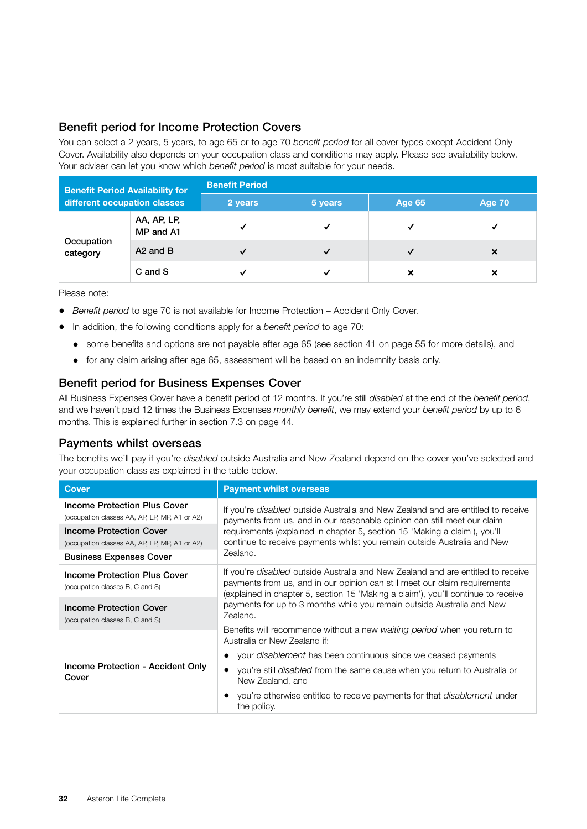## Benefit period for Income Protection Covers

You can select a 2 years, 5 years, to age 65 or to age 70 *benefit period* for all cover types except Accident Only Cover. Availability also depends on your occupation class and conditions may apply. Please see availability below. Your adviser can let you know which *benefit period* is most suitable for your needs.

| <b>Benefit Period Availability for</b> |                          | <b>Benefit Period</b> |              |               |        |  |
|----------------------------------------|--------------------------|-----------------------|--------------|---------------|--------|--|
| different occupation classes           |                          | 2 years               | 5 years      | <b>Age 65</b> | Age 70 |  |
|                                        | AA, AP, LP,<br>MP and A1 |                       | $\checkmark$ |               | M      |  |
| Occupation<br>category                 | A <sub>2</sub> and B     |                       | ✓            |               | ×      |  |
|                                        | C and S                  |                       | ✓            | ×             | ×      |  |

Please note:

- *Benefit period* to age 70 is not available for Income Protection Accident Only Cover.
- In addition, the following conditions apply for a *benefit period* to age 70:
	- some benefits and options are not payable after age 65 (see section 41 on page 55 for more details), and
	- for any claim arising after age 65, assessment will be based on an indemnity basis only.

## Benefit period for Business Expenses Cover

All Business Expenses Cover have a benefit period of 12 months. If you're still *disabled* at the end of the *benefit period*, and we haven't paid 12 times the Business Expenses *monthly benefit*, we may extend your *benefit period* by up to 6 months. This is explained further in section 7.3 on page 44.

## Payments whilst overseas

The benefits we'll pay if you're *disabled* outside Australia and New Zealand depend on the cover you've selected and your occupation class as explained in the table below.

| <b>Cover</b>                                                                         | <b>Payment whilst overseas</b>                                                                                                                                                                                                                             |  |
|--------------------------------------------------------------------------------------|------------------------------------------------------------------------------------------------------------------------------------------------------------------------------------------------------------------------------------------------------------|--|
| <b>Income Protection Plus Cover</b><br>(occupation classes AA, AP, LP, MP, A1 or A2) | If you're <i>disabled</i> outside Australia and New Zealand and are entitled to receive<br>payments from us, and in our reasonable opinion can still meet our claim                                                                                        |  |
| <b>Income Protection Cover</b><br>(occupation classes AA, AP, LP, MP, A1 or A2)      | requirements (explained in chapter 5, section 15 'Making a claim'), you'll<br>continue to receive payments whilst you remain outside Australia and New                                                                                                     |  |
| <b>Business Expenses Cover</b>                                                       | Zealand.                                                                                                                                                                                                                                                   |  |
| Income Protection Plus Cover<br>(occupation classes B, C and S)                      | If you're <i>disabled</i> outside Australia and New Zealand and are entitled to receive<br>payments from us, and in our opinion can still meet our claim requirements<br>(explained in chapter 5, section 15 'Making a claim'), you'll continue to receive |  |
| Income Protection Cover<br>(occupation classes B, C and S)                           | payments for up to 3 months while you remain outside Australia and New<br>Zealand.                                                                                                                                                                         |  |
|                                                                                      | Benefits will recommence without a new waiting period when you return to<br>Australia or New Zealand if:                                                                                                                                                   |  |
|                                                                                      | your <i>disablement</i> has been continuous since we ceased payments                                                                                                                                                                                       |  |
| Income Protection - Accident Only<br>Cover                                           | • you're still <i>disabled</i> from the same cause when you return to Australia or<br>New Zealand, and                                                                                                                                                     |  |
|                                                                                      | • you're otherwise entitled to receive payments for that <i>disablement</i> under<br>the policy.                                                                                                                                                           |  |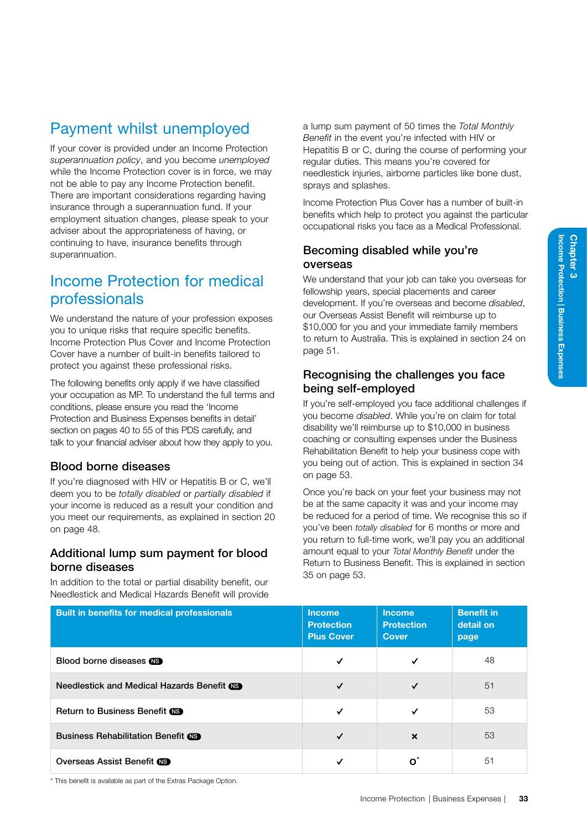## Payment whilst unemployed

If your cover is provided under an Income Protection *superannuation policy*, and you become *unemployed* while the Income Protection cover is in force, we may not be able to pay any Income Protection benefit. There are important considerations regarding having insurance through a superannuation fund. If your employment situation changes, please speak to your adviser about the appropriateness of having, or continuing to have, insurance benefits through superannuation.

## Income Protection for medical professionals

We understand the nature of your profession exposes you to unique risks that require specific benefits. Income Protection Plus Cover and Income Protection Cover have a number of built-in benefits tailored to protect you against these professional risks.

The following benefits only apply if we have classified your occupation as MP. To understand the full terms and conditions, please ensure you read the 'Income Protection and Business Expenses benefits in detail' section on pages 40 to [55](#page-60-0) of this PDS carefully, and talk to your financial adviser about how they apply to you.

## Blood borne diseases

If you're diagnosed with HIV or Hepatitis B or C, we'll deem you to be *totally disabled* or *partially disabled* if your income is reduced as a result your condition and you meet our requirements, as explained in section 20 on page [48](#page-53-0).

## Additional lump sum payment for blood borne diseases

In addition to the total or partial disability benefit, our Needlestick and Medical Hazards Benefit will provide

a lump sum payment of 50 times the *Total Monthly Benefit* in the event you're infected with HIV or Hepatitis B or C, during the course of performing your regular duties. This means you're covered for needlestick injuries, airborne particles like bone dust, sprays and splashes.

Income Protection Plus Cover has a number of built-in benefits which help to protect you against the particular occupational risks you face as a Medical Professional.

## Becoming disabled while you're overseas

We understand that your job can take you overseas for fellowship years, special placements and career development. If you're overseas and become *disabled*, our Overseas Assist Benefit will reimburse up to \$10,000 for you and your immediate family members to return to Australia. This is explained in section 24 on page [51.](#page-56-0)

## Recognising the challenges you face being self-employed

If you're self-employed you face additional challenges if you become *disabled*. While you're on claim for total disability we'll reimburse up to \$10,000 in business coaching or consulting expenses under the Business Rehabilitation Benefit to help your business cope with you being out of action. This is explained in section 34 on page [53.](#page-58-0)

Once you're back on your feet your business may not be at the same capacity it was and your income may be reduced for a period of time. We recognise this so if you've been *totally disabled* for 6 months or more and you return to full-time work, we'll pay you an additional amount equal to your *Total Monthly Benefit* under the Return to Business Benefit. This is explained in section 35 on page [53](#page-58-1).

| <b>Built in benefits for medical professionals</b> | <b>Income</b><br><b>Protection</b><br><b>Plus Cover</b> | <b>Income</b><br><b>Protection</b><br><b>Cover</b> | <b>Benefit in</b><br>detail on<br>page |
|----------------------------------------------------|---------------------------------------------------------|----------------------------------------------------|----------------------------------------|
| Blood borne diseases <b>NS</b>                     | ✓                                                       |                                                    | 48                                     |
| Needlestick and Medical Hazards Benefit CS         | $\checkmark$                                            |                                                    | 51                                     |
| Return to Business Benefit (S)                     |                                                         |                                                    | 53                                     |
| <b>Business Rehabilitation Benefit CIS</b>         | $\checkmark$                                            | $\boldsymbol{\mathsf{x}}$                          | 53                                     |
| <b>Overseas Assist Benefit CB</b>                  |                                                         |                                                    | 51                                     |

\* This benefit is available as part of the Extras Package Option.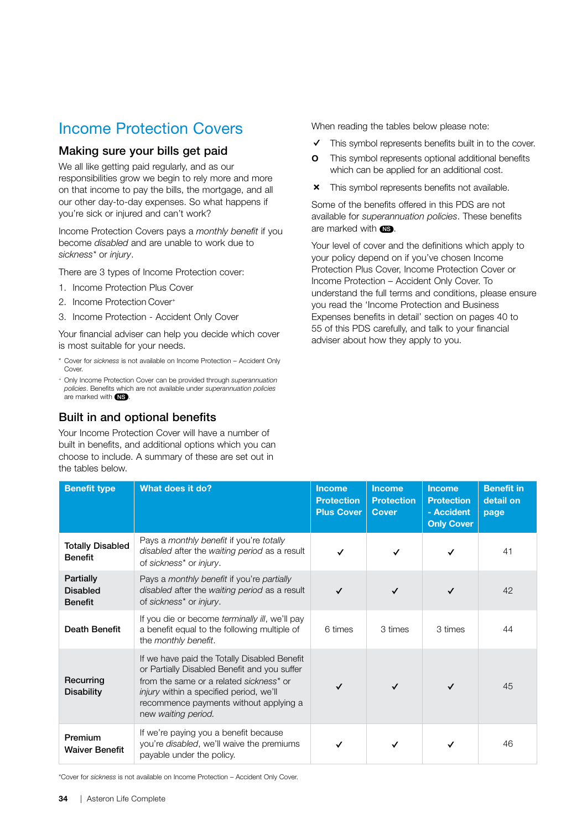## Income Protection Covers

## Making sure your bills get paid

We all like getting paid regularly, and as our responsibilities grow we begin to rely more and more on that income to pay the bills, the mortgage, and all our other day-to-day expenses. So what happens if you're sick or injured and can't work?

Income Protection Covers pays a *monthly benefit* if you become *disabled* and are unable to work due to *sickness\** or *injury*.

There are 3 types of Income Protection cover:

- 1. Income Protection Plus Cover
- 2. Income Protection Cover+
- 3. Income Protection Accident Only Cover

Your financial adviser can help you decide which cover is most suitable for your needs.

- \* Cover for *sickness* is not available on Income Protection Accident Only Cover
- <sup>+</sup> Only Income Protection Cover can be provided through *superannuation policies*. Benefits which are not available under *superannuation policies* are marked with  $\overline{\text{NS}}$

## Built in and optional benefits

Your Income Protection Cover will have a number of built in benefits, and additional options which you can choose to include. A summary of these are set out in the tables below.

When reading the tables below please note:

- $\checkmark$  This symbol represents benefits built in to the cover.
- **o** This symbol represents optional additional benefits which can be applied for an additional cost.
- **x** This symbol represents benefits not available.

Some of the benefits offered in this PDS are not available for *superannuation policies*. These benefits are marked with  $\overline{\text{NS}}$ .

Your level of cover and the definitions which apply to your policy depend on if you've chosen Income Protection Plus Cover, Income Protection Cover or Income Protection – Accident Only Cover. To understand the full terms and conditions, please ensure you read the 'Income Protection and Business Expenses benefits in detail' section on pages 40 to [55](#page-60-0) of this PDS carefully, and talk to your financial adviser about how they apply to you.

| <b>Benefit type</b>                            | What does it do?                                                                                                                                                                                                                                           | <b>Income</b><br><b>Protection</b><br><b>Plus Cover</b> | <b>Income</b><br><b>Protection</b><br><b>Cover</b> | <b>Income</b><br><b>Protection</b><br>- Accident<br><b>Only Cover</b> | <b>Benefit in</b><br>detail on<br>page |
|------------------------------------------------|------------------------------------------------------------------------------------------------------------------------------------------------------------------------------------------------------------------------------------------------------------|---------------------------------------------------------|----------------------------------------------------|-----------------------------------------------------------------------|----------------------------------------|
| <b>Totally Disabled</b><br><b>Benefit</b>      | Pays a monthly benefit if you're totally<br>disabled after the waiting period as a result<br>of sickness* or injury.                                                                                                                                       | ✓                                                       | $\checkmark$                                       | ✓                                                                     | 41                                     |
| Partially<br><b>Disabled</b><br><b>Benefit</b> | Pays a monthly benefit if you're partially<br>disabled after the waiting period as a result<br>of sickness* or injury.                                                                                                                                     |                                                         | $\checkmark$                                       |                                                                       | 42                                     |
| <b>Death Benefit</b>                           | If you die or become terminally ill, we'll pay<br>a benefit equal to the following multiple of<br>the monthly benefit.                                                                                                                                     | 6 times                                                 | 3 times                                            | 3 times                                                               | 44                                     |
| Recurring<br><b>Disability</b>                 | If we have paid the Totally Disabled Benefit<br>or Partially Disabled Benefit and you suffer<br>from the same or a related sickness* or<br><i>injury</i> within a specified period, we'll<br>recommence payments without applying a<br>new waiting period. |                                                         | $\checkmark$                                       | ✓                                                                     | 45                                     |
| Premium<br><b>Waiver Benefit</b>               | If we're paying you a benefit because<br>you're disabled, we'll waive the premiums<br>payable under the policy.                                                                                                                                            |                                                         | ✓                                                  |                                                                       | 46                                     |

\*Cover for *sickness* is not available on Income Protection – Accident Only Cover.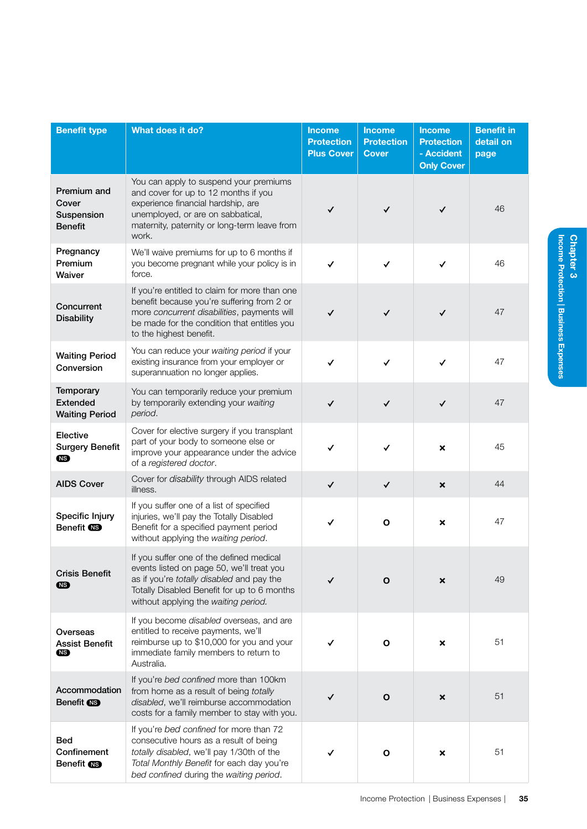| <b>Benefit type</b>                                   | What does it do?                                                                                                                                                                                                          | <b>Income</b><br><b>Protection</b><br><b>Plus Cover</b> | <b>Income</b><br><b>Protection</b><br><b>Cover</b> | <b>Income</b><br><b>Protection</b><br>- Accident<br><b>Only Cover</b> | <b>Benefit in</b><br>detail on<br>page |
|-------------------------------------------------------|---------------------------------------------------------------------------------------------------------------------------------------------------------------------------------------------------------------------------|---------------------------------------------------------|----------------------------------------------------|-----------------------------------------------------------------------|----------------------------------------|
| Premium and<br>Cover<br>Suspension<br><b>Benefit</b>  | You can apply to suspend your premiums<br>and cover for up to 12 months if you<br>experience financial hardship, are<br>unemployed, or are on sabbatical,<br>maternity, paternity or long-term leave from<br>work.        | ✓                                                       | $\checkmark$                                       | $\checkmark$                                                          | 46                                     |
| Pregnancy<br>Premium<br>Waiver                        | We'll waive premiums for up to 6 months if<br>you become pregnant while your policy is in<br>force.                                                                                                                       | ✓                                                       | $\checkmark$                                       | $\checkmark$                                                          | 46                                     |
| Concurrent<br><b>Disability</b>                       | If you're entitled to claim for more than one<br>benefit because you're suffering from 2 or<br>more concurrent disabilities, payments will<br>be made for the condition that entitles you<br>to the highest benefit.      | ✓                                                       | $\checkmark$                                       | $\checkmark$                                                          | 47                                     |
| <b>Waiting Period</b><br>Conversion                   | You can reduce your waiting period if your<br>existing insurance from your employer or<br>superannuation no longer applies.                                                                                               | ✓                                                       | $\checkmark$                                       | ✓                                                                     | 47                                     |
| Temporary<br><b>Extended</b><br><b>Waiting Period</b> | You can temporarily reduce your premium<br>by temporarily extending your waiting<br>period.                                                                                                                               | ✓                                                       | ✓                                                  | $\checkmark$                                                          | 47                                     |
| Elective<br><b>Surgery Benefit</b><br><b>NB</b>       | Cover for elective surgery if you transplant<br>part of your body to someone else or<br>improve your appearance under the advice<br>of a registered doctor.                                                               | ✓                                                       | $\checkmark$                                       | $\pmb{\times}$                                                        | 45                                     |
| <b>AIDS Cover</b>                                     | Cover for disability through AIDS related<br>illness.                                                                                                                                                                     | $\checkmark$                                            | $\checkmark$                                       | $\pmb{\times}$                                                        | 44                                     |
| Specific Injury<br>Benefit <b>NS</b>                  | If you suffer one of a list of specified<br>injuries, we'll pay the Totally Disabled<br>Benefit for a specified payment period<br>without applying the waiting period.                                                    | ✓                                                       | $\mathbf{o}$                                       | $\pmb{\times}$                                                        | 47                                     |
| <b>Crisis Benefit</b><br>(NS)                         | If you suffer one of the defined medical<br>events listed on page 50, we'll treat you<br>as if you're totally disabled and pay the<br>Totally Disabled Benefit for up to 6 months<br>without applying the waiting period. |                                                         | O                                                  | ×                                                                     | 49                                     |
| Overseas<br><b>Assist Benefit</b><br>(NS)             | If you become disabled overseas, and are<br>entitled to receive payments, we'll<br>reimburse up to \$10,000 for you and your<br>immediate family members to return to<br>Australia.                                       |                                                         | O                                                  | ×                                                                     | 51                                     |
| Accommodation<br>Benefit <b>CB</b>                    | If you're bed confined more than 100km<br>from home as a result of being totally<br>disabled, we'll reimburse accommodation<br>costs for a family member to stay with you.                                                | ✓                                                       | $\mathbf{o}$                                       | $\pmb{\times}$                                                        | 51                                     |
| <b>Bed</b><br>Confinement<br>Benefit <b>CB</b>        | If you're bed confined for more than 72<br>consecutive hours as a result of being<br>totally disabled, we'll pay 1/30th of the<br>Total Monthly Benefit for each day you're<br>bed confined during the waiting period.    | ✓                                                       | O                                                  | ×                                                                     | 51                                     |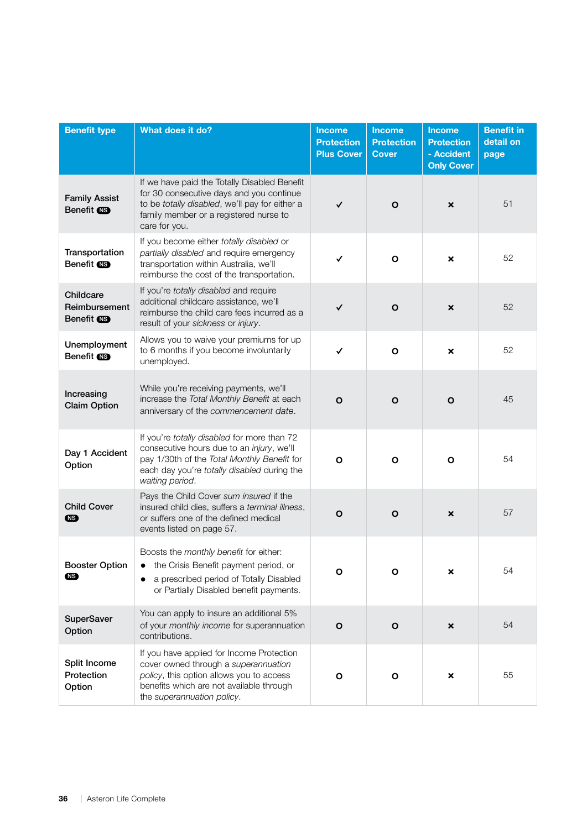| <b>Benefit type</b>                             | <b>What does it do?</b>                                                                                                                                                                                   | <b>Income</b><br><b>Protection</b><br><b>Plus Cover</b> | <b>Income</b><br><b>Protection</b><br><b>Cover</b> | <b>Income</b><br><b>Protection</b><br>- Accident<br><b>Only Cover</b> | <b>Benefit in</b><br>detail on<br>page |
|-------------------------------------------------|-----------------------------------------------------------------------------------------------------------------------------------------------------------------------------------------------------------|---------------------------------------------------------|----------------------------------------------------|-----------------------------------------------------------------------|----------------------------------------|
| <b>Family Assist</b><br>Benefit <b>NB</b>       | If we have paid the Totally Disabled Benefit<br>for 30 consecutive days and you continue<br>to be totally disabled, we'll pay for either a<br>family member or a registered nurse to<br>care for you.     | ✓                                                       | $\mathbf{o}$                                       | $\boldsymbol{\mathsf{x}}$                                             | 51                                     |
| Transportation<br>Benefit <b>NB</b>             | If you become either totally disabled or<br>partially disabled and require emergency<br>transportation within Australia, we'll<br>reimburse the cost of the transportation.                               | ✓                                                       | $\mathbf{o}$                                       | $\boldsymbol{\mathsf{x}}$                                             | 52                                     |
| Childcare<br>Reimbursement<br>Benefit <b>CB</b> | If you're totally disabled and require<br>additional childcare assistance, we'll<br>reimburse the child care fees incurred as a<br>result of your sickness or injury.                                     | ✓                                                       | $\mathbf{o}$                                       | ×                                                                     | 52                                     |
| Unemployment<br>Benefit <b>OB</b>               | Allows you to waive your premiums for up<br>to 6 months if you become involuntarily<br>unemployed.                                                                                                        | ✓                                                       | $\mathbf{o}$                                       | $\boldsymbol{\mathsf{x}}$                                             | 52                                     |
| Increasing<br><b>Claim Option</b>               | While you're receiving payments, we'll<br>increase the Total Monthly Benefit at each<br>anniversary of the commencement date.                                                                             | $\mathbf{o}$                                            | $\mathbf{o}$                                       | $\mathbf O$                                                           | 45                                     |
| Day 1 Accident<br>Option                        | If you're totally disabled for more than 72<br>consecutive hours due to an injury, we'll<br>pay 1/30th of the Total Monthly Benefit for<br>each day you're totally disabled during the<br>waiting period. | $\mathbf{o}$                                            | $\mathbf{o}$                                       | $\mathbf{o}$                                                          | 54                                     |
| <b>Child Cover</b><br>œ                         | Pays the Child Cover sum insured if the<br>insured child dies, suffers a terminal illness,<br>or suffers one of the defined medical<br>events listed on page 57.                                          | $\mathbf{o}$                                            | $\mathbf{o}$                                       | $\pmb{\times}$                                                        | 57                                     |
| <b>Booster Option</b><br>(NS)                   | Boosts the monthly benefit for either:<br>the Crisis Benefit payment period, or<br>a prescribed period of Totally Disabled<br>or Partially Disabled benefit payments.                                     | $\mathbf{o}$                                            | O                                                  | ×                                                                     | 54                                     |
| <b>SuperSaver</b><br>Option                     | You can apply to insure an additional 5%<br>of your monthly income for superannuation<br>contributions.                                                                                                   | $\mathbf{o}$                                            | $\mathbf{o}$                                       | $\pmb{\times}$                                                        | 54                                     |
| Split Income<br>Protection<br>Option            | If you have applied for Income Protection<br>cover owned through a superannuation<br>policy, this option allows you to access<br>benefits which are not available through<br>the superannuation policy.   | O                                                       | O                                                  | ×                                                                     | 55                                     |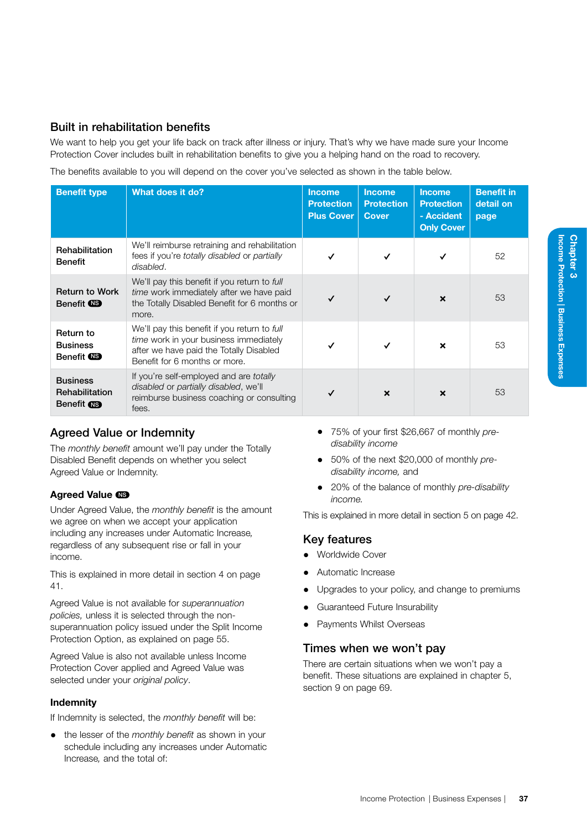We want to help you get your life back on track after illness or injury. That's why we have made sure your Income Protection Cover includes built in rehabilitation benefits to give you a helping hand on the road to recovery.

The benefits available to you will depend on the cover you've selected as shown in the table below.

| <b>Benefit type</b>                                    | What does it do?                                                                                                                                                   | <b>Income</b><br><b>Protection</b><br><b>Plus Cover</b> | <b>Income</b><br><b>Protection</b><br><b>Cover</b> | <b>Income</b><br><b>Protection</b><br>- Accident<br><b>Only Cover</b> | <b>Benefit in</b><br>detail on<br>page |
|--------------------------------------------------------|--------------------------------------------------------------------------------------------------------------------------------------------------------------------|---------------------------------------------------------|----------------------------------------------------|-----------------------------------------------------------------------|----------------------------------------|
| Rehabilitation<br><b>Benefit</b>                       | We'll reimburse retraining and rehabilitation<br>fees if you're <i>totally disabled</i> or <i>partially</i><br>disabled.                                           | ✓                                                       | ✓                                                  |                                                                       | 52                                     |
| <b>Return to Work</b><br>Benefit (NS)                  | We'll pay this benefit if you return to full<br>time work immediately after we have paid<br>the Totally Disabled Benefit for 6 months or<br>more.                  |                                                         | ✓                                                  | $\boldsymbol{\mathsf{x}}$                                             | 53                                     |
| Return to<br><b>Business</b><br>Benefit <b>NS</b>      | We'll pay this benefit if you return to full<br>time work in your business immediately<br>after we have paid the Totally Disabled<br>Benefit for 6 months or more. |                                                         | ✓                                                  | $\boldsymbol{\mathsf{x}}$                                             | 53                                     |
| <b>Business</b><br>Rehabilitation<br>Benefit <b>NS</b> | If you're self-employed and are <i>totally</i><br>disabled or partially disabled, we'll<br>reimburse business coaching or consulting<br>fees.                      |                                                         | $\boldsymbol{\mathsf{x}}$                          | $\boldsymbol{\mathsf{x}}$                                             | 53                                     |

## Agreed Value or Indemnity

The *monthly benefit* amount we'll pay under the Totally Disabled Benefit depends on whether you select Agreed Value or Indemnity.

## Agreed Value CS

Under Agreed Value, the *monthly benefit* is the amount we agree on when we accept your application including any increases under Automatic Increase*,* regardless of any subsequent rise or fall in your income.

This is explained in more detail in section 4 on page [41.](#page-46-0)

Agreed Value is not available for *superannuation policies,* unless it is selected through the nonsuperannuation policy issued under the Split Income Protection Option, as explained on page [55](#page-60-1).

Agreed Value is also not available unless Income Protection Cover applied and Agreed Value was selected under your *original policy*.

## Indemnity

If Indemnity is selected, the *monthly benefit* will be:

• the lesser of the *monthly benefit* as shown in your schedule including any increases under Automatic Increase*,* and the total of:

- 75% of your first \$26,667 of monthly *predisability income*
- 50% of the next \$20,000 of monthly *predisability income,* and
- 20% of the balance of monthly *pre-disability income.*

This is explained in more detail in section 5 on page [42](#page-47-1).

## Key features

- Worldwide Cover
- Automatic Increase
- Upgrades to your policy, and change to premiums
- Guaranteed Future Insurability
- Payments Whilst Overseas

## Times when we won't pay

There are certain situations when we won't pay a benefit. These situations are explained in chapter 5, section 9 on page 69.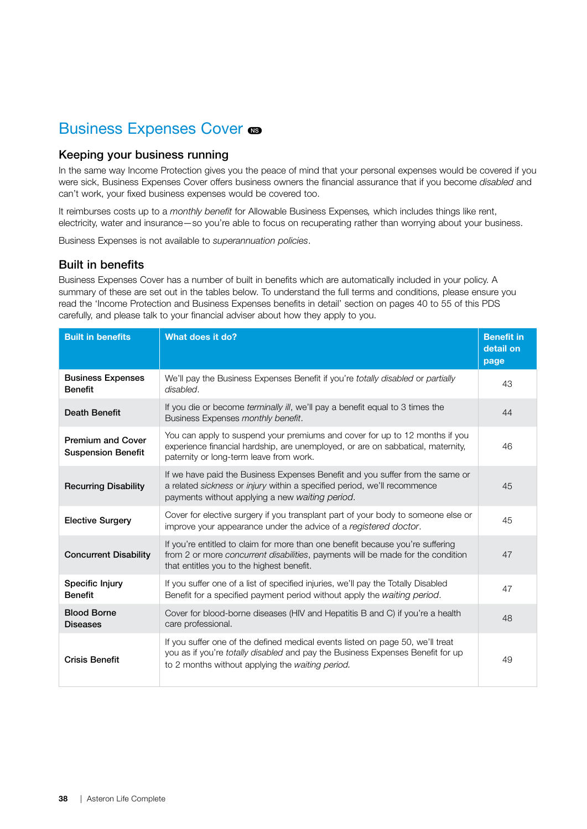## Business Expenses Cover  $\bullet$

## Keeping your business running

In the same way Income Protection gives you the peace of mind that your personal expenses would be covered if you were sick, Business Expenses Cover offers business owners the financial assurance that if you become *disabled* and can't work, your fixed business expenses would be covered too.

It reimburses costs up to a *monthly benefit* for Allowable Business Expenses*,* which includes things like rent, electricity, water and insurance—so you're able to focus on recuperating rather than worrying about your business.

Business Expenses is not available to *superannuation policies*.

## Built in benefits

Business Expenses Cover has a number of built in benefits which are automatically included in your policy. A summary of these are set out in the tables below. To understand the full terms and conditions, please ensure you read the 'Income Protection and Business Expenses benefits in detail' section on pages 40 to [55](#page-60-0) of this PDS carefully, and please talk to your financial adviser about how they apply to you.

| <b>Built in benefits</b>                              | What does it do?                                                                                                                                                                                                     | <b>Benefit in</b><br>detail on<br>page |
|-------------------------------------------------------|----------------------------------------------------------------------------------------------------------------------------------------------------------------------------------------------------------------------|----------------------------------------|
| <b>Business Expenses</b><br><b>Benefit</b>            | We'll pay the Business Expenses Benefit if you're totally disabled or partially<br>disabled.                                                                                                                         | 43                                     |
| <b>Death Benefit</b>                                  | If you die or become terminally ill, we'll pay a benefit equal to 3 times the<br>Business Expenses monthly benefit.                                                                                                  | 44                                     |
| <b>Premium and Cover</b><br><b>Suspension Benefit</b> | You can apply to suspend your premiums and cover for up to 12 months if you<br>experience financial hardship, are unemployed, or are on sabbatical, maternity,<br>paternity or long-term leave from work.            | 46                                     |
| <b>Recurring Disability</b>                           | If we have paid the Business Expenses Benefit and you suffer from the same or<br>a related sickness or injury within a specified period, we'll recommence<br>payments without applying a new waiting period.         | 45                                     |
| <b>Elective Surgery</b>                               | Cover for elective surgery if you transplant part of your body to someone else or<br>improve your appearance under the advice of a registered doctor.                                                                | 45                                     |
| <b>Concurrent Disability</b>                          | If you're entitled to claim for more than one benefit because you're suffering<br>from 2 or more concurrent disabilities, payments will be made for the condition<br>that entitles you to the highest benefit.       | 47                                     |
| Specific Injury<br><b>Benefit</b>                     | If you suffer one of a list of specified injuries, we'll pay the Totally Disabled<br>Benefit for a specified payment period without apply the waiting period.                                                        | 47                                     |
| <b>Blood Borne</b><br><b>Diseases</b>                 | Cover for blood-borne diseases (HIV and Hepatitis B and C) if you're a health<br>care professional.                                                                                                                  | 48                                     |
| <b>Crisis Benefit</b>                                 | If you suffer one of the defined medical events listed on page 50, we'll treat<br>you as if you're totally disabled and pay the Business Expenses Benefit for up<br>to 2 months without applying the waiting period. | 49                                     |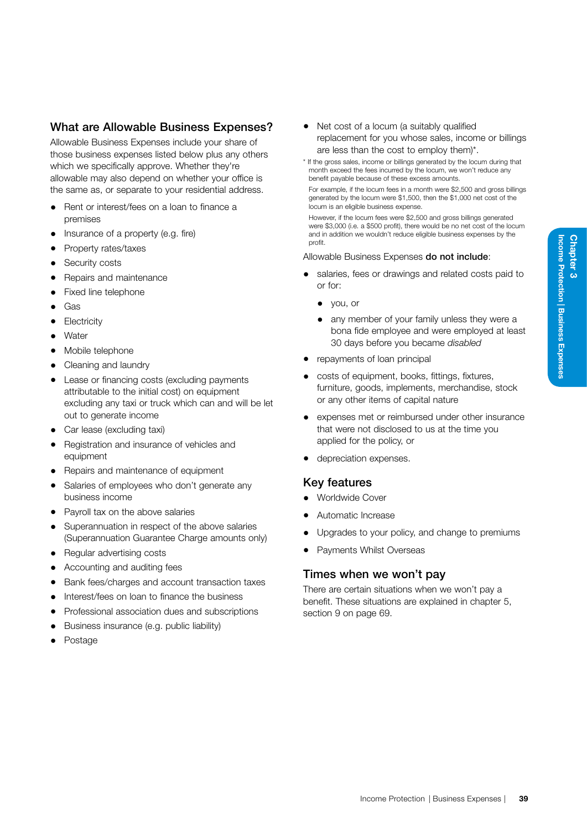## What are Allowable Business Expenses?

Allowable Business Expenses include your share of those business expenses listed below plus any others which we specifically approve. Whether they're allowable may also depend on whether your office is the same as, or separate to your residential address.

- Rent or interest/fees on a loan to finance a premises
- Insurance of a property (e.g. fire)
- Property rates/taxes
- Security costs
- Repairs and maintenance
- Fixed line telephone
- Gas
- **Electricity**
- Water
- Mobile telephone
- Cleaning and laundry
- Lease or financing costs (excluding payments attributable to the initial cost) on equipment excluding any taxi or truck which can and will be let out to generate income
- Car lease (excluding taxi)
- Registration and insurance of vehicles and equipment
- Repairs and maintenance of equipment
- Salaries of employees who don't generate any business income
- Payroll tax on the above salaries
- Superannuation in respect of the above salaries (Superannuation Guarantee Charge amounts only)
- Regular advertising costs
- Accounting and auditing fees
- Bank fees/charges and account transaction taxes
- Interest/fees on loan to finance the business
- Professional association dues and subscriptions
- Business insurance (e.g. public liability)
- Postage
- Net cost of a locum (a suitably qualified replacement for you whose sales, income or billings are less than the cost to employ them)\*.
- \* If the gross sales, income or billings generated by the locum during that month exceed the fees incurred by the locum, we won't reduce any benefit payable because of these excess amounts.

For example, if the locum fees in a month were \$2,500 and gross billings generated by the locum were \$1,500, then the \$1,000 net cost of the locum is an eligible business expense.

However, if the locum fees were \$2,500 and gross billings generated were \$3,000 (i.e. a \$500 profit), there would be no net cost of the locum and in addition we wouldn't reduce eligible business expenses by the profit.

#### Allowable Business Expenses do not include:

- salaries, fees or drawings and related costs paid to or for:
	- you, or
	- any member of your family unless they were a bona fide employee and were employed at least 30 days before you became *disabled*
- repayments of loan principal
- costs of equipment, books, fittings, fixtures, furniture, goods, implements, merchandise, stock or any other items of capital nature
- expenses met or reimbursed under other insurance that were not disclosed to us at the time you applied for the policy, or
- depreciation expenses.

## Key features

- Worldwide Cover
- Automatic Increase
- Upgrades to your policy, and change to premiums
- Payments Whilst Overseas

## Times when we won't pay

There are certain situations when we won't pay a benefit. These situations are explained in chapter 5, section 9 on page 69.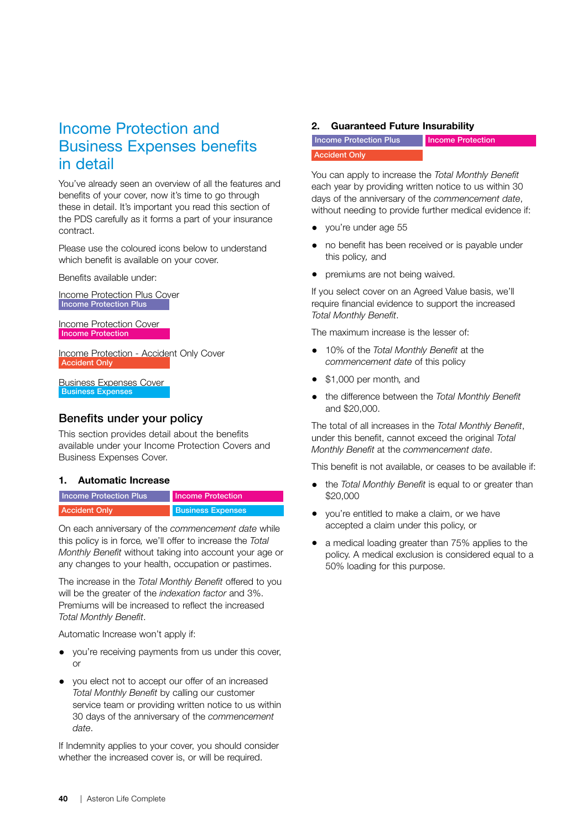## Income Protection and Business Expenses benefits in detail

You've already seen an overview of all the features and benefits of your cover, now it's time to go through these in detail. It's important you read this section of the PDS carefully as it forms a part of your insurance contract.

Please use the coloured icons below to understand which benefit is available on your cover.

Benefits available under:

Income Protection Plus Cover Income Protection Plus

Income Protection Cover Income Protection

Income Protection - Accident Only Cover Accident Only

Business Expenses Cover Business Expenses

## Benefits under your policy

This section provides detail about the benefits available under your Income Protection Covers and Business Expenses Cover.

## 1. Automatic Increase

| <b>Income Protection Plus</b> | <b>Income Protection</b> |
|-------------------------------|--------------------------|
| <b>Accident Only</b>          | <b>Business Expenses</b> |

On each anniversary of the *commencement date* while this policy is in force*,* we'll offer to increase the *Total Monthly Benefit* without taking into account your age or any changes to your health, occupation or pastimes.

The increase in the *Total Monthly Benefit* offered to you will be the greater of the *indexation factor* and 3%. Premiums will be increased to reflect the increased *Total Monthly Benefit*.

Automatic Increase won't apply if:

- you're receiving payments from us under this cover, or
- you elect not to accept our offer of an increased *Total Monthly Benefit* by calling our customer service team or providing written notice to us within 30 days of the anniversary of the *commencement date*.

If Indemnity applies to your cover, you should consider whether the increased cover is, or will be required.

## 2. Guaranteed Future Insurability

**Income Protection Plus** Accident Only Income Protection

You can apply to increase the *Total Monthly Benefit*  each year by providing written notice to us within 30 days of the anniversary of the *commencement date*, without needing to provide further medical evidence if:

- you're under age 55
- no benefit has been received or is payable under this policy*,* and
- premiums are not being waived.

If you select cover on an Agreed Value basis, we'll require financial evidence to support the increased *Total Monthly Benefit*.

The maximum increase is the lesser of:

- 10% of the *Total Monthly Benefit* at the *commencement date* of this policy
- \$1,000 per month*,* and
- the difference between the *Total Monthly Benefit*  and \$20,000.

The total of all increases in the *Total Monthly Benefit*, under this benefit, cannot exceed the original *Total Monthly Benefit* at the *commencement date*.

This benefit is not available, or ceases to be available if:

- the *Total Monthly Benefit* is equal to or greater than \$20,000
- you're entitled to make a claim, or we have accepted a claim under this policy, or
- a medical loading greater than 75% applies to the policy. A medical exclusion is considered equal to a 50% loading for this purpose.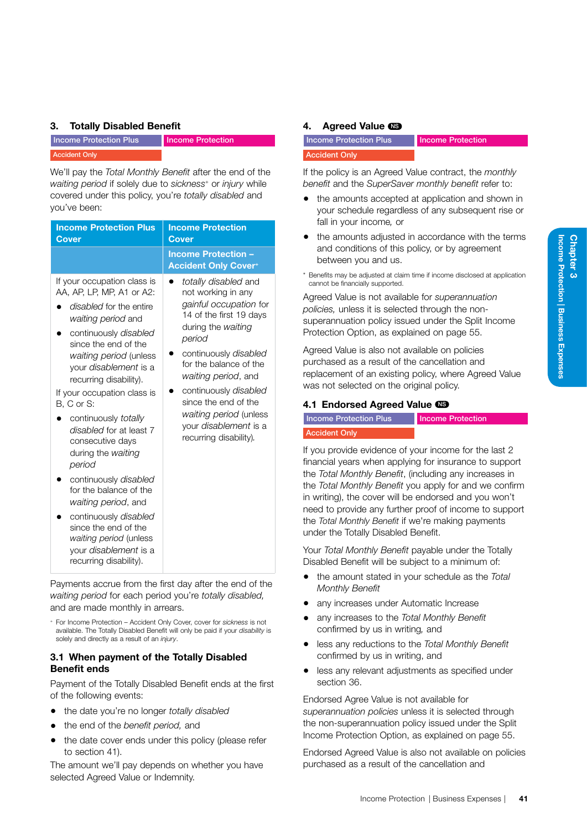## 3. Totally Disabled Benefit

|                      | <b>Income Protection Plus</b> |  |
|----------------------|-------------------------------|--|
| <b>Accident Only</b> |                               |  |

Income Protection

We'll pay the *Total Monthly Benefit* after the end of the *waiting period* if solely due to *sickness+* or *injury* while covered under this policy, you're *totally disabled* and you've been:

| <b>Income Protection Plus</b><br><b>Cover</b>                                                                                                                                                                                                                                                                                                                                                                                                                                                                                                                                                              | <b>Income Protection</b><br><b>Cover</b>                                                                                                                                                                                                                                                                                                       |
|------------------------------------------------------------------------------------------------------------------------------------------------------------------------------------------------------------------------------------------------------------------------------------------------------------------------------------------------------------------------------------------------------------------------------------------------------------------------------------------------------------------------------------------------------------------------------------------------------------|------------------------------------------------------------------------------------------------------------------------------------------------------------------------------------------------------------------------------------------------------------------------------------------------------------------------------------------------|
|                                                                                                                                                                                                                                                                                                                                                                                                                                                                                                                                                                                                            | <b>Income Protection -</b><br><b>Accident Only Cover+</b>                                                                                                                                                                                                                                                                                      |
| If your occupation class is<br>AA, AP, LP, MP, A1 or A2:<br>disabled for the entire<br>waiting period and<br>continuously disabled<br>since the end of the<br>waiting period (unless<br>your <i>disablement</i> is a<br>recurring disability).<br>If your occupation class is<br>B, C or S:<br>continuously totally<br>disabled for at least 7<br>consecutive days<br>during the waiting<br>period<br>continuously disabled<br>for the balance of the<br>waiting period, and<br>continuously disabled<br>since the end of the<br>waiting period (unless<br>your disablement is a<br>recurring disability). | totally disabled and<br>not working in any<br>gainful occupation for<br>14 of the first 19 days<br>during the waiting<br>period<br>continuously disabled<br>for the balance of the<br>waiting period, and<br>continuously disabled<br>since the end of the<br>waiting period (unless<br>your <i>disablement</i> is a<br>recurring disability). |

Payments accrue from the first day after the end of the *waiting period* for each period you're *totally disabled,*  and are made monthly in arrears.

<sup>+</sup> For Income Protection – Accident Only Cover, cover for *sickness* is not available. The Totally Disabled Benefit will only be paid if your *disability* is solely and directly as a result of an *injury*.

## 3.1 When payment of the Totally Disabled Benefit ends

Payment of the Totally Disabled Benefit ends at the first of the following events:

- the date you're no longer *totally disabled*
- the end of the *benefit period,* and
- the date cover ends under this policy (please refer to section 41).

The amount we'll pay depends on whether you have selected Agreed Value or Indemnity.

## <span id="page-46-0"></span>4. Agreed Value **IS**

Income Protection Plus Accident Only

Income Protection

If the policy is an Agreed Value contract, the *monthly benefit* and the *SuperSaver monthly benefit* refer to:

- the amounts accepted at application and shown in your schedule regardless of any subsequent rise or fall in your income*,* or
- the amounts adjusted in accordance with the terms and conditions of this policy, or by agreement between you and us.
- \* Benefits may be adjusted at claim time if income disclosed at application cannot be financially supported.

Agreed Value is not available for *superannuation policies,* unless it is selected through the nonsuperannuation policy issued under the Split Income Protection Option, as explained on page [55.](#page-60-1)

Agreed Value is also not available on policies purchased as a result of the cancellation and replacement of an existing policy, where Agreed Value was not selected on the original policy.

## 4.1 Endorsed Agreed Value CS

| <b>Income Protection Plus</b> | Income Protection |
|-------------------------------|-------------------|
| <b>Accident Only</b>          |                   |

If you provide evidence of your income for the last 2 financial years when applying for insurance to support the *Total Monthly Benefit*, (including any increases in the *Total Monthly Benefit* you apply for and we confirm in writing), the cover will be endorsed and you won't need to provide any further proof of income to support the *Total Monthly Benefit* if we're making payments under the Totally Disabled Benefit.

Your *Total Monthly Benefit* payable under the Totally Disabled Benefit will be subject to a minimum of:

- the amount stated in your schedule as the *Total Monthly Benefit*
- any increases under Automatic Increase
- any increases to the *Total Monthly Benefit*  confirmed by us in writing*,* and
- less any reductions to the *Total Monthly Benefit*  confirmed by us in writing, and
- less any relevant adjustments as specified under section 36.

Endorsed Agree Value is not available for *superannuation policies* unless it is selected through the non-superannuation policy issued under the Split Income Protection Option, as explained on page [55.](#page-60-1)

Endorsed Agreed Value is also not available on policies purchased as a result of the cancellation and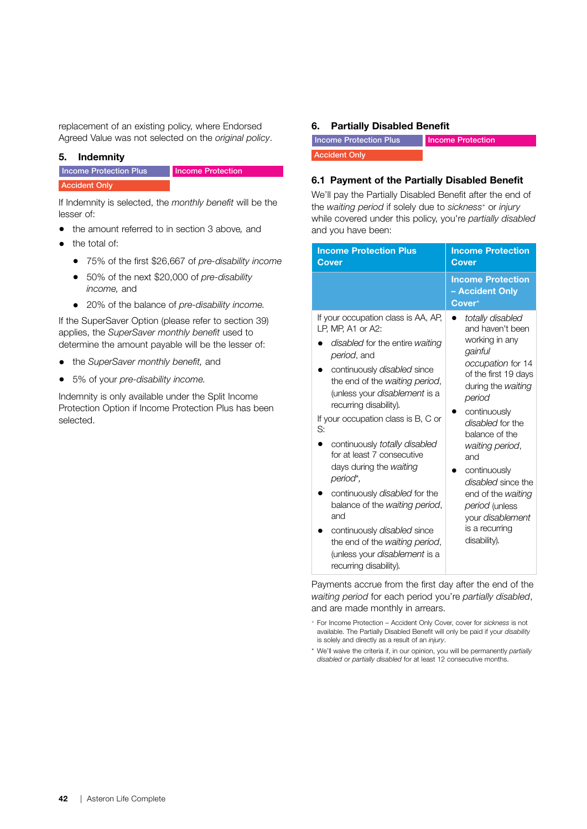replacement of an existing policy, where Endorsed Agreed Value was not selected on the *original policy*.

## <span id="page-47-1"></span>5. Indemnity

#### **Income Protection Plus** Income Protection

Accident Only

If Indemnity is selected, the *monthly benefit* will be the lesser of:

- the amount referred to in section 3 above*,* and
- the total of:
	- 75% of the first \$26,667 of *pre-disability income*
	- 50% of the next \$20,000 of *pre-disability income,* and
	- 20% of the balance of *pre-disability income.*

If the SuperSaver Option (please refer to section 39) applies, the *SuperSaver monthly benefit* used to determine the amount payable will be the lesser of:

- the *SuperSaver monthly benefit,* and
- 5% of your *pre-disability income.*

Indemnity is only available under the Split Income Protection Option if Income Protection Plus has been selected.

#### <span id="page-47-0"></span>6. Partially Disabled Benefit

| Income Protection Plus | Income Protection |
|------------------------|-------------------|
| <b>Accident Only</b>   |                   |

## 6.1 Payment of the Partially Disabled Benefit

We'll pay the Partially Disabled Benefit after the end of the *waiting period* if solely due to *sickness+* or *injury* while covered under this policy, you're *partially disabled* and you have been:

| <b>Income Protection Plus</b><br><b>Cover</b>                                                                                                                                                                                                                                                                                                                                                                                                                                                                                                                                                                        | <b>Income Protection</b><br><b>Cover</b>                                                                                                                                                                                                                                                                                                                           |  |
|----------------------------------------------------------------------------------------------------------------------------------------------------------------------------------------------------------------------------------------------------------------------------------------------------------------------------------------------------------------------------------------------------------------------------------------------------------------------------------------------------------------------------------------------------------------------------------------------------------------------|--------------------------------------------------------------------------------------------------------------------------------------------------------------------------------------------------------------------------------------------------------------------------------------------------------------------------------------------------------------------|--|
|                                                                                                                                                                                                                                                                                                                                                                                                                                                                                                                                                                                                                      | <b>Income Protection</b><br>- Accident Only<br>Cover <sup>+</sup>                                                                                                                                                                                                                                                                                                  |  |
| If your occupation class is AA, AP,<br>LP. MP. A1 or A2:<br>disabled for the entire waiting<br>period, and<br>continuously disabled since<br>the end of the waiting period,<br>(unless your <i>disablement</i> is a<br>recurring disability).<br>If your occupation class is B, C or<br>S:<br>continuously totally disabled<br>for at least 7 consecutive<br>days during the waiting<br>period*,<br>continuously <i>disabled</i> for the<br>balance of the waiting period,<br>and<br>continuously disabled since<br>the end of the waiting period,<br>(unless your <i>disablement</i> is a<br>recurring disability). | totally disabled<br>and haven't been<br>working in any<br>gainful<br>occupation for 14<br>of the first 19 days<br>during the waiting<br>period<br>continuously<br>disabled for the<br>balance of the<br>waiting period,<br>and<br>continuously<br>disabled since the<br>end of the waiting<br>period (unless<br>your disablement<br>is a recurring<br>disability). |  |

Payments accrue from the first day after the end of the *waiting period* for each period you're *partially disabled*, and are made monthly in arrears.

\* We'll waive the criteria if, in our opinion, you will be permanently *partially disabled* or *partially disabled* for at least 12 consecutive months.

<sup>+</sup> For Income Protection – Accident Only Cover, cover for *sickness* is not available. The Partially Disabled Benefit will only be paid if your *disability* is solely and directly as a result of an *injury*.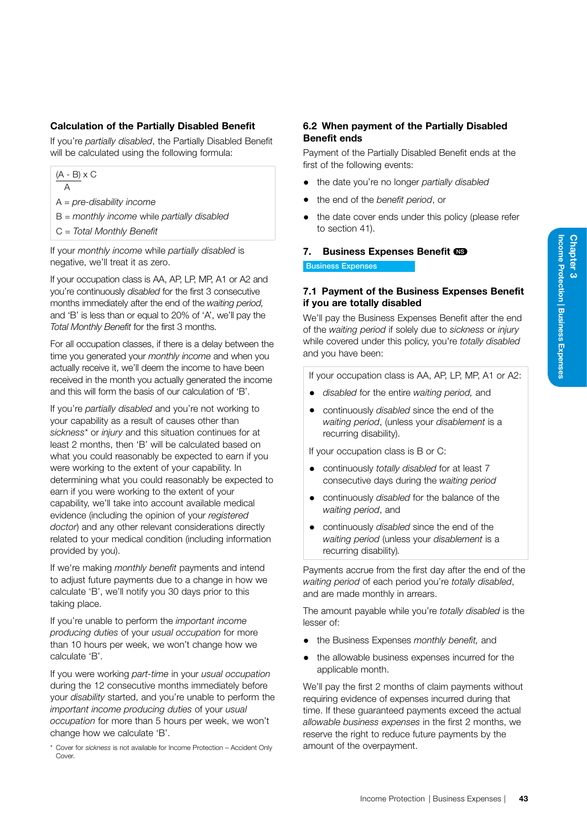## Calculation of the Partially Disabled Benefit

If you're *partially disabled*, the Partially Disabled Benefit will be calculated using the following formula:

 $(A - B) \times C$ 

A

A = *pre-disability income*

- B = *monthly income* while *partially disabled*
- C = *Total Monthly Benefit*

If your *monthly income* while *partially disabled* is negative, we'll treat it as zero.

If your occupation class is AA, AP, LP, MP, A1 or A2 and you're continuously *disabled* for the first 3 consecutive months immediately after the end of the *waiting period,*  and 'B' is less than or equal to 20% of 'A', we'll pay the *Total Monthly Benefit* for the first 3 months.

For all occupation classes, if there is a delay between the time you generated your *monthly income* and when you actually receive it, we'll deem the income to have been received in the month you actually generated the income and this will form the basis of our calculation of 'B'.

If you're *partially disabled* and you're not working to your capability as a result of causes other than *sickness\** or *injury* and this situation continues for at least 2 months, then 'B' will be calculated based on what you could reasonably be expected to earn if you were working to the extent of your capability. In determining what you could reasonably be expected to earn if you were working to the extent of your capability, we'll take into account available medical evidence (including the opinion of your *registered doctor*) and any other relevant considerations directly related to your medical condition (including information provided by you).

If we're making *monthly benefit* payments and intend to adjust future payments due to a change in how we calculate 'B', we'll notify you 30 days prior to this taking place.

If you're unable to perform the *important income producing duties* of your *usual occupation* for more than 10 hours per week, we won't change how we calculate 'B'.

If you were working *part-time* in your *usual occupation*  during the 12 consecutive months immediately before your *disability* started, and you're unable to perform the *important income producing duties* of your *usual occupation* for more than 5 hours per week, we won't change how we calculate 'B'.

\* Cover for *sickness* is not available for Income Protection – Accident Only **Cover.** 

## 6.2 When payment of the Partially Disabled Benefit ends

Payment of the Partially Disabled Benefit ends at the first of the following events:

- the date you're no longer *partially disabled*
- the end of the *benefit period*, or
- the date cover ends under this policy (please refer to section 41).

## <span id="page-48-0"></span>7. Business Expenses Benefit CS

Business Expenses

## 7.1 Payment of the Business Expenses Benefit if you are totally disabled

We'll pay the Business Expenses Benefit after the end of the *waiting period* if solely due to *sickness* or *injury* while covered under this policy, you're *totally disabled* and you have been:

If your occupation class is AA, AP, LP, MP, A1 or A2:

- *disabled* for the entire *waiting period,* and
- continuously *disabled* since the end of the *waiting period*, (unless your *disablement* is a recurring disability).

If your occupation class is B or C:

- continuously *totally disabled* for at least 7 consecutive days during the *waiting period*
- continuously *disabled* for the balance of the *waiting period*, and
- continuously *disabled* since the end of the *waiting period* (unless your *disablement* is a recurring disability)*.*

Payments accrue from the first day after the end of the *waiting period* of each period you're *totally disabled*, and are made monthly in arrears.

The amount payable while you're *totally disabled* is the lesser of:

- the Business Expenses *monthly benefit,* and
- the allowable business expenses incurred for the applicable month.

We'll pay the first 2 months of claim payments without requiring evidence of expenses incurred during that time. If these guaranteed payments exceed the actual *allowable business expenses* in the first 2 months, we reserve the right to reduce future payments by the amount of the overpayment.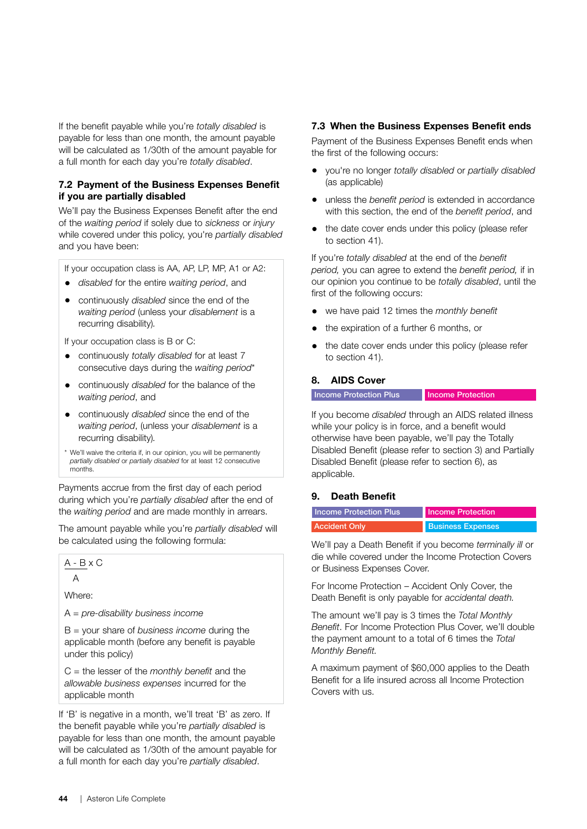If the benefit payable while you're *totally disabled* is payable for less than one month, the amount payable will be calculated as 1/30th of the amount payable for a full month for each day you're *totally disabled*.

## 7.2 Payment of the Business Expenses Benefit if you are partially disabled

We'll pay the Business Expenses Benefit after the end of the *waiting period* if solely due to *sickness* or *injury* while covered under this policy, you're *partially disabled* and you have been:

If your occupation class is AA, AP, LP, MP, A1 or A2:

- *disabled* for the entire *waiting period*, and
- continuously *disabled* since the end of the *waiting period* (unless your *disablement* is a recurring disability)*.*

If your occupation class is B or C:

- continuously *totally disabled* for at least 7 consecutive days during the *waiting period*\*
- continuously *disabled* for the balance of the *waiting period*, and
- continuously *disabled* since the end of the *waiting period*, (unless your *disablement* is a recurring disability)*.*
- \* We'll waive the criteria if, in our opinion, you will be permanently *partially disabled* or *partially disabled* for at least 12 consecutive months.

Payments accrue from the first day of each period during which you're *partially disabled* after the end of the *waiting period* and are made monthly in arrears.

The amount payable while you're *partially disabled* will be calculated using the following formula:

 $A - B \times C$ 

A

Where:

A = *pre-disability business income*

B = your share of *business income* during the applicable month (before any benefit is payable under this policy)

C = the lesser of the *monthly benefit* and the *allowable business expenses* incurred for the applicable month

If 'B' is negative in a month, we'll treat 'B' as zero. If the benefit payable while you're *partially disabled* is payable for less than one month, the amount payable will be calculated as 1/30th of the amount payable for a full month for each day you're *partially disabled*.

#### 7.3 When the Business Expenses Benefit ends

Payment of the Business Expenses Benefit ends when the first of the following occurs:

- you're no longer *totally disabled* or *partially disabled* (as applicable)
- unless the *benefit period* is extended in accordance with this section, the end of the *benefit period*, and
- the date cover ends under this policy (please refer to section 41).

If you're *totally disabled* at the end of the *benefit period,* you can agree to extend the *benefit period,* if in our opinion you continue to be *totally disabled*, until the first of the following occurs:

- we have paid 12 times the *monthly benefit*
- the expiration of a further 6 months, or
- the date cover ends under this policy (please refer to section 41).

#### <span id="page-49-1"></span>8. AIDS Cover

**Income Protection Plus Income Protection** 

If you become *disabled* through an AIDS related illness while your policy is in force, and a benefit would otherwise have been payable, we'll pay the Totally Disabled Benefit (please refer to section 3) and Partially Disabled Benefit (please refer to section 6), as applicable.

#### <span id="page-49-0"></span>9. Death Benefit

| Income Protection Plus | Income Protection        |  |
|------------------------|--------------------------|--|
| <b>Accident Only</b>   | <b>Business Expenses</b> |  |

We'll pay a Death Benefit if you become *terminally ill* or die while covered under the Income Protection Covers or Business Expenses Cover.

For Income Protection – Accident Only Cover, the Death Benefit is only payable for *accidental death.*

The amount we'll pay is 3 times the *Total Monthly Benefit*. For Income Protection Plus Cover, we'll double the payment amount to a total of 6 times the *Total Monthly Benefit.*

A maximum payment of \$60,000 applies to the Death Benefit for a life insured across all Income Protection Covers with us.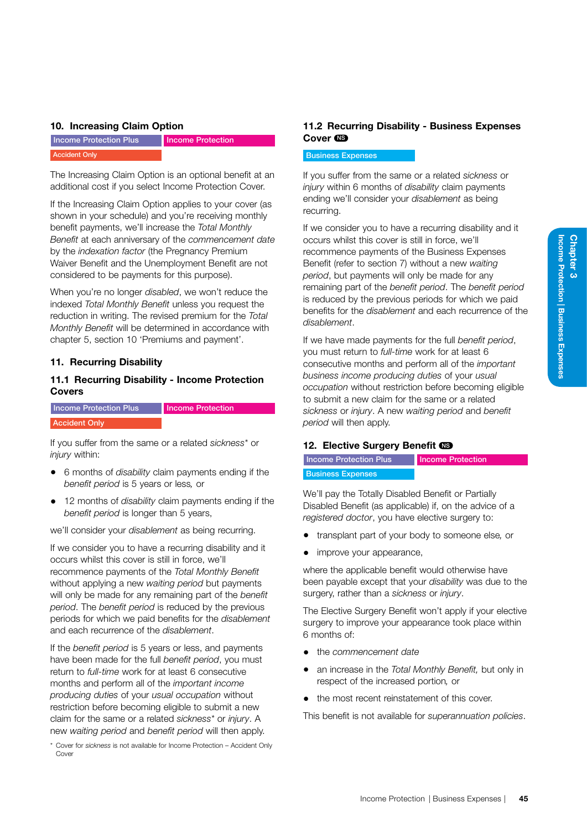#### <span id="page-50-2"></span>10. Increasing Claim Option

Income Protection Plus Accident Only

Income Protection

The Increasing Claim Option is an optional benefit at an additional cost if you select Income Protection Cover.

If the Increasing Claim Option applies to your cover (as shown in your schedule) and you're receiving monthly benefit payments, we'll increase the *Total Monthly Benefit* at each anniversary of the *commencement date* by the *indexation factor* (the Pregnancy Premium Waiver Benefit and the Unemployment Benefit are not considered to be payments for this purpose).

When you're no longer *disabled*, we won't reduce the indexed *Total Monthly Benefit* unless you request the reduction in writing. The revised premium for the *Total Monthly Benefit* will be determined in accordance with chapter 5, section 10 'Premiums and payment'.

#### <span id="page-50-0"></span>11. Recurring Disability

## 11.1 Recurring Disability - Income Protection Covers

Income Protection Plus Accident Only Income Protection

If you suffer from the same or a related *sickness\** or *injury* within:

- 6 months of *disability* claim payments ending if the *benefit period* is 5 years or less*,* or
- 12 months of *disability* claim payments ending if the *benefit period* is longer than 5 years,

we'll consider your *disablement* as being recurring.

If we consider you to have a recurring disability and it occurs whilst this cover is still in force, we'll recommence payments of the *Total Monthly Benefit*  without applying a new *waiting period* but payments will only be made for any remaining part of the *benefit period*. The *benefit period* is reduced by the previous periods for which we paid benefits for the *disablement*  and each recurrence of the *disablement*.

If the *benefit period* is 5 years or less, and payments have been made for the full *benefit period*, you must return to *full-time* work for at least 6 consecutive months and perform all of the *important income producing duties* of your *usual occupation* without restriction before becoming eligible to submit a new claim for the same or a related *sickness\** or *injury*. A new *waiting period* and *benefit period* will then apply.

\* Cover for *sickness* is not available for Income Protection – Accident Only Cover

## 11.2 Recurring Disability - Business Expenses Cover C<sub>B</sub>

#### Business Expenses

If you suffer from the same or a related *sickness* or *injury* within 6 months of *disability* claim payments ending we'll consider your *disablement* as being recurring.

If we consider you to have a recurring disability and it occurs whilst this cover is still in force, we'll recommence payments of the Business Expenses Benefit (refer to section 7) without a new *waiting period*, but payments will only be made for any remaining part of the *benefit period*. The *benefit period*  is reduced by the previous periods for which we paid benefits for the *disablement* and each recurrence of the *disablement*.

If we have made payments for the full *benefit period*, you must return to *full-time* work for at least 6 consecutive months and perform all of the *important business income producing duties* of your *usual occupation* without restriction before becoming eligible to submit a new claim for the same or a related *sickness* or *injury*. A new *waiting period* and *benefit period* will then apply.

#### <span id="page-50-1"></span>12. Elective Surgery Benefit CO

| <b>Income Protection Plus</b> | Income Protec |
|-------------------------------|---------------|
| <b>Business Expenses</b>      |               |

We'll pay the Totally Disabled Benefit or Partially Disabled Benefit (as applicable) if, on the advice of a *registered doctor*, you have elective surgery to:

tion

- transplant part of your body to someone else*,* or
- improve your appearance,

where the applicable benefit would otherwise have been payable except that your *disability* was due to the surgery, rather than a *sickness* or *injury*.

The Elective Surgery Benefit won't apply if your elective surgery to improve your appearance took place within 6 months of:

- the *commencement date*
- an increase in the *Total Monthly Benefit,* but only in respect of the increased portion*,* or
- the most recent reinstatement of this cover.

This benefit is not available for *superannuation policies*.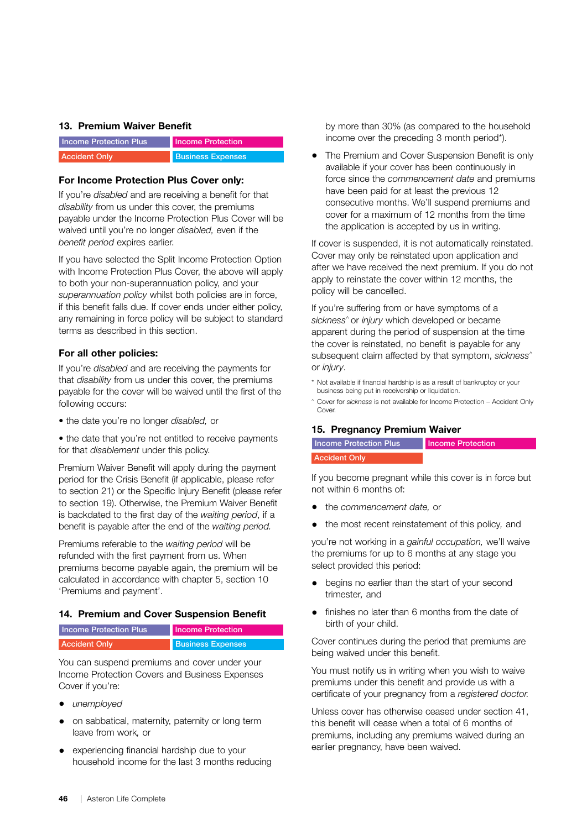#### <span id="page-51-0"></span>13. Premium Waiver Benefit

| <b>Income Protection Plus</b> | Income Protection        |
|-------------------------------|--------------------------|
| <b>Accident Only</b>          | <b>Business Expenses</b> |

#### For Income Protection Plus Cover only:

If you're *disabled* and are receiving a benefit for that *disability* from us under this cover, the premiums payable under the Income Protection Plus Cover will be waived until you're no longer *disabled,* even if the *benefit period* expires earlier.

If you have selected the Split Income Protection Option with Income Protection Plus Cover, the above will apply to both your non-superannuation policy, and your *superannuation policy* whilst both policies are in force, if this benefit falls due. If cover ends under either policy, any remaining in force policy will be subject to standard terms as described in this section.

## For all other policies:

If you're *disabled* and are receiving the payments for that *disability* from us under this cover, the premiums payable for the cover will be waived until the first of the following occurs:

• the date you're no longer *disabled,* or

• the date that you're not entitled to receive payments for that *disablement* under this policy.

Premium Waiver Benefit will apply during the payment period for the Crisis Benefit (if applicable, please refer to section 21) or the Specific Injury Benefit (please refer to section 19). Otherwise, the Premium Waiver Benefit is backdated to the first day of the *waiting period*, if a benefit is payable after the end of the *waiting period.*

Premiums referable to the *waiting period* will be refunded with the first payment from us. When premiums become payable again, the premium will be calculated in accordance with chapter 5, section 10 'Premiums and payment'.

## <span id="page-51-1"></span>14. Premium and Cover Suspension Benefit

| <b>Income Protection Plus</b> | <b>Income Protection</b> |
|-------------------------------|--------------------------|
| <b>Accident Only</b>          | <b>Business Expenses</b> |

You can suspend premiums and cover under your Income Protection Covers and Business Expenses Cover if you're:

- *unemployed*
- on sabbatical, maternity, paternity or long term leave from work*,* or
- experiencing financial hardship due to your household income for the last 3 months reducing

by more than 30% (as compared to the household income over the preceding 3 month period\*).

• The Premium and Cover Suspension Benefit is only available if your cover has been continuously in force since the *commencement date* and premiums have been paid for at least the previous 12 consecutive months. We'll suspend premiums and cover for a maximum of 12 months from the time the application is accepted by us in writing.

If cover is suspended, it is not automatically reinstated. Cover may only be reinstated upon application and after we have received the next premium. If you do not apply to reinstate the cover within 12 months, the policy will be cancelled.

If you're suffering from or have symptoms of a *sickness*^ or *injury* which developed or became apparent during the period of suspension at the time the cover is reinstated, no benefit is payable for any subsequent claim affected by that symptom, *sickness*^ or *injury*.

- Not available if financial hardship is as a result of bankruptcy or your business being put in receivership or liquidation.
- ^ Cover for *sickness* is not available for Income Protection Accident Only Cover

## <span id="page-51-2"></span>15. Pregnancy Premium Waiver

Income Protection Plus Income Protection

#### Accident Only

If you become pregnant while this cover is in force but not within 6 months of:

- the *commencement date,* or
- the most recent reinstatement of this policy*,* and

you're not working in a *gainful occupation,* we'll waive the premiums for up to 6 months at any stage you select provided this period:

- begins no earlier than the start of your second trimester*,* and
- finishes no later than 6 months from the date of birth of your child.

Cover continues during the period that premiums are being waived under this benefit.

You must notify us in writing when you wish to waive premiums under this benefit and provide us with a certificate of your pregnancy from a *registered doctor.*

Unless cover has otherwise ceased under section 41, this benefit will cease when a total of 6 months of premiums, including any premiums waived during an earlier pregnancy, have been waived.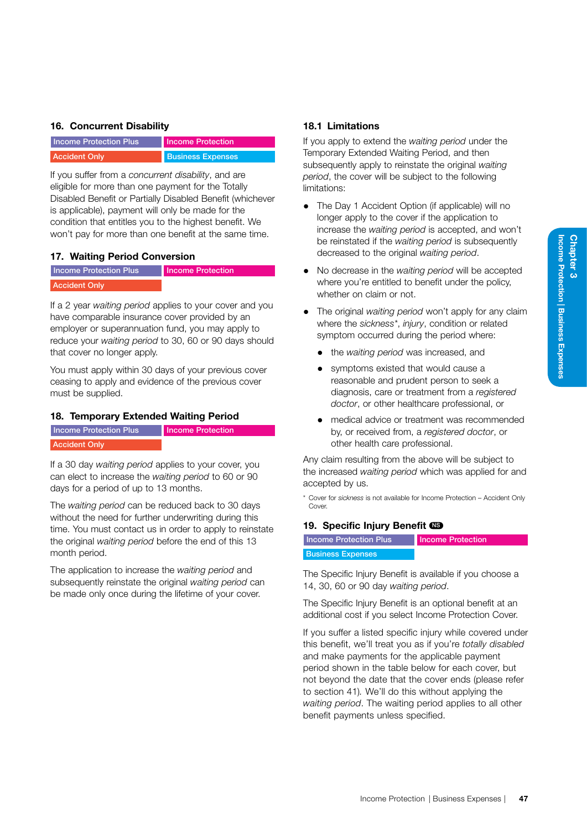## <span id="page-52-0"></span>16. Concurrent Disability

| <b>Income Protection Plus</b> | <b>Income Protection</b> |
|-------------------------------|--------------------------|
| <b>Accident Only</b>          | <b>Business Expenses</b> |

If you suffer from a *concurrent disability*, and are eligible for more than one payment for the Totally Disabled Benefit or Partially Disabled Benefit (whichever is applicable), payment will only be made for the condition that entitles you to the highest benefit. We won't pay for more than one benefit at the same time.

## 17. Waiting Period Conversion

| Income Protection Plus | <b>Income Protection</b> |
|------------------------|--------------------------|
| <b>Accident Only</b>   |                          |

If a 2 year *waiting period* applies to your cover and you have comparable insurance cover provided by an employer or superannuation fund, you may apply to reduce your *waiting period* to 30, 60 or 90 days should that cover no longer apply.

You must apply within 30 days of your previous cover ceasing to apply and evidence of the previous cover must be supplied.

## <span id="page-52-1"></span>18. Temporary Extended Waiting Period

| <b>Income Protection Plus</b> | Income Protection |
|-------------------------------|-------------------|
| <b>Accident Only</b>          |                   |

If a 30 day *waiting period* applies to your cover, you can elect to increase the *waiting period* to 60 or 90 days for a period of up to 13 months.

The *waiting period* can be reduced back to 30 days without the need for further underwriting during this time. You must contact us in order to apply to reinstate the original *waiting period* before the end of this 13 month period.

The application to increase the *waiting period* and subsequently reinstate the original *waiting period* can be made only once during the lifetime of your cover.

## 18.1 Limitations

If you apply to extend the *waiting period* under the Temporary Extended Waiting Period, and then subsequently apply to reinstate the original *waiting period*, the cover will be subject to the following limitations:

- The Day 1 Accident Option (if applicable) will no longer apply to the cover if the application to increase the *waiting period* is accepted, and won't be reinstated if the *waiting period* is subsequently decreased to the original *waiting period*.
- No decrease in the *waiting period* will be accepted where you're entitled to benefit under the policy, whether on claim or not.
- The original *waiting period* won't apply for any claim where the *sickness\**, *injury*, condition or related symptom occurred during the period where:
	- the *waiting period* was increased, and
	- symptoms existed that would cause a reasonable and prudent person to seek a diagnosis, care or treatment from a *registered doctor*, or other healthcare professional, or
	- medical advice or treatment was recommended by, or received from, a *registered doctor*, or other health care professional.

Any claim resulting from the above will be subject to the increased *waiting period* which was applied for and accepted by us.

\* Cover for *sickness* is not available for Income Protection – Accident Only Cover

## <span id="page-52-2"></span>19. Specific Injury Benefit CS

| <b>Income Protection Plus</b> | Income Protection |
|-------------------------------|-------------------|
| <b>Business Expenses</b>      |                   |

The Specific Injury Benefit is available if you choose a 14, 30, 60 or 90 day *waiting period*.

The Specific Injury Benefit is an optional benefit at an additional cost if you select Income Protection Cover.

If you suffer a listed specific injury while covered under this benefit, we'll treat you as if you're *totally disabled*  and make payments for the applicable payment period shown in the table below for each cover, but not beyond the date that the cover ends (please refer to section 41)*.* We'll do this without applying the *waiting period*. The waiting period applies to all other benefit payments unless specified.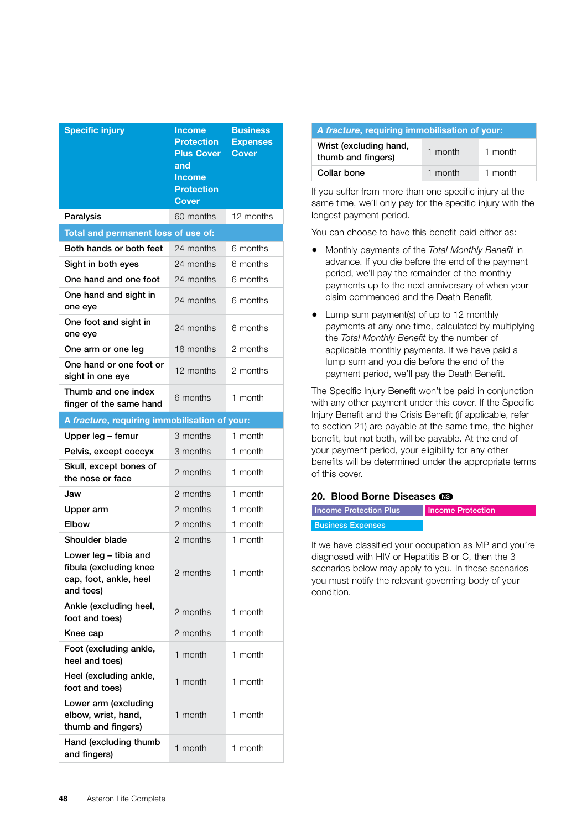| <b>Specific injury</b>                                                                 | <b>Income</b><br><b>Protection</b><br><b>Plus Cover</b><br>and<br><b>Income</b><br><b>Protection</b><br><b>Cover</b> | <b>Business</b><br><b>Expenses</b><br><b>Cover</b> |
|----------------------------------------------------------------------------------------|----------------------------------------------------------------------------------------------------------------------|----------------------------------------------------|
| Paralysis                                                                              | 60 months                                                                                                            | 12 months                                          |
| Total and permanent loss of use of:                                                    |                                                                                                                      |                                                    |
| Both hands or both feet                                                                | 24 months                                                                                                            | 6 months                                           |
| Sight in both eyes                                                                     | 24 months                                                                                                            | 6 months                                           |
| One hand and one foot                                                                  | 24 months                                                                                                            | 6 months                                           |
| One hand and sight in<br>one eye                                                       | 24 months                                                                                                            | 6 months                                           |
| One foot and sight in<br>one eye                                                       | 24 months                                                                                                            | 6 months                                           |
| One arm or one leg                                                                     | 18 months                                                                                                            | 2 months                                           |
| One hand or one foot or<br>sight in one eye                                            | 12 months                                                                                                            | 2 months                                           |
| Thumb and one index<br>finger of the same hand                                         | 6 months                                                                                                             | 1 month                                            |
| A fracture, requiring immobilisation of your:                                          |                                                                                                                      |                                                    |
| Upper leg - femur                                                                      | 3 months                                                                                                             | 1 month                                            |
| Pelvis, except coccyx                                                                  | 3 months                                                                                                             | 1 month                                            |
| Skull, except bones of<br>the nose or face                                             | 2 months                                                                                                             | 1 month                                            |
| Jaw                                                                                    | 2 months                                                                                                             | 1 month                                            |
| Upper arm                                                                              | 2 months                                                                                                             | 1 month                                            |
| Elbow                                                                                  | 2 months                                                                                                             | 1 month                                            |
| Shoulder blade                                                                         | 2 months                                                                                                             | 1 month                                            |
| Lower leg - tibia and<br>fibula (excluding knee<br>cap, foot, ankle, heel<br>and toes) | 2 months                                                                                                             | 1 month                                            |
| Ankle (excluding heel,<br>foot and toes)                                               | 2 months                                                                                                             | 1 month                                            |
| Knee cap                                                                               | 2 months                                                                                                             | 1 month                                            |
| Foot (excluding ankle,<br>heel and toes)                                               | 1 month                                                                                                              | 1 month                                            |
| Heel (excluding ankle,<br>foot and toes)                                               | 1 month                                                                                                              | 1 month                                            |
| Lower arm (excluding<br>elbow, wrist, hand,<br>thumb and fingers)                      | 1 month                                                                                                              | 1 month                                            |
| Hand (excluding thumb<br>and fingers)                                                  | 1 month                                                                                                              | 1 month                                            |

| A fracture, requiring immobilisation of your: |         |         |
|-----------------------------------------------|---------|---------|
| Wrist (excluding hand,<br>thumb and fingers)  | 1 month | 1 month |
| Collar bone                                   | 1 month | 1 month |

If you suffer from more than one specific injury at the same time, we'll only pay for the specific injury with the longest payment period.

You can choose to have this benefit paid either as:

- Monthly payments of the *Total Monthly Benefit* in advance. If you die before the end of the payment period, we'll pay the remainder of the monthly payments up to the next anniversary of when your claim commenced and the Death Benefit*.*
- Lump sum payment(s) of up to 12 monthly payments at any one time, calculated by multiplying the *Total Monthly Benefit* by the number of applicable monthly payments. If we have paid a lump sum and you die before the end of the payment period, we'll pay the Death Benefit.

The Specific Injury Benefit won't be paid in conjunction with any other payment under this cover. If the Specific Injury Benefit and the Crisis Benefit (if applicable, refer to section 21) are payable at the same time, the higher benefit, but not both, will be payable. At the end of your payment period, your eligibility for any other benefits will be determined under the appropriate terms of this cover.

## <span id="page-53-0"></span>20. Blood Borne Diseases CD

| <b>Income Protection Plus</b> | Income Protection |
|-------------------------------|-------------------|
| <b>Business Expenses</b>      |                   |
|                               |                   |

If we have classified your occupation as MP and you're diagnosed with HIV or Hepatitis B or C, then the 3 scenarios below may apply to you. In these scenarios you must notify the relevant governing body of your condition.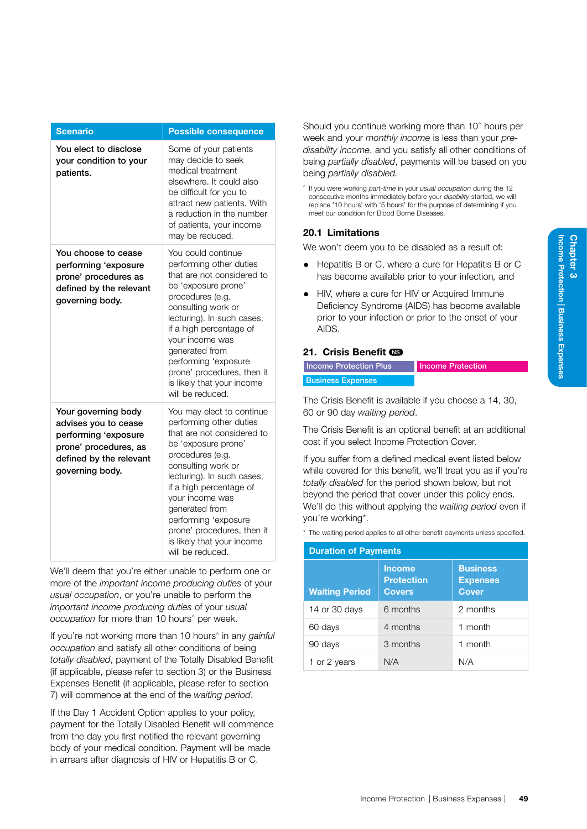| <b>Scenario</b>                                                                                                                            | <b>Possible consequence</b>                                                                                                                                                                                                                                                                                                                               |
|--------------------------------------------------------------------------------------------------------------------------------------------|-----------------------------------------------------------------------------------------------------------------------------------------------------------------------------------------------------------------------------------------------------------------------------------------------------------------------------------------------------------|
| You elect to disclose<br>your condition to your<br>patients.                                                                               | Some of your patients<br>may decide to seek<br>medical treatment<br>elsewhere. It could also<br>be difficult for you to<br>attract new patients. With<br>a reduction in the number<br>of patients, your income<br>may be reduced.                                                                                                                         |
| You choose to cease<br>performing 'exposure<br>prone' procedures as<br>defined by the relevant<br>governing body.                          | You could continue<br>performing other duties<br>that are not considered to<br>be 'exposure prone'<br>procedures (e.g.<br>consulting work or<br>lecturing). In such cases,<br>if a high percentage of<br>your income was<br>generated from<br>performing 'exposure<br>prone' procedures, then it<br>is likely that your income<br>will be reduced.        |
| Your governing body<br>advises you to cease<br>performing 'exposure<br>prone' procedures, as<br>defined by the relevant<br>governing body. | You may elect to continue<br>performing other duties<br>that are not considered to<br>be 'exposure prone'<br>procedures (e.g.<br>consulting work or<br>lecturing). In such cases,<br>if a high percentage of<br>your income was<br>generated from<br>performing 'exposure<br>prone' procedures, then it<br>is likely that your income<br>will be reduced. |

We'll deem that you're either unable to perform one or more of the *important income producing duties* of your *usual occupation*, or you're unable to perform the *important income producing duties* of your *usual occupation* for more than 10 hours^ per week.

If you're not working more than 10 hours^ in any *gainful occupation* and satisfy all other conditions of being *totally disabled*, payment of the Totally Disabled Benefit (if applicable, please refer to section 3) or the Business Expenses Benefit (if applicable, please refer to section 7) will commence at the end of the *waiting period*.

If the Day 1 Accident Option applies to your policy, payment for the Totally Disabled Benefit will commence from the day you first notified the relevant governing body of your medical condition. Payment will be made in arrears after diagnosis of HIV or Hepatitis B or C.

Should you continue working more than 10^ hours per week and your *monthly income* is less than your *predisability income*, and you satisfy all other conditions of being *partially disabled*, payments will be based on you being *partially disabled.*

^ If you were working *part-time* in your *usual occupation* during the 12 consecutive months immediately before your *disability* started, we will replace '10 hours' with '5 hours' for the purpose of determining if you meet our condition for Blood Borne Diseases.

## 20.1 Limitations

We won't deem you to be disabled as a result of:

- Hepatitis B or C, where a cure for Hepatitis B or C has become available prior to your infection*,* and
- HIV, where a cure for HIV or Acquired Immune Deficiency Syndrome (AIDS) has become available prior to your infection or prior to the onset of your AIDS.

#### <span id="page-54-0"></span>21. Crisis Benefit CD

| <b>Income Protection Plus</b> | <b>Income Protection</b> |
|-------------------------------|--------------------------|
| <b>Business Expenses</b>      |                          |

The Crisis Benefit is available if you choose a 14, 30, 60 or 90 day *waiting period*.

The Crisis Benefit is an optional benefit at an additional cost if you select Income Protection Cover.

If you suffer from a defined medical event listed below while covered for this benefit, we'll treat you as if you're *totally disabled* for the period shown below, but not beyond the period that cover under this policy ends. We'll do this without applying the *waiting period* even if you're working\*.

\* The waiting period applies to all other benefit payments unless specified.

| <b>Duration of Payments</b> |                                                     |                                                    |  |  |
|-----------------------------|-----------------------------------------------------|----------------------------------------------------|--|--|
| <b>Waiting Period</b>       | <b>Income</b><br><b>Protection</b><br><b>Covers</b> | <b>Business</b><br><b>Expenses</b><br><b>Cover</b> |  |  |
| 14 or 30 days               | 6 months                                            | 2 months                                           |  |  |
| 60 days                     | 4 months                                            | 1 month                                            |  |  |
| 90 days                     | 3 months                                            | 1 month                                            |  |  |
| 1 or 2 years                | N/A                                                 | N/A                                                |  |  |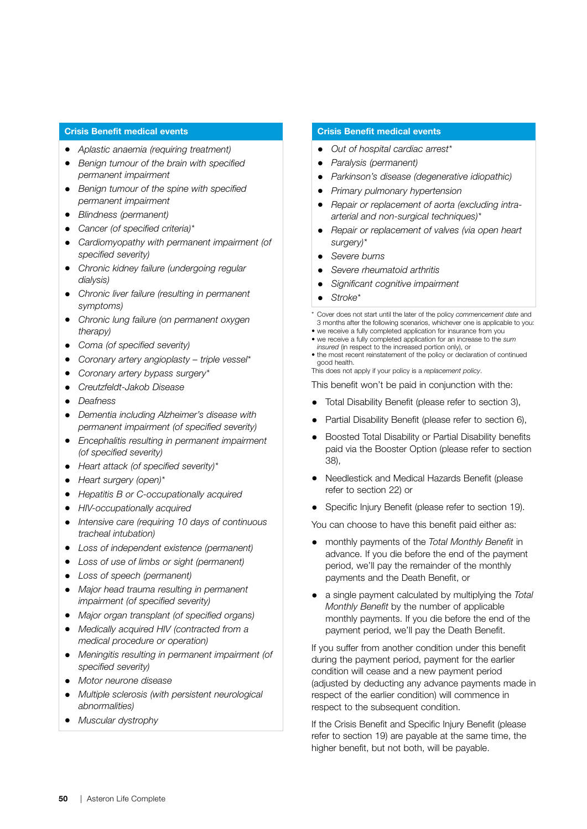#### Crisis Benefit medical events

- *Aplastic anaemia (requiring treatment)*
- *Benign tumour of the brain with specified permanent impairment*
- *Benign tumour of the spine with specified permanent impairment*
- *Blindness (permanent)*
- *Cancer (of specified criteria)\**
- *Cardiomyopathy with permanent impairment (of specified severity)*
- *Chronic kidney failure (undergoing regular dialysis)*
- *Chronic liver failure (resulting in permanent symptoms)*
- *Chronic lung failure (on permanent oxygen therapy)*
- *Coma (of specified severity)*
- *Coronary artery angioplasty triple vessel\**
- *Coronary artery bypass surgery\**
- *Creutzfeldt-Jakob Disease*
- *Deafness*
- *Dementia including Alzheimer's disease with permanent impairment (of specified severity)*
- *Encephalitis resulting in permanent impairment (of specified severity)*
- *Heart attack (of specified severity)\**
- *Heart surgery (open)\**
- *Hepatitis B or C-occupationally acquired*
- *HIV-occupationally acquired*
- *Intensive care (requiring 10 days of continuous tracheal intubation)*
- *Loss of independent existence (permanent)*
- *Loss of use of limbs or sight (permanent)*
- *Loss of speech (permanent)*
- *Major head trauma resulting in permanent impairment (of specified severity)*
- *Major organ transplant (of specified organs)*
- *Medically acquired HIV (contracted from a medical procedure or operation)*
- *Meningitis resulting in permanent impairment (of specified severity)*
- *Motor neurone disease*
- *Multiple sclerosis (with persistent neurological abnormalities)*
- *Muscular dystrophy*

#### Crisis Benefit medical events

- *Out of hospital cardiac arrest\**
- *Paralysis (permanent)*
- *Parkinson's disease (degenerative idiopathic)*
- *Primary pulmonary hypertension*
- *Repair or replacement of aorta (excluding intraarterial and non-surgical techniques)\**
- *Repair or replacement of valves (via open heart surgery)\**
- *Severe burns*
- *Severe rheumatoid arthritis*
- *Significant cognitive impairment*
- *Stroke\**

\* Cover does not start until the later of the policy *commencement date* and 3 months after the following scenarios, whichever one is applicable to you:

- we receive a fully completed application for insurance from you • we receive a fully completed application for an increase to the *sum*
- *insured* (in respect to the increased portion only), or
- the most recent reinstatement of the policy or declaration of continued good health.
- This does not apply if your policy is a *replacement policy*.

This benefit won't be paid in conjunction with the:

- Total Disability Benefit (please refer to section 3),
- Partial Disability Benefit (please refer to section 6),
- Boosted Total Disability or Partial Disability benefits paid via the Booster Option (please refer to section 38),
- Needlestick and Medical Hazards Benefit (please refer to section 22) or
- Specific Injury Benefit (please refer to section 19).

You can choose to have this benefit paid either as:

- monthly payments of the *Total Monthly Benefit* in advance. If you die before the end of the payment period, we'll pay the remainder of the monthly payments and the Death Benefit, or
- a single payment calculated by multiplying the *Total Monthly Benefit* by the number of applicable monthly payments. If you die before the end of the payment period, we'll pay the Death Benefit.

If you suffer from another condition under this benefit during the payment period, payment for the earlier condition will cease and a new payment period (adjusted by deducting any advance payments made in respect of the earlier condition) will commence in respect to the subsequent condition.

If the Crisis Benefit and Specific Injury Benefit (please refer to section 19) are payable at the same time, the higher benefit, but not both, will be payable.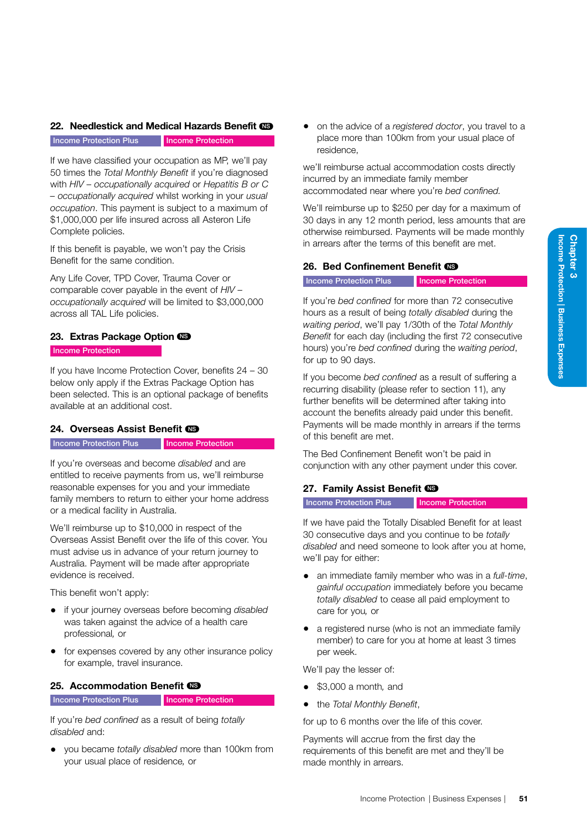| Business Expenses

## <span id="page-56-1"></span>22. Needlestick and Medical Hazards Benefit CO

Income Protection Plus Income Protection

If we have classified your occupation as MP, we'll pay 50 times the *Total Monthly Benefit* if you're diagnosed with *HIV – occupationally acquired* or *Hepatitis B or C – occupationally acquired* whilst working in your *usual occupation*. This payment is subject to a maximum of \$1,000,000 per life insured across all Asteron Life Complete policies.

If this benefit is payable, we won't pay the Crisis Benefit for the same condition.

Any Life Cover, TPD Cover, Trauma Cover or comparable cover payable in the event of *HIV – occupationally acquired* will be limited to \$3,000,000 across all TAL Life policies.

## 23. Extras Package Option CS

#### Income Protection

If you have Income Protection Cover, benefits 24 – 30 below only apply if the Extras Package Option has been selected. This is an optional package of benefits available at an additional cost.

## <span id="page-56-0"></span>24. Overseas Assist Benefit CD

#### Income Protection Plus **Income Protection**

If you're overseas and become *disabled* and are entitled to receive payments from us, we'll reimburse reasonable expenses for you and your immediate family members to return to either your home address or a medical facility in Australia.

We'll reimburse up to \$10,000 in respect of the Overseas Assist Benefit over the life of this cover. You must advise us in advance of your return journey to Australia. Payment will be made after appropriate evidence is received.

This benefit won't apply:

- if your journey overseas before becoming *disabled*  was taken against the advice of a health care professional*,* or
- for expenses covered by any other insurance policy for example, travel insurance.

## <span id="page-56-2"></span>25. Accommodation Benefit CB

Income Protection Plus Income Protection

If you're *bed confined* as a result of being *totally disabled* and:

• you became *totally disabled* more than 100km from your usual place of residence*,* or

• on the advice of a *registered doctor*, you travel to a place more than 100km from your usual place of residence,

we'll reimburse actual accommodation costs directly incurred by an immediate family member accommodated near where you're *bed confined.* 

We'll reimburse up to \$250 per day for a maximum of 30 days in any 12 month period, less amounts that are otherwise reimbursed. Payments will be made monthly in arrears after the terms of this benefit are met.

## <span id="page-56-3"></span>26. Bed Confinement Benefit CS

**Income Protection Plus Income Protection** 

If you're *bed confined* for more than 72 consecutive hours as a result of being *totally disabled* during the *waiting period*, we'll pay 1/30th of the *Total Monthly Benefit* for each day (including the first 72 consecutive hours) you're *bed confined* during the *waiting period*, for up to 90 days.

If you become *bed confined* as a result of suffering a recurring disability (please refer to section 11), any further benefits will be determined after taking into account the benefits already paid under this benefit. Payments will be made monthly in arrears if the terms of this benefit are met.

The Bed Confinement Benefit won't be paid in conjunction with any other payment under this cover.

## <span id="page-56-4"></span>27. Family Assist Benefit CO

#### **Income Protection Plus Income Protection**

If we have paid the Totally Disabled Benefit for at least 30 consecutive days and you continue to be *totally disabled* and need someone to look after you at home, we'll pay for either:

- an immediate family member who was in a *full-time*, *gainful occupation* immediately before you became *totally disabled* to cease all paid employment to care for you*,* or
- a registered nurse (who is not an immediate family member) to care for you at home at least 3 times per week.

We'll pay the lesser of:

- \$3,000 a month*,* and
- the *Total Monthly Benefit*,

for up to 6 months over the life of this cover.

Payments will accrue from the first day the requirements of this benefit are met and they'll be made monthly in arrears.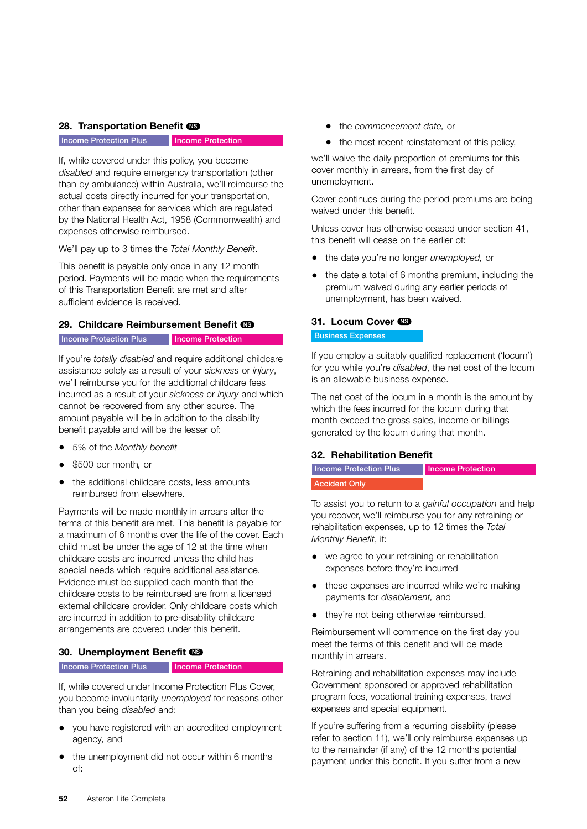#### 28. Transportation Benefit CS

Income Protection Plus Income Protection

If, while covered under this policy, you become *disabled* and require emergency transportation (other than by ambulance) within Australia, we'll reimburse the actual costs directly incurred for your transportation, other than expenses for services which are regulated by the National Health Act, 1958 (Commonwealth) and expenses otherwise reimbursed.

We'll pay up to 3 times the *Total Monthly Benefit*.

This benefit is payable only once in any 12 month period. Payments will be made when the requirements of this Transportation Benefit are met and after sufficient evidence is received.

#### <span id="page-57-0"></span>29. Childcare Reimbursement Benefit (

Income Protection Plus Income Protection

If you're *totally disabled* and require additional childcare assistance solely as a result of your *sickness* or *injury*, we'll reimburse you for the additional childcare fees incurred as a result of your *sickness* or *injury* and which cannot be recovered from any other source. The amount payable will be in addition to the disability benefit payable and will be the lesser of:

- 5% of the *Monthly benefit*
- \$500 per month*,* or
- the additional childcare costs, less amounts reimbursed from elsewhere.

Payments will be made monthly in arrears after the terms of this benefit are met. This benefit is payable for a maximum of 6 months over the life of the cover. Each child must be under the age of 12 at the time when childcare costs are incurred unless the child has special needs which require additional assistance. Evidence must be supplied each month that the childcare costs to be reimbursed are from a licensed external childcare provider. Only childcare costs which are incurred in addition to pre-disability childcare arrangements are covered under this benefit.

## 30. Unemployment Benefit CS

Income Protection Plus Income Protection

If, while covered under Income Protection Plus Cover, you become involuntarily *unemployed* for reasons other than you being *disabled* and:

- you have registered with an accredited employment agency*,* and
- the unemployment did not occur within 6 months of:
- the *commencement date,* or
- the most recent reinstatement of this policy,

we'll waive the daily proportion of premiums for this cover monthly in arrears, from the first day of unemployment.

Cover continues during the period premiums are being waived under this benefit.

Unless cover has otherwise ceased under section 41, this benefit will cease on the earlier of:

- the date you're no longer *unemployed,* or
- the date a total of 6 months premium, including the premium waived during any earlier periods of unemployment, has been waived.

#### 31. Locum Cover

#### Business Expenses

If you employ a suitably qualified replacement ('locum') for you while you're *disabled*, the net cost of the locum is an allowable business expense.

The net cost of the locum in a month is the amount by which the fees incurred for the locum during that month exceed the gross sales, income or billings generated by the locum during that month.

## <span id="page-57-1"></span>32. Rehabilitation Benefit

| Income Protection Plus | Income Protection |
|------------------------|-------------------|
| <b>Accident Only</b>   |                   |

To assist you to return to a *gainful occupation* and help you recover, we'll reimburse you for any retraining or rehabilitation expenses, up to 12 times the *Total Monthly Benefit*, if:

- we agree to your retraining or rehabilitation expenses before they're incurred
- these expenses are incurred while we're making payments for *disablement,* and
- they're not being otherwise reimbursed.

Reimbursement will commence on the first day you meet the terms of this benefit and will be made monthly in arrears.

Retraining and rehabilitation expenses may include Government sponsored or approved rehabilitation program fees, vocational training expenses, travel expenses and special equipment.

If you're suffering from a recurring disability (please refer to section 11), we'll only reimburse expenses up to the remainder (if any) of the 12 months potential payment under this benefit. If you suffer from a new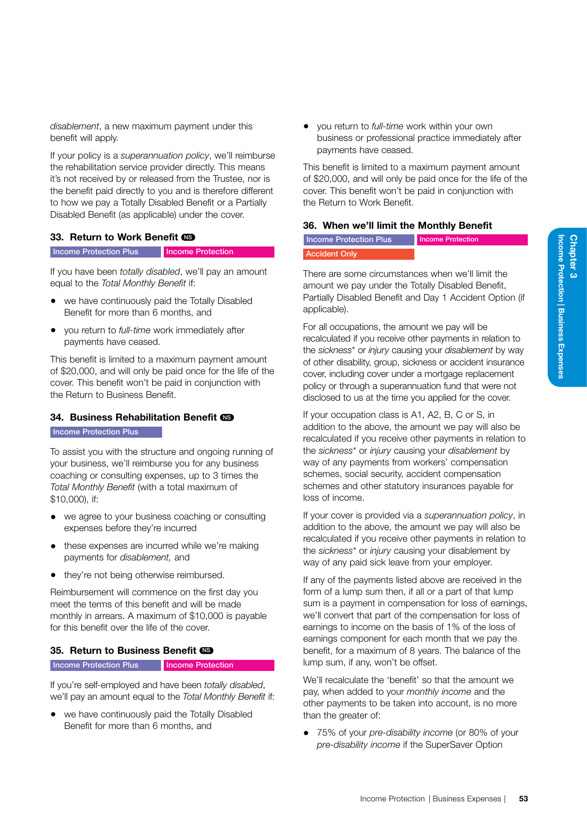*disablement*, a new maximum payment under this benefit will apply.

If your policy is a *superannuation policy*, we'll reimburse the rehabilitation service provider directly. This means it's not received by or released from the Trustee, nor is the benefit paid directly to you and is therefore different to how we pay a Totally Disabled Benefit or a Partially Disabled Benefit (as applicable) under the cover.

#### <span id="page-58-2"></span>33. Return to Work Benefit CO

Income Protection Plus Income Protection

If you have been *totally disabled*, we'll pay an amount equal to the *Total Monthly Benefit* if:

- we have continuously paid the Totally Disabled Benefit for more than 6 months, and
- you return to *full-time* work immediately after payments have ceased.

This benefit is limited to a maximum payment amount of \$20,000, and will only be paid once for the life of the cover. This benefit won't be paid in conjunction with the Return to Business Benefit.

## <span id="page-58-0"></span>34. Business Rehabilitation Benefit CO

**Income Protection Plus** 

To assist you with the structure and ongoing running of your business, we'll reimburse you for any business coaching or consulting expenses, up to 3 times the *Total Monthly Benefit* (with a total maximum of \$10,000), if:

- we agree to your business coaching or consulting expenses before they're incurred
- these expenses are incurred while we're making payments for *disablement,* and
- they're not being otherwise reimbursed.

Reimbursement will commence on the first day you meet the terms of this benefit and will be made monthly in arrears. A maximum of \$10,000 is payable for this benefit over the life of the cover.

#### <span id="page-58-1"></span>35. Return to Business Benefit CS

Income Protection Plus Income Protection

If you're self-employed and have been *totally disabled*, we'll pay an amount equal to the *Total Monthly Benefit* if:

• we have continuously paid the Totally Disabled Benefit for more than 6 months, and

• you return to *full-time* work within your own business or professional practice immediately after payments have ceased.

This benefit is limited to a maximum payment amount of \$20,000, and will only be paid once for the life of the cover. This benefit won't be paid in conjunction with the Return to Work Benefit.

#### 36. When we'll limit the Monthly Benefit

#### Income Protection Plus Accident Only Income Protection

There are some circumstances when we'll limit the amount we pay under the Totally Disabled Benefit, Partially Disabled Benefit and Day 1 Accident Option (if applicable).

For all occupations, the amount we pay will be recalculated if you receive other payments in relation to the *sickness*\* or *injury* causing your *disablement* by way of other disability, group, sickness or accident insurance cover, including cover under a mortgage replacement policy or through a superannuation fund that were not disclosed to us at the time you applied for the cover.

If your occupation class is A1, A2, B, C or S, in addition to the above, the amount we pay will also be recalculated if you receive other payments in relation to the *sickness*\* or *injury* causing your *disablement* by way of any payments from workers' compensation schemes, social security, accident compensation schemes and other statutory insurances payable for loss of income.

If your cover is provided via a *superannuation policy*, in addition to the above, the amount we pay will also be recalculated if you receive other payments in relation to the *sickness*\* or *injury* causing your disablement by way of any paid sick leave from your employer.

If any of the payments listed above are received in the form of a lump sum then, if all or a part of that lump sum is a payment in compensation for loss of earnings, we'll convert that part of the compensation for loss of earnings to income on the basis of 1% of the loss of earnings component for each month that we pay the benefit, for a maximum of 8 years. The balance of the lump sum, if any, won't be offset.

We'll recalculate the 'benefit' so that the amount we pay, when added to your *monthly income* and the other payments to be taken into account, is no more than the greater of:

• 75% of your *pre-disability income* (or 80% of your *pre-disability income* if the SuperSaver Option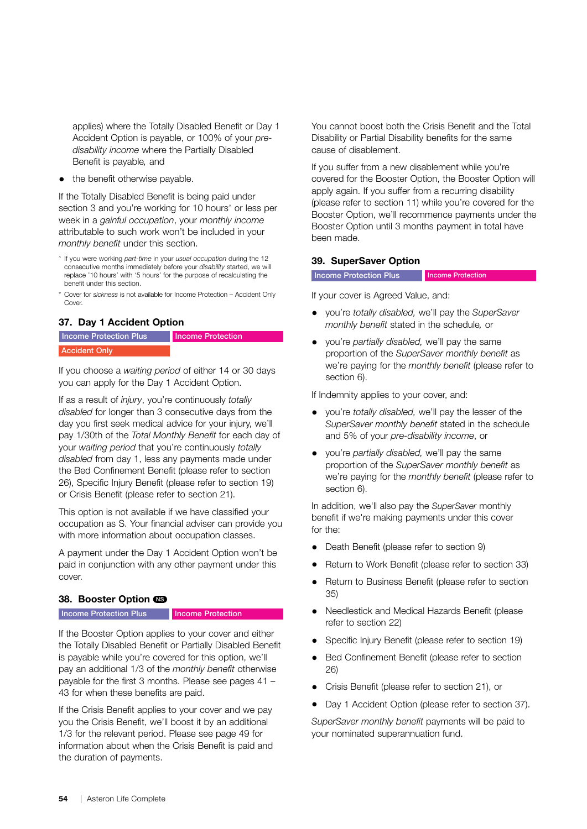applies) where the Totally Disabled Benefit or Day 1 Accident Option is payable, or 100% of your *predisability income* where the Partially Disabled Benefit is payable*,* and

the benefit otherwise payable.

If the Totally Disabled Benefit is being paid under section 3 and you're working for 10 hours<sup>^</sup> or less per week in a *gainful occupation*, your *monthly income* attributable to such work won't be included in your *monthly benefit* under this section.

- ^ If you were working *part-time* in your *usual occupation* during the 12 consecutive months immediately before your *disability* started, we will replace '10 hours' with '5 hours' for the purpose of recalculating the benefit under this section.
- \* Cover for *sickness* is not available for Income Protection Accident Only Cover

## <span id="page-59-1"></span>37. Day 1 Accident Option



If you choose a *waiting period* of either 14 or 30 days you can apply for the Day 1 Accident Option.

If as a result of *injury*, you're continuously *totally disabled* for longer than 3 consecutive days from the day you first seek medical advice for your injury, we'll pay 1/30th of the *Total Monthly Benefit* for each day of your *waiting period* that you're continuously *totally disabled* from day 1, less any payments made under the Bed Confinement Benefit (please refer to section 26), Specific Injury Benefit (please refer to section 19) or Crisis Benefit (please refer to section 21).

This option is not available if we have classified your occupation as S. Your financial adviser can provide you with more information about occupation classes.

A payment under the Day 1 Accident Option won't be paid in conjunction with any other payment under this cover.

#### <span id="page-59-2"></span>38. Booster Option CS

**Income Protection Plus Income Protection** 

If the Booster Option applies to your cover and either the Totally Disabled Benefit or Partially Disabled Benefit is payable while you're covered for this option, we'll pay an additional 1/3 of the *monthly benefit* otherwise payable for the first 3 months. Please see pages 41 – 43 for when these benefits are paid.

If the Crisis Benefit applies to your cover and we pay you the Crisis Benefit, we'll boost it by an additional 1/3 for the relevant period. Please see page [49](#page-54-0) for information about when the Crisis Benefit is paid and the duration of payments.

You cannot boost both the Crisis Benefit and the Total Disability or Partial Disability benefits for the same cause of disablement.

If you suffer from a new disablement while you're covered for the Booster Option, the Booster Option will apply again. If you suffer from a recurring disability (please refer to section 11) while you're covered for the Booster Option, we'll recommence payments under the Booster Option until 3 months payment in total have been made.

#### <span id="page-59-0"></span>39. SuperSaver Option

#### **Income Protection Plus** Income Protection

If your cover is Agreed Value, and:

- you're *totally disabled,* we'll pay the *SuperSaver monthly benefit* stated in the schedule*,* or
- you're *partially disabled,* we'll pay the same proportion of the *SuperSaver monthly benefit* as we're paying for the *monthly benefit* (please refer to section 6).

If Indemnity applies to your cover, and:

- you're *totally disabled,* we'll pay the lesser of the *SuperSaver monthly benefit* stated in the schedule and 5% of your *pre-disability income*, or
- you're *partially disabled,* we'll pay the same proportion of the *SuperSaver monthly benefit* as we're paying for the *monthly benefit* (please refer to section 6).

In addition, we'll also pay the *SuperSaver* monthly benefit if we're making payments under this cover for the:

- Death Benefit (please refer to section 9)
- Return to Work Benefit (please refer to section 33)
- Return to Business Benefit (please refer to section 35)
- Needlestick and Medical Hazards Benefit (please refer to section 22)
- Specific Injury Benefit (please refer to section 19)
- Bed Confinement Benefit (please refer to section 26)
- Crisis Benefit (please refer to section 21), or
- Day 1 Accident Option (please refer to section 37).

*SuperSaver monthly benefit* payments will be paid to your nominated superannuation fund.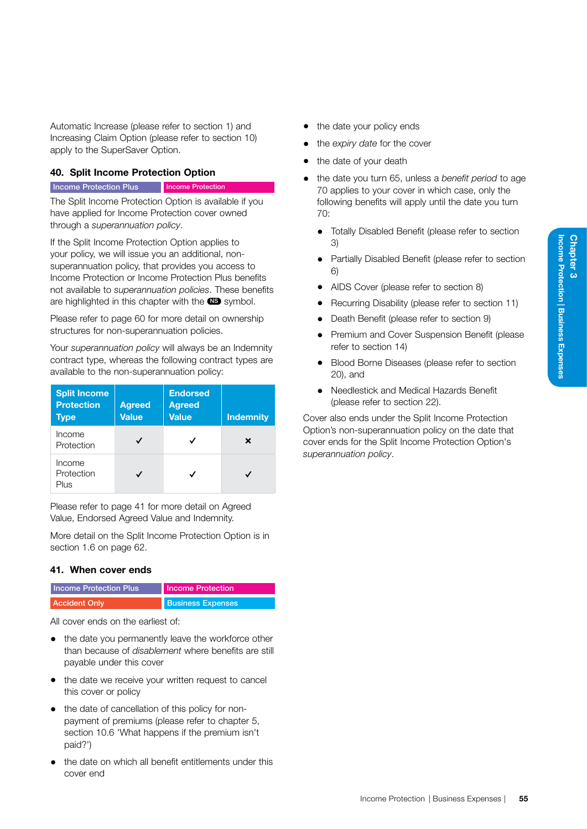Automatic Increase (please refer to section 1) and Increasing Claim Option (please refer to section 10) apply to the SuperSaver Option.

#### <span id="page-60-1"></span>40. Split Income Protection Option

#### Income Protection Plus Income Protection

The Split Income Protection Option is available if you have applied for Income Protection cover owned through a *superannuation policy*.

If the Split Income Protection Option applies to your policy, we will issue you an additional, nonsuperannuation policy, that provides you access to Income Protection or Income Protection Plus benefits not available to *superannuation policies*. These benefits are highlighted in this chapter with the  $\bullet$  symbol.

Please refer to page [60](#page-65-0) for more detail on ownership structures for non-superannuation policies.

Your *superannuation policy* will always be an Indemnity contract type, whereas the following contract types are available to the non-superannuation policy:

| <b>Split Income</b><br><b>Protection</b><br><b>Type</b> | <b>Agreed</b><br><b>Value</b> | <b>Endorsed</b><br><b>Agreed</b><br><b>Value</b> | <b>Indemnity</b> |
|---------------------------------------------------------|-------------------------------|--------------------------------------------------|------------------|
| Income<br>Protection                                    |                               |                                                  | ×                |
| Income<br>Protection<br>Plus                            |                               |                                                  |                  |

Please refer to page [41](#page-46-0) for more detail on Agreed Value, Endorsed Agreed Value and Indemnity.

More detail on the Split Income Protection Option is in section 1.6 on page [62.](#page-67-0)

#### 41. When cover ends

| <b>Income Protection Plus</b> | <b>Income Protection</b> |
|-------------------------------|--------------------------|
| <b>Accident Only</b>          | <b>Business Expenses</b> |

All cover ends on the earliest of:

- the date you permanently leave the workforce other than because of *disablement* where benefits are still payable under this cover
- the date we receive your written request to cancel this cover or policy
- the date of cancellation of this policy for nonpayment of premiums (please refer to chapter 5, section 10.6 'What happens if the premium isn't paid?')
- the date on which all benefit entitlements under this cover end
- the date your policy ends
- the *expiry date* for the cover
- the date of your death
- the date you turn 65, unless a *benefit period* to age 70 applies to your cover in which case, only the following benefits will apply until the date you turn 70:
	- Totally Disabled Benefit (please refer to section 3)
	- Partially Disabled Benefit (please refer to section 6)
	- AIDS Cover (please refer to section 8)
	- Recurring Disability (please refer to section 11)
	- Death Benefit (please refer to section 9)
	- Premium and Cover Suspension Benefit (please refer to section 14)
	- Blood Borne Diseases (please refer to section 20), and
	- Needlestick and Medical Hazards Benefit (please refer to section 22).

<span id="page-60-0"></span>Cover also ends under the Split Income Protection Option's non-superannuation policy on the date that cover ends for the Split Income Protection Option's *superannuation policy*.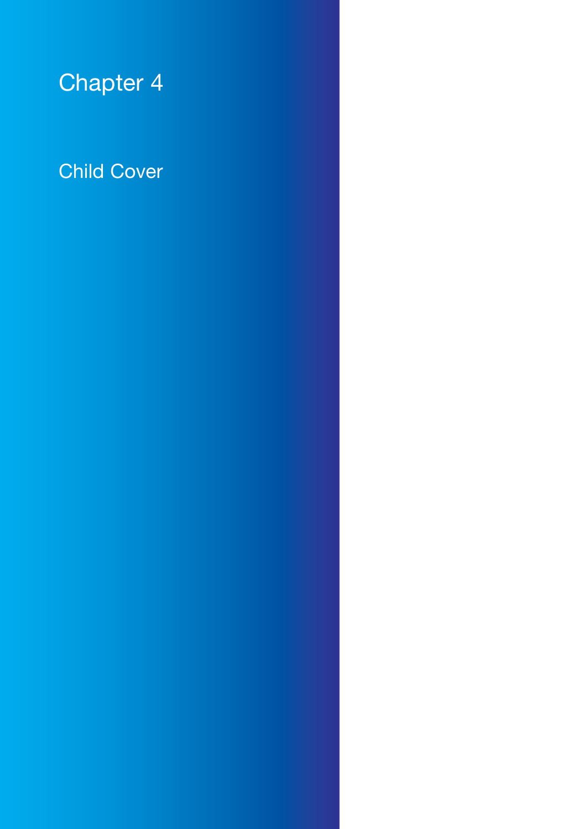# Chapter 4

# Child Cover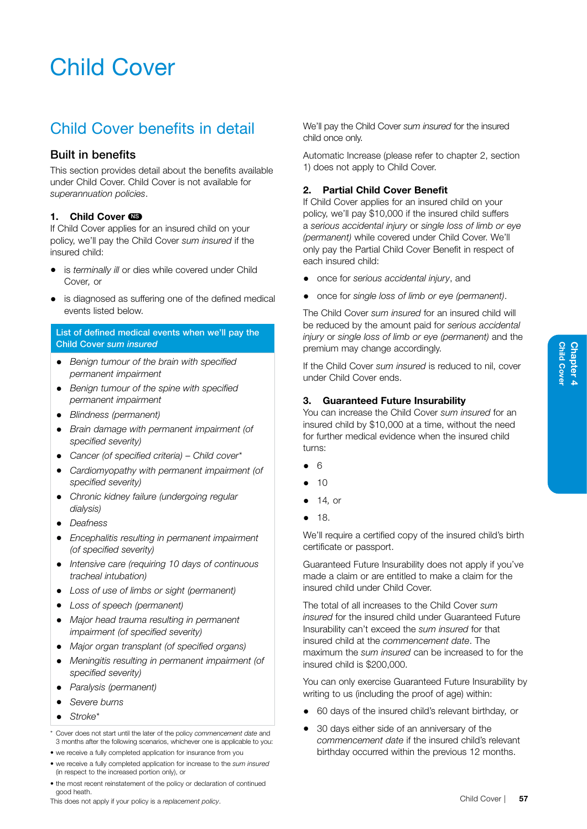# Child Cover

# Child Cover benefits in detail

## Built in benefits

This section provides detail about the benefits available under Child Cover. Child Cover is not available for *superannuation policies*.

## <span id="page-62-1"></span>1. Child Cover CO

If Child Cover applies for an insured child on your policy, we'll pay the Child Cover *sum insured* if the insured child:

- is *terminally ill* or dies while covered under Child Cover*,* or
- is diagnosed as suffering one of the defined medical events listed below.

## <span id="page-62-0"></span>List of defined medical events when we'll pay the Child Cover *sum insured*

- *Benign tumour of the brain with specified permanent impairment*
- *Benign tumour of the spine with specified permanent impairment*
- *Blindness (permanent)*
- *Brain damage with permanent impairment (of specified severity)*
- *Cancer (of specified criteria) Child cover\**
- *Cardiomyopathy with permanent impairment (of specified severity)*
- *Chronic kidney failure (undergoing regular dialysis)*
- *Deafness*
- *Encephalitis resulting in permanent impairment (of specified severity)*
- *Intensive care (requiring 10 days of continuous tracheal intubation)*
- *Loss of use of limbs or sight (permanent)*
- *Loss of speech (permanent)*
- *Major head trauma resulting in permanent impairment (of specified severity)*
- *Major organ transplant (of specified organs)*
- *Meningitis resulting in permanent impairment (of specified severity)*
- *Paralysis (permanent)*
- *Severe burns*
- *Stroke\**

\* Cover does not start until the later of the policy *commencement date* and 3 months after the following scenarios, whichever one is applicable to you:

- we receive a fully completed application for insurance from you
- we receive a fully completed application for increase to the *sum insured* (in respect to the increased portion only), or
- the most recent reinstatement of the policy or declaration of continued good heath.

This does not apply if your policy is a *replacement policy*.

We'll pay the Child Cover *sum insured* for the insured child once only.

Automatic Increase (please refer to chapter 2, section 1) does not apply to Child Cover.

## 2. Partial Child Cover Benefit

If Child Cover applies for an insured child on your policy, we'll pay \$10,000 if the insured child suffers a *serious accidental injury* or *single loss of limb or eye (permanent)* while covered under Child Cover. We'll only pay the Partial Child Cover Benefit in respect of each insured child:

- once for *serious accidental injury*, and
- once for *single loss of limb or eye (permanent)*.

The Child Cover *sum insured* for an insured child will be reduced by the amount paid for *serious accidental injury* or *single loss of limb or eye (permanent)* and the premium may change accordingly.

If the Child Cover *sum insured* is reduced to nil, cover under Child Cover ends.

## 3. Guaranteed Future Insurability

You can increase the Child Cover *sum insured* for an insured child by \$10,000 at a time, without the need for further medical evidence when the insured child turns:

- 6
- $10$
- 14*,* or
- 18.

We'll require a certified copy of the insured child's birth certificate or passport.

Guaranteed Future Insurability does not apply if you've made a claim or are entitled to make a claim for the insured child under Child Cover.

The total of all increases to the Child Cover *sum insured* for the insured child under Guaranteed Future Insurability can't exceed the *sum insured* for that insured child at the *commencement date*. The maximum the *sum insured* can be increased to for the insured child is \$200,000.

You can only exercise Guaranteed Future Insurability by writing to us (including the proof of age) within:

- 60 days of the insured child's relevant birthday*,* or
- 30 days either side of an anniversary of the *commencement date* if the insured child's relevant birthday occurred within the previous 12 months.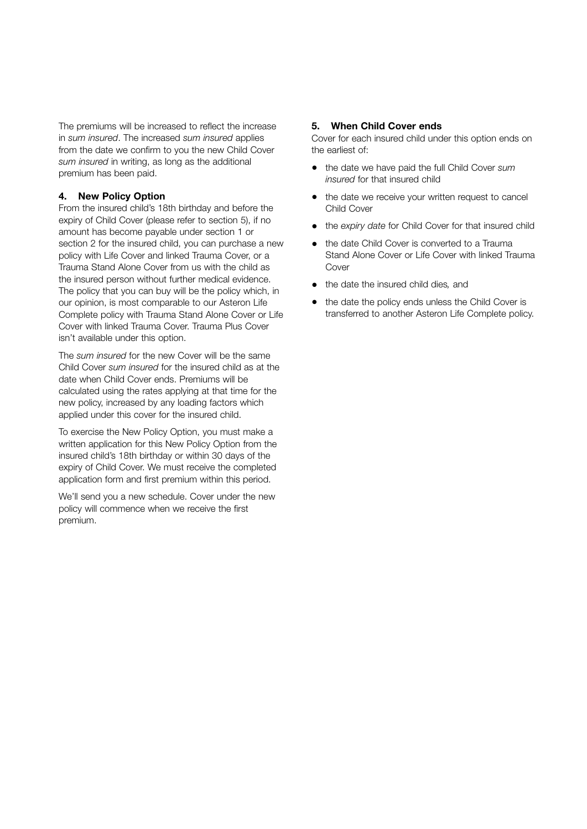The premiums will be increased to reflect the increase in *sum insured*. The increased *sum insured* applies from the date we confirm to you the new Child Cover *sum insured* in writing, as long as the additional premium has been paid.

#### <span id="page-63-0"></span>4. New Policy Option

From the insured child's 18th birthday and before the expiry of Child Cover (please refer to section 5), if no amount has become payable under section 1 or section 2 for the insured child, you can purchase a new policy with Life Cover and linked Trauma Cover, or a Trauma Stand Alone Cover from us with the child as the insured person without further medical evidence. The policy that you can buy will be the policy which, in our opinion, is most comparable to our Asteron Life Complete policy with Trauma Stand Alone Cover or Life Cover with linked Trauma Cover. Trauma Plus Cover isn't available under this option.

The *sum insured* for the new Cover will be the same Child Cover *sum insured* for the insured child as at the date when Child Cover ends. Premiums will be calculated using the rates applying at that time for the new policy, increased by any loading factors which applied under this cover for the insured child.

To exercise the New Policy Option, you must make a written application for this New Policy Option from the insured child's 18th birthday or within 30 days of the expiry of Child Cover. We must receive the completed application form and first premium within this period.

We'll send you a new schedule. Cover under the new policy will commence when we receive the first premium.

## 5. When Child Cover ends

Cover for each insured child under this option ends on the earliest of:

- the date we have paid the full Child Cover *sum insured* for that insured child
- the date we receive your written request to cancel Child Cover
- the *expiry date* for Child Cover for that insured child
- the date Child Cover is converted to a Trauma Stand Alone Cover or Life Cover with linked Trauma Cover
- the date the insured child dies*,* and
- the date the policy ends unless the Child Cover is transferred to another Asteron Life Complete policy.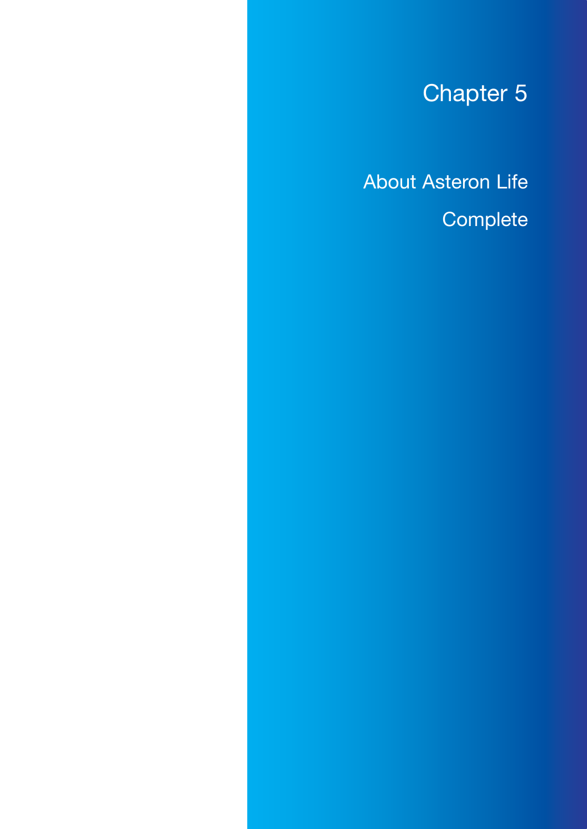# Chapter 5

About Asteron Life **Complete**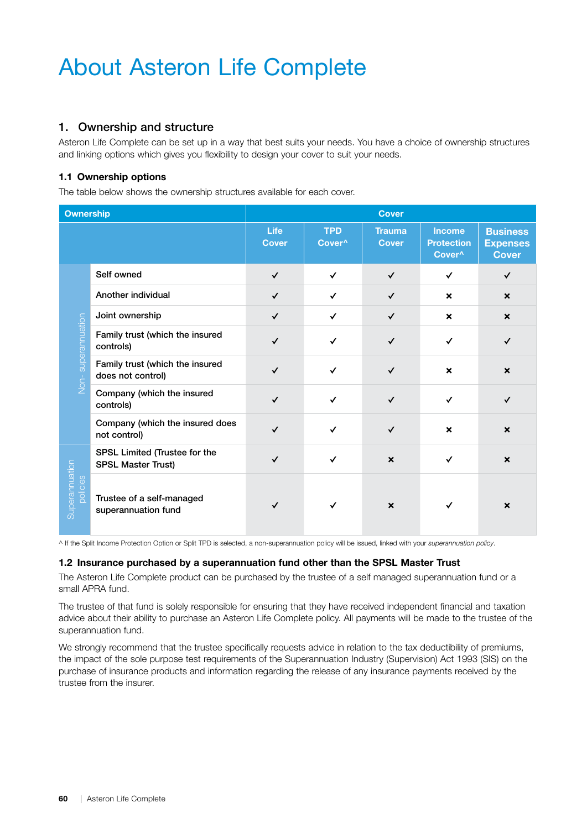# About Asteron Life Complete

## <span id="page-65-0"></span>1. Ownership and structure

Asteron Life Complete can be set up in a way that best suits your needs. You have a choice of ownership structures and linking options which gives you flexibility to design your cover to suit your needs.

## 1.1 Ownership options

The table below shows the ownership structures available for each cover.

| <b>Ownership</b>           |                                                            | <b>Cover</b>                |                                  |                               |                                                          |                                                    |
|----------------------------|------------------------------------------------------------|-----------------------------|----------------------------------|-------------------------------|----------------------------------------------------------|----------------------------------------------------|
|                            |                                                            | <b>Life</b><br><b>Cover</b> | <b>TPD</b><br>Cover <sup>^</sup> | <b>Trauma</b><br><b>Cover</b> | <b>Income</b><br><b>Protection</b><br>Cover <sup>^</sup> | <b>Business</b><br><b>Expenses</b><br><b>Cover</b> |
|                            | Self owned                                                 | $\checkmark$                | $\checkmark$                     | $\checkmark$                  | ✓                                                        | ✓                                                  |
|                            | Another individual                                         | $\checkmark$                | $\checkmark$                     | $\checkmark$                  | $\boldsymbol{\mathsf{x}}$                                | $\boldsymbol{\mathsf{x}}$                          |
|                            | Joint ownership                                            | $\checkmark$                | ✓                                | $\checkmark$                  | $\boldsymbol{\mathsf{x}}$                                | $\boldsymbol{\mathsf{x}}$                          |
|                            | Family trust (which the insured<br>controls)               | $\checkmark$                | ✓                                | $\checkmark$                  | ✓                                                        | ✓                                                  |
| Non-superannuation         | Family trust (which the insured<br>does not control)       | $\checkmark$                | $\checkmark$                     | $\checkmark$                  | $\boldsymbol{\mathsf{x}}$                                | $\boldsymbol{\mathsf{x}}$                          |
|                            | Company (which the insured<br>controls)                    | $\checkmark$                | ✓                                | $\checkmark$                  | ✓                                                        | ✓                                                  |
|                            | Company (which the insured does<br>not control)            | $\checkmark$                | ✓                                | $\checkmark$                  | $\boldsymbol{\mathsf{x}}$                                | $\boldsymbol{\mathsf{x}}$                          |
| Superannuation<br>policies | SPSL Limited (Trustee for the<br><b>SPSL Master Trust)</b> | $\checkmark$                | ✓                                | $\boldsymbol{\mathsf{x}}$     | ✓                                                        | $\boldsymbol{\mathsf{x}}$                          |
|                            | Trustee of a self-managed<br>superannuation fund           | ✓                           |                                  | $\boldsymbol{\mathsf{x}}$     |                                                          | ×                                                  |

^ If the Split Income Protection Option or Split TPD is selected, a non-superannuation policy will be issued, linked with your *superannuation policy*.

#### 1.2 Insurance purchased by a superannuation fund other than the SPSL Master Trust

The Asteron Life Complete product can be purchased by the trustee of a self managed superannuation fund or a small APRA fund.

The trustee of that fund is solely responsible for ensuring that they have received independent financial and taxation advice about their ability to purchase an Asteron Life Complete policy. All payments will be made to the trustee of the superannuation fund.

We strongly recommend that the trustee specifically requests advice in relation to the tax deductibility of premiums, the impact of the sole purpose test requirements of the Superannuation Industry (Supervision) Act 1993 (SIS) on the purchase of insurance products and information regarding the release of any insurance payments received by the trustee from the insurer.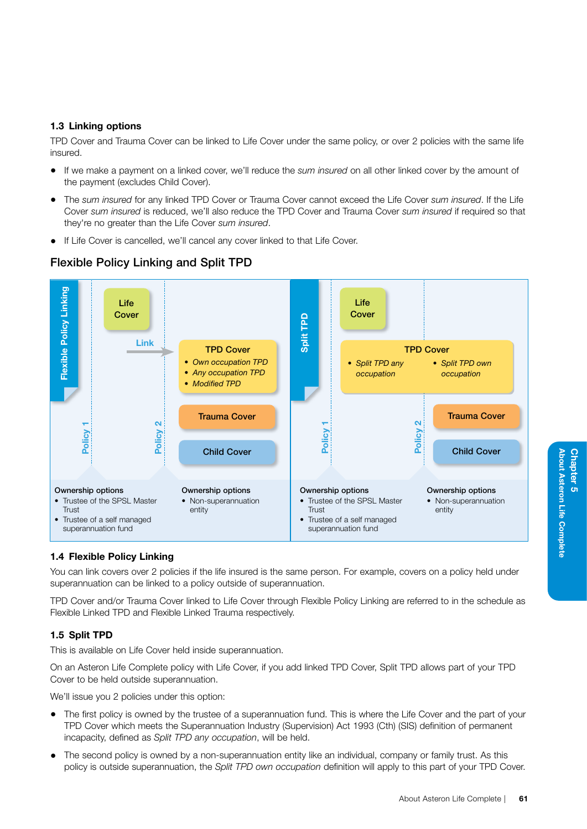#### 1.3 Linking options

TPD Cover and Trauma Cover can be linked to Life Cover under the same policy, or over 2 policies with the same life insured.

- If we make a payment on a linked cover, we'll reduce the *sum insured* on all other linked cover by the amount of the payment (excludes Child Cover).
- The *sum insured* for any linked TPD Cover or Trauma Cover cannot exceed the Life Cover *sum insured*. If the Life Cover *sum insured* is reduced, we'll also reduce the TPD Cover and Trauma Cover *sum insured* if required so that they're no greater than the Life Cover *sum insured*.
- If Life Cover is cancelled, we'll cancel any cover linked to that Life Cover.

## Flexible Policy Linking and Split TPD



## 1.4 Flexible Policy Linking

You can link covers over 2 policies if the life insured is the same person. For example, covers on a policy held under superannuation can be linked to a policy outside of superannuation.

TPD Cover and/or Trauma Cover linked to Life Cover through Flexible Policy Linking are referred to in the schedule as Flexible Linked TPD and Flexible Linked Trauma respectively.

## 1.5 Split TPD

This is available on Life Cover held inside superannuation.

On an Asteron Life Complete policy with Life Cover, if you add linked TPD Cover, Split TPD allows part of your TPD Cover to be held outside superannuation.

We'll issue you 2 policies under this option:

- The first policy is owned by the trustee of a superannuation fund. This is where the Life Cover and the part of your TPD Cover which meets the Superannuation Industry (Supervision) Act 1993 (Cth) (SIS) definition of permanent incapacity, defined as *Split TPD any occupation*, will be held.
- The second policy is owned by a non-superannuation entity like an individual, company or family trust. As this policy is outside superannuation, the *Split TPD own occupation* definition will apply to this part of your TPD Cover.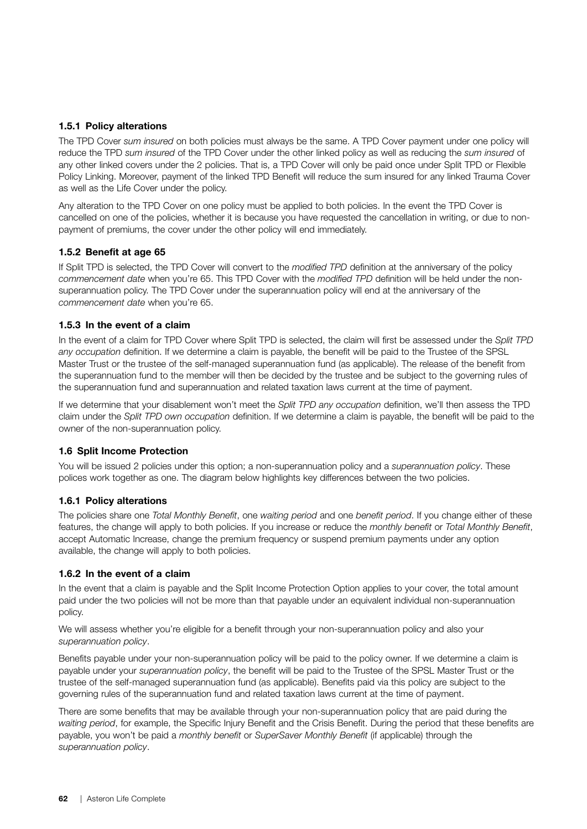## 1.5.1 Policy alterations

The TPD Cover *sum insured* on both policies must always be the same. A TPD Cover payment under one policy will reduce the TPD *sum insured* of the TPD Cover under the other linked policy as well as reducing the *sum insured* of any other linked covers under the 2 policies. That is, a TPD Cover will only be paid once under Split TPD or Flexible Policy Linking. Moreover, payment of the linked TPD Benefit will reduce the sum insured for any linked Trauma Cover as well as the Life Cover under the policy.

Any alteration to the TPD Cover on one policy must be applied to both policies. In the event the TPD Cover is cancelled on one of the policies, whether it is because you have requested the cancellation in writing, or due to nonpayment of premiums, the cover under the other policy will end immediately.

#### 1.5.2 Benefit at age 65

If Split TPD is selected, the TPD Cover will convert to the *modified TPD* definition at the anniversary of the policy *commencement date* when you're 65. This TPD Cover with the *modified TPD* definition will be held under the nonsuperannuation policy. The TPD Cover under the superannuation policy will end at the anniversary of the *commencement date* when you're 65.

#### 1.5.3 In the event of a claim

In the event of a claim for TPD Cover where Split TPD is selected, the claim will first be assessed under the *Split TPD any occupation* definition. If we determine a claim is payable, the benefit will be paid to the Trustee of the SPSL Master Trust or the trustee of the self-managed superannuation fund (as applicable). The release of the benefit from the superannuation fund to the member will then be decided by the trustee and be subject to the governing rules of the superannuation fund and superannuation and related taxation laws current at the time of payment.

If we determine that your disablement won't meet the *Split TPD any occupation* definition, we'll then assess the TPD claim under the *Split TPD own occupation* definition. If we determine a claim is payable, the benefit will be paid to the owner of the non-superannuation policy.

#### <span id="page-67-0"></span>1.6 Split Income Protection

You will be issued 2 policies under this option; a non-superannuation policy and a *superannuation policy*. These polices work together as one. The diagram below highlights key differences between the two policies.

#### 1.6.1 Policy alterations

The policies share one *Total Monthly Benefit*, one *waiting period* and one *benefit period*. If you change either of these features, the change will apply to both policies. If you increase or reduce the *monthly benefit* or *Total Monthly Benefit*, accept Automatic Increase, change the premium frequency or suspend premium payments under any option available, the change will apply to both policies.

#### 1.6.2 In the event of a claim

In the event that a claim is payable and the Split Income Protection Option applies to your cover, the total amount paid under the two policies will not be more than that payable under an equivalent individual non-superannuation policy.

We will assess whether you're eligible for a benefit through your non-superannuation policy and also your *superannuation policy*.

Benefits payable under your non-superannuation policy will be paid to the policy owner. If we determine a claim is payable under your *superannuation policy*, the benefit will be paid to the Trustee of the SPSL Master Trust or the trustee of the self-managed superannuation fund (as applicable). Benefits paid via this policy are subject to the governing rules of the superannuation fund and related taxation laws current at the time of payment.

There are some benefits that may be available through your non-superannuation policy that are paid during the *waiting period*, for example, the Specific Injury Benefit and the Crisis Benefit. During the period that these benefits are payable, you won't be paid a *monthly benefit* or *SuperSaver Monthly Benefit* (if applicable) through the *superannuation policy*.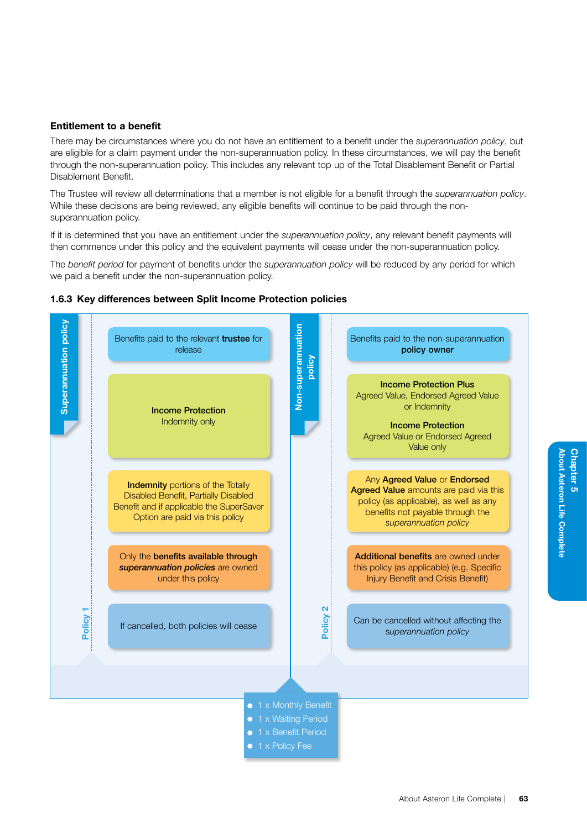#### Entitlement to a benefit

There may be circumstances where you do not have an entitlement to a benefit under the *superannuation policy*, but are eligible for a claim payment under the non-superannuation policy. In these circumstances, we will pay the benefit through the non-superannuation policy. This includes any relevant top up of the Total Disablement Benefit or Partial Disablement Benefit.

The Trustee will review all determinations that a member is not eligible for a benefit through the *superannuation policy*. While these decisions are being reviewed, any eligible benefits will continue to be paid through the nonsuperannuation policy.

If it is determined that you have an entitlement under the *superannuation policy*, any relevant benefit payments will then commence under this policy and the equivalent payments will cease under the non-superannuation policy.

The *benefit period* for payment of benefits under the *superannuation policy* will be reduced by any period for which we paid a benefit under the non-superannuation policy.

#### Superannuation policy **Superannuation policy** Non-superannuation Non-superannuation Benefits paid to the relevant trustee for Benefits paid to the non-superannuation release policy owner policy Income Protection Plus Agreed Value, Endorsed Agreed Value or Indemnity Income Protection Indemnity only Income Protection Agreed Value or Endorsed Agreed Value only Any Agreed Value or Endorsed Indemnity portions of the Totally Agreed Value amounts are paid via this Disabled Benefit, Partially Disabled policy (as applicable), as well as any Benefit and if applicable the SuperSaver benefits not payable through the Option are paid via this policy *superannuation policy* Only the **benefits available through** Additional benefits are owned under *superannuation policies* are owned this policy (as applicable) (e.g. Specific under this policy Injury Benefit and Crisis Benefit) Policy 2 Policy Can be cancelled without affecting the If cancelled, both policies will cease s*uperannuation policy* • 1 x Monthly Benefit • 1 x Waiting Period • 1 x Benefit Period • 1 x Policy Fee

#### 1.6.3 Key differences between Split Income Protection policies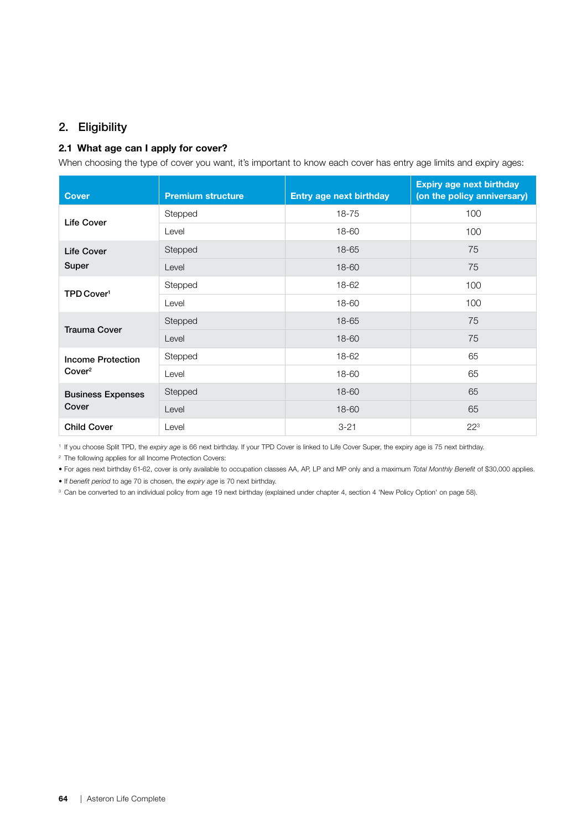## 2. Eligibility

## 2.1 What age can I apply for cover?

When choosing the type of cover you want, it's important to know each cover has entry age limits and expiry ages:

| <b>Cover</b>             | <b>Premium structure</b> | <b>Entry age next birthday</b> | <b>Expiry age next birthday</b><br>(on the policy anniversary) |
|--------------------------|--------------------------|--------------------------------|----------------------------------------------------------------|
| <b>Life Cover</b>        | Stepped                  | 18-75                          | 100                                                            |
|                          | Level                    | 18-60                          | 100                                                            |
| <b>Life Cover</b>        | Stepped                  | 18-65                          | 75                                                             |
| Super                    | Level                    | 18-60                          | 75                                                             |
| TPD Cover <sup>1</sup>   | Stepped                  | 18-62                          | 100                                                            |
|                          | Level                    | 18-60                          | 100                                                            |
| <b>Trauma Cover</b>      | Stepped                  | 18-65                          | 75                                                             |
|                          | Level                    | 18-60                          | 75                                                             |
| <b>Income Protection</b> | Stepped                  | 18-62                          | 65                                                             |
| Cover <sup>2</sup>       | Level                    | 18-60                          | 65                                                             |
| <b>Business Expenses</b> | Stepped                  | 18-60                          | 65                                                             |
| Cover                    | Level                    | 18-60                          | 65                                                             |
| <b>Child Cover</b>       | Level                    | $3 - 21$                       | $22^{3}$                                                       |

<sup>1</sup> If you choose Split TPD, the *expiry age* is 66 next birthday. If your TPD Cover is linked to Life Cover Super, the expiry age is 75 next birthday.

2 The following applies for all Income Protection Covers:

• For ages next birthday 61-62, cover is only available to occupation classes AA, AP, LP and MP only and a maximum *Total Monthly Benefit* of \$30,000 applies.

• If *benefit period* to age 70 is chosen, the *expiry age* is 70 next birthday.

<sup>3</sup> Can be converted to an individual policy from age 19 next birthday (explained under chapter 4, section 4 'New Policy Option' on page [58\)](#page-63-0).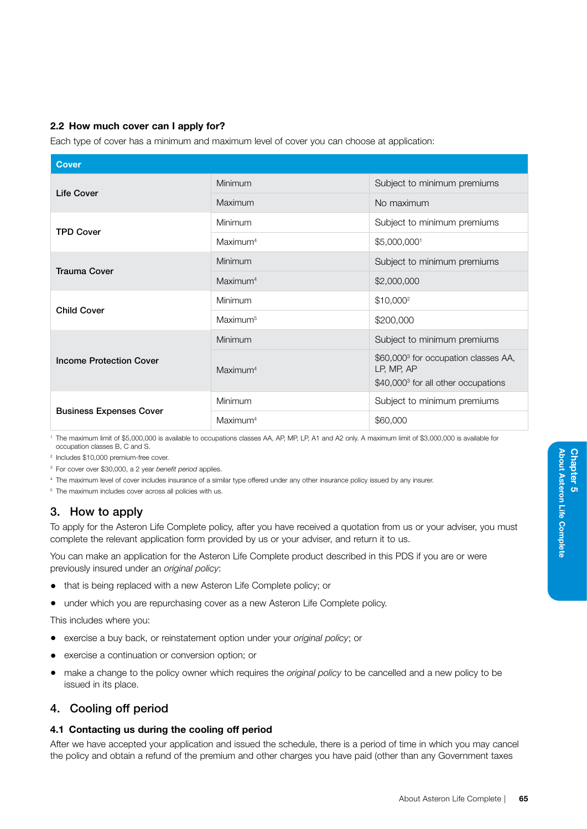## 2.2 How much cover can I apply for?

Each type of cover has a minimum and maximum level of cover you can choose at application:

| <b>Cover</b>                   |                      |                                                                                                                   |
|--------------------------------|----------------------|-------------------------------------------------------------------------------------------------------------------|
| Life Cover                     | Minimum              | Subject to minimum premiums                                                                                       |
|                                | Maximum              | No maximum                                                                                                        |
| <b>TPD Cover</b>               | Minimum              | Subject to minimum premiums                                                                                       |
|                                | Maximum <sup>4</sup> | \$5,000,0001                                                                                                      |
| <b>Trauma Cover</b>            | Minimum              | Subject to minimum premiums                                                                                       |
|                                | Maximum <sup>4</sup> | \$2,000,000                                                                                                       |
| <b>Child Cover</b>             | Minimum              | $$10,000^2$                                                                                                       |
|                                | Maximum <sup>5</sup> | \$200,000                                                                                                         |
|                                | Minimum              | Subject to minimum premiums                                                                                       |
| <b>Income Protection Cover</b> | Maximum <sup>4</sup> | \$60,000 <sup>3</sup> for occupation classes AA,<br>LP, MP, AP<br>\$40,000 <sup>3</sup> for all other occupations |
| <b>Business Expenses Cover</b> | Minimum              | Subject to minimum premiums                                                                                       |
|                                | Maximum <sup>4</sup> | \$60,000                                                                                                          |

<sup>1</sup> The maximum limit of \$5,000,000 is available to occupations classes AA, AP, MP, LP, A1 and A2 only. A maximum limit of \$3,000,000 is available for occupation classes B, C and S.

<sup>2</sup> Includes \$10,000 premium-free cover.

<sup>3</sup> For cover over \$30,000, a 2 year *benefit period* applies.

<sup>4</sup> The maximum level of cover includes insurance of a similar type offered under any other insurance policy issued by any insurer.

<sup>5</sup> The maximum includes cover across all policies with us.

## 3. How to apply

To apply for the Asteron Life Complete policy, after you have received a quotation from us or your adviser, you must complete the relevant application form provided by us or your adviser, and return it to us.

You can make an application for the Asteron Life Complete product described in this PDS if you are or were previously insured under an *original policy*:

- that is being replaced with a new Asteron Life Complete policy; or
- under which you are repurchasing cover as a new Asteron Life Complete policy.

This includes where you:

- exercise a buy back, or reinstatement option under your *original policy*; or
- exercise a continuation or conversion option; or
- make a change to the policy owner which requires the *original policy* to be cancelled and a new policy to be issued in its place.

## 4. Cooling off period

## 4.1 Contacting us during the cooling off period

After we have accepted your application and issued the schedule, there is a period of time in which you may cancel the policy and obtain a refund of the premium and other charges you have paid (other than any Government taxes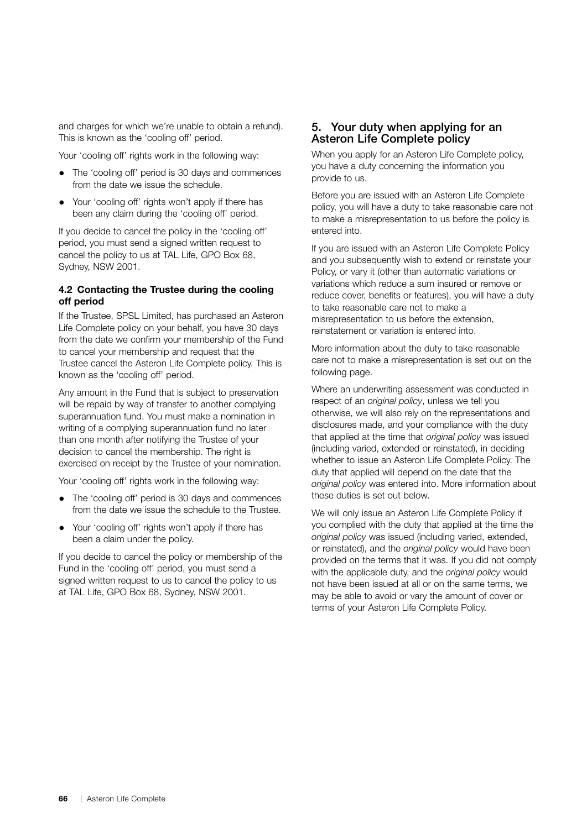and charges for which we're unable to obtain a refund). This is known as the 'cooling off' period.

Your 'cooling off' rights work in the following way:

- The 'cooling off' period is 30 days and commences from the date we issue the schedule.
- Your 'cooling off' rights won't apply if there has been any claim during the 'cooling off' period.

If you decide to cancel the policy in the 'cooling off' period, you must send a signed written request to cancel the policy to us at TAL Life, GPO Box 68, Sydney, NSW 2001.

#### 4.2 Contacting the Trustee during the cooling off period

If the Trustee, SPSL Limited, has purchased an Asteron Life Complete policy on your behalf, you have 30 days from the date we confirm your membership of the Fund to cancel your membership and request that the Trustee cancel the Asteron Life Complete policy. This is known as the 'cooling off' period.

Any amount in the Fund that is subject to preservation will be repaid by way of transfer to another complying superannuation fund. You must make a nomination in writing of a complying superannuation fund no later than one month after notifying the Trustee of your decision to cancel the membership. The right is exercised on receipt by the Trustee of your nomination.

Your 'cooling off' rights work in the following way:

- The 'cooling off' period is 30 days and commences from the date we issue the schedule to the Trustee.
- Your 'cooling off' rights won't apply if there has been a claim under the policy.

If you decide to cancel the policy or membership of the Fund in the 'cooling off' period, you must send a signed written request to us to cancel the policy to us at TAL Life, GPO Box 68, Sydney, NSW 2001.

## 5. Your duty when applying for an Asteron Life Complete policy

When you apply for an Asteron Life Complete policy, you have a duty concerning the information you provide to us.

Before you are issued with an Asteron Life Complete policy, you will have a duty to take reasonable care not to make a misrepresentation to us before the policy is entered into.

If you are issued with an Asteron Life Complete Policy and you subsequently wish to extend or reinstate your Policy, or vary it (other than automatic variations or variations which reduce a sum insured or remove or reduce cover, benefits or features), you will have a duty to take reasonable care not to make a misrepresentation to us before the extension, reinstatement or variation is entered into.

More information about the duty to take reasonable care not to make a misrepresentation is set out on the following page.

Where an underwriting assessment was conducted in respect of an *original policy*, unless we tell you otherwise, we will also rely on the representations and disclosures made, and your compliance with the duty that applied at the time that *original policy* was issued (including varied, extended or reinstated), in deciding whether to issue an Asteron Life Complete Policy. The duty that applied will depend on the date that the *original policy* was entered into. More information about these duties is set out below.

We will only issue an Asteron Life Complete Policy if you complied with the duty that applied at the time the *original policy* was issued (including varied, extended, or reinstated), and the *original policy* would have been provided on the terms that it was. If you did not comply with the applicable duty, and the *original policy* would not have been issued at all or on the same terms, we may be able to avoid or vary the amount of cover or terms of your Asteron Life Complete Policy.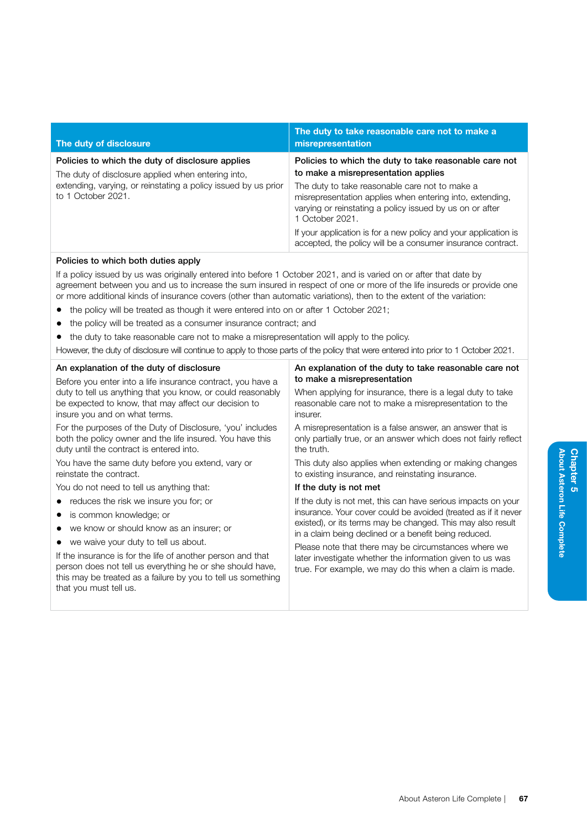| The duty of disclosure                                                                                                                                                                         | The duty to take reasonable care not to make a<br>misrepresentation                                                                                                                                                                                                                        |
|------------------------------------------------------------------------------------------------------------------------------------------------------------------------------------------------|--------------------------------------------------------------------------------------------------------------------------------------------------------------------------------------------------------------------------------------------------------------------------------------------|
| Policies to which the duty of disclosure applies<br>The duty of disclosure applied when entering into,<br>extending, varying, or reinstating a policy issued by us prior<br>to 1 October 2021. | Policies to which the duty to take reasonable care not<br>to make a misrepresentation applies<br>The duty to take reasonable care not to make a<br>misrepresentation applies when entering into, extending,<br>varying or reinstating a policy issued by us on or after<br>1 October 2021. |
|                                                                                                                                                                                                | If your application is for a new policy and your application is<br>accepted, the policy will be a consumer insurance contract.                                                                                                                                                             |

#### Policies to which both duties apply

If a policy issued by us was originally entered into before 1 October 2021, and is varied on or after that date by agreement between you and us to increase the sum insured in respect of one or more of the life insureds or provide one or more additional kinds of insurance covers (other than automatic variations), then to the extent of the variation:

- the policy will be treated as though it were entered into on or after 1 October 2021;
- the policy will be treated as a consumer insurance contract; and
- the duty to take reasonable care not to make a misrepresentation will apply to the policy.

However, the duty of disclosure will continue to apply to those parts of the policy that were entered into prior to 1 October 2021.

| An explanation of the duty of disclosure                     | An explanation of the duty to take reasonable care not<br>to make a misrepresentation                                |  |
|--------------------------------------------------------------|----------------------------------------------------------------------------------------------------------------------|--|
| Before you enter into a life insurance contract, you have a  |                                                                                                                      |  |
| duty to tell us anything that you know, or could reasonably  | When applying for insurance, there is a legal duty to take                                                           |  |
| be expected to know, that may affect our decision to         | reasonable care not to make a misrepresentation to the                                                               |  |
| insure you and on what terms.                                | insurer.                                                                                                             |  |
| For the purposes of the Duty of Disclosure, 'you' includes   | A misrepresentation is a false answer, an answer that is                                                             |  |
| both the policy owner and the life insured. You have this    | only partially true, or an answer which does not fairly reflect                                                      |  |
| duty until the contract is entered into.                     | the truth.                                                                                                           |  |
| You have the same duty before you extend, vary or            | This duty also applies when extending or making changes                                                              |  |
| reinstate the contract.                                      | to existing insurance, and reinstating insurance.                                                                    |  |
| You do not need to tell us anything that:                    | If the duty is not met                                                                                               |  |
| • reduces the risk we insure you for; or                     | If the duty is not met, this can have serious impacts on your                                                        |  |
| • is common knowledge; or                                    | insurance. Your cover could be avoided (treated as if it never                                                       |  |
| we know or should know as an insurer; or                     | existed), or its terms may be changed. This may also result<br>in a claim being declined or a benefit being reduced. |  |
| • we waive your duty to tell us about.                       | Please note that there may be circumstances where we                                                                 |  |
| If the insurance is for the life of another person and that  | later investigate whether the information given to us was                                                            |  |
| person does not tell us everything he or she should have,    | true. For example, we may do this when a claim is made.                                                              |  |
| this may be treated as a failure by you to tell us something |                                                                                                                      |  |
| that you must tell us.                                       |                                                                                                                      |  |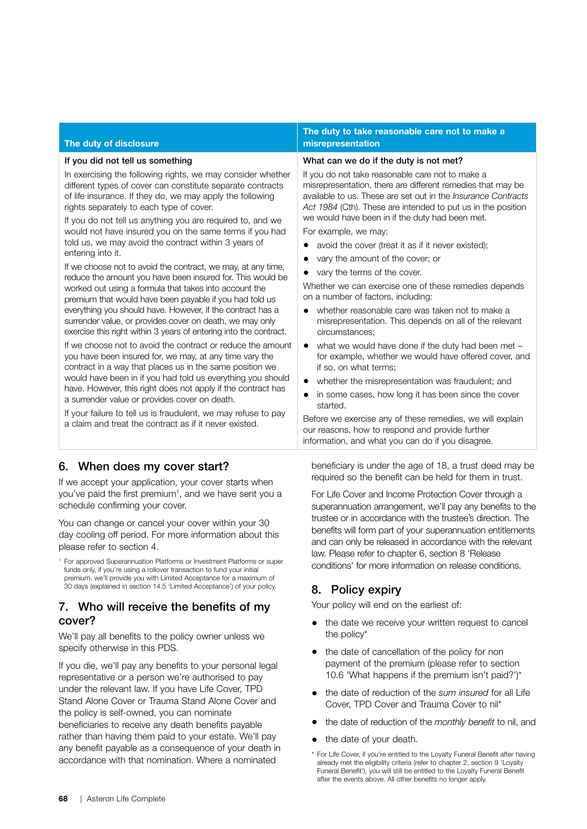| The duty of disclosure                                                                                                                                                                                                                                                                                                                                                                                                                                                                                                                                                                                                                                                                                                                                                                                                                                                                                                                                                                                                                                                                                                                                                                                                                                                                                                                                                                                                           | The duty to take reasonable care not to make a<br>misrepresentation                                                                                                                                                                                                                                                                                                                                                                                                                                                                                                                                                                                                                                                                                                                                                                                                                                                                                                                                                                                                                                                                                                                                 |
|----------------------------------------------------------------------------------------------------------------------------------------------------------------------------------------------------------------------------------------------------------------------------------------------------------------------------------------------------------------------------------------------------------------------------------------------------------------------------------------------------------------------------------------------------------------------------------------------------------------------------------------------------------------------------------------------------------------------------------------------------------------------------------------------------------------------------------------------------------------------------------------------------------------------------------------------------------------------------------------------------------------------------------------------------------------------------------------------------------------------------------------------------------------------------------------------------------------------------------------------------------------------------------------------------------------------------------------------------------------------------------------------------------------------------------|-----------------------------------------------------------------------------------------------------------------------------------------------------------------------------------------------------------------------------------------------------------------------------------------------------------------------------------------------------------------------------------------------------------------------------------------------------------------------------------------------------------------------------------------------------------------------------------------------------------------------------------------------------------------------------------------------------------------------------------------------------------------------------------------------------------------------------------------------------------------------------------------------------------------------------------------------------------------------------------------------------------------------------------------------------------------------------------------------------------------------------------------------------------------------------------------------------|
| If you did not tell us something<br>In exercising the following rights, we may consider whether<br>different types of cover can constitute separate contracts<br>of life insurance. If they do, we may apply the following<br>rights separately to each type of cover.<br>If you do not tell us anything you are required to, and we<br>would not have insured you on the same terms if you had<br>told us, we may avoid the contract within 3 years of<br>entering into it.<br>If we choose not to avoid the contract, we may, at any time,<br>reduce the amount you have been insured for. This would be<br>worked out using a formula that takes into account the<br>premium that would have been payable if you had told us<br>everything you should have. However, if the contract has a<br>surrender value, or provides cover on death, we may only<br>exercise this right within 3 years of entering into the contract.<br>If we choose not to avoid the contract or reduce the amount<br>you have been insured for, we may, at any time vary the<br>contract in a way that places us in the same position we<br>would have been in if you had told us everything you should<br>have. However, this right does not apply if the contract has<br>a surrender value or provides cover on death.<br>If your failure to tell us is fraudulent, we may refuse to pay<br>a claim and treat the contract as if it never existed. | What can we do if the duty is not met?<br>If you do not take reasonable care not to make a<br>misrepresentation, there are different remedies that may be<br>available to us. These are set out in the <i>Insurance Contracts</i><br>Act 1984 (Cth). These are intended to put us in the position<br>we would have been in if the duty had been met.<br>For example, we may:<br>avoid the cover (treat it as if it never existed);<br>vary the amount of the cover; or<br>vary the terms of the cover.<br>Whether we can exercise one of these remedies depends<br>on a number of factors, including:<br>whether reasonable care was taken not to make a<br>misrepresentation. This depends on all of the relevant<br>circumstances;<br>what we would have done if the duty had been met -<br>$\bullet$<br>for example, whether we would have offered cover, and<br>if so, on what terms;<br>whether the misrepresentation was fraudulent; and<br>$\bullet$<br>in some cases, how long it has been since the cover<br>started.<br>Before we exercise any of these remedies, we will explain<br>our reasons, how to respond and provide further<br>information, and what you can do if you disagree. |
| 6. When does my cover start?                                                                                                                                                                                                                                                                                                                                                                                                                                                                                                                                                                                                                                                                                                                                                                                                                                                                                                                                                                                                                                                                                                                                                                                                                                                                                                                                                                                                     | beneficiary is under the age of 18, a trust deed may be<br>$\alpha$ and the contract of the contract of the contract of the contract of the contract of the contract of the contract of the contract of the contract of the contract of the contract of the contract of the contract of the                                                                                                                                                                                                                                                                                                                                                                                                                                                                                                                                                                                                                                                                                                                                                                                                                                                                                                         |

If we accept your application, your cover starts when you've paid the first premium<sup>1</sup>, and we have sent you a schedule confirming your cover.

You can change or cancel your cover within your 30 day cooling off period. For more information about this please refer to section 4.

<sup>1</sup> For approved Superannuation Platforms or Investment Platforms or super funds only, if you're using a rollover transaction to fund your initial premium, we'll provide you with Limited Acceptance for a maximum of 30 days (explained in section 14.5 'Limited Acceptance') of your policy.

# 7. Who will receive the benefits of my cover?

We'll pay all benefits to the policy owner unless we specify otherwise in this PDS.

If you die, we'll pay any benefits to your personal legal representative or a person we're authorised to pay under the relevant law. If you have Life Cover, TPD Stand Alone Cover or Trauma Stand Alone Cover and the policy is self-owned, you can nominate beneficiaries to receive any death benefits payable rather than having them paid to your estate. We'll pay any benefit payable as a consequence of your death in accordance with that nomination. Where a nominated

beneficiary is under the age of 18, a trust deed may be required so the benefit can be held for them in trust.

For Life Cover and Income Protection Cover through a superannuation arrangement, we'll pay any benefits to the trustee or in accordance with the trustee's direction. The benefits will form part of your superannuation entitlements and can only be released in accordance with the relevant law. Please refer to chapter 6, section 8 'Release conditions' for more information on release conditions.

# 8. Policy expiry

Your policy will end on the earliest of:

- the date we receive your written request to cancel the policy\*
- the date of cancellation of the policy for non payment of the premium (please refer to section 10.6 'What happens if the premium isn't paid?')\*
- the date of reduction of the *sum insured* for all Life Cover, TPD Cover and Trauma Cover to nil\*
- the date of reduction of the *monthly benefit* to nil, and
- the date of your death.
- \* For Life Cover, if you're entitled to the Loyalty Funeral Benefit after having already met the eligibility criteria (refer to chapter 2, section 9 'Loyalty Funeral Benefit'), you will still be entitled to the Loyalty Funeral Benefit after the events above. All other benefits no longer apply.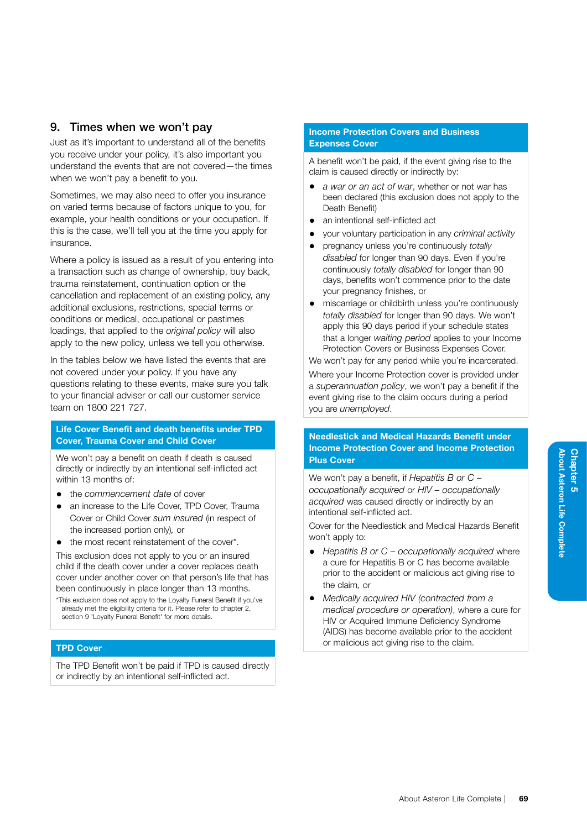# 9. Times when we won't pay

Just as it's important to understand all of the benefits you receive under your policy, it's also important you understand the events that are not covered—the times when we won't pay a benefit to you.

Sometimes, we may also need to offer you insurance on varied terms because of factors unique to you, for example, your health conditions or your occupation. If this is the case, we'll tell you at the time you apply for insurance.

Where a policy is issued as a result of you entering into a transaction such as change of ownership, buy back, trauma reinstatement, continuation option or the cancellation and replacement of an existing policy, any additional exclusions, restrictions, special terms or conditions or medical, occupational or pastimes loadings, that applied to the *original policy* will also apply to the new policy, unless we tell you otherwise.

In the tables below we have listed the events that are not covered under your policy. If you have any questions relating to these events, make sure you talk to your financial adviser or call our customer service team on 1800 221 727.

#### Life Cover Benefit and death benefits under TPD Cover, Trauma Cover and Child Cover

We won't pay a benefit on death if death is caused directly or indirectly by an intentional self-inflicted act within 13 months of:

- the *commencement date* of cover
- an increase to the Life Cover, TPD Cover, Trauma Cover or Child Cover *sum insured* (in respect of the increased portion only)*,* or
- the most recent reinstatement of the cover\*.

This exclusion does not apply to you or an insured child if the death cover under a cover replaces death cover under another cover on that person's life that has been continuously in place longer than 13 months.

\*This exclusion does not apply to the Loyalty Funeral Benefit if you've already met the eligibility criteria for it. Please refer to chapter 2, section 9 'Loyalty Funeral Benefit' for more details.

## TPD Cover

The TPD Benefit won't be paid if TPD is caused directly or indirectly by an intentional self-inflicted act.

#### Income Protection Covers and Business Expenses Cover

A benefit won't be paid, if the event giving rise to the claim is caused directly or indirectly by:

- *a war or an act of war*, whether or not war has been declared (this exclusion does not apply to the Death Benefit)
- an intentional self-inflicted act
- your voluntary participation in any *criminal activity*
- pregnancy unless you're continuously *totally disabled* for longer than 90 days. Even if you're continuously *totally disabled* for longer than 90 days, benefits won't commence prior to the date your pregnancy finishes, or
- miscarriage or childbirth unless you're continuously *totally disabled* for longer than 90 days. We won't apply this 90 days period if your schedule states that a longer *waiting period* applies to your Income Protection Covers or Business Expenses Cover.

We won't pay for any period while you're incarcerated.

Where your Income Protection cover is provided under a *superannuation policy*, we won't pay a benefit if the event giving rise to the claim occurs during a period you are *unemployed*.

#### Needlestick and Medical Hazards Benefit under Income Protection Cover and Income Protection Plus Cover

We won't pay a benefit, if *Hepatitis B or C – occupationally acquired* or *HIV – occupationally acquired* was caused directly or indirectly by an intentional self-inflicted act.

Cover for the Needlestick and Medical Hazards Benefit won't apply to:

- *Hepatitis B or C occupationally acquired* where a cure for Hepatitis B or C has become available prior to the accident or malicious act giving rise to the claim*,* or
- *Medically acquired HIV (contracted from a medical procedure or operation)*, where a cure for HIV or Acquired Immune Deficiency Syndrome (AIDS) has become available prior to the accident or malicious act giving rise to the claim.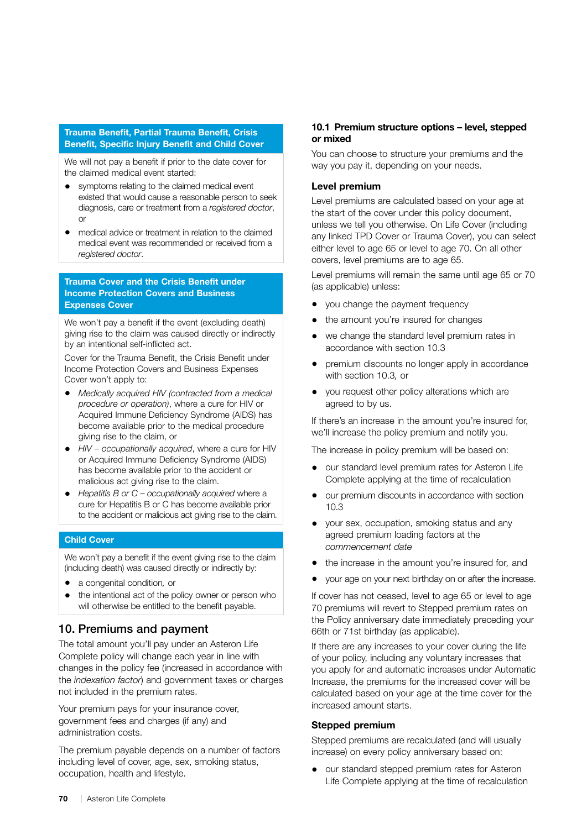## Trauma Benefit, Partial Trauma Benefit, Crisis Benefit, Specific Injury Benefit and Child Cover

We will not pay a benefit if prior to the date cover for the claimed medical event started:

- symptoms relating to the claimed medical event existed that would cause a reasonable person to seek diagnosis, care or treatment from a *registered doctor*, or
- medical advice or treatment in relation to the claimed medical event was recommended or received from a *registered doctor*.

## Trauma Cover and the Crisis Benefit under Income Protection Covers and Business Expenses Cover

We won't pay a benefit if the event (excluding death) giving rise to the claim was caused directly or indirectly by an intentional self-inflicted act.

Cover for the Trauma Benefit, the Crisis Benefit under Income Protection Covers and Business Expenses Cover won't apply to:

- *Medically acquired HIV (contracted from a medical procedure or operation)*, where a cure for HIV or Acquired Immune Deficiency Syndrome (AIDS) has become available prior to the medical procedure giving rise to the claim, or
- *HIV occupationally acquired*, where a cure for HIV or Acquired Immune Deficiency Syndrome (AIDS) has become available prior to the accident or malicious act giving rise to the claim.
- *Hepatitis B or C occupationally acquired* where a cure for Hepatitis B or C has become available prior to the accident or malicious act giving rise to the claim.

#### Child Cover

We won't pay a benefit if the event giving rise to the claim (including death) was caused directly or indirectly by:

- a congenital condition*,* or
- the intentional act of the policy owner or person who will otherwise be entitled to the benefit payable.

# 10. Premiums and payment

The total amount you'll pay under an Asteron Life Complete policy will change each year in line with changes in the policy fee (increased in accordance with the *indexation factor*) and government taxes or charges not included in the premium rates.

Your premium pays for your insurance cover, government fees and charges (if any) and administration costs.

The premium payable depends on a number of factors including level of cover, age, sex, smoking status, occupation, health and lifestyle.

#### 10.1 Premium structure options – level, stepped or mixed

You can choose to structure your premiums and the way you pay it, depending on your needs.

#### Level premium

Level premiums are calculated based on your age at the start of the cover under this policy document, unless we tell you otherwise. On Life Cover (including any linked TPD Cover or Trauma Cover), you can select either level to age 65 or level to age 70. On all other covers, level premiums are to age 65.

Level premiums will remain the same until age 65 or 70 (as applicable) unless:

- you change the payment frequency
- the amount you're insured for changes
- we change the standard level premium rates in accordance with section 10.3
- premium discounts no longer apply in accordance with section 10.3*,* or
- you request other policy alterations which are agreed to by us.

If there's an increase in the amount you're insured for, we'll increase the policy premium and notify you.

The increase in policy premium will be based on:

- our standard level premium rates for Asteron Life Complete applying at the time of recalculation
- our premium discounts in accordance with section  $10.3$
- your sex, occupation, smoking status and any agreed premium loading factors at the *commencement date*
- the increase in the amount you're insured for*,* and
- your age on your next birthday on or after the increase.

If cover has not ceased, level to age 65 or level to age 70 premiums will revert to Stepped premium rates on the Policy anniversary date immediately preceding your 66th or 71st birthday (as applicable).

If there are any increases to your cover during the life of your policy, including any voluntary increases that you apply for and automatic increases under Automatic Increase, the premiums for the increased cover will be calculated based on your age at the time cover for the increased amount starts.

#### Stepped premium

Stepped premiums are recalculated (and will usually increase) on every policy anniversary based on:

• our standard stepped premium rates for Asteron Life Complete applying at the time of recalculation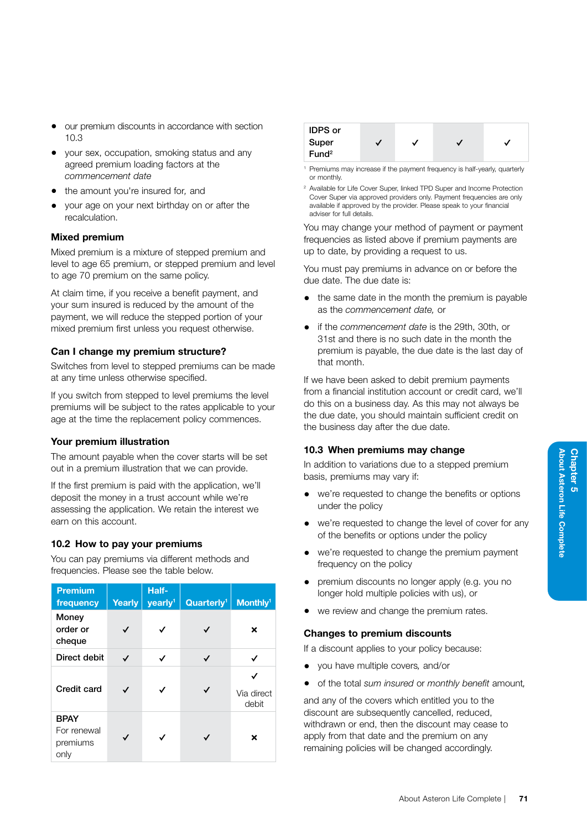- our premium discounts in accordance with section 10.3
- your sex, occupation, smoking status and any agreed premium loading factors at the *commencement date*
- the amount you're insured for*,* and
- your age on your next birthday on or after the recalculation.

#### Mixed premium

Mixed premium is a mixture of stepped premium and level to age 65 premium, or stepped premium and level to age 70 premium on the same policy.

At claim time, if you receive a benefit payment, and your sum insured is reduced by the amount of the payment, we will reduce the stepped portion of your mixed premium first unless you request otherwise.

## Can I change my premium structure?

Switches from level to stepped premiums can be made at any time unless otherwise specified.

If you switch from stepped to level premiums the level premiums will be subject to the rates applicable to your age at the time the replacement policy commences.

#### Your premium illustration

The amount payable when the cover starts will be set out in a premium illustration that we can provide.

If the first premium is paid with the application, we'll deposit the money in a trust account while we're assessing the application. We retain the interest we earn on this account.

#### 10.2 How to pay your premiums

You can pay premiums via different methods and frequencies. Please see the table below.

| <b>Premium</b><br>frequency                    | Yearly | Half-<br>yearly <sup>1</sup> | Quarterly <sup>1</sup> | Monthly <sup>1</sup> |
|------------------------------------------------|--------|------------------------------|------------------------|----------------------|
| Money<br>order or<br>cheque                    | ✓      | ✓                            | ✓                      | ×                    |
| Direct debit                                   | ✓      | ✓                            | ✓                      | ✓                    |
| Credit card                                    | ✓      | ✓                            | ✓                      | Via direct<br>debit  |
| <b>BPAY</b><br>For renewal<br>premiums<br>only | ✓      | ✓                            | ✓                      | ×                    |



- Premiums may increase if the payment frequency is half-yearly, quarterly or monthly.
- <sup>2</sup> Available for Life Cover Super, linked TPD Super and Income Protection Cover Super via approved providers only. Payment frequencies are only available if approved by the provider. Please speak to your financial adviser for full details.

You may change your method of payment or payment frequencies as listed above if premium payments are up to date, by providing a request to us.

You must pay premiums in advance on or before the due date. The due date is:

- the same date in the month the premium is payable as the *commencement date,* or
- if the *commencement date* is the 29th, 30th, or 31st and there is no such date in the month the premium is payable, the due date is the last day of that month.

If we have been asked to debit premium payments from a financial institution account or credit card, we'll do this on a business day. As this may not always be the due date, you should maintain sufficient credit on the business day after the due date.

#### 10.3 When premiums may change

In addition to variations due to a stepped premium basis, premiums may vary if:

- we're requested to change the benefits or options under the policy
- we're requested to change the level of cover for any of the benefits or options under the policy
- we're requested to change the premium payment frequency on the policy
- premium discounts no longer apply (e.g. you no longer hold multiple policies with us), or
- we review and change the premium rates.

#### Changes to premium discounts

If a discount applies to your policy because:

- you have multiple covers*,* and/or
- of the total *sum insured* or *monthly benefit* amount*,*

and any of the covers which entitled you to the discount are subsequently cancelled, reduced, withdrawn or end, then the discount may cease to apply from that date and the premium on any remaining policies will be changed accordingly.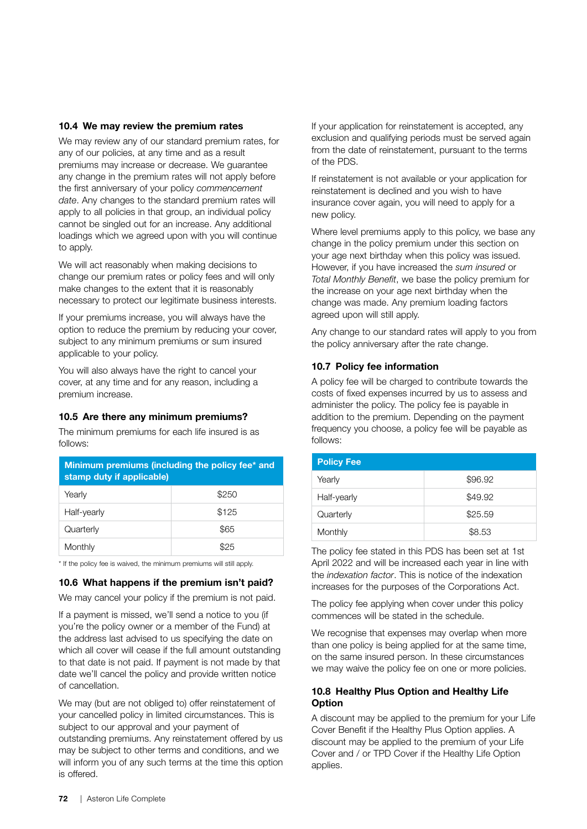#### 10.4 We may review the premium rates

We may review any of our standard premium rates, for any of our policies, at any time and as a result premiums may increase or decrease. We guarantee any change in the premium rates will not apply before the first anniversary of your policy *commencement date*. Any changes to the standard premium rates will apply to all policies in that group, an individual policy cannot be singled out for an increase. Any additional loadings which we agreed upon with you will continue to apply.

We will act reasonably when making decisions to change our premium rates or policy fees and will only make changes to the extent that it is reasonably necessary to protect our legitimate business interests.

If your premiums increase, you will always have the option to reduce the premium by reducing your cover, subject to any minimum premiums or sum insured applicable to your policy.

You will also always have the right to cancel your cover, at any time and for any reason, including a premium increase.

#### 10.5 Are there any minimum premiums?

The minimum premiums for each life insured is as follows:

| Minimum premiums (including the policy fee* and<br>stamp duty if applicable) |       |  |
|------------------------------------------------------------------------------|-------|--|
| Yearly                                                                       | \$250 |  |
| Half-yearly                                                                  | \$125 |  |
| Quarterly                                                                    | \$65  |  |
| Monthly                                                                      |       |  |

\* If the policy fee is waived, the minimum premiums will still apply.

#### 10.6 What happens if the premium isn't paid?

We may cancel your policy if the premium is not paid.

If a payment is missed, we'll send a notice to you (if you're the policy owner or a member of the Fund) at the address last advised to us specifying the date on which all cover will cease if the full amount outstanding to that date is not paid. If payment is not made by that date we'll cancel the policy and provide written notice of cancellation.

We may (but are not obliged to) offer reinstatement of your cancelled policy in limited circumstances. This is subject to our approval and your payment of outstanding premiums. Any reinstatement offered by us may be subject to other terms and conditions, and we will inform you of any such terms at the time this option is offered.

If your application for reinstatement is accepted, any exclusion and qualifying periods must be served again from the date of reinstatement, pursuant to the terms of the PDS.

If reinstatement is not available or your application for reinstatement is declined and you wish to have insurance cover again, you will need to apply for a new policy.

Where level premiums apply to this policy, we base any change in the policy premium under this section on your age next birthday when this policy was issued. However, if you have increased the *sum insured* or *Total Monthly Benefit*, we base the policy premium for the increase on your age next birthday when the change was made. Any premium loading factors agreed upon will still apply.

Any change to our standard rates will apply to you from the policy anniversary after the rate change.

#### 10.7 Policy fee information

A policy fee will be charged to contribute towards the costs of fixed expenses incurred by us to assess and administer the policy. The policy fee is payable in addition to the premium. Depending on the payment frequency you choose, a policy fee will be payable as follows:

The policy fee stated in this PDS has been set at 1st April 2022 and will be increased each year in line with the *indexation factor*. This is notice of the indexation increases for the purposes of the Corporations Act.

The policy fee applying when cover under this policy commences will be stated in the schedule.

We recognise that expenses may overlap when more than one policy is being applied for at the same time, on the same insured person. In these circumstances we may waive the policy fee on one or more policies.

## 10.8 Healthy Plus Option and Healthy Life **Option**

A discount may be applied to the premium for your Life Cover Benefit if the Healthy Plus Option applies. A discount may be applied to the premium of your Life Cover and / or TPD Cover if the Healthy Life Option applies.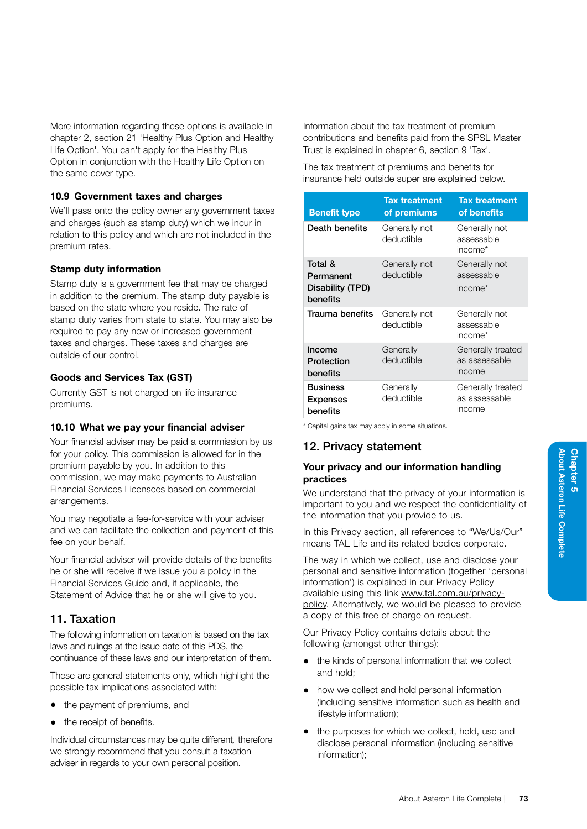About Asteron Life Complete

Chapter 5<br>About Asteron Life Complete

Chapter 5

More information regarding these options is available in chapter 2, section 21 'Healthy Plus Option and Healthy Life Option'. You can't apply for the Healthy Plus Option in conjunction with the Healthy Life Option on the same cover type.

# 10.9 Government taxes and charges

We'll pass onto the policy owner any government taxes and charges (such as stamp duty) which we incur in relation to this policy and which are not included in the premium rates.

# Stamp duty information

Stamp duty is a government fee that may be charged in addition to the premium. The stamp duty payable is based on the state where you reside. The rate of stamp duty varies from state to state. You may also be required to pay any new or increased government taxes and charges. These taxes and charges are outside of our control.

# Goods and Services Tax (GST)

Currently GST is not charged on life insurance premiums.

# 10.10 What we pay your financial adviser

Your financial adviser may be paid a commission by us for your policy. This commission is allowed for in the premium payable by you. In addition to this commission, we may make payments to Australian Financial Services Licensees based on commercial arrangements.

You may negotiate a fee-for-service with your adviser and we can facilitate the collection and payment of this fee on your behalf.

Your financial adviser will provide details of the benefits he or she will receive if we issue you a policy in the Financial Services Guide and, if applicable, the Statement of Advice that he or she will give to you.

# 11. Taxation

The following information on taxation is based on the tax laws and rulings at the issue date of this PDS, the continuance of these laws and our interpretation of them.

These are general statements only, which highlight the possible tax implications associated with:

- the payment of premiums, and
- the receipt of benefits.

Individual circumstances may be quite different*,* therefore we strongly recommend that you consult a taxation adviser in regards to your own personal position.

Information about the tax treatment of premium contributions and benefits paid from the SPSL Master Trust is explained in chapter 6, section 9 'Tax'.

The tax treatment of premiums and benefits for insurance held outside super are explained below.

| <b>Benefit type</b>                                  | <b>Tax treatment</b><br>of premiums | <b>Tax treatment</b><br>of benefits                |
|------------------------------------------------------|-------------------------------------|----------------------------------------------------|
| Death benefits                                       | Generally not<br>deductible         | Generally not<br>assessable<br>income <sup>*</sup> |
| Total &<br>Permanent<br>Disability (TPD)<br>benefits | Generally not<br>deductible         | Generally not<br>assessable<br>income <sup>*</sup> |
| Trauma benefits                                      | Generally not<br>deductible         | Generally not<br>assessable<br>income*             |
| Income<br>Protection<br>benefits                     | Generally<br>deductible             | Generally treated<br>as assessable<br>income       |
| <b>Business</b><br><b>Expenses</b><br>benefits       | Generally<br>deductible             | Generally treated<br>as assessable<br>income       |

\* Capital gains tax may apply in some situations.

# 12. Privacy statement

## Your privacy and our information handling practices

We understand that the privacy of your information is important to you and we respect the confidentiality of the information that you provide to us.

In this Privacy section, all references to "We/Us/Our" means TAL Life and its related bodies corporate.

The way in which we collect, use and disclose your personal and sensitive information (together 'personal information') is explained in our Privacy Policy available using this link [www.tal.com.au/privacy](http://www.tal.com.au/privacy-policy)[policy](http://www.tal.com.au/privacy-policy). Alternatively, we would be pleased to provide a copy of this free of charge on request.

Our Privacy Policy contains details about the following (amongst other things):

- the kinds of personal information that we collect and hold;
- how we collect and hold personal information (including sensitive information such as health and lifestyle information);
- the purposes for which we collect, hold, use and disclose personal information (including sensitive information);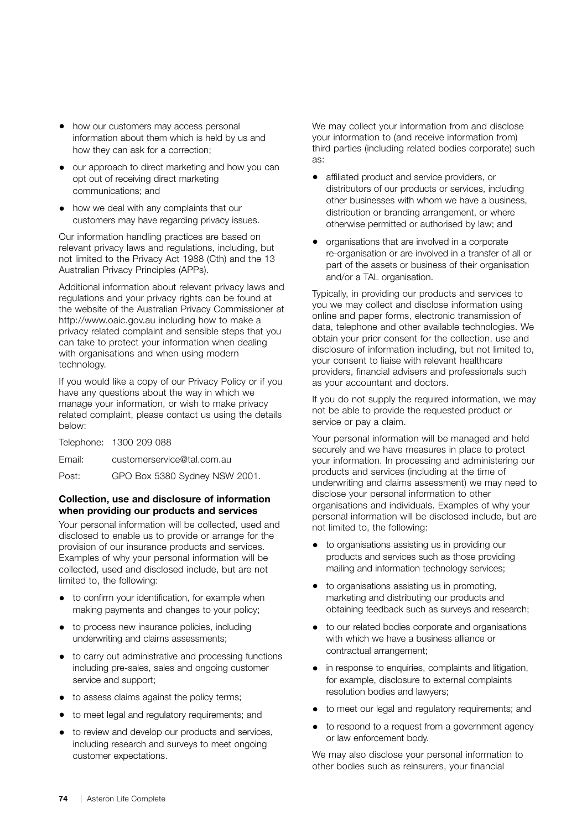- how our customers may access personal information about them which is held by us and how they can ask for a correction;
- our approach to direct marketing and how you can opt out of receiving direct marketing communications; and
- how we deal with any complaints that our customers may have regarding privacy issues.

Our information handling practices are based on relevant privacy laws and regulations, including, but not limited to the Privacy Act 1988 (Cth) and the 13 Australian Privacy Principles (APPs).

Additional information about relevant privacy laws and regulations and your privacy rights can be found at the website of the Australian Privacy Commissioner at http://www.oaic.gov.au including how to make a privacy related complaint and sensible steps that you can take to protect your information when dealing with organisations and when using modern technology.

If you would like a copy of our Privacy Policy or if you have any questions about the way in which we manage your information, or wish to make privacy related complaint, please contact us using the details below:

Telephone: 1300 209 088 Email: customerservice@tal.com.au Post: GPO Box 5380 Sydney NSW 2001.

## Collection, use and disclosure of information when providing our products and services

Your personal information will be collected, used and disclosed to enable us to provide or arrange for the provision of our insurance products and services. Examples of why your personal information will be collected, used and disclosed include, but are not limited to, the following:

- to confirm your identification, for example when making payments and changes to your policy;
- to process new insurance policies, including underwriting and claims assessments;
- to carry out administrative and processing functions including pre-sales, sales and ongoing customer service and support;
- to assess claims against the policy terms;
- to meet legal and regulatory requirements; and
- to review and develop our products and services, including research and surveys to meet ongoing customer expectations.

We may collect your information from and disclose your information to (and receive information from) third parties (including related bodies corporate) such as:

- affiliated product and service providers, or distributors of our products or services, including other businesses with whom we have a business, distribution or branding arrangement, or where otherwise permitted or authorised by law; and
- organisations that are involved in a corporate re-organisation or are involved in a transfer of all or part of the assets or business of their organisation and/or a TAL organisation.

Typically, in providing our products and services to you we may collect and disclose information using online and paper forms, electronic transmission of data, telephone and other available technologies. We obtain your prior consent for the collection, use and disclosure of information including, but not limited to, your consent to liaise with relevant healthcare providers, financial advisers and professionals such as your accountant and doctors.

If you do not supply the required information, we may not be able to provide the requested product or service or pay a claim.

Your personal information will be managed and held securely and we have measures in place to protect your information. In processing and administering our products and services (including at the time of underwriting and claims assessment) we may need to disclose your personal information to other organisations and individuals. Examples of why your personal information will be disclosed include, but are not limited to, the following:

- to organisations assisting us in providing our products and services such as those providing mailing and information technology services;
- to organisations assisting us in promoting, marketing and distributing our products and obtaining feedback such as surveys and research;
- to our related bodies corporate and organisations with which we have a business alliance or contractual arrangement;
- in response to enquiries, complaints and litigation, for example, disclosure to external complaints resolution bodies and lawyers;
- to meet our legal and regulatory requirements; and
- to respond to a request from a government agency or law enforcement body.

We may also disclose your personal information to other bodies such as reinsurers, your financial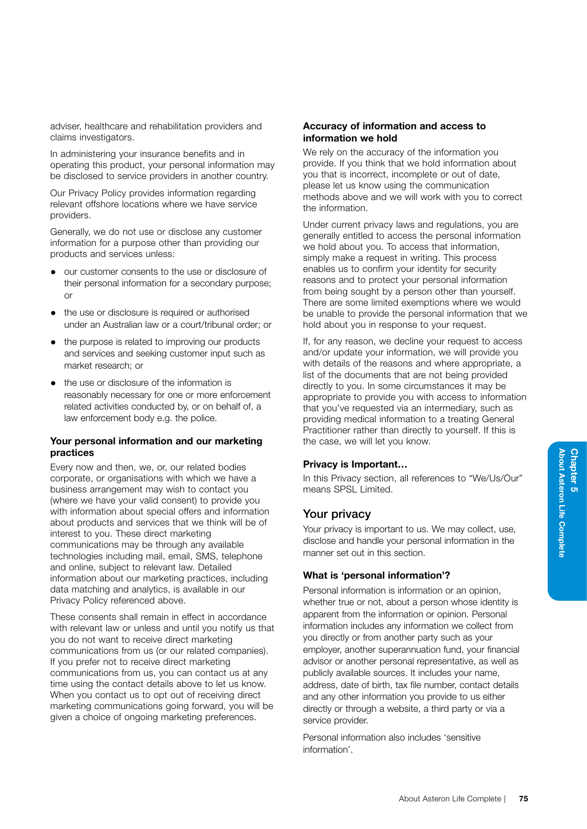In administering your insurance benefits and in operating this product, your personal information may be disclosed to service providers in another country.

Our Privacy Policy provides information regarding relevant offshore locations where we have service providers.

Generally, we do not use or disclose any customer information for a purpose other than providing our products and services unless:

- our customer consents to the use or disclosure of their personal information for a secondary purpose; or
- the use or disclosure is required or authorised under an Australian law or a court/tribunal order; or
- the purpose is related to improving our products and services and seeking customer input such as market research; or
- the use or disclosure of the information is reasonably necessary for one or more enforcement related activities conducted by, or on behalf of, a law enforcement body e.g. the police.

# Your personal information and our marketing practices

Every now and then, we, or, our related bodies corporate, or organisations with which we have a business arrangement may wish to contact you (where we have your valid consent) to provide you with information about special offers and information about products and services that we think will be of interest to you. These direct marketing communications may be through any available technologies including mail, email, SMS, telephone and online, subject to relevant law. Detailed information about our marketing practices, including data matching and analytics, is available in our Privacy Policy referenced above.

These consents shall remain in effect in accordance with relevant law or unless and until you notify us that you do not want to receive direct marketing communications from us (or our related companies). If you prefer not to receive direct marketing communications from us, you can contact us at any time using the contact details above to let us know. When you contact us to opt out of receiving direct marketing communications going forward, you will be given a choice of ongoing marketing preferences.

## Accuracy of information and access to information we hold

We rely on the accuracy of the information you provide. If you think that we hold information about you that is incorrect, incomplete or out of date, please let us know using the communication methods above and we will work with you to correct the information.

Under current privacy laws and regulations, you are generally entitled to access the personal information we hold about you. To access that information, simply make a request in writing. This process enables us to confirm your identity for security reasons and to protect your personal information from being sought by a person other than yourself. There are some limited exemptions where we would be unable to provide the personal information that we hold about you in response to your request.

If, for any reason, we decline your request to access and/or update your information, we will provide you with details of the reasons and where appropriate, a list of the documents that are not being provided directly to you. In some circumstances it may be appropriate to provide you with access to information that you've requested via an intermediary, such as providing medical information to a treating General Practitioner rather than directly to yourself. If this is the case, we will let you know.

# Privacy is Important…

In this Privacy section, all references to "We/Us/Our" means SPSL Limited.

# Your privacy

Your privacy is important to us. We may collect, use, disclose and handle your personal information in the manner set out in this section.

# What is 'personal information'?

Personal information is information or an opinion, whether true or not, about a person whose identity is apparent from the information or opinion. Personal information includes any information we collect from you directly or from another party such as your employer, another superannuation fund, your financial advisor or another personal representative, as well as publicly available sources. It includes your name, address, date of birth, tax file number, contact details and any other information you provide to us either directly or through a website, a third party or via a service provider.

Personal information also includes 'sensitive information'.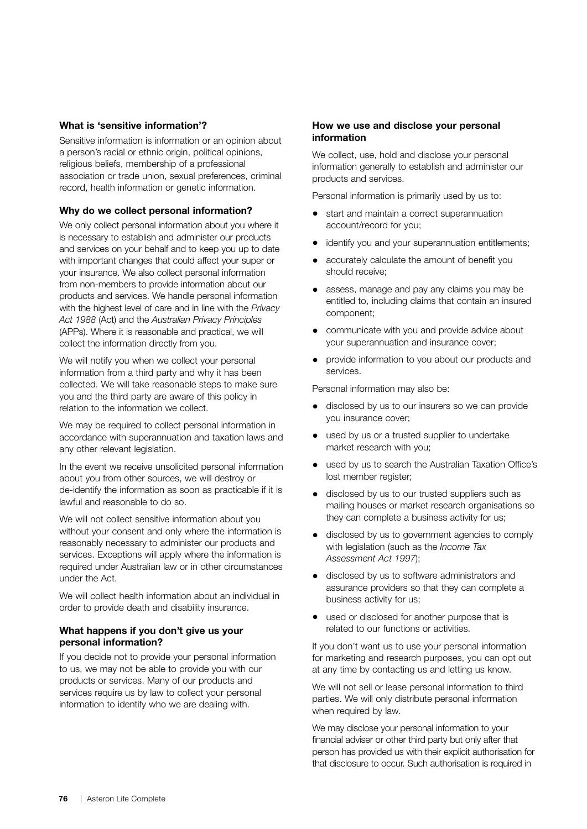## What is 'sensitive information'?

Sensitive information is information or an opinion about a person's racial or ethnic origin, political opinions, religious beliefs, membership of a professional association or trade union, sexual preferences, criminal record, health information or genetic information.

#### Why do we collect personal information?

We only collect personal information about you where it is necessary to establish and administer our products and services on your behalf and to keep you up to date with important changes that could affect your super or your insurance. We also collect personal information from non-members to provide information about our products and services. We handle personal information with the highest level of care and in line with the *Privacy Act 1988* (Act) and the *Australian Privacy Principles* (APPs). Where it is reasonable and practical, we will collect the information directly from you.

We will notify you when we collect your personal information from a third party and why it has been collected. We will take reasonable steps to make sure you and the third party are aware of this policy in relation to the information we collect.

We may be required to collect personal information in accordance with superannuation and taxation laws and any other relevant legislation.

In the event we receive unsolicited personal information about you from other sources, we will destroy or de-identify the information as soon as practicable if it is lawful and reasonable to do so.

We will not collect sensitive information about you without your consent and only where the information is reasonably necessary to administer our products and services. Exceptions will apply where the information is required under Australian law or in other circumstances under the Act.

We will collect health information about an individual in order to provide death and disability insurance.

## What happens if you don't give us your personal information?

If you decide not to provide your personal information to us, we may not be able to provide you with our products or services. Many of our products and services require us by law to collect your personal information to identify who we are dealing with.

#### How we use and disclose your personal information

We collect, use, hold and disclose your personal information generally to establish and administer our products and services.

Personal information is primarily used by us to:

- start and maintain a correct superannuation account/record for you;
- identify you and your superannuation entitlements;
- accurately calculate the amount of benefit you should receive;
- assess, manage and pay any claims you may be entitled to, including claims that contain an insured component;
- communicate with you and provide advice about your superannuation and insurance cover;
- provide information to you about our products and services.

Personal information may also be:

- disclosed by us to our insurers so we can provide you insurance cover;
- used by us or a trusted supplier to undertake market research with you;
- used by us to search the Australian Taxation Office's lost member register;
- disclosed by us to our trusted suppliers such as mailing houses or market research organisations so they can complete a business activity for us;
- disclosed by us to government agencies to comply with legislation (such as the *Income Tax Assessment Act 1997*);
- disclosed by us to software administrators and assurance providers so that they can complete a business activity for us;
- used or disclosed for another purpose that is related to our functions or activities.

If you don't want us to use your personal information for marketing and research purposes, you can opt out at any time by contacting us and letting us know.

We will not sell or lease personal information to third parties. We will only distribute personal information when required by law.

We may disclose your personal information to your financial adviser or other third party but only after that person has provided us with their explicit authorisation for that disclosure to occur. Such authorisation is required in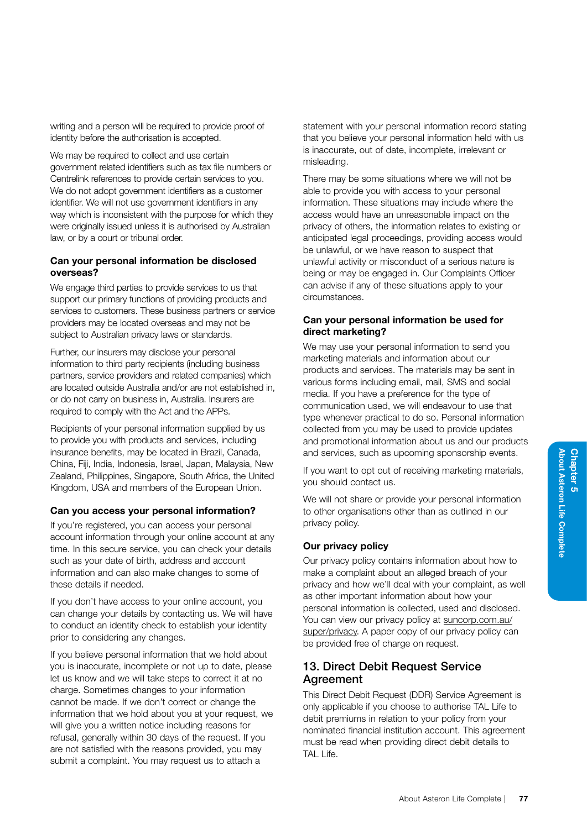We may be required to collect and use certain government related identifiers such as tax file numbers or Centrelink references to provide certain services to you. We do not adopt government identifiers as a customer identifier. We will not use government identifiers in any way which is inconsistent with the purpose for which they were originally issued unless it is authorised by Australian law, or by a court or tribunal order.

# Can your personal information be disclosed overseas?

We engage third parties to provide services to us that support our primary functions of providing products and services to customers. These business partners or service providers may be located overseas and may not be subject to Australian privacy laws or standards.

Further, our insurers may disclose your personal information to third party recipients (including business partners, service providers and related companies) which are located outside Australia and/or are not established in, or do not carry on business in, Australia. Insurers are required to comply with the Act and the APPs.

Recipients of your personal information supplied by us to provide you with products and services, including insurance benefits, may be located in Brazil, Canada, China, Fiji, India, Indonesia, Israel, Japan, Malaysia, New Zealand, Philippines, Singapore, South Africa, the United Kingdom, USA and members of the European Union.

# Can you access your personal information?

If you're registered, you can access your personal account information through your online account at any time. In this secure service, you can check your details such as your date of birth, address and account information and can also make changes to some of these details if needed.

If you don't have access to your online account, you can change your details by contacting us. We will have to conduct an identity check to establish your identity prior to considering any changes.

If you believe personal information that we hold about you is inaccurate, incomplete or not up to date, please let us know and we will take steps to correct it at no charge. Sometimes changes to your information cannot be made. If we don't correct or change the information that we hold about you at your request, we will give you a written notice including reasons for refusal, generally within 30 days of the request. If you are not satisfied with the reasons provided, you may submit a complaint. You may request us to attach a

statement with your personal information record stating that you believe your personal information held with us is inaccurate, out of date, incomplete, irrelevant or misleading.

There may be some situations where we will not be able to provide you with access to your personal information. These situations may include where the access would have an unreasonable impact on the privacy of others, the information relates to existing or anticipated legal proceedings, providing access would be unlawful, or we have reason to suspect that unlawful activity or misconduct of a serious nature is being or may be engaged in. Our Complaints Officer can advise if any of these situations apply to your circumstances.

# Can your personal information be used for direct marketing?

We may use your personal information to send you marketing materials and information about our products and services. The materials may be sent in various forms including email, mail, SMS and social media. If you have a preference for the type of communication used, we will endeavour to use that type whenever practical to do so. Personal information collected from you may be used to provide updates and promotional information about us and our products and services, such as upcoming sponsorship events.

If you want to opt out of receiving marketing materials, you should contact us.

We will not share or provide your personal information to other organisations other than as outlined in our privacy policy.

# Our privacy policy

Our privacy policy contains information about how to make a complaint about an alleged breach of your privacy and how we'll deal with your complaint, as well as other important information about how your personal information is collected, used and disclosed. You can view our privacy policy at [suncorp.com.au/](http://suncorp.com.au/super/privacy) [super/privacy.](http://suncorp.com.au/super/privacy) A paper copy of our privacy policy can be provided free of charge on request.

# 13. Direct Debit Request Service **Agreement**

This Direct Debit Request (DDR) Service Agreement is only applicable if you choose to authorise TAL Life to debit premiums in relation to your policy from your nominated financial institution account. This agreement must be read when providing direct debit details to TAL Life.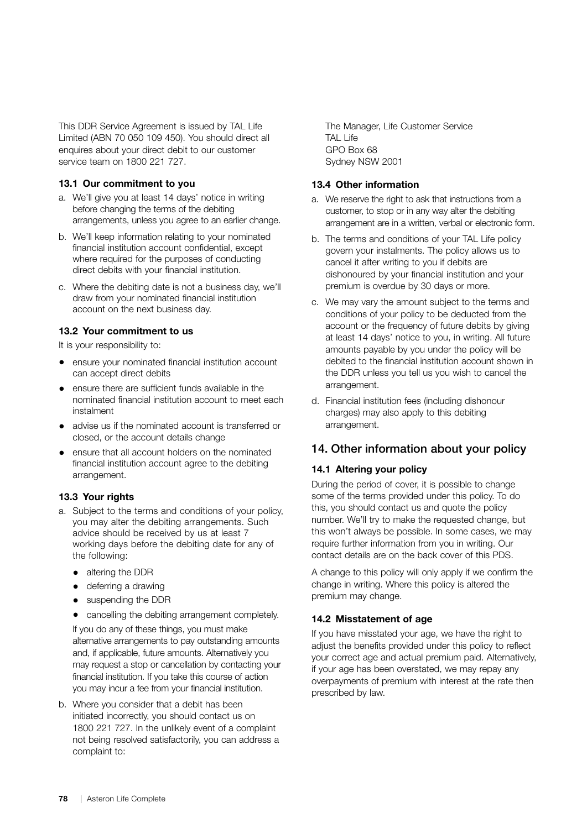This DDR Service Agreement is issued by TAL Life Limited (ABN 70 050 109 450). You should direct all enquires about your direct debit to our customer service team on 1800 221 727.

#### 13.1 Our commitment to you

- a. We'll give you at least 14 days' notice in writing before changing the terms of the debiting arrangements, unless you agree to an earlier change.
- b. We'll keep information relating to your nominated financial institution account confidential, except where required for the purposes of conducting direct debits with your financial institution.
- c. Where the debiting date is not a business day, we'll draw from your nominated financial institution account on the next business day.

## 13.2 Your commitment to us

It is your responsibility to:

- ensure your nominated financial institution account can accept direct debits
- ensure there are sufficient funds available in the nominated financial institution account to meet each instalment
- advise us if the nominated account is transferred or closed, or the account details change
- ensure that all account holders on the nominated financial institution account agree to the debiting arrangement.

# 13.3 Your rights

- a. Subject to the terms and conditions of your policy, you may alter the debiting arrangements. Such advice should be received by us at least 7 working days before the debiting date for any of the following:
	- altering the DDR
	- deferring a drawing
	- suspending the DDR
	- cancelling the debiting arrangement completely.

If you do any of these things, you must make alternative arrangements to pay outstanding amounts and, if applicable, future amounts. Alternatively you may request a stop or cancellation by contacting your financial institution. If you take this course of action you may incur a fee from your financial institution.

b. Where you consider that a debit has been initiated incorrectly, you should contact us on 1800 221 727. In the unlikely event of a complaint not being resolved satisfactorily, you can address a complaint to:

The Manager, Life Customer Service TAL Life GPO Box 68 Sydney NSW 2001

## 13.4 Other information

- a. We reserve the right to ask that instructions from a customer, to stop or in any way alter the debiting arrangement are in a written, verbal or electronic form.
- b. The terms and conditions of your TAL Life policy govern your instalments. The policy allows us to cancel it after writing to you if debits are dishonoured by your financial institution and your premium is overdue by 30 days or more.
- c. We may vary the amount subject to the terms and conditions of your policy to be deducted from the account or the frequency of future debits by giving at least 14 days' notice to you, in writing. All future amounts payable by you under the policy will be debited to the financial institution account shown in the DDR unless you tell us you wish to cancel the arrangement.
- d. Financial institution fees (including dishonour charges) may also apply to this debiting arrangement.

# 14. Other information about your policy

# 14.1 Altering your policy

During the period of cover, it is possible to change some of the terms provided under this policy. To do this, you should contact us and quote the policy number. We'll try to make the requested change, but this won't always be possible. In some cases, we may require further information from you in writing. Our contact details are on the back cover of this PDS.

A change to this policy will only apply if we confirm the change in writing. Where this policy is altered the premium may change.

# 14.2 Misstatement of age

If you have misstated your age, we have the right to adjust the benefits provided under this policy to reflect your correct age and actual premium paid. Alternatively, if your age has been overstated, we may repay any overpayments of premium with interest at the rate then prescribed by law.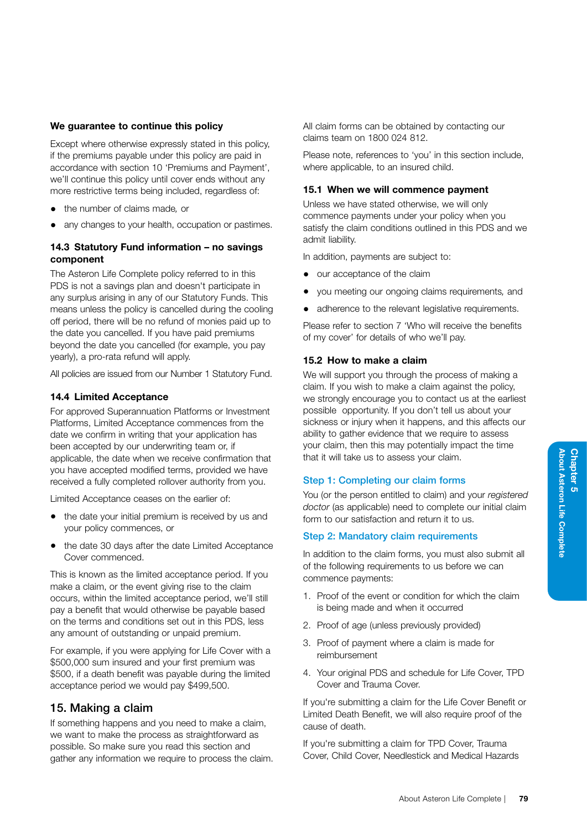## We quarantee to continue this policy

Except where otherwise expressly stated in this policy, if the premiums payable under this policy are paid in accordance with section 10 'Premiums and Payment', we'll continue this policy until cover ends without any more restrictive terms being included, regardless of:

- the number of claims made*,* or
- any changes to your health, occupation or pastimes.

# 14.3 Statutory Fund information – no savings component

The Asteron Life Complete policy referred to in this PDS is not a savings plan and doesn't participate in any surplus arising in any of our Statutory Funds. This means unless the policy is cancelled during the cooling off period, there will be no refund of monies paid up to the date you cancelled. If you have paid premiums beyond the date you cancelled (for example, you pay yearly), a pro-rata refund will apply.

All policies are issued from our Number 1 Statutory Fund.

## 14.4 Limited Acceptance

For approved Superannuation Platforms or Investment Platforms, Limited Acceptance commences from the date we confirm in writing that your application has been accepted by our underwriting team or, if applicable, the date when we receive confirmation that you have accepted modified terms, provided we have received a fully completed rollover authority from you.

Limited Acceptance ceases on the earlier of:

- the date your initial premium is received by us and your policy commences, or
- the date 30 days after the date Limited Acceptance Cover commenced.

This is known as the limited acceptance period. If you make a claim, or the event giving rise to the claim occurs, within the limited acceptance period, we'll still pay a benefit that would otherwise be payable based on the terms and conditions set out in this PDS, less any amount of outstanding or unpaid premium.

For example, if you were applying for Life Cover with a \$500,000 sum insured and your first premium was \$500, if a death benefit was payable during the limited acceptance period we would pay \$499,500.

# 15. Making a claim

If something happens and you need to make a claim, we want to make the process as straightforward as possible. So make sure you read this section and gather any information we require to process the claim. All claim forms can be obtained by contacting our claims team on 1800 024 812.

Please note, references to 'you' in this section include, where applicable, to an insured child.

#### 15.1 When we will commence payment

Unless we have stated otherwise, we will only commence payments under your policy when you satisfy the claim conditions outlined in this PDS and we admit liability.

In addition, payments are subject to:

- our acceptance of the claim
- you meeting our ongoing claims requirements*,* and
- adherence to the relevant legislative requirements.

Please refer to section 7 'Who will receive the benefits of my cover' for details of who we'll pay.

## 15.2 How to make a claim

We will support you through the process of making a claim. If you wish to make a claim against the policy, we strongly encourage you to contact us at the earliest possible opportunity. If you don't tell us about your sickness or injury when it happens, and this affects our ability to gather evidence that we require to assess your claim, then this may potentially impact the time that it will take us to assess your claim.

#### Step 1: Completing our claim forms

You (or the person entitled to claim) and your *registered doctor* (as applicable) need to complete our initial claim form to our satisfaction and return it to us.

#### Step 2: Mandatory claim requirements

In addition to the claim forms, you must also submit all of the following requirements to us before we can commence payments:

- 1. Proof of the event or condition for which the claim is being made and when it occurred
- 2. Proof of age (unless previously provided)
- 3. Proof of payment where a claim is made for reimbursement
- 4. Your original PDS and schedule for Life Cover, TPD Cover and Trauma Cover.

If you're submitting a claim for the Life Cover Benefit or Limited Death Benefit, we will also require proof of the cause of death.

If you're submitting a claim for TPD Cover, Trauma Cover, Child Cover, Needlestick and Medical Hazards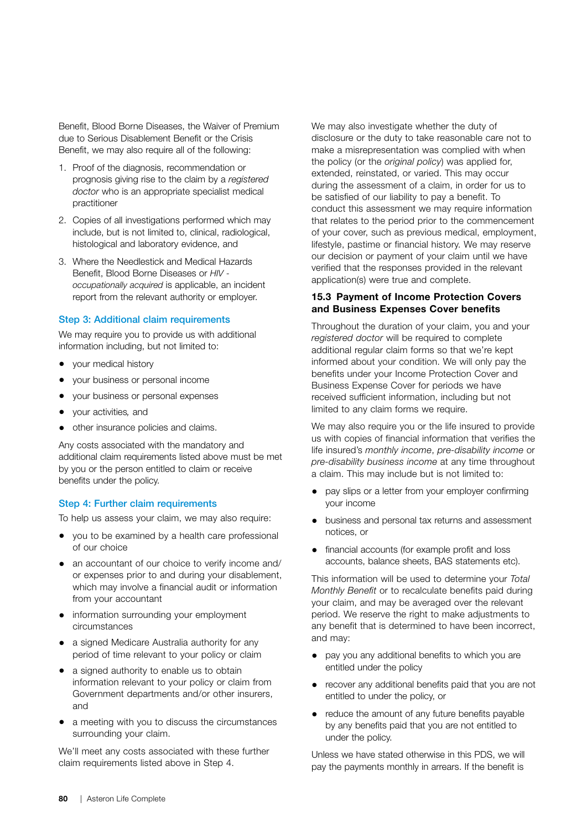Benefit, Blood Borne Diseases, the Waiver of Premium due to Serious Disablement Benefit or the Crisis Benefit, we may also require all of the following:

- 1. Proof of the diagnosis, recommendation or prognosis giving rise to the claim by a *registered doctor* who is an appropriate specialist medical practitioner
- 2. Copies of all investigations performed which may include, but is not limited to, clinical, radiological, histological and laboratory evidence, and
- 3. Where the Needlestick and Medical Hazards Benefit, Blood Borne Diseases or *HIV occupationally acquired* is applicable, an incident report from the relevant authority or employer.

#### Step 3: Additional claim requirements

We may require you to provide us with additional information including, but not limited to:

- your medical history
- your business or personal income
- your business or personal expenses
- your activities*,* and
- other insurance policies and claims.

Any costs associated with the mandatory and additional claim requirements listed above must be met by you or the person entitled to claim or receive benefits under the policy.

#### Step 4: Further claim requirements

To help us assess your claim, we may also require:

- you to be examined by a health care professional of our choice
- an accountant of our choice to verify income and/ or expenses prior to and during your disablement, which may involve a financial audit or information from your accountant
- information surrounding your employment circumstances
- a signed Medicare Australia authority for any period of time relevant to your policy or claim
- a signed authority to enable us to obtain information relevant to your policy or claim from Government departments and/or other insurers, and
- a meeting with you to discuss the circumstances surrounding your claim.

We'll meet any costs associated with these further claim requirements listed above in Step 4.

We may also investigate whether the duty of disclosure or the duty to take reasonable care not to make a misrepresentation was complied with when the policy (or the *original policy*) was applied for, extended, reinstated, or varied. This may occur during the assessment of a claim, in order for us to be satisfied of our liability to pay a benefit. To conduct this assessment we may require information that relates to the period prior to the commencement of your cover, such as previous medical, employment, lifestyle, pastime or financial history. We may reserve our decision or payment of your claim until we have verified that the responses provided in the relevant application(s) were true and complete.

#### 15.3 Payment of Income Protection Covers and Business Expenses Cover benefits

Throughout the duration of your claim, you and your *registered doctor* will be required to complete additional regular claim forms so that we're kept informed about your condition. We will only pay the benefits under your Income Protection Cover and Business Expense Cover for periods we have received sufficient information, including but not limited to any claim forms we require.

We may also require you or the life insured to provide us with copies of financial information that verifies the life insured's *monthly income*, *pre-disability income* or *pre-disability business income* at any time throughout a claim. This may include but is not limited to:

- pay slips or a letter from your employer confirming your income
- business and personal tax returns and assessment notices, or
- financial accounts (for example profit and loss accounts, balance sheets, BAS statements etc).

This information will be used to determine your *Total Monthly Benefit* or to recalculate benefits paid during your claim, and may be averaged over the relevant period. We reserve the right to make adjustments to any benefit that is determined to have been incorrect, and may:

- pay you any additional benefits to which you are entitled under the policy
- recover any additional benefits paid that you are not entitled to under the policy, or
- reduce the amount of any future benefits payable by any benefits paid that you are not entitled to under the policy.

Unless we have stated otherwise in this PDS, we will pay the payments monthly in arrears. If the benefit is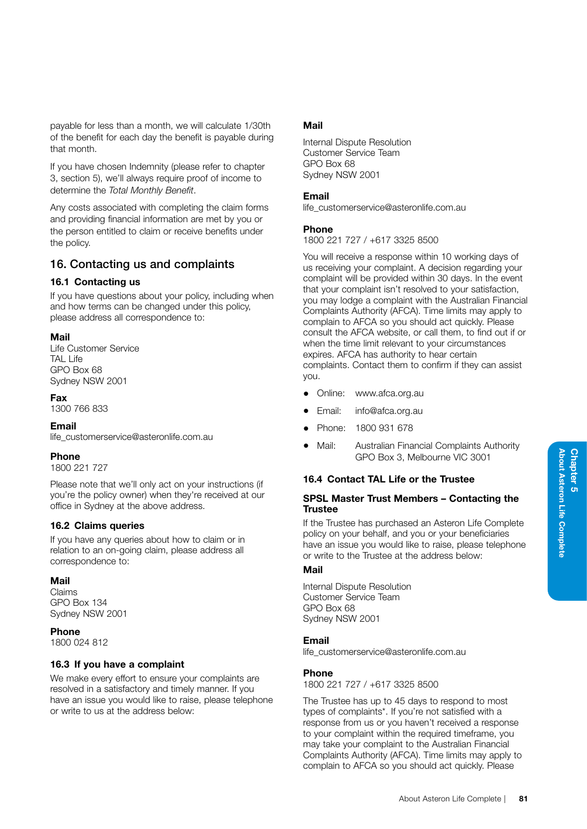of the benefit for each day the benefit is payable during If you have chosen Indemnity (please refer to chapter

3, section 5), we'll always require proof of income to determine the *Total Monthly Benefit*.

payable for less than a month, we will calculate 1/30th

Any costs associated with completing the claim forms and providing financial information are met by you or the person entitled to claim or receive benefits under the policy.

# 16. Contacting us and complaints

# 16.1 Contacting us

that month.

If you have questions about your policy, including when and how terms can be changed under this policy, please address all correspondence to:

# Mail

Life Customer Service TAL Life GPO Box 68 Sydney NSW 2001

# Fax

1300 766 833

# Email

life\_customerservice@asteronlife.com.au

# Phone

1800 221 727

Please note that we'll only act on your instructions (if you're the policy owner) when they're received at our office in Sydney at the above address.

# 16.2 Claims queries

If you have any queries about how to claim or in relation to an on-going claim, please address all correspondence to:

#### Mail

Claims GPO Box 134 Sydney NSW 2001

#### Phone

1800 024 812

# 16.3 If you have a complaint

We make every effort to ensure your complaints are resolved in a satisfactory and timely manner. If you have an issue you would like to raise, please telephone or write to us at the address below:

# Mail

Internal Dispute Resolution Customer Service Team GPO Box 68 Sydney NSW 2001

## Email

life\_customerservice@asteronlife.com.au

## Phone

1800 221 727 / +617 3325 8500

You will receive a response within 10 working days of us receiving your complaint. A decision regarding your complaint will be provided within 30 days. In the event that your complaint isn't resolved to your satisfaction, you may lodge a complaint with the Australian Financial Complaints Authority (AFCA). Time limits may apply to complain to AFCA so you should act quickly. Please consult the AFCA website, or call them, to find out if or when the time limit relevant to your circumstances expires. AFCA has authority to hear certain complaints. Contact them to confirm if they can assist you.

- Online: www.afca.org.au
- Email: info@afca.org.au
- Phone: 1800 931 678
- Mail: Australian Financial Complaints Authority GPO Box 3, Melbourne VIC 3001

# 16.4 Contact TAL Life or the Trustee

#### SPSL Master Trust Members – Contacting the **Trustee**

If the Trustee has purchased an Asteron Life Complete policy on your behalf, and you or your beneficiaries have an issue you would like to raise, please telephone or write to the Trustee at the address below:

# Mail

Internal Dispute Resolution Customer Service Team GPO Box 68 Sydney NSW 2001

# Email

life\_customerservice@asteronlife.com.au

# Phone

1800 221 727 / +617 3325 8500

The Trustee has up to 45 days to respond to most types of complaints\*. If you're not satisfied with a response from us or you haven't received a response to your complaint within the required timeframe, you may take your complaint to the Australian Financial Complaints Authority (AFCA). Time limits may apply to complain to AFCA so you should act quickly. Please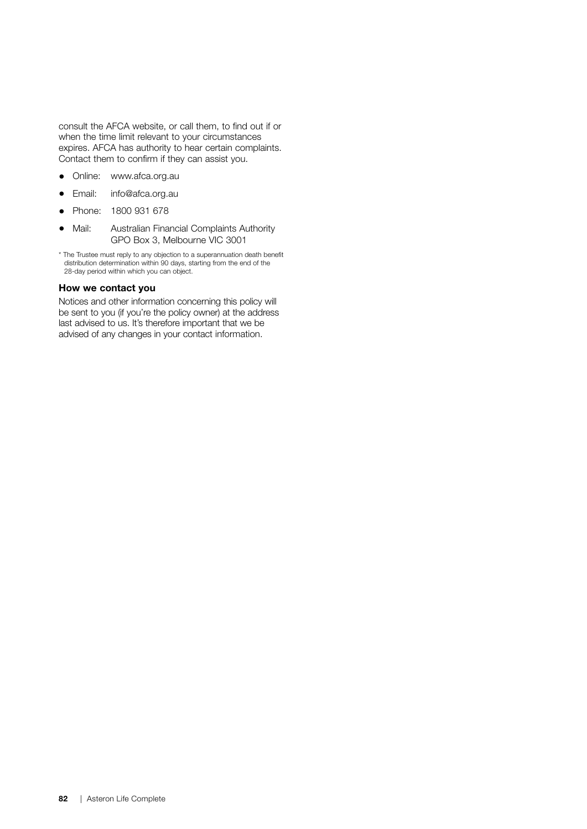consult the AFCA website, or call them, to find out if or when the time limit relevant to your circumstances expires. AFCA has authority to hear certain complaints. Contact them to confirm if they can assist you.

- Online: www.afca.org.au
- Email: info@afca.org.au
- Phone: 1800 931 678
- Mail: Australian Financial Complaints Authority GPO Box 3, Melbourne VIC 3001
- \* The Trustee must reply to any objection to a superannuation death benefit distribution determination within 90 days, starting from the end of the 28-day period within which you can object.

#### How we contact you

Notices and other information concerning this policy will be sent to you (if you're the policy owner) at the address last advised to us. It's therefore important that we be advised of any changes in your contact information.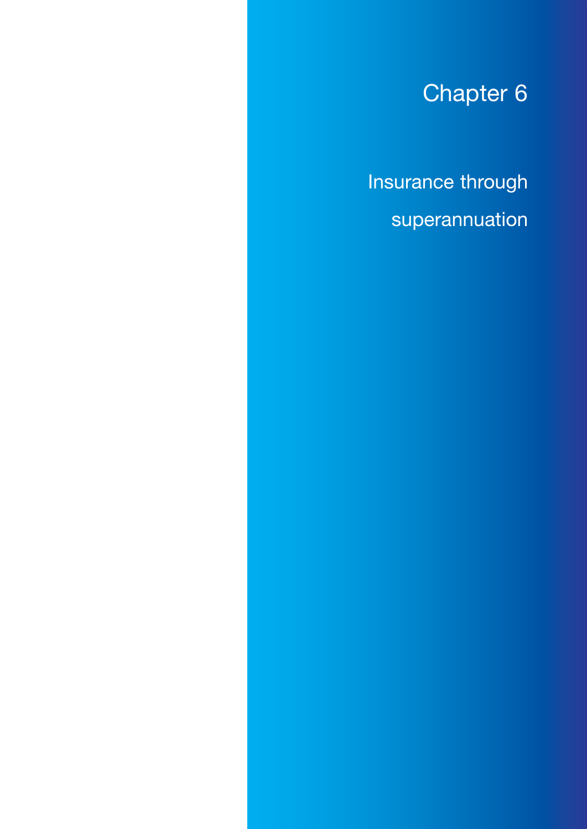# Chapter 6

Insurance through superannuation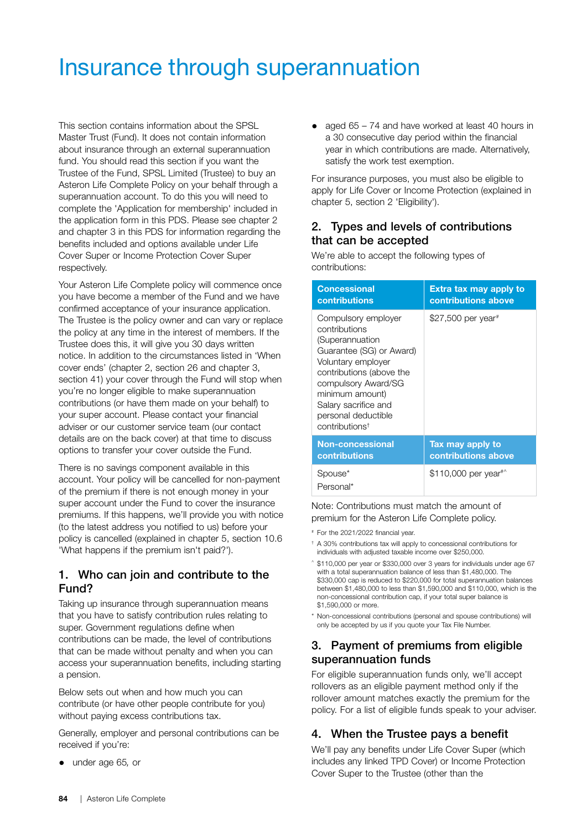# Insurance through superannuation

This section contains information about the SPSL Master Trust (Fund). It does not contain information about insurance through an external superannuation fund. You should read this section if you want the Trustee of the Fund, SPSL Limited (Trustee) to buy an Asteron Life Complete Policy on your behalf through a superannuation account. To do this you will need to complete the 'Application for membership' included in the application form in this PDS. Please see chapter 2 and chapter 3 in this PDS for information regarding the benefits included and options available under Life Cover Super or Income Protection Cover Super respectively.

Your Asteron Life Complete policy will commence once you have become a member of the Fund and we have confirmed acceptance of your insurance application. The Trustee is the policy owner and can vary or replace the policy at any time in the interest of members. If the Trustee does this, it will give you 30 days written notice. In addition to the circumstances listed in 'When cover ends' (chapter 2, section 26 and chapter 3, section 41) your cover through the Fund will stop when you're no longer eligible to make superannuation contributions (or have them made on your behalf) to your super account. Please contact your financial adviser or our customer service team (our contact details are on the back cover) at that time to discuss options to transfer your cover outside the Fund.

There is no savings component available in this account. Your policy will be cancelled for non-payment of the premium if there is not enough money in your super account under the Fund to cover the insurance premiums. If this happens, we'll provide you with notice (to the latest address you notified to us) before your policy is cancelled (explained in chapter 5, section 10.6 'What happens if the premium isn't paid?').

# 1. Who can join and contribute to the Fund?

Taking up insurance through superannuation means that you have to satisfy contribution rules relating to super. Government regulations define when contributions can be made, the level of contributions that can be made without penalty and when you can access your superannuation benefits, including starting a pension.

Below sets out when and how much you can contribute (or have other people contribute for you) without paying excess contributions tax.

Generally, employer and personal contributions can be received if you're:

• under age 65*,* or

• aged 65 – 74 and have worked at least 40 hours in a 30 consecutive day period within the financial year in which contributions are made. Alternatively, satisfy the work test exemption.

For insurance purposes, you must also be eligible to apply for Life Cover or Income Protection (explained in chapter 5, section 2 'Eligibility').

# 2. Types and levels of contributions that can be accepted

We're able to accept the following types of contributions:

| <b>Concessional</b>                                                                                                                                                                                                                                          | <b>Extra tax may apply to</b> |
|--------------------------------------------------------------------------------------------------------------------------------------------------------------------------------------------------------------------------------------------------------------|-------------------------------|
| <b>contributions</b>                                                                                                                                                                                                                                         | contributions above           |
| Compulsory employer<br>contributions<br>(Superannuation<br>Guarantee (SG) or Award)<br>Voluntary employer<br>contributions (above the<br>compulsory Award/SG<br>minimum amount)<br>Salary sacrifice and<br>personal deductible<br>contributions <sup>t</sup> | \$27,500 per year#            |
| Non-concessional                                                                                                                                                                                                                                             | Tax may apply to              |
| contributions                                                                                                                                                                                                                                                | contributions above           |
| Spouse*<br>Personal*                                                                                                                                                                                                                                         | \$110,000 per year*^          |

#### Note: Contributions must match the amount of premium for the Asteron Life Complete policy.

- # For the 2021/2022 financial year.
- † A 30% contributions tax will apply to concessional contributions for individuals with adjusted taxable income over \$250,000.
- ^ \$110,000 per year or \$330,000 over 3 years for individuals under age 67 with a total superannuation balance of less than \$1,480,000. The \$330,000 cap is reduced to \$220,000 for total superannuation balances between \$1,480,000 to less than \$1,590,000 and \$110,000, which is the non-concessional contribution cap, if your total super balance is \$1,590,000 or more.
- \* Non-concessional contributions (personal and spouse contributions) will only be accepted by us if you quote your Tax File Number.

# 3. Payment of premiums from eligible superannuation funds

For eligible superannuation funds only, we'll accept rollovers as an eligible payment method only if the rollover amount matches exactly the premium for the policy. For a list of eligible funds speak to your adviser.

# 4. When the Trustee pays a benefit

We'll pay any benefits under Life Cover Super (which includes any linked TPD Cover) or Income Protection Cover Super to the Trustee (other than the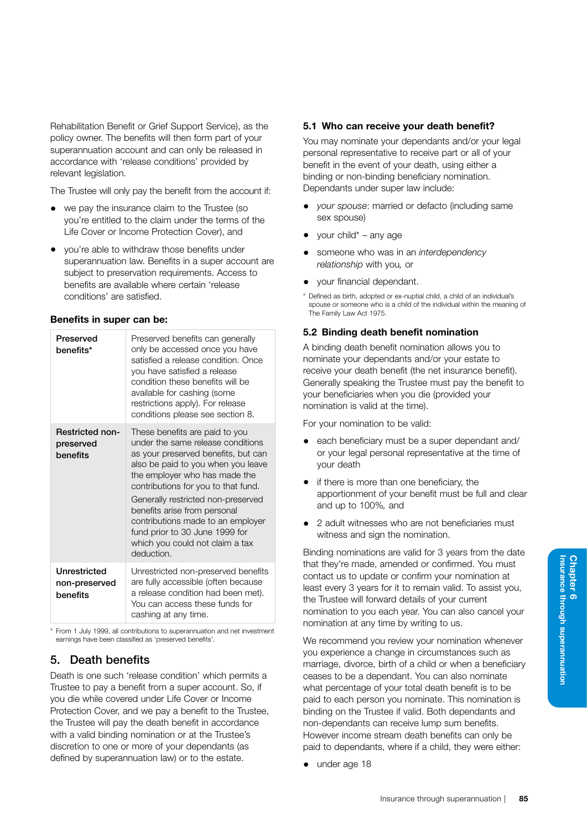Rehabilitation Benefit or Grief Support Service), as the policy owner. The benefits will then form part of your superannuation account and can only be released in accordance with 'release conditions' provided by relevant legislation.

The Trustee will only pay the benefit from the account if:

- we pay the insurance claim to the Trustee (so you're entitled to the claim under the terms of the Life Cover or Income Protection Cover), and
- you're able to withdraw those benefits under superannuation law. Benefits in a super account are subject to preservation requirements. Access to benefits are available where certain 'release conditions' are satisfied.

## Benefits in super can be:

| Preserved<br>henefits*                          | Preserved benefits can generally<br>only be accessed once you have<br>satisfied a release condition. Once<br>you have satisfied a release<br>condition these benefits will be<br>available for cashing (some<br>restrictions apply). For release<br>conditions please see section 8.                                                                                                                                   |
|-------------------------------------------------|------------------------------------------------------------------------------------------------------------------------------------------------------------------------------------------------------------------------------------------------------------------------------------------------------------------------------------------------------------------------------------------------------------------------|
| <b>Restricted non-</b><br>preserved<br>benefits | These benefits are paid to you<br>under the same release conditions<br>as your preserved benefits, but can<br>also be paid to you when you leave<br>the employer who has made the<br>contributions for you to that fund.<br>Generally restricted non-preserved<br>benefits arise from personal<br>contributions made to an employer<br>fund prior to 30 June 1999 for<br>which you could not claim a tax<br>deduction. |
| Unrestricted<br>non-preserved<br>benefits       | Unrestricted non-preserved benefits<br>are fully accessible (often because<br>a release condition had been met).<br>You can access these funds for<br>cashing at any time.                                                                                                                                                                                                                                             |

\* From 1 July 1999, all contributions to superannuation and net investment earnings have been classified as 'preserved benefits'.

# 5. Death benefits

Death is one such 'release condition' which permits a Trustee to pay a benefit from a super account. So, if you die while covered under Life Cover or Income Protection Cover, and we pay a benefit to the Trustee, the Trustee will pay the death benefit in accordance with a valid binding nomination or at the Trustee's discretion to one or more of your dependants (as defined by superannuation law) or to the estate.

## 5.1 Who can receive your death benefit?

You may nominate your dependants and/or your legal personal representative to receive part or all of your benefit in the event of your death, using either a binding or non-binding beneficiary nomination. Dependants under super law include:

- *your spouse*: married or defacto (including same sex spouse)
- your child\* any age
- someone who was in an *interdependency relationship* with you*,* or
- your financial dependant.
- \* Defined as birth, adopted or ex-nuptial child, a child of an individual's spouse or someone who is a child of the individual within the meaning of The Family Law Act 1975.

#### 5.2 Binding death benefit nomination

A binding death benefit nomination allows you to nominate your dependants and/or your estate to receive your death benefit (the net insurance benefit). Generally speaking the Trustee must pay the benefit to your beneficiaries when you die (provided your nomination is valid at the time).

For your nomination to be valid:

- each beneficiary must be a super dependant and/ or your legal personal representative at the time of your death
- if there is more than one beneficiary, the apportionment of your benefit must be full and clear and up to 100%*,* and
- 2 adult witnesses who are not beneficiaries must witness and sign the nomination.

Binding nominations are valid for 3 years from the date that they're made, amended or confirmed. You must contact us to update or confirm your nomination at least every 3 years for it to remain valid. To assist you, the Trustee will forward details of your current nomination to you each year. You can also cancel your nomination at any time by writing to us.

We recommend you review your nomination whenever you experience a change in circumstances such as marriage, divorce, birth of a child or when a beneficiary ceases to be a dependant. You can also nominate what percentage of your total death benefit is to be paid to each person you nominate. This nomination is binding on the Trustee if valid. Both dependants and non-dependants can receive lump sum benefits. However income stream death benefits can only be paid to dependants, where if a child, they were either:

• under age 18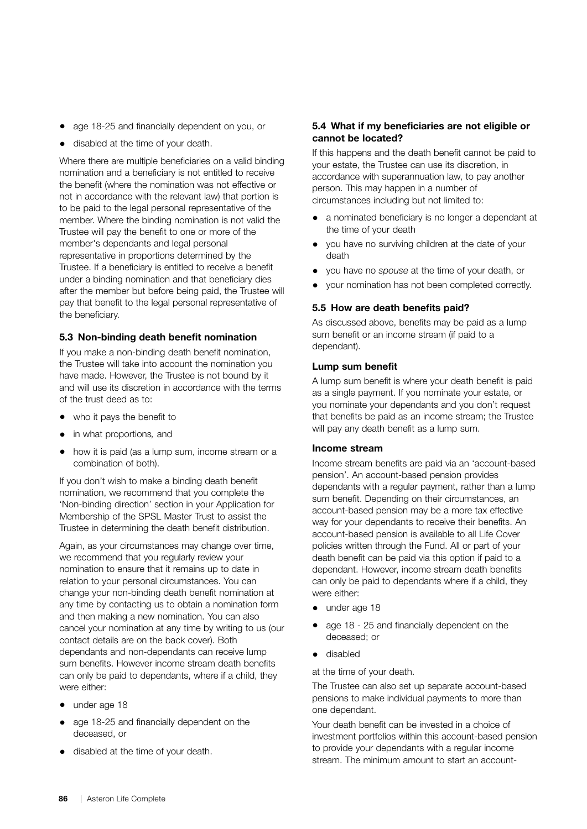- age 18-25 and financially dependent on you, or
- disabled at the time of your death.

Where there are multiple beneficiaries on a valid binding nomination and a beneficiary is not entitled to receive the benefit (where the nomination was not effective or not in accordance with the relevant law) that portion is to be paid to the legal personal representative of the member. Where the binding nomination is not valid the Trustee will pay the benefit to one or more of the member's dependants and legal personal representative in proportions determined by the Trustee. If a beneficiary is entitled to receive a benefit under a binding nomination and that beneficiary dies after the member but before being paid, the Trustee will pay that benefit to the legal personal representative of the beneficiary.

#### 5.3 Non-binding death benefit nomination

If you make a non-binding death benefit nomination, the Trustee will take into account the nomination you have made. However, the Trustee is not bound by it and will use its discretion in accordance with the terms of the trust deed as to:

- who it pays the benefit to
- in what proportions*,* and
- how it is paid (as a lump sum, income stream or a combination of both).

If you don't wish to make a binding death benefit nomination, we recommend that you complete the 'Non-binding direction' section in your Application for Membership of the SPSL Master Trust to assist the Trustee in determining the death benefit distribution.

Again, as your circumstances may change over time, we recommend that you regularly review your nomination to ensure that it remains up to date in relation to your personal circumstances. You can change your non-binding death benefit nomination at any time by contacting us to obtain a nomination form and then making a new nomination. You can also cancel your nomination at any time by writing to us (our contact details are on the back cover). Both dependants and non-dependants can receive lump sum benefits. However income stream death benefits can only be paid to dependants, where if a child, they were either:

- under age 18
- age 18-25 and financially dependent on the deceased, or
- disabled at the time of your death.

# 5.4 What if my beneficiaries are not eligible or cannot be located?

If this happens and the death benefit cannot be paid to your estate, the Trustee can use its discretion, in accordance with superannuation law, to pay another person. This may happen in a number of circumstances including but not limited to:

- a nominated beneficiary is no longer a dependant at the time of your death
- you have no surviving children at the date of your death
- you have no *spouse* at the time of your death, or
- your nomination has not been completed correctly.

## 5.5 How are death benefits paid?

As discussed above, benefits may be paid as a lump sum benefit or an income stream (if paid to a dependant).

#### Lump sum benefit

A lump sum benefit is where your death benefit is paid as a single payment. If you nominate your estate, or you nominate your dependants and you don't request that benefits be paid as an income stream; the Trustee will pay any death benefit as a lump sum.

## Income stream

Income stream benefits are paid via an 'account-based pension'. An account-based pension provides dependants with a regular payment, rather than a lump sum benefit. Depending on their circumstances, an account-based pension may be a more tax effective way for your dependants to receive their benefits. An account-based pension is available to all Life Cover policies written through the Fund. All or part of your death benefit can be paid via this option if paid to a dependant. However, income stream death benefits can only be paid to dependants where if a child, they were either:

- under age 18
- age 18 25 and financially dependent on the deceased; or
- disabled

at the time of your death.

The Trustee can also set up separate account-based pensions to make individual payments to more than one dependant.

Your death benefit can be invested in a choice of investment portfolios within this account-based pension to provide your dependants with a regular income stream. The minimum amount to start an account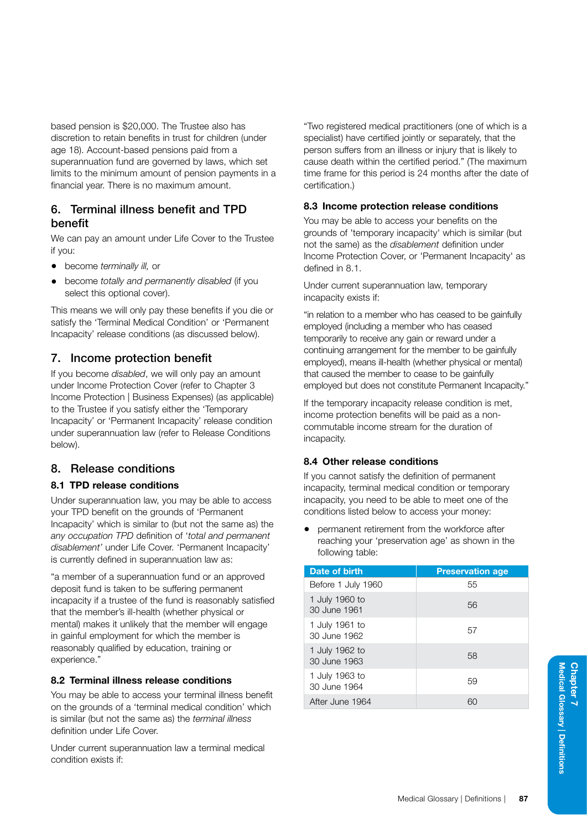based pension is \$20,000. The Trustee also has discretion to retain benefits in trust for children (under age 18). Account-based pensions paid from a superannuation fund are governed by laws, which set limits to the minimum amount of pension payments in a financial year. There is no maximum amount.

# 6. Terminal illness benefit and TPD benefit

We can pay an amount under Life Cover to the Trustee if you:

- become *terminally ill,* or
- become *totally and permanently disabled* (if you select this optional cover).

This means we will only pay these benefits if you die or satisfy the 'Terminal Medical Condition' or 'Permanent Incapacity' release conditions (as discussed below).

# 7. Income protection benefit

If you become *disabled*, we will only pay an amount under Income Protection Cover (refer to Chapter 3 Income Protection | Business Expenses) (as applicable) to the Trustee if you satisfy either the 'Temporary Incapacity' or 'Permanent Incapacity' release condition under superannuation law (refer to Release Conditions below).

# 8. Release conditions

# 8.1 TPD release conditions

Under superannuation law, you may be able to access your TPD benefit on the grounds of 'Permanent Incapacity' which is similar to (but not the same as) the *any occupation TPD* definition of '*total and permanent disablement'* under Life Cover. 'Permanent Incapacity' is currently defined in superannuation law as:

"a member of a superannuation fund or an approved deposit fund is taken to be suffering permanent incapacity if a trustee of the fund is reasonably satisfied that the member's ill-health (whether physical or mental) makes it unlikely that the member will engage in gainful employment for which the member is reasonably qualified by education, training or experience."

# 8.2 Terminal illness release conditions

You may be able to access your terminal illness benefit on the grounds of a 'terminal medical condition' which is similar (but not the same as) the *terminal illness*  definition under Life Cover.

Under current superannuation law a terminal medical condition exists if:

"Two registered medical practitioners (one of which is a specialist) have certified jointly or separately, that the person suffers from an illness or injury that is likely to cause death within the certified period." (The maximum time frame for this period is 24 months after the date of certification.)

# 8.3 Income protection release conditions

You may be able to access your benefits on the grounds of 'temporary incapacity' which is similar (but not the same) as the *disablement* definition under Income Protection Cover, or 'Permanent Incapacity' as defined in 8.1.

Under current superannuation law, temporary incapacity exists if:

"in relation to a member who has ceased to be gainfully employed (including a member who has ceased temporarily to receive any gain or reward under a continuing arrangement for the member to be gainfully employed), means ill-health (whether physical or mental) that caused the member to cease to be gainfully employed but does not constitute Permanent Incapacity."

If the temporary incapacity release condition is met, income protection benefits will be paid as a noncommutable income stream for the duration of incapacity.

# 8.4 Other release conditions

If you cannot satisfy the definition of permanent incapacity, terminal medical condition or temporary incapacity, you need to be able to meet one of the conditions listed below to access your money:

• permanent retirement from the workforce after reaching your 'preservation age' as shown in the following table:

| Date of birth                  | <b>Preservation age</b> |
|--------------------------------|-------------------------|
| Before 1 July 1960             | 55                      |
| 1 July 1960 to<br>30 June 1961 | 56                      |
| 1 July 1961 to<br>30 June 1962 | 57                      |
| 1 July 1962 to<br>30 June 1963 | 58                      |
| 1 July 1963 to<br>30 June 1964 | 59                      |
| After June 1964                | 60                      |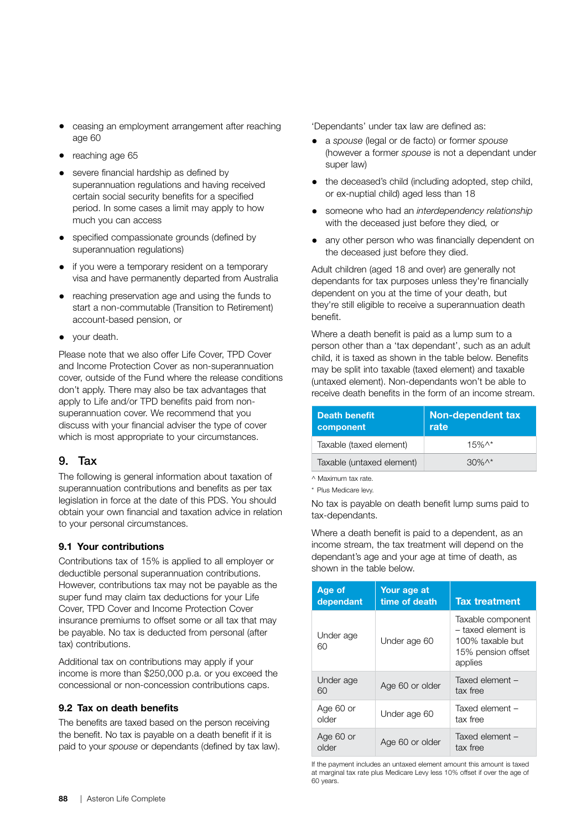- ceasing an employment arrangement after reaching age 60
- reaching age 65
- severe financial hardship as defined by superannuation regulations and having received certain social security benefits for a specified period. In some cases a limit may apply to how much you can access
- specified compassionate grounds (defined by superannuation regulations)
- if you were a temporary resident on a temporary visa and have permanently departed from Australia
- reaching preservation age and using the funds to start a non-commutable (Transition to Retirement) account-based pension, or
- your death.

Please note that we also offer Life Cover, TPD Cover and Income Protection Cover as non-superannuation cover, outside of the Fund where the release conditions don't apply. There may also be tax advantages that apply to Life and/or TPD benefits paid from nonsuperannuation cover. We recommend that you discuss with your financial adviser the type of cover which is most appropriate to your circumstances.

# 9. Tax

The following is general information about taxation of superannuation contributions and benefits as per tax legislation in force at the date of this PDS. You should obtain your own financial and taxation advice in relation to your personal circumstances.

# 9.1 Your contributions

Contributions tax of 15% is applied to all employer or deductible personal superannuation contributions. However, contributions tax may not be payable as the super fund may claim tax deductions for your Life Cover, TPD Cover and Income Protection Cover insurance premiums to offset some or all tax that may be payable. No tax is deducted from personal (after tax) contributions.

Additional tax on contributions may apply if your income is more than \$250,000 p.a. or you exceed the concessional or non-concession contributions caps.

# 9.2 Tax on death benefits

The benefits are taxed based on the person receiving the benefit. No tax is payable on a death benefit if it is paid to your *spouse* or dependants (defined by tax law). 'Dependants' under tax law are defined as:

- a *spouse* (legal or de facto) or former *spouse*  (however a former *spouse* is not a dependant under super law)
- the deceased's child (including adopted, step child, or ex-nuptial child) aged less than 18
- someone who had an *interdependency relationship*  with the deceased just before they died*,* or
- any other person who was financially dependent on the deceased just before they died.

Adult children (aged 18 and over) are generally not dependants for tax purposes unless they're financially dependent on you at the time of your death, but they're still eligible to receive a superannuation death benefit.

Where a death benefit is paid as a lump sum to a person other than a 'tax dependant', such as an adult child, it is taxed as shown in the table below. Benefits may be split into taxable (taxed element) and taxable (untaxed element). Non-dependants won't be able to receive death benefits in the form of an income stream.

| <b>Death benefit</b><br>component | <b>Non-dependent tax</b><br>rate |
|-----------------------------------|----------------------------------|
| Taxable (taxed element)           | $15%$ ^*                         |
| Taxable (untaxed element)         | $30\%$ ^*                        |

^ Maximum tax rate.

\* Plus Medicare levy.

No tax is payable on death benefit lump sums paid to tax-dependants.

Where a death benefit is paid to a dependent, as an income stream, the tax treatment will depend on the dependant's age and your age at time of death, as shown in the table below.

| Age of<br>dependant | Your age at<br>time of death | <b>Tax treatment</b>                                                                         |
|---------------------|------------------------------|----------------------------------------------------------------------------------------------|
| Under age<br>60     | Under age 60                 | Taxable component<br>- taxed element is<br>100% taxable but<br>15% pension offset<br>applies |
| Under age<br>60     | Age 60 or older              | Taxed element -<br>tax free                                                                  |
| Age 60 or<br>older  | Under age 60                 | Taxed element -<br>tax free                                                                  |
| Age 60 or<br>older  | Age 60 or older              | Taxed element -<br>tax free                                                                  |

If the payment includes an untaxed element amount this amount is taxed at marginal tax rate plus Medicare Levy less 10% offset if over the age of 60 years.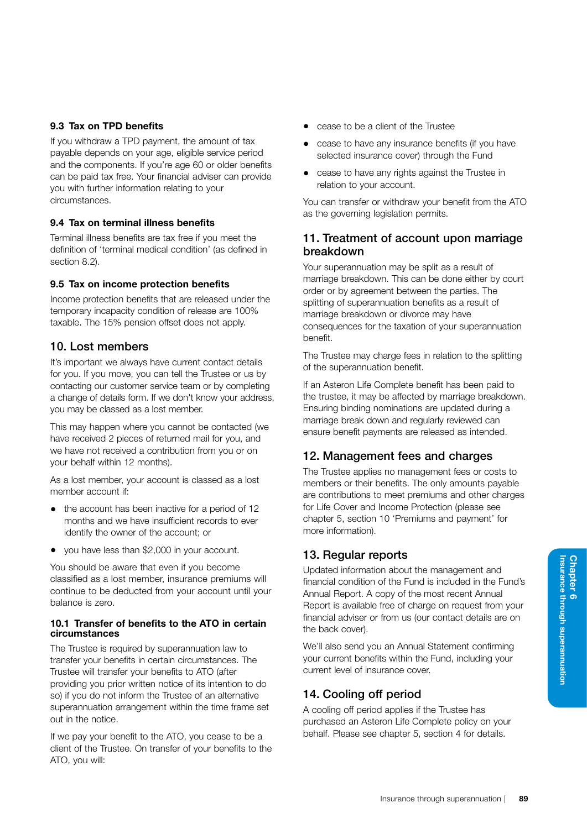# 9.3 Tax on TPD benefits

If you withdraw a TPD payment, the amount of tax payable depends on your age, eligible service period and the components. If you're age 60 or older benefits can be paid tax free. Your financial adviser can provide you with further information relating to your circumstances.

# 9.4 Tax on terminal illness benefits

Terminal illness benefits are tax free if you meet the definition of 'terminal medical condition' (as defined in section 8.2).

# 9.5 Tax on income protection benefits

Income protection benefits that are released under the temporary incapacity condition of release are 100% taxable. The 15% pension offset does not apply.

# 10. Lost members

It's important we always have current contact details for you. If you move, you can tell the Trustee or us by contacting our customer service team or by completing a change of details form. If we don't know your address, you may be classed as a lost member.

This may happen where you cannot be contacted (we have received 2 pieces of returned mail for you, and we have not received a contribution from you or on your behalf within 12 months).

As a lost member, your account is classed as a lost member account if:

- the account has been inactive for a period of 12 months and we have insufficient records to ever identify the owner of the account; or
- you have less than \$2,000 in your account.

You should be aware that even if you become classified as a lost member, insurance premiums will continue to be deducted from your account until your balance is zero.

#### 10.1 Transfer of benefits to the ATO in certain circumstances

The Trustee is required by superannuation law to transfer your benefits in certain circumstances. The Trustee will transfer your benefits to ATO (after providing you prior written notice of its intention to do so) if you do not inform the Trustee of an alternative superannuation arrangement within the time frame set out in the notice.

If we pay your benefit to the ATO, you cease to be a client of the Trustee. On transfer of your benefits to the ATO, you will:

- cease to be a client of the Trustee
- cease to have any insurance benefits (if you have selected insurance cover) through the Fund
- cease to have any rights against the Trustee in relation to your account.

You can transfer or withdraw your benefit from the ATO as the governing legislation permits.

# 11. Treatment of account upon marriage breakdown

Your superannuation may be split as a result of marriage breakdown. This can be done either by court order or by agreement between the parties. The splitting of superannuation benefits as a result of marriage breakdown or divorce may have consequences for the taxation of your superannuation benefit.

The Trustee may charge fees in relation to the splitting of the superannuation benefit.

If an Asteron Life Complete benefit has been paid to the trustee, it may be affected by marriage breakdown. Ensuring binding nominations are updated during a marriage break down and regularly reviewed can ensure benefit payments are released as intended.

# 12. Management fees and charges

The Trustee applies no management fees or costs to members or their benefits. The only amounts payable are contributions to meet premiums and other charges for Life Cover and Income Protection (please see chapter 5, section 10 'Premiums and payment' for more information).

# 13. Regular reports

Updated information about the management and financial condition of the Fund is included in the Fund's Annual Report. A copy of the most recent Annual Report is available free of charge on request from your financial adviser or from us (our contact details are on the back cover).

We'll also send you an Annual Statement confirming your current benefits within the Fund, including your current level of insurance cover.

# 14. Cooling off period

A cooling off period applies if the Trustee has purchased an Asteron Life Complete policy on your behalf. Please see chapter 5, section 4 for details.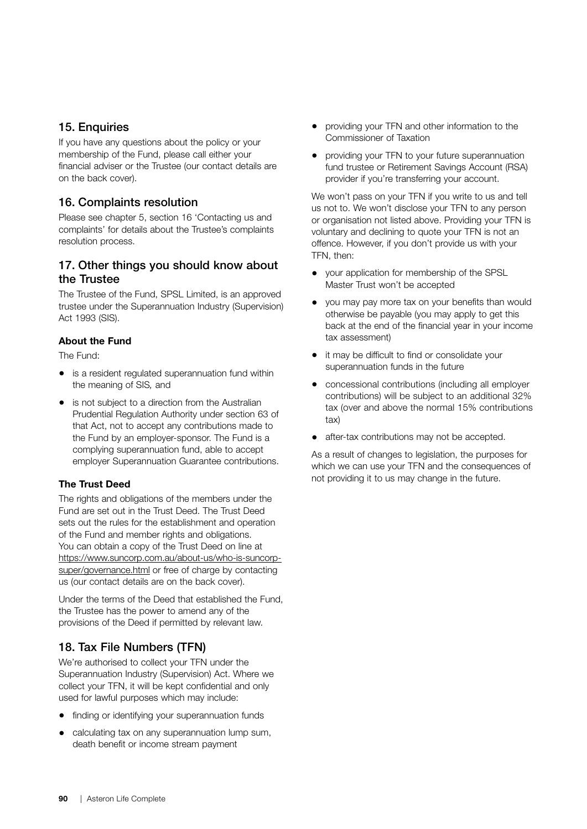# 15. Enquiries

If you have any questions about the policy or your membership of the Fund, please call either your financial adviser or the Trustee (our contact details are on the back cover).

# 16. Complaints resolution

Please see chapter 5, section 16 'Contacting us and complaints' for details about the Trustee's complaints resolution process.

# 17. Other things you should know about the Trustee

The Trustee of the Fund, SPSL Limited, is an approved trustee under the Superannuation Industry (Supervision) Act 1993 (SIS).

# About the Fund

The Fund:

- is a resident regulated superannuation fund within the meaning of SIS*,* and
- is not subject to a direction from the Australian Prudential Regulation Authority under section 63 of that Act, not to accept any contributions made to the Fund by an employer-sponsor. The Fund is a complying superannuation fund, able to accept employer Superannuation Guarantee contributions.

# The Trust Deed

The rights and obligations of the members under the Fund are set out in the Trust Deed. The Trust Deed sets out the rules for the establishment and operation of the Fund and member rights and obligations. You can obtain a copy of the Trust Deed on line at [https://www.suncorp.com.au/about-us/who-is-suncorp](https://www.suncorp.com.au/about-us/who-is-suncorp-super/governance.html)[super/governance.html](https://www.suncorp.com.au/about-us/who-is-suncorp-super/governance.html) or free of charge by contacting us (our contact details are on the back cover).

Under the terms of the Deed that established the Fund, the Trustee has the power to amend any of the provisions of the Deed if permitted by relevant law.

# 18. Tax File Numbers (TFN)

We're authorised to collect your TFN under the Superannuation Industry (Supervision) Act. Where we collect your TFN, it will be kept confidential and only used for lawful purposes which may include:

- finding or identifying your superannuation funds
- calculating tax on any superannuation lump sum, death benefit or income stream payment
- providing your TFN and other information to the Commissioner of Taxation
- providing your TFN to your future superannuation fund trustee or Retirement Savings Account (RSA) provider if you're transferring your account.

We won't pass on your TFN if you write to us and tell us not to. We won't disclose your TFN to any person or organisation not listed above. Providing your TFN is voluntary and declining to quote your TFN is not an offence. However, if you don't provide us with your TFN, then:

- your application for membership of the SPSL Master Trust won't be accepted
- you may pay more tax on your benefits than would otherwise be payable (you may apply to get this back at the end of the financial year in your income tax assessment)
- it may be difficult to find or consolidate your superannuation funds in the future
- concessional contributions (including all employer contributions) will be subject to an additional 32% tax (over and above the normal 15% contributions tax)
- after-tax contributions may not be accepted.

As a result of changes to legislation, the purposes for which we can use your TFN and the consequences of not providing it to us may change in the future.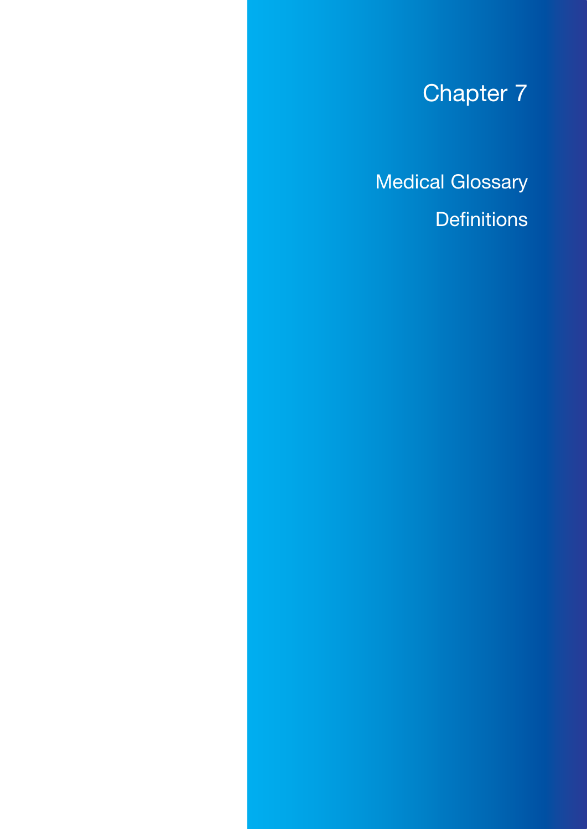# Chapter 7

# Medical Glossary **Definitions**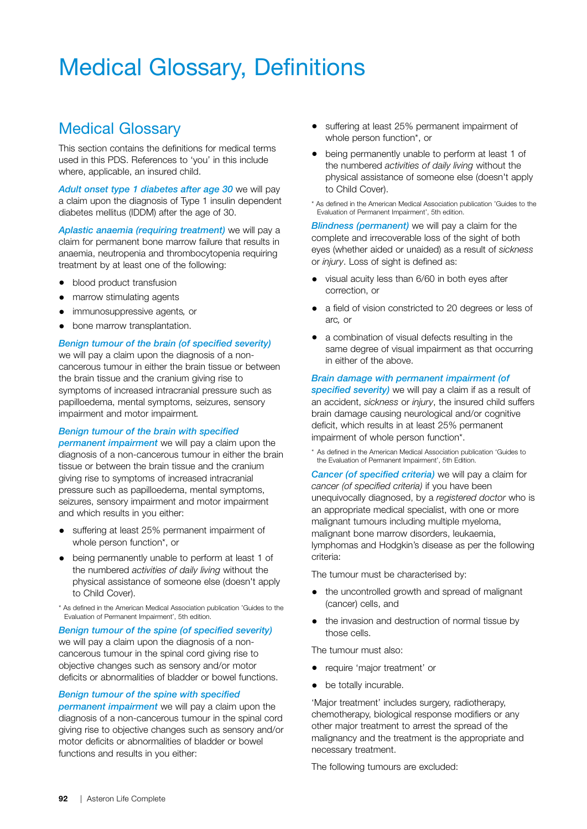# Medical Glossary, Definitions

# Medical Glossary

This section contains the definitions for medical terms used in this PDS. References to 'you' in this include where, applicable, an insured child.

*Adult onset type 1 diabetes after age 30* we will pay a claim upon the diagnosis of Type 1 insulin dependent diabetes mellitus (IDDM) after the age of 30.

*Aplastic anaemia (requiring treatment)* we will pay a claim for permanent bone marrow failure that results in anaemia, neutropenia and thrombocytopenia requiring treatment by at least one of the following:

- blood product transfusion
- marrow stimulating agents
- immunosuppressive agents*,* or
- bone marrow transplantation.

#### *Benign tumour of the brain (of specified severity)*

we will pay a claim upon the diagnosis of a noncancerous tumour in either the brain tissue or between the brain tissue and the cranium giving rise to symptoms of increased intracranial pressure such as papilloedema, mental symptoms, seizures, sensory impairment and motor impairment*.*

# *Benign tumour of the brain with specified*

*permanent impairment* we will pay a claim upon the diagnosis of a non-cancerous tumour in either the brain tissue or between the brain tissue and the cranium giving rise to symptoms of increased intracranial pressure such as papilloedema, mental symptoms, seizures, sensory impairment and motor impairment and which results in you either:

- suffering at least 25% permanent impairment of whole person function\*, or
- being permanently unable to perform at least 1 of the numbered *activities of daily living* without the physical assistance of someone else (doesn't apply to Child Cover).

\* As defined in the American Medical Association publication 'Guides to the Evaluation of Permanent Impairment', 5th edition.

#### *Benign tumour of the spine (of specified severity)* we will pay a claim upon the diagnosis of a noncancerous tumour in the spinal cord giving rise to objective changes such as sensory and/or motor deficits or abnormalities of bladder or bowel functions.

#### *Benign tumour of the spine with specified*

*permanent impairment* we will pay a claim upon the diagnosis of a non-cancerous tumour in the spinal cord giving rise to objective changes such as sensory and/or motor deficits or abnormalities of bladder or bowel functions and results in you either:

- suffering at least 25% permanent impairment of whole person function\*, or
- being permanently unable to perform at least 1 of the numbered *activities of daily living* without the physical assistance of someone else (doesn't apply to Child Cover).
- \* As defined in the American Medical Association publication 'Guides to the Evaluation of Permanent Impairment', 5th edition.

*Blindness (permanent)* we will pay a claim for the complete and irrecoverable loss of the sight of both eyes (whether aided or unaided) as a result of *sickness*  or *injury*. Loss of sight is defined as:

- visual acuity less than 6/60 in both eyes after correction, or
- a field of vision constricted to 20 degrees or less of arc*,* or
- a combination of visual defects resulting in the same degree of visual impairment as that occurring in either of the above.

#### *Brain damage with permanent impairment (of*

*specified severity)* we will pay a claim if as a result of an accident, *sickness* or *injury*, the insured child suffers brain damage causing neurological and/or cognitive deficit, which results in at least 25% permanent impairment of whole person function\*.

\* As defined in the American Medical Association publication 'Guides to the Evaluation of Permanent Impairment', 5th Edition.

*Cancer (of specified criteria)* we will pay a claim for *cancer (of specified criteria)* if you have been unequivocally diagnosed, by a *registered doctor* who is an appropriate medical specialist, with one or more malignant tumours including multiple myeloma, malignant bone marrow disorders, leukaemia, lymphomas and Hodgkin's disease as per the following criteria:

The tumour must be characterised by:

- the uncontrolled growth and spread of malignant (cancer) cells, and
- the invasion and destruction of normal tissue by those cells.

The tumour must also:

- require 'major treatment' or
- be totally incurable.

'Major treatment' includes surgery, radiotherapy, chemotherapy, biological response modifiers or any other major treatment to arrest the spread of the malignancy and the treatment is the appropriate and necessary treatment.

The following tumours are excluded: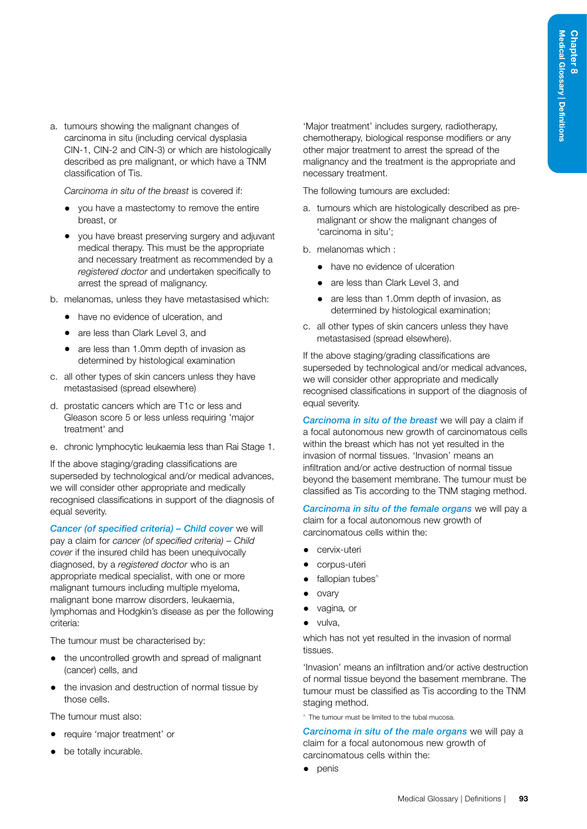a. tumours showing the malignant changes of carcinoma in situ (including cervical dysplasia CIN-1, CIN-2 and CIN-3) or which are histologically described as pre malignant, or which have a TNM classification of Tis.

*Carcinoma in situ of the breast* is covered if:

- you have a mastectomy to remove the entire breast, or
- you have breast preserving surgery and adjuvant medical therapy. This must be the appropriate and necessary treatment as recommended by a *registered doctor* and undertaken specifically to arrest the spread of malignancy.
- b. melanomas, unless they have metastasised which:
	- have no evidence of ulceration, and
	- are less than Clark Level 3, and
	- are less than 1.0mm depth of invasion as determined by histological examination
- c. all other types of skin cancers unless they have metastasised (spread elsewhere)
- d. prostatic cancers which are T1c or less and Gleason score 5 or less unless requiring 'major treatment' and
- e. chronic lymphocytic leukaemia less than Rai Stage 1.

If the above staging/grading classifications are superseded by technological and/or medical advances, we will consider other appropriate and medically recognised classifications in support of the diagnosis of equal severity.

*Cancer (of specified criteria) – Child cover* we will pay a claim for *cancer (of specified criteria) – Child cover* if the insured child has been unequivocally diagnosed, by a *registered doctor* who is an appropriate medical specialist, with one or more malignant tumours including multiple myeloma, malignant bone marrow disorders, leukaemia, lymphomas and Hodgkin's disease as per the following criteria:

The tumour must be characterised by:

- the uncontrolled growth and spread of malignant (cancer) cells, and
- the invasion and destruction of normal tissue by those cells.

The tumour must also:

- require 'major treatment' or
- be totally incurable.

'Major treatment' includes surgery, radiotherapy, chemotherapy, biological response modifiers or any other major treatment to arrest the spread of the malignancy and the treatment is the appropriate and necessary treatment.

The following tumours are excluded:

- a. tumours which are histologically described as premalignant or show the malignant changes of 'carcinoma in situ';
- b. melanomas which :
	- have no evidence of ulceration
	- are less than Clark Level 3, and
	- are less than 1.0mm depth of invasion, as determined by histological examination;
- c. all other types of skin cancers unless they have metastasised (spread elsewhere).

If the above staging/grading classifications are superseded by technological and/or medical advances, we will consider other appropriate and medically recognised classifications in support of the diagnosis of equal severity.

*Carcinoma in situ of the breast* we will pay a claim if a focal autonomous new growth of carcinomatous cells within the breast which has not yet resulted in the invasion of normal tissues. 'Invasion' means an infiltration and/or active destruction of normal tissue beyond the basement membrane. The tumour must be classified as Tis according to the TNM staging method.

*Carcinoma in situ of the female organs* we will pay a claim for a focal autonomous new growth of carcinomatous cells within the:

- cervix-uteri
- corpus-uteri
- fallopian tubes<sup>^</sup>
- ovary
- vagina*,* or
- vulva,

which has not yet resulted in the invasion of normal tissues.

'Invasion' means an infiltration and/or active destruction of normal tissue beyond the basement membrane. The tumour must be classified as Tis according to the TNM staging method.

^ The tumour must be limited to the tubal mucosa.

*Carcinoma in situ of the male organs* we will pay a claim for a focal autonomous new growth of carcinomatous cells within the:

• penis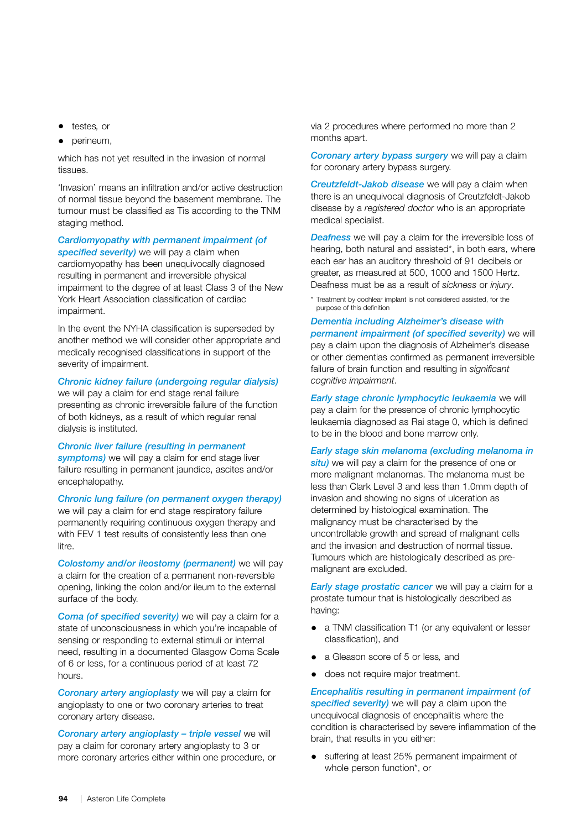- testes*,* or
- perineum,

which has not yet resulted in the invasion of normal tissues.

'Invasion' means an infiltration and/or active destruction of normal tissue beyond the basement membrane. The tumour must be classified as Tis according to the TNM staging method.

#### *Cardiomyopathy with permanent impairment (of specified severity)* we will pay a claim when

cardiomyopathy has been unequivocally diagnosed resulting in permanent and irreversible physical impairment to the degree of at least Class 3 of the New York Heart Association classification of cardiac impairment.

In the event the NYHA classification is superseded by another method we will consider other appropriate and medically recognised classifications in support of the severity of impairment.

## *Chronic kidney failure (undergoing regular dialysis)*

we will pay a claim for end stage renal failure presenting as chronic irreversible failure of the function of both kidneys, as a result of which regular renal dialysis is instituted.

# *Chronic liver failure (resulting in permanent symptoms)* we will pay a claim for end stage liver

failure resulting in permanent jaundice, ascites and/or encephalopathy.

*Chronic lung failure (on permanent oxygen therapy)* we will pay a claim for end stage respiratory failure

permanently requiring continuous oxygen therapy and with FEV 1 test results of consistently less than one litre.

*Colostomy and/or ileostomy (permanent)* we will pay a claim for the creation of a permanent non-reversible opening, linking the colon and/or ileum to the external surface of the body.

*Coma (of specified severity)* we will pay a claim for a state of unconsciousness in which you're incapable of sensing or responding to external stimuli or internal need, resulting in a documented Glasgow Coma Scale of 6 or less, for a continuous period of at least 72 hours.

*Coronary artery angioplasty* we will pay a claim for angioplasty to one or two coronary arteries to treat coronary artery disease.

*Coronary artery angioplasty – triple vessel* we will pay a claim for coronary artery angioplasty to 3 or more coronary arteries either within one procedure, or via 2 procedures where performed no more than 2 months apart.

*Coronary artery bypass surgery* we will pay a claim for coronary artery bypass surgery.

*Creutzfeldt-Jakob disease* we will pay a claim when there is an unequivocal diagnosis of Creutzfeldt-Jakob disease by a *registered doctor* who is an appropriate medical specialist.

*Deafness* we will pay a claim for the irreversible loss of hearing, both natural and assisted\*, in both ears, where each ear has an auditory threshold of 91 decibels or greater, as measured at 500, 1000 and 1500 Hertz. Deafness must be as a result of *sickness* or *injury*.

Treatment by cochlear implant is not considered assisted, for the purpose of this definition

*Dementia including Alzheimer's disease with permanent impairment (of specified severity)* we will pay a claim upon the diagnosis of Alzheimer's disease or other dementias confirmed as permanent irreversible failure of brain function and resulting in *significant cognitive impairment*.

*Early stage chronic lymphocytic leukaemia* we will pay a claim for the presence of chronic lymphocytic leukaemia diagnosed as Rai stage 0, which is defined to be in the blood and bone marrow only.

*Early stage skin melanoma (excluding melanoma in situ)* we will pay a claim for the presence of one or more malignant melanomas. The melanoma must be less than Clark Level 3 and less than 1.0mm depth of invasion and showing no signs of ulceration as determined by histological examination. The malignancy must be characterised by the uncontrollable growth and spread of malignant cells and the invasion and destruction of normal tissue. Tumours which are histologically described as premalignant are excluded.

*Early stage prostatic cancer* we will pay a claim for a prostate tumour that is histologically described as having:

- a TNM classification T1 (or any equivalent or lesser classification), and
- a Gleason score of 5 or less*,* and
- does not require major treatment.

*Encephalitis resulting in permanent impairment (of specified severity)* we will pay a claim upon the unequivocal diagnosis of encephalitis where the condition is characterised by severe inflammation of the brain, that results in you either:

suffering at least 25% permanent impairment of whole person function\*, or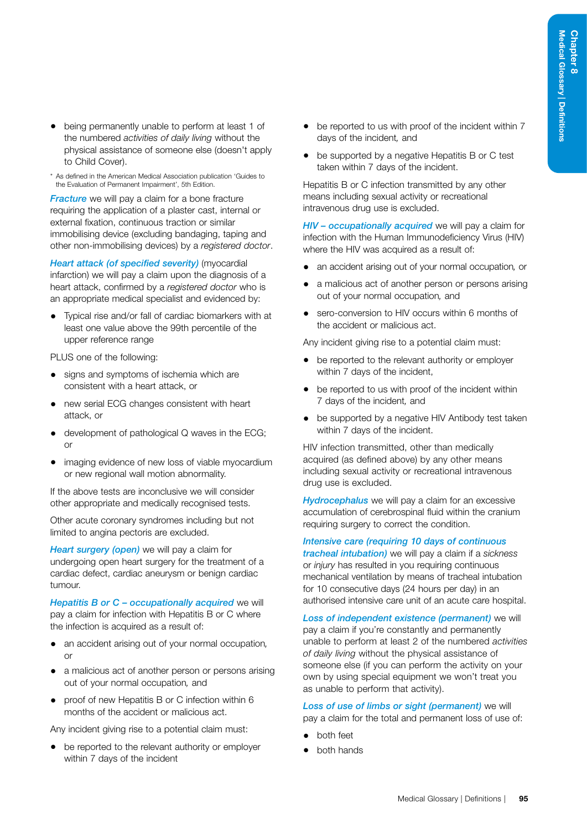- being permanently unable to perform at least 1 of the numbered *activities of daily living* without the physical assistance of someone else (doesn't apply to Child Cover).
- \* As defined in the American Medical Association publication 'Guides to the Evaluation of Permanent Impairment', 5th Edition.

*Fracture* we will pay a claim for a bone fracture requiring the application of a plaster cast, internal or external fixation, continuous traction or similar immobilising device (excluding bandaging, taping and other non-immobilising devices) by a *registered doctor*.

*Heart attack (of specified severity)* (myocardial infarction) we will pay a claim upon the diagnosis of a heart attack, confirmed by a *registered doctor* who is an appropriate medical specialist and evidenced by:

• Typical rise and/or fall of cardiac biomarkers with at least one value above the 99th percentile of the upper reference range

PLUS one of the following:

- signs and symptoms of ischemia which are consistent with a heart attack, or
- new serial ECG changes consistent with heart attack, or
- development of pathological Q waves in the ECG; or
- imaging evidence of new loss of viable myocardium or new regional wall motion abnormality.

If the above tests are inconclusive we will consider other appropriate and medically recognised tests.

Other acute coronary syndromes including but not limited to angina pectoris are excluded.

*Heart surgery (open)* we will pay a claim for undergoing open heart surgery for the treatment of a cardiac defect, cardiac aneurysm or benign cardiac tumour.

*Hepatitis B or C – occupationally acquired* we will pay a claim for infection with Hepatitis B or C where the infection is acquired as a result of:

- an accident arising out of your normal occupation*,*  $\alpha$ r
- a malicious act of another person or persons arising out of your normal occupation*,* and
- proof of new Hepatitis B or C infection within 6 months of the accident or malicious act.

Any incident giving rise to a potential claim must:

• be reported to the relevant authority or employer within 7 days of the incident

- be reported to us with proof of the incident within 7 days of the incident*,* and
- be supported by a negative Hepatitis B or C test taken within 7 days of the incident.

Hepatitis B or C infection transmitted by any other means including sexual activity or recreational intravenous drug use is excluded.

*HIV – occupationally acquired* we will pay a claim for infection with the Human Immunodeficiency Virus (HIV) where the HIV was acquired as a result of:

- an accident arising out of your normal occupation*,* or
- a malicious act of another person or persons arising out of your normal occupation*,* and
- sero-conversion to HIV occurs within 6 months of the accident or malicious act.

Any incident giving rise to a potential claim must:

- be reported to the relevant authority or employer within 7 days of the incident,
- be reported to us with proof of the incident within 7 days of the incident*,* and
- be supported by a negative HIV Antibody test taken within 7 days of the incident.

HIV infection transmitted, other than medically acquired (as defined above) by any other means including sexual activity or recreational intravenous drug use is excluded.

*Hydrocephalus* we will pay a claim for an excessive accumulation of cerebrospinal fluid within the cranium requiring surgery to correct the condition.

*Intensive care (requiring 10 days of continuous tracheal intubation)* we will pay a claim if a *sickness*  or *injury* has resulted in you requiring continuous mechanical ventilation by means of tracheal intubation for 10 consecutive days (24 hours per day) in an authorised intensive care unit of an acute care hospital.

*Loss of independent existence (permanent)* we will pay a claim if you're constantly and permanently unable to perform at least 2 of the numbered *activities of daily living* without the physical assistance of someone else (if you can perform the activity on your own by using special equipment we won't treat you as unable to perform that activity).

*Loss of use of limbs or sight (permanent)* we will pay a claim for the total and permanent loss of use of:

- both feet
- both hands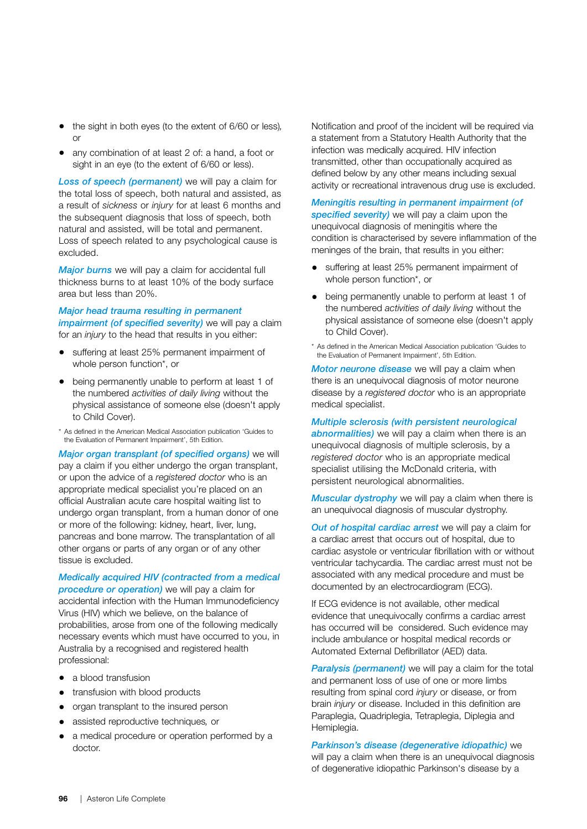- the sight in both eyes (to the extent of 6/60 or less)*,*  $\alpha$ r
- any combination of at least 2 of: a hand, a foot or sight in an eye (to the extent of 6/60 or less).

*Loss of speech (permanent)* we will pay a claim for the total loss of speech, both natural and assisted, as a result of *sickness* or *injury* for at least 6 months and the subsequent diagnosis that loss of speech, both natural and assisted, will be total and permanent. Loss of speech related to any psychological cause is excluded.

*Major burns* we will pay a claim for accidental full thickness burns to at least 10% of the body surface area but less than 20%.

#### *Major head trauma resulting in permanent impairment (of specified severity)* we will pay a claim for an *injury* to the head that results in you either:

- suffering at least 25% permanent impairment of whole person function\*, or
- being permanently unable to perform at least 1 of the numbered *activities of daily living* without the physical assistance of someone else (doesn't apply to Child Cover).
- \* As defined in the American Medical Association publication 'Guides to the Evaluation of Permanent Impairment', 5th Edition.

*Major organ transplant (of specified organs)* we will pay a claim if you either undergo the organ transplant, or upon the advice of a *registered doctor* who is an appropriate medical specialist you're placed on an official Australian acute care hospital waiting list to undergo organ transplant, from a human donor of one or more of the following: kidney, heart, liver, lung, pancreas and bone marrow. The transplantation of all other organs or parts of any organ or of any other tissue is excluded.

*Medically acquired HIV (contracted from a medical procedure or operation)* we will pay a claim for accidental infection with the Human Immunodeficiency Virus (HIV) which we believe, on the balance of probabilities, arose from one of the following medically necessary events which must have occurred to you, in Australia by a recognised and registered health professional:

- a blood transfusion
- transfusion with blood products
- organ transplant to the insured person
- assisted reproductive techniques*,* or
- a medical procedure or operation performed by a doctor.

Notification and proof of the incident will be required via a statement from a Statutory Health Authority that the infection was medically acquired. HIV infection transmitted, other than occupationally acquired as defined below by any other means including sexual activity or recreational intravenous drug use is excluded.

#### *Meningitis resulting in permanent impairment (of specified severity)* we will pay a claim upon the

unequivocal diagnosis of meningitis where the condition is characterised by severe inflammation of the meninges of the brain, that results in you either:

- suffering at least 25% permanent impairment of whole person function\*, or
- being permanently unable to perform at least 1 of the numbered *activities of daily living* without the physical assistance of someone else (doesn't apply to Child Cover).
- \* As defined in the American Medical Association publication 'Guides to the Evaluation of Permanent Impairment', 5th Edition.

*Motor neurone disease* we will pay a claim when there is an unequivocal diagnosis of motor neurone disease by a *registered doctor* who is an appropriate medical specialist.

#### *Multiple sclerosis (with persistent neurological*

*abnormalities)* we will pay a claim when there is an unequivocal diagnosis of multiple sclerosis, by a *registered doctor* who is an appropriate medical specialist utilising the McDonald criteria, with persistent neurological abnormalities.

*Muscular dystrophy* we will pay a claim when there is an unequivocal diagnosis of muscular dystrophy.

*Out of hospital cardiac arrest* we will pay a claim for a cardiac arrest that occurs out of hospital, due to cardiac asystole or ventricular fibrillation with or without ventricular tachycardia. The cardiac arrest must not be associated with any medical procedure and must be documented by an electrocardiogram (ECG).

If ECG evidence is not available, other medical evidence that unequivocally confirms a cardiac arrest has occurred will be considered. Such evidence may include ambulance or hospital medical records or Automated External Defibrillator (AED) data.

*Paralysis (permanent)* we will pay a claim for the total and permanent loss of use of one or more limbs resulting from spinal cord *injury* or disease, or from brain *injury* or disease. Included in this definition are Paraplegia, Quadriplegia, Tetraplegia, Diplegia and Hemiplegia.

*Parkinson's disease (degenerative idiopathic)* we will pay a claim when there is an unequivocal diagnosis of degenerative idiopathic Parkinson's disease by a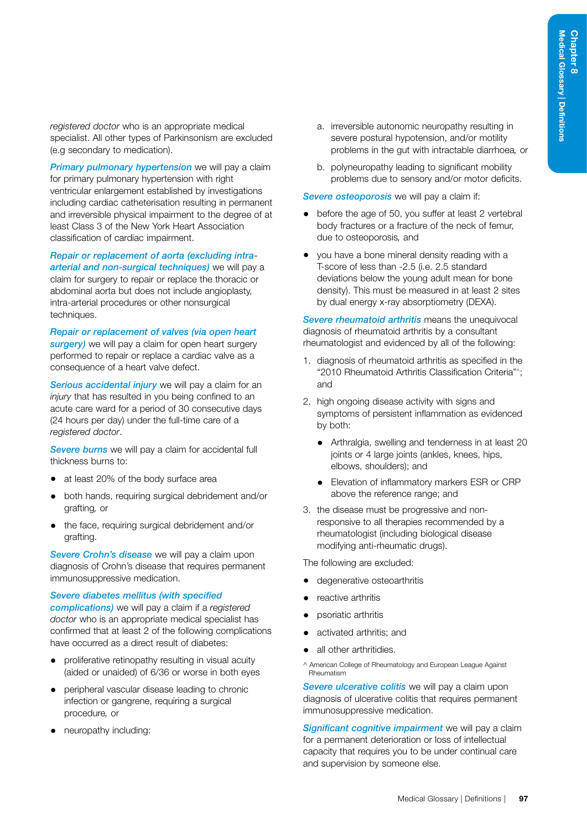*registered doctor* who is an appropriate medical specialist. All other types of Parkinsonism are excluded (e.g secondary to medication).

*Primary pulmonary hypertension* we will pay a claim for primary pulmonary hypertension with right ventricular enlargement established by investigations including cardiac catheterisation resulting in permanent and irreversible physical impairment to the degree of at least Class 3 of the New York Heart Association classification of cardiac impairment.

*Repair or replacement of aorta (excluding intraarterial and non-surgical techniques)* we will pay a claim for surgery to repair or replace the thoracic or abdominal aorta but does not include angioplasty, intra-arterial procedures or other nonsurgical techniques.

*Repair or replacement of valves (via open heart surgery*) we will pay a claim for open heart surgery performed to repair or replace a cardiac valve as a consequence of a heart valve defect.

*Serious accidental injury* we will pay a claim for an *injury* that has resulted in you being confined to an acute care ward for a period of 30 consecutive days (24 hours per day) under the full-time care of a *registered doctor*.

*Severe burns* we will pay a claim for accidental full thickness burns to:

- at least 20% of the body surface area
- both hands, requiring surgical debridement and/or grafting*,* or
- the face, requiring surgical debridement and/or grafting.

*Severe Crohn's disease* we will pay a claim upon diagnosis of Crohn's disease that requires permanent immunosuppressive medication.

*Severe diabetes mellitus (with specified* 

*complications)* we will pay a claim if a *registered doctor* who is an appropriate medical specialist has confirmed that at least 2 of the following complications have occurred as a direct result of diabetes:

- proliferative retinopathy resulting in visual acuity (aided or unaided) of 6/36 or worse in both eyes
- peripheral vascular disease leading to chronic infection or gangrene, requiring a surgical procedure*,* or
- neuropathy including:
- a. irreversible autonomic neuropathy resulting in severe postural hypotension, and/or motility problems in the gut with intractable diarrhoea*,* or
- b. polyneuropathy leading to significant mobility problems due to sensory and/or motor deficits.

*Severe osteoporosis* we will pay a claim if:

- before the age of 50, you suffer at least 2 vertebral body fractures or a fracture of the neck of femur, due to osteoporosis*,* and
- you have a bone mineral density reading with a T-score of less than -2.5 (i.e. 2.5 standard deviations below the young adult mean for bone density). This must be measured in at least 2 sites by dual energy x-ray absorptiometry (DEXA).

*Severe rheumatoid arthritis* means the unequivocal diagnosis of rheumatoid arthritis by a consultant rheumatologist and evidenced by all of the following:

- 1. diagnosis of rheumatoid arthritis as specified in the "2010 Rheumatoid Arthritis Classification Criteria"^; and
- 2. high ongoing disease activity with signs and symptoms of persistent inflammation as evidenced by both:
	- Arthralgia, swelling and tenderness in at least 20 joints or 4 large joints (ankles, knees, hips, elbows, shoulders); and
	- Elevation of inflammatory markers ESR or CRP above the reference range; and
- 3. the disease must be progressive and nonresponsive to all therapies recommended by a rheumatologist (including biological disease modifying anti-rheumatic drugs).

The following are excluded:

- degenerative osteoarthritis
- reactive arthritis
- psoriatic arthritis
- activated arthritis; and
- all other arthritidies.

^ American College of Rheumatology and European League Against Rheumatism

*Severe ulcerative colitis* we will pay a claim upon diagnosis of ulcerative colitis that requires permanent immunosuppressive medication.

*Significant cognitive impairment* we will pay a claim for a permanent deterioration or loss of intellectual capacity that requires you to be under continual care and supervision by someone else.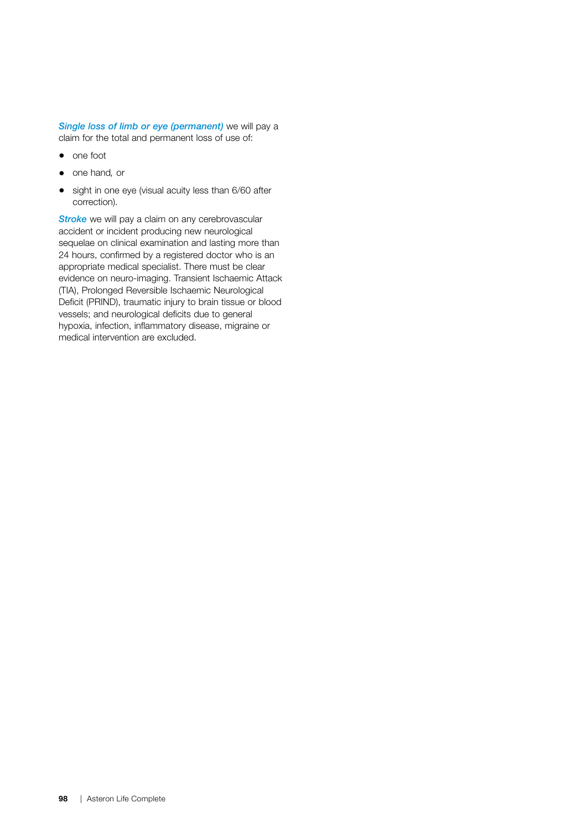*Single loss of limb or eye (permanent)* we will pay a claim for the total and permanent loss of use of:

- one foot
- one hand*,* or
- sight in one eye (visual acuity less than 6/60 after correction).

**Stroke** we will pay a claim on any cerebrovascular accident or incident producing new neurological sequelae on clinical examination and lasting more than 24 hours, confirmed by a registered doctor who is an appropriate medical specialist. There must be clear evidence on neuro-imaging. Transient Ischaemic Attack (TIA), Prolonged Reversible Ischaemic Neurological Deficit (PRIND), traumatic injury to brain tissue or blood vessels; and neurological deficits due to general hypoxia, infection, inflammatory disease, migraine or medical intervention are excluded.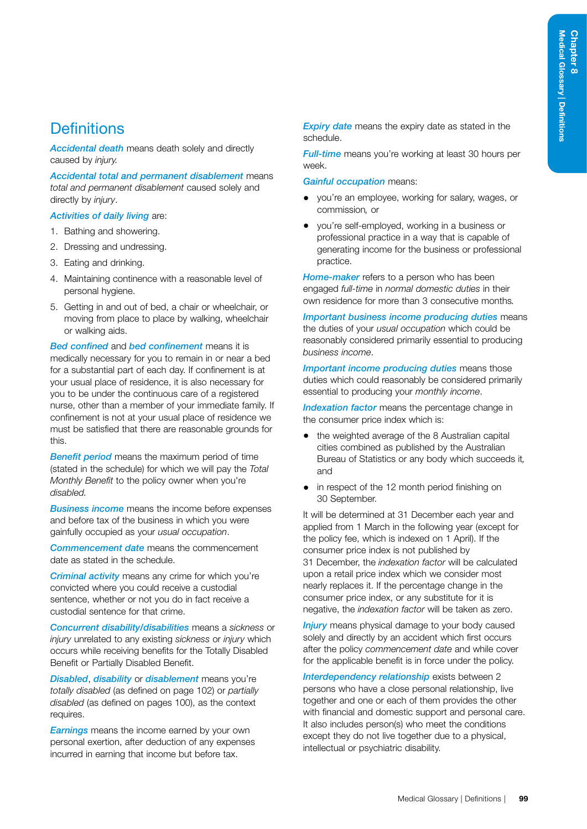# **Definitions**

*Accidental death* means death solely and directly caused by *injury.*

*Accidental total and permanent disablement* means *total and permanent disablement* caused solely and directly by *injury*.

#### *Activities of daily living* are:

- 1. Bathing and showering.
- 2. Dressing and undressing.
- 3. Eating and drinking.
- 4. Maintaining continence with a reasonable level of personal hygiene.
- 5. Getting in and out of bed, a chair or wheelchair, or moving from place to place by walking, wheelchair or walking aids.

*Bed confined* and *bed confinement* means it is medically necessary for you to remain in or near a bed for a substantial part of each day. If confinement is at your usual place of residence, it is also necessary for you to be under the continuous care of a registered nurse, other than a member of your immediate family. If confinement is not at your usual place of residence we must be satisfied that there are reasonable grounds for this.

*Benefit period* means the maximum period of time (stated in the schedule) for which we will pay the *Total Monthly Benefit* to the policy owner when you're *disabled.*

*Business income* means the income before expenses and before tax of the business in which you were gainfully occupied as your *usual occupation*.

*Commencement date* means the commencement date as stated in the schedule.

*Criminal activity* means any crime for which you're convicted where you could receive a custodial sentence, whether or not you do in fact receive a custodial sentence for that crime.

*Concurrent disability/disabilities* means a *sickness* or *injury* unrelated to any existing *sickness* or *injury* which occurs while receiving benefits for the Totally Disabled Benefit or Partially Disabled Benefit.

*Disabled*, *disability* or *disablement* means you're *totally disabled* (as defined on page 102) or *partially disabled* (as defined on pages [100](#page-105-0)), as the context requires.

*Earnings* means the income earned by your own personal exertion, after deduction of any expenses incurred in earning that income but before tax.

*Expiry date* means the expiry date as stated in the schedule.

*Full-time* means you're working at least 30 hours per week.

*Gainful occupation* means:

- you're an employee, working for salary, wages, or commission*,* or
- you're self-employed, working in a business or professional practice in a way that is capable of generating income for the business or professional practice.

*Home-maker* refers to a person who has been engaged *full-time* in *normal domestic duties* in their own residence for more than 3 consecutive months*.* 

*Important business income producing duties* means the duties of your *usual occupation* which could be reasonably considered primarily essential to producing *business income*.

*Important income producing duties* means those duties which could reasonably be considered primarily essential to producing your *monthly income*.

*Indexation factor* means the percentage change in the consumer price index which is:

- the weighted average of the 8 Australian capital cities combined as published by the Australian Bureau of Statistics or any body which succeeds it*,* and
- in respect of the 12 month period finishing on 30 September.

It will be determined at 31 December each year and applied from 1 March in the following year (except for the policy fee, which is indexed on 1 April). If the consumer price index is not published by 31 December, the *indexation factor* will be calculated upon a retail price index which we consider most nearly replaces it. If the percentage change in the consumer price index, or any substitute for it is negative, the *indexation factor* will be taken as zero.

**Injury** means physical damage to your body caused solely and directly by an accident which first occurs after the policy *commencement date* and while cover for the applicable benefit is in force under the policy.

*Interdependency relationship* exists between 2 persons who have a close personal relationship, live together and one or each of them provides the other with financial and domestic support and personal care. It also includes person(s) who meet the conditions except they do not live together due to a physical, intellectual or psychiatric disability.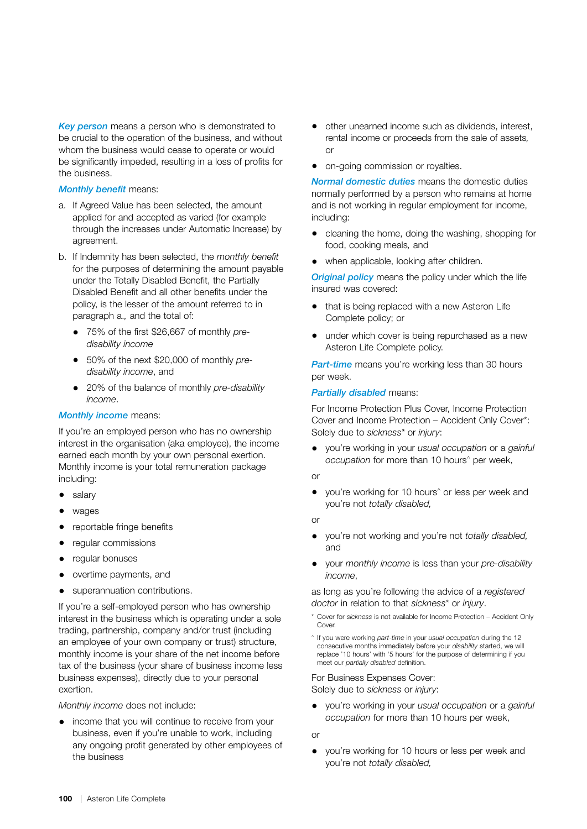*Key person* means a person who is demonstrated to be crucial to the operation of the business, and without whom the business would cease to operate or would be significantly impeded, resulting in a loss of profits for the business.

#### *Monthly benefit* means:

- a. If Agreed Value has been selected, the amount applied for and accepted as varied (for example through the increases under Automatic Increase) by agreement.
- b. If Indemnity has been selected, the *monthly benefit*  for the purposes of determining the amount payable under the Totally Disabled Benefit, the Partially Disabled Benefit and all other benefits under the policy, is the lesser of the amount referred to in paragraph a.*,* and the total of:
	- 75% of the first \$26,667 of monthly *predisability income*
	- 50% of the next \$20,000 of monthly *predisability income*, and
	- 20% of the balance of monthly *pre-disability income*.

#### *Monthly income* means:

If you're an employed person who has no ownership interest in the organisation (aka employee), the income earned each month by your own personal exertion. Monthly income is your total remuneration package including:

- salary
- wages
- reportable fringe benefits
- regular commissions
- regular bonuses
- overtime payments, and
- superannuation contributions.

If you're a self-employed person who has ownership interest in the business which is operating under a sole trading, partnership, company and/or trust (including an employee of your own company or trust) structure, monthly income is your share of the net income before tax of the business (your share of business income less business expenses), directly due to your personal exertion.

*Monthly income* does not include:

• income that you will continue to receive from your business, even if you're unable to work, including any ongoing profit generated by other employees of the business

- other unearned income such as dividends, interest, rental income or proceeds from the sale of assets*,* or
- on-going commission or royalties.

*Normal domestic duties* means the domestic duties normally performed by a person who remains at home and is not working in regular employment for income, including:

- cleaning the home, doing the washing, shopping for food, cooking meals*,* and
- when applicable, looking after children.

*Original policy* means the policy under which the life insured was covered:

- that is being replaced with a new Asteron Life Complete policy; or
- under which cover is being repurchased as a new Asteron Life Complete policy.

*Part-time* means you're working less than 30 hours per week.

#### <span id="page-105-0"></span>*Partially disabled* means:

For Income Protection Plus Cover, Income Protection Cover and Income Protection – Accident Only Cover\*: Solely due to *sickness\** or *injury*:

- you're working in your *usual occupation* or a *gainful occupation* for more than 10 hours^ per week,
- or
- you're working for 10 hours<sup>^</sup> or less per week and you're not *totally disabled,*

or

- you're not working and you're not *totally disabled,*  and
- your *monthly income* is less than your *pre-disability income*,

as long as you're following the advice of a *registered doctor* in relation to that *sickness\** or *injury*.

- \* Cover for *sickness* is not available for Income Protection Accident Only Cover.
- ^ If you were working *part-time* in your *usual occupation* during the 12 consecutive months immediately before your *disability* started, we will replace '10 hours' with '5 hours' for the purpose of determining if you meet our *partially disabled* definition.

For Business Expenses Cover: Solely due to *sickness* or *injury*:

• you're working in your *usual occupation* or a *gainful occupation* for more than 10 hours per week,

or

• you're working for 10 hours or less per week and you're not *totally disabled,*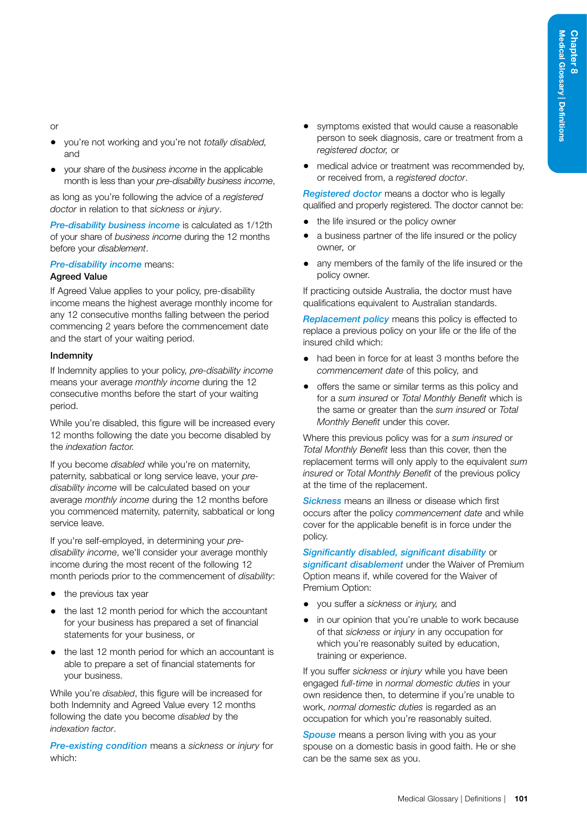#### or

- you're not working and you're not *totally disabled,* and
- your share of the *business income* in the applicable month is less than your *pre-disability business income*,

as long as you're following the advice of a *registered doctor* in relation to that *sickness* or *injury*.

*Pre-disability business income* is calculated as 1/12th of your share of *business income* during the 12 months before your *disablement*.

# *Pre-disability income* means:

## Agreed Value

If Agreed Value applies to your policy, pre-disability income means the highest average monthly income for any 12 consecutive months falling between the period commencing 2 years before the commencement date and the start of your waiting period.

#### **Indemnity**

If Indemnity applies to your policy, *pre-disability income* means your average *monthly income* during the 12 consecutive months before the start of your waiting period.

While you're disabled, this figure will be increased every 12 months following the date you become disabled by the *indexation factor.*

If you become *disabled* while you're on maternity, paternity, sabbatical or long service leave, your *predisability income* will be calculated based on your average *monthly income* during the 12 months before you commenced maternity, paternity, sabbatical or long service leave.

If you're self-employed, in determining your *predisability income*, we'll consider your average monthly income during the most recent of the following 12 month periods prior to the commencement of *disability*:

- the previous tax year
- the last 12 month period for which the accountant for your business has prepared a set of financial statements for your business, or
- the last 12 month period for which an accountant is able to prepare a set of financial statements for your business.

While you're *disabled*, this figure will be increased for both Indemnity and Agreed Value every 12 months following the date you become *disabled* by the *indexation factor*.

*Pre-existing condition* means a *sickness* or *injury* for which:

- symptoms existed that would cause a reasonable person to seek diagnosis, care or treatment from a *registered doctor,* or
- medical advice or treatment was recommended by, or received from, a *registered doctor*.

*Registered doctor* means a doctor who is legally qualified and properly registered. The doctor cannot be:

- the life insured or the policy owner
- a business partner of the life insured or the policy owner*,* or
- any members of the family of the life insured or the policy owner.

If practicing outside Australia, the doctor must have qualifications equivalent to Australian standards.

*Replacement policy* means this policy is effected to replace a previous policy on your life or the life of the insured child which:

- had been in force for at least 3 months before the *commencement date* of this policy*,* and
- offers the same or similar terms as this policy and for a *sum insured* or *Total Monthly Benefit* which is the same or greater than the *sum insured* or *Total Monthly Benefit* under this cover.

Where this previous policy was for a *sum insured* or *Total Monthly Benefit* less than this cover, then the replacement terms will only apply to the equivalent *sum insured* or *Total Monthly Benefit* of the previous policy at the time of the replacement.

*Sickness* means an illness or disease which first occurs after the policy *commencement date* and while cover for the applicable benefit is in force under the policy.

#### *Significantly disabled, significant disability* or

*significant disablement* under the Waiver of Premium Option means if, while covered for the Waiver of Premium Option:

- you suffer a *sickness* or *injury,* and
- in our opinion that you're unable to work because of that *sickness* or *injury* in any occupation for which you're reasonably suited by education. training or experience.

If you suffer *sickness* or *injury* while you have been engaged *full-time* in *normal domestic duties* in your own residence then, to determine if you're unable to work, *normal domestic duties* is regarded as an occupation for which you're reasonably suited.

**Spouse** means a person living with you as your spouse on a domestic basis in good faith. He or she can be the same sex as you.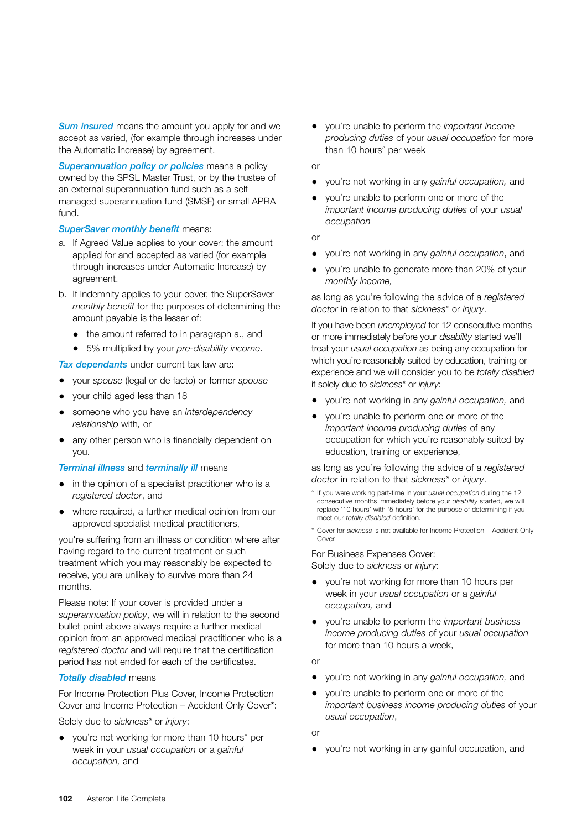*Sum insured* means the amount you apply for and we accept as varied, (for example through increases under the Automatic Increase) by agreement.

*Superannuation policy or policies* means a policy owned by the SPSL Master Trust, or by the trustee of an external superannuation fund such as a self managed superannuation fund (SMSF) or small APRA fund.

#### *SuperSaver monthly benefit* means:

- a. If Agreed Value applies to your cover: the amount applied for and accepted as varied (for example through increases under Automatic Increase) by agreement.
- b. If Indemnity applies to your cover, the SuperSaver *monthly benefit* for the purposes of determining the amount payable is the lesser of:
	- the amount referred to in paragraph a., and
	- 5% multiplied by your *pre-disability income*.

*Tax dependants* under current tax law are:

- your *spouse* (legal or de facto) or former *spouse*
- your child aged less than 18
- someone who you have an *interdependency relationship* with*,* or
- any other person who is financially dependent on you.

#### *Terminal illness* and *terminally ill* means

- in the opinion of a specialist practitioner who is a *registered doctor*, and
- where required, a further medical opinion from our approved specialist medical practitioners,

you're suffering from an illness or condition where after having regard to the current treatment or such treatment which you may reasonably be expected to receive, you are unlikely to survive more than 24 months.

Please note: If your cover is provided under a *superannuation policy*, we will in relation to the second bullet point above always require a further medical opinion from an approved medical practitioner who is a *registered doctor* and will require that the certification period has not ended for each of the certificates.

#### *Totally disabled* means

For Income Protection Plus Cover, Income Protection Cover and Income Protection – Accident Only Cover\*:

Solely due to *sickness\** or *injury*:

• you're not working for more than 10 hours<sup>^</sup> per week in your *usual occupation* or a *gainful occupation,* and

• you're unable to perform the *important income producing duties* of your *usual occupation* for more than 10 hours^ per week

or

- you're not working in any *gainful occupation,* and
- you're unable to perform one or more of the *important income producing duties* of your *usual occupation*

or

- you're not working in any *gainful occupation*, and
- you're unable to generate more than 20% of your *monthly income,*

as long as you're following the advice of a *registered doctor* in relation to that *sickness\** or *injury*.

If you have been *unemployed* for 12 consecutive months or more immediately before your *disability* started we'll treat your *usual occupation* as being any occupation for which you're reasonably suited by education, training or experience and we will consider you to be *totally disabled* if solely due to *sickness\** or *injury*:

- you're not working in any *gainful occupation,* and
- you're unable to perform one or more of the *important income producing duties* of any occupation for which you're reasonably suited by education, training or experience,

as long as you're following the advice of a *registered doctor* in relation to that *sickness\** or *injury*.

- ^ If you were working part-time in your *usual occupation* during the 12 consecutive months immediately before your *disability* started, we will replace '10 hours' with '5 hours' for the purpose of determining if you meet our *totally disabled* definition.
- \* Cover for *sickness* is not available for Income Protection Accident Only Cover

For Business Expenses Cover: Solely due to *sickness* or *injury*:

- you're not working for more than 10 hours per week in your *usual occupation* or a *gainful occupation,* and
- you're unable to perform the *important business income producing duties* of your *usual occupation* for more than 10 hours a week,

or

- you're not working in any *gainful occupation,* and
- you're unable to perform one or more of the *important business income producing duties* of your *usual occupation*,

or

• you're not working in any gainful occupation, and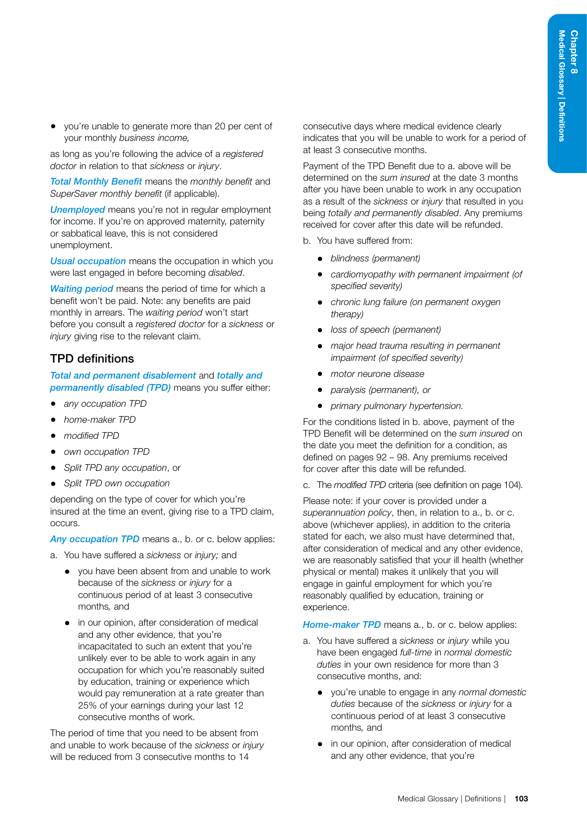• you're unable to generate more than 20 per cent of your monthly *business income,*

as long as you're following the advice of a *registered doctor* in relation to that *sickness* or *injury*.

*Total Monthly Benefit* means the *monthly benefit* and *SuperSaver monthly benefit* (if applicable).

*Unemployed* means you're not in regular employment for income. If you're on approved maternity, paternity or sabbatical leave, this is not considered unemployment.

*Usual occupation* means the occupation in which you were last engaged in before becoming *disabled*.

*Waiting period* means the period of time for which a benefit won't be paid. Note: any benefits are paid monthly in arrears. The *waiting period* won't start before you consult a *registered doctor* for a *sickness* or *injury* giving rise to the relevant claim.

## TPD definitions

*Total and permanent disablement* and *totally and permanently disabled (TPD)* means you suffer either:

- *any occupation TPD*
- *home-maker TPD*
- *modified TPD*
- *own occupation TPD*
- *Split TPD any occupation*, or
- *Split TPD own occupation*

depending on the type of cover for which you're insured at the time an event, giving rise to a TPD claim, occurs.

Any occupation TPD means a., b. or c. below applies:

- a. You have suffered a *sickness* or *injury;* and
	- you have been absent from and unable to work because of the *sickness* or *injury* for a continuous period of at least 3 consecutive months*,* and
	- in our opinion, after consideration of medical and any other evidence, that you're incapacitated to such an extent that you're unlikely ever to be able to work again in any occupation for which you're reasonably suited by education, training or experience which would pay remuneration at a rate greater than 25% of your earnings during your last 12 consecutive months of work.

The period of time that you need to be absent from and unable to work because of the *sickness* or *injury*  will be reduced from 3 consecutive months to 14

consecutive days where medical evidence clearly indicates that you will be unable to work for a period of at least 3 consecutive months.

Payment of the TPD Benefit due to a. above will be determined on the *sum insured* at the date 3 months after you have been unable to work in any occupation as a result of the *sickness* or *injury* that resulted in you being *totally and permanently disabled*. Any premiums received for cover after this date will be refunded.

- b. You have suffered from:
	- *blindness (permanent)*
	- *cardiomyopathy with permanent impairment (of specified severity)*
	- *chronic lung failure (on permanent oxygen therapy)*
	- *loss of speech (permanent)*
	- *major head trauma resulting in permanent impairment (of specified severity)*
	- *motor neurone disease*
	- *paralysis (permanent), or*
	- *primary pulmonary hypertension.*

For the conditions listed in b. above, payment of the TPD Benefit will be determined on the *sum insured* on the date you meet the definition for a condition, as defined on pages [92](#page-97-0) – [98](#page-103-0). Any premiums received for cover after this date will be refunded.

c. The *modified TPD* criteria (see definition on page [104](#page-109-0)).

Please note: if your cover is provided under a *superannuation policy*, then, in relation to a., b. or c. above (whichever applies), in addition to the criteria stated for each, we also must have determined that, after consideration of medical and any other evidence, we are reasonably satisfied that your ill health (whether physical or mental) makes it unlikely that you will engage in gainful employment for which you're reasonably qualified by education, training or experience.

*Home-maker TPD* means a., b. or c. below applies:

- a. You have suffered a *sickness* or *injury* while you have been engaged *full-time* in *normal domestic duties* in your own residence for more than 3 consecutive months, and:
	- you're unable to engage in any *normal domestic duties* because of the *sickness* or *injury* for a continuous period of at least 3 consecutive months*,* and
	- in our opinion, after consideration of medical and any other evidence, that you're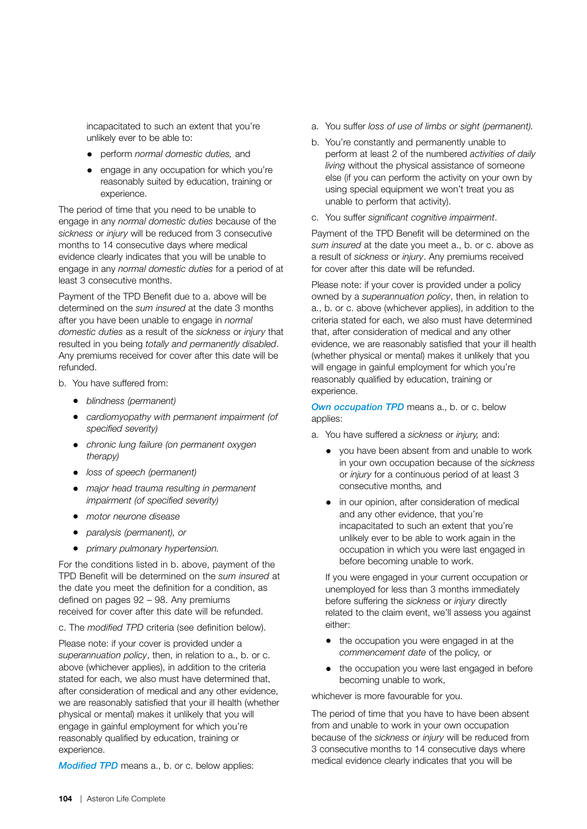incapacitated to such an extent that you're unlikely ever to be able to:

- perform *normal domestic duties,* and
- engage in any occupation for which you're reasonably suited by education, training or experience.

The period of time that you need to be unable to engage in any *normal domestic duties* because of the *sickness* or *injury* will be reduced from 3 consecutive months to 14 consecutive days where medical evidence clearly indicates that you will be unable to engage in any *normal domestic duties* for a period of at least 3 consecutive months.

Payment of the TPD Benefit due to a. above will be determined on the *sum insured* at the date 3 months after you have been unable to engage in *normal domestic duties* as a result of the *sickness* or *injury* that resulted in you being *totally and permanently disabled*. Any premiums received for cover after this date will be refunded.

- b. You have suffered from:
	- *blindness (permanent)*
	- *cardiomyopathy with permanent impairment (of specified severity)*
	- *chronic lung failure (on permanent oxygen therapy)*
	- *loss of speech (permanent)*
	- *major head trauma resulting in permanent impairment (of specified severity)*
	- *motor neurone disease*
	- *paralysis (permanent), or*
	- *primary pulmonary hypertension.*

For the conditions listed in b. above, payment of the TPD Benefit will be determined on the *sum insured* at the date you meet the definition for a condition, as defined on pages [92](#page-97-0) – [98.](#page-103-0) Any premiums received for cover after this date will be refunded.

c. The *modified TPD* criteria (see definition below).

Please note: if your cover is provided under a *superannuation policy*, then, in relation to a., b. or c. above (whichever applies), in addition to the criteria stated for each, we also must have determined that, after consideration of medical and any other evidence, we are reasonably satisfied that your ill health (whether physical or mental) makes it unlikely that you will engage in gainful employment for which you're reasonably qualified by education, training or experience.

<span id="page-109-0"></span>*Modified TPD* means a., b. or c. below applies:

- a. You suffer *loss of use of limbs or sight (permanent).*
- b. You're constantly and permanently unable to perform at least 2 of the numbered *activities of daily living* without the physical assistance of someone else (if you can perform the activity on your own by using special equipment we won't treat you as unable to perform that activity).
- c. You suffer *significant cognitive impairment*.

Payment of the TPD Benefit will be determined on the *sum insured* at the date you meet a., b. or c. above as a result of *sickness* or *injury*. Any premiums received for cover after this date will be refunded.

Please note: if your cover is provided under a policy owned by a *superannuation policy*, then, in relation to a., b. or c. above (whichever applies), in addition to the criteria stated for each, we also must have determined that, after consideration of medical and any other evidence, we are reasonably satisfied that your ill health (whether physical or mental) makes it unlikely that you will engage in gainful employment for which you're reasonably qualified by education, training or experience.

**Own occupation TPD** means a., b. or c. below applies:

- a. You have suffered a *sickness* or *injury,* and:
	- you have been absent from and unable to work in your own occupation because of the *sickness*  or *injury* for a continuous period of at least 3 consecutive months*,* and
	- in our opinion, after consideration of medical and any other evidence, that you're incapacitated to such an extent that you're unlikely ever to be able to work again in the occupation in which you were last engaged in before becoming unable to work.

If you were engaged in your current occupation or unemployed for less than 3 months immediately before suffering the *sickness* or *injury* directly related to the claim event, we'll assess you against either:

- the occupation you were engaged in at the *commencement date* of the policy*,* or
- the occupation you were last engaged in before becoming unable to work,

whichever is more favourable for you.

The period of time that you have to have been absent from and unable to work in your own occupation because of the *sickness* or *injury* will be reduced from 3 consecutive months to 14 consecutive days where medical evidence clearly indicates that you will be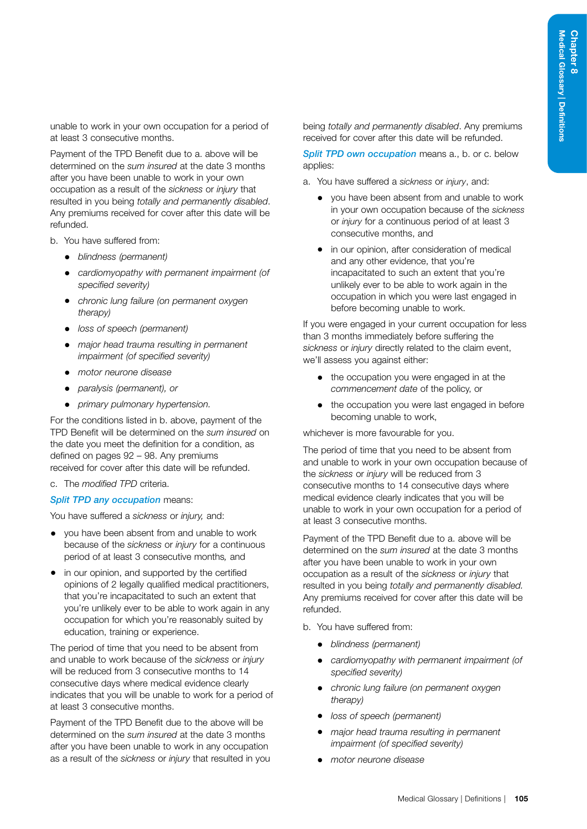unable to work in your own occupation for a period of at least 3 consecutive months.

Payment of the TPD Benefit due to a. above will be determined on the *sum insured* at the date 3 months after you have been unable to work in your own occupation as a result of the *sickness* or *injury* that resulted in you being *totally and permanently disabled*. Any premiums received for cover after this date will be refunded.

- b. You have suffered from:
	- *blindness (permanent)*
	- *cardiomyopathy with permanent impairment (of specified severity)*
	- *chronic lung failure (on permanent oxygen therapy)*
	- *loss of speech (permanent)*
	- *major head trauma resulting in permanent impairment (of specified severity)*
	- *motor neurone disease*
	- *paralysis (permanent), or*
	- *primary pulmonary hypertension.*

For the conditions listed in b. above, payment of the TPD Benefit will be determined on the *sum insured* on the date you meet the definition for a condition, as defined on pages [92](#page-97-0) – [98](#page-103-0). Any premiums received for cover after this date will be refunded.

c. The *modified TPD* criteria.

## *Split TPD any occupation* means:

You have suffered a *sickness* or *injury,* and:

- you have been absent from and unable to work because of the *sickness* or *injury* for a continuous period of at least 3 consecutive months*,* and
- in our opinion, and supported by the certified opinions of 2 legally qualified medical practitioners, that you're incapacitated to such an extent that you're unlikely ever to be able to work again in any occupation for which you're reasonably suited by education, training or experience.

The period of time that you need to be absent from and unable to work because of the *sickness* or *injury*  will be reduced from 3 consecutive months to 14 consecutive days where medical evidence clearly indicates that you will be unable to work for a period of at least 3 consecutive months.

Payment of the TPD Benefit due to the above will be determined on the *sum insured* at the date 3 months after you have been unable to work in any occupation as a result of the *sickness* or *injury* that resulted in you being *totally and permanently disabled*. Any premiums received for cover after this date will be refunded.

**Split TPD own occupation means a., b. or c. below** applies:

- a. You have suffered a *sickness* or *injury*, and:
	- you have been absent from and unable to work in your own occupation because of the *sickness* or *injury* for a continuous period of at least 3 consecutive months, and
	- in our opinion, after consideration of medical and any other evidence, that you're incapacitated to such an extent that you're unlikely ever to be able to work again in the occupation in which you were last engaged in before becoming unable to work.

If you were engaged in your current occupation for less than 3 months immediately before suffering the *sickness* or *injury* directly related to the claim event, we'll assess you against either:

- the occupation you were engaged in at the *commencement date* of the policy, or
- the occupation you were last engaged in before becoming unable to work,

whichever is more favourable for you.

The period of time that you need to be absent from and unable to work in your own occupation because of the *sickness* or *injury* will be reduced from 3 consecutive months to 14 consecutive days where medical evidence clearly indicates that you will be unable to work in your own occupation for a period of at least 3 consecutive months.

Payment of the TPD Benefit due to a. above will be determined on the *sum insured* at the date 3 months after you have been unable to work in your own occupation as a result of the *sickness* or *injury* that resulted in you being *totally and permanently disabled.*  Any premiums received for cover after this date will be refunded.

b. You have suffered from:

- *blindness (permanent)*
- *cardiomyopathy with permanent impairment (of specified severity)*
- *chronic lung failure (on permanent oxygen therapy)*
- *loss of speech (permanent)*
- *major head trauma resulting in permanent impairment (of specified severity)*
- *motor neurone disease*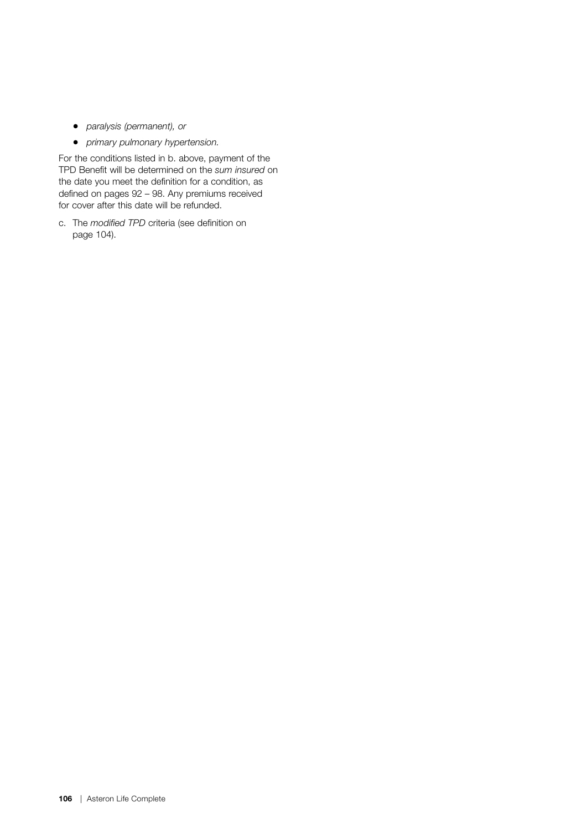- *paralysis (permanent), or*
- *primary pulmonary hypertension.*

For the conditions listed in b. above, payment of the TPD Benefit will be determined on the *sum insured* on the date you meet the definition for a condition, as defined on pages [92](#page-97-0) – [98.](#page-103-0) Any premiums received for cover after this date will be refunded.

c. The *modified TPD* criteria (see definition on page [104](#page-109-0)).